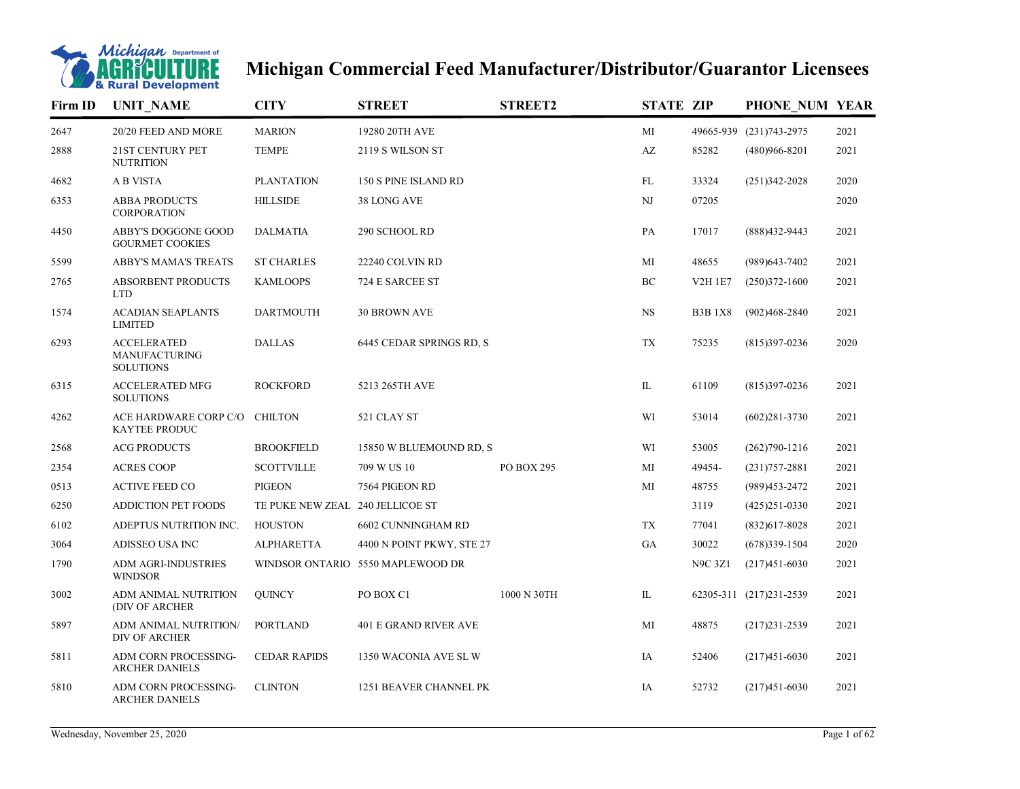

## **Michigan Commercial Feed Manufacturer/Distributor/Guarantor Licensees**

| Firm ID | <b>UNIT NAME</b>                                               | <b>CITY</b>                      | <b>STREET</b>                     | <b>STREET2</b> | <b>STATE ZIP</b>         |                | PHONE NUM YEAR          |      |
|---------|----------------------------------------------------------------|----------------------------------|-----------------------------------|----------------|--------------------------|----------------|-------------------------|------|
| 2647    | 20/20 FEED AND MORE                                            | <b>MARION</b>                    | 19280 20TH AVE                    |                | MI                       |                | 49665-939 (231)743-2975 | 2021 |
| 2888    | 21ST CENTURY PET<br><b>NUTRITION</b>                           | <b>TEMPE</b>                     | 2119 S WILSON ST                  |                | $\mathbf{A}\mathbf{Z}$   | 85282          | $(480)966 - 8201$       | 2021 |
| 4682    | A B VISTA                                                      | <b>PLANTATION</b>                | 150 S PINE ISLAND RD              |                | FL                       | 33324          | $(251)342 - 2028$       | 2020 |
| 6353    | <b>ABBA PRODUCTS</b><br><b>CORPORATION</b>                     | <b>HILLSIDE</b>                  | 38 LONG AVE                       |                | NJ                       | 07205          |                         | 2020 |
| 4450    | <b>ABBY'S DOGGONE GOOD</b><br><b>GOURMET COOKIES</b>           | <b>DALMATIA</b>                  | 290 SCHOOL RD                     |                | PA                       | 17017          | (888)432-9443           | 2021 |
| 5599    | <b>ABBY'S MAMA'S TREATS</b>                                    | <b>ST CHARLES</b>                | 22240 COLVIN RD                   |                | MI                       | 48655          | (989) 643-7402          | 2021 |
| 2765    | <b>ABSORBENT PRODUCTS</b><br><b>LTD</b>                        | <b>KAMLOOPS</b>                  | 724 E SARCEE ST                   |                | BC                       | <b>V2H 1E7</b> | $(250)372 - 1600$       | 2021 |
| 1574    | <b>ACADIAN SEAPLANTS</b><br><b>LIMITED</b>                     | <b>DARTMOUTH</b>                 | <b>30 BROWN AVE</b>               |                | $_{\rm NS}$              | <b>B3B1X8</b>  | $(902)468 - 2840$       | 2021 |
| 6293    | <b>ACCELERATED</b><br><b>MANUFACTURING</b><br><b>SOLUTIONS</b> | <b>DALLAS</b>                    | 6445 CEDAR SPRINGS RD, S          |                | $\mathcal{T}\mathcal{X}$ | 75235          | $(815)397-0236$         | 2020 |
| 6315    | <b>ACCELERATED MFG</b><br><b>SOLUTIONS</b>                     | <b>ROCKFORD</b>                  | 5213 265TH AVE                    |                | IL                       | 61109          | $(815)397-0236$         | 2021 |
| 4262    | ACE HARDWARE CORP C/O<br><b>KAYTEE PRODUC</b>                  | <b>CHILTON</b>                   | 521 CLAY ST                       |                | WI                       | 53014          | $(602)281 - 3730$       | 2021 |
| 2568    | <b>ACG PRODUCTS</b>                                            | <b>BROOKFIELD</b>                | 15850 W BLUEMOUND RD, S           |                | WI                       | 53005          | $(262)790-1216$         | 2021 |
| 2354    | <b>ACRES COOP</b>                                              | <b>SCOTTVILLE</b>                | 709 W US 10                       | PO BOX 295     | MI                       | 49454-         | $(231)757 - 2881$       | 2021 |
| 0513    | <b>ACTIVE FEED CO</b>                                          | <b>PIGEON</b>                    | 7564 PIGEON RD                    |                | MI                       | 48755          | (989)453-2472           | 2021 |
| 6250    | <b>ADDICTION PET FOODS</b>                                     | TE PUKE NEW ZEAL 240 JELLICOE ST |                                   |                |                          | 3119           | $(425)251-0330$         | 2021 |
| 6102    | ADEPTUS NUTRITION INC.                                         | <b>HOUSTON</b>                   | 6602 CUNNINGHAM RD                |                | TX                       | 77041          | $(832)617 - 8028$       | 2021 |
| 3064    | ADISSEO USA INC                                                | <b>ALPHARETTA</b>                | 4400 N POINT PKWY, STE 27         |                | GA                       | 30022          | $(678)339-1504$         | 2020 |
| 1790    | ADM AGRI-INDUSTRIES<br><b>WINDSOR</b>                          |                                  | WINDSOR ONTARIO 5550 MAPLEWOOD DR |                |                          | <b>N9C 3Z1</b> | $(217)451 - 6030$       | 2021 |
| 3002    | ADM ANIMAL NUTRITION<br>(DIV OF ARCHER                         | <b>QUINCY</b>                    | PO BOX C1                         | 1000 N 30TH    | IL                       |                | 62305-311 (217)231-2539 | 2021 |
| 5897    | ADM ANIMAL NUTRITION/<br><b>DIV OF ARCHER</b>                  | <b>PORTLAND</b>                  | <b>401 E GRAND RIVER AVE</b>      |                | MI                       | 48875          | $(217)231 - 2539$       | 2021 |
| 5811    | ADM CORN PROCESSING-<br><b>ARCHER DANIELS</b>                  | <b>CEDAR RAPIDS</b>              | 1350 WACONIA AVE SL W             |                | IA                       | 52406          | $(217)451-6030$         | 2021 |
| 5810    | ADM CORN PROCESSING-<br>ARCHER DANIELS                         | <b>CLINTON</b>                   | 1251 BEAVER CHANNEL PK            |                | IA                       | 52732          | $(217)451 - 6030$       | 2021 |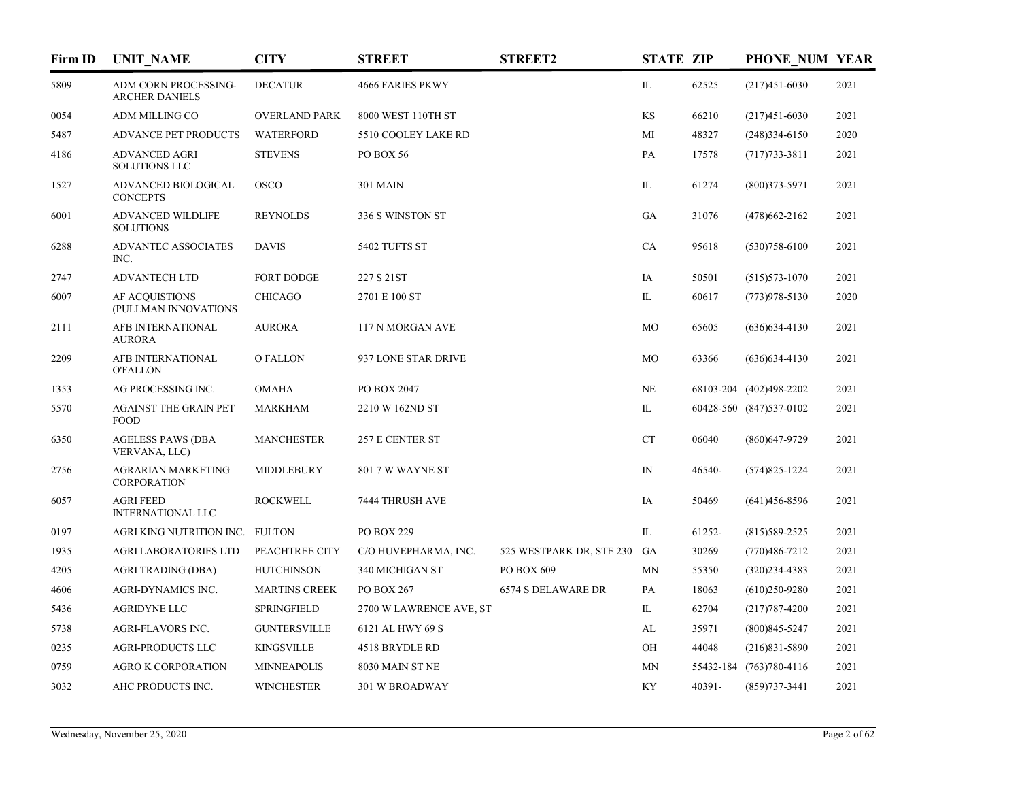| Firm ID | <b>UNIT_NAME</b>                                     | <b>CITY</b>          | <b>STREET</b>           | <b>STREET2</b>           | <b>STATE ZIP</b> |        | PHONE NUM YEAR          |      |
|---------|------------------------------------------------------|----------------------|-------------------------|--------------------------|------------------|--------|-------------------------|------|
| 5809    | <b>ADM CORN PROCESSING-</b><br><b>ARCHER DANIELS</b> | <b>DECATUR</b>       | <b>4666 FARIES PKWY</b> |                          | IL.              | 62525  | $(217)451 - 6030$       | 2021 |
| 0054    | ADM MILLING CO                                       | <b>OVERLAND PARK</b> | 8000 WEST 110TH ST      |                          | KS               | 66210  | $(217)451-6030$         | 2021 |
| 5487    | <b>ADVANCE PET PRODUCTS</b>                          | <b>WATERFORD</b>     | 5510 COOLEY LAKE RD     |                          | MI               | 48327  | $(248)334-6150$         | 2020 |
| 4186    | <b>ADVANCED AGRI</b><br><b>SOLUTIONS LLC</b>         | <b>STEVENS</b>       | PO BOX 56               |                          | PA               | 17578  | $(717)733 - 3811$       | 2021 |
| 1527    | ADVANCED BIOLOGICAL<br><b>CONCEPTS</b>               | <b>OSCO</b>          | <b>301 MAIN</b>         |                          | IL               | 61274  | $(800)373 - 5971$       | 2021 |
| 6001    | ADVANCED WILDLIFE<br><b>SOLUTIONS</b>                | <b>REYNOLDS</b>      | 336 S WINSTON ST        |                          | GA               | 31076  | $(478)662 - 2162$       | 2021 |
| 6288    | <b>ADVANTEC ASSOCIATES</b><br>INC.                   | <b>DAVIS</b>         | 5402 TUFTS ST           |                          | CA               | 95618  | $(530)758 - 6100$       | 2021 |
| 2747    | <b>ADVANTECH LTD</b>                                 | <b>FORT DODGE</b>    | 227 S 21ST              |                          | IA               | 50501  | $(515)573 - 1070$       | 2021 |
| 6007    | AF ACOUISTIONS<br>(PULLMAN INNOVATIONS               | <b>CHICAGO</b>       | 2701 E 100 ST           |                          | IL               | 60617  | $(773)978 - 5130$       | 2020 |
| 2111    | AFB INTERNATIONAL<br><b>AURORA</b>                   | <b>AURORA</b>        | 117 N MORGAN AVE        |                          | MO               | 65605  | $(636)$ 634-4130        | 2021 |
| 2209    | AFB INTERNATIONAL<br><b>O'FALLON</b>                 | <b>OFALLON</b>       | 937 LONE STAR DRIVE     |                          | MO               | 63366  | $(636)$ 634-4130        | 2021 |
| 1353    | AG PROCESSING INC.                                   | <b>OMAHA</b>         | PO BOX 2047             |                          | NE               |        | 68103-204 (402)498-2202 | 2021 |
| 5570    | <b>AGAINST THE GRAIN PET</b><br><b>FOOD</b>          | <b>MARKHAM</b>       | 2210 W 162ND ST         |                          | IL               |        | 60428-560 (847)537-0102 | 2021 |
| 6350    | <b>AGELESS PAWS (DBA</b><br>VERVANA, LLC)            | <b>MANCHESTER</b>    | 257 E CENTER ST         |                          | CT               | 06040  | $(860)$ 647-9729        | 2021 |
| 2756    | <b>AGRARIAN MARKETING</b><br>CORPORATION             | <b>MIDDLEBURY</b>    | 801 7 W WAYNE ST        |                          | $\mathbb{N}$     | 46540- | $(574)825 - 1224$       | 2021 |
| 6057    | <b>AGRI FEED</b><br><b>INTERNATIONAL LLC</b>         | <b>ROCKWELL</b>      | 7444 THRUSH AVE         |                          | IA               | 50469  | $(641)456 - 8596$       | 2021 |
| 0197    | AGRI KING NUTRITION INC. FULTON                      |                      | PO BOX 229              |                          | IL               | 61252- | $(815)589-2525$         | 2021 |
| 1935    | <b>AGRI LABORATORIES LTD</b>                         | PEACHTREE CITY       | C/O HUVEPHARMA, INC.    | 525 WESTPARK DR, STE 230 | GA               | 30269  | $(770)486 - 7212$       | 2021 |
| 4205    | AGRI TRADING (DBA)                                   | <b>HUTCHINSON</b>    | 340 MICHIGAN ST         | PO BOX 609               | MN               | 55350  | $(320)234-4383$         | 2021 |
| 4606    | AGRI-DYNAMICS INC.                                   | <b>MARTINS CREEK</b> | PO BOX 267              | 6574 S DELAWARE DR       | PA               | 18063  | $(610)250-9280$         | 2021 |
| 5436    | <b>AGRIDYNE LLC</b>                                  | <b>SPRINGFIELD</b>   | 2700 W LAWRENCE AVE, ST |                          | IL               | 62704  | $(217)787 - 4200$       | 2021 |
| 5738    | AGRI-FLAVORS INC.                                    | <b>GUNTERSVILLE</b>  | 6121 AL HWY 69 S        |                          | AL               | 35971  | $(800)845 - 5247$       | 2021 |
| 0235    | <b>AGRI-PRODUCTS LLC</b>                             | <b>KINGSVILLE</b>    | 4518 BRYDLE RD          |                          | OH               | 44048  | $(216)831 - 5890$       | 2021 |
| 0759    | <b>AGRO K CORPORATION</b>                            | <b>MINNEAPOLIS</b>   | 8030 MAIN ST NE         |                          | MN               |        | 55432-184 (763)780-4116 | 2021 |
| 3032    | AHC PRODUCTS INC.                                    | <b>WINCHESTER</b>    | <b>301 W BROADWAY</b>   |                          | KY               | 40391- | $(859)737 - 3441$       | 2021 |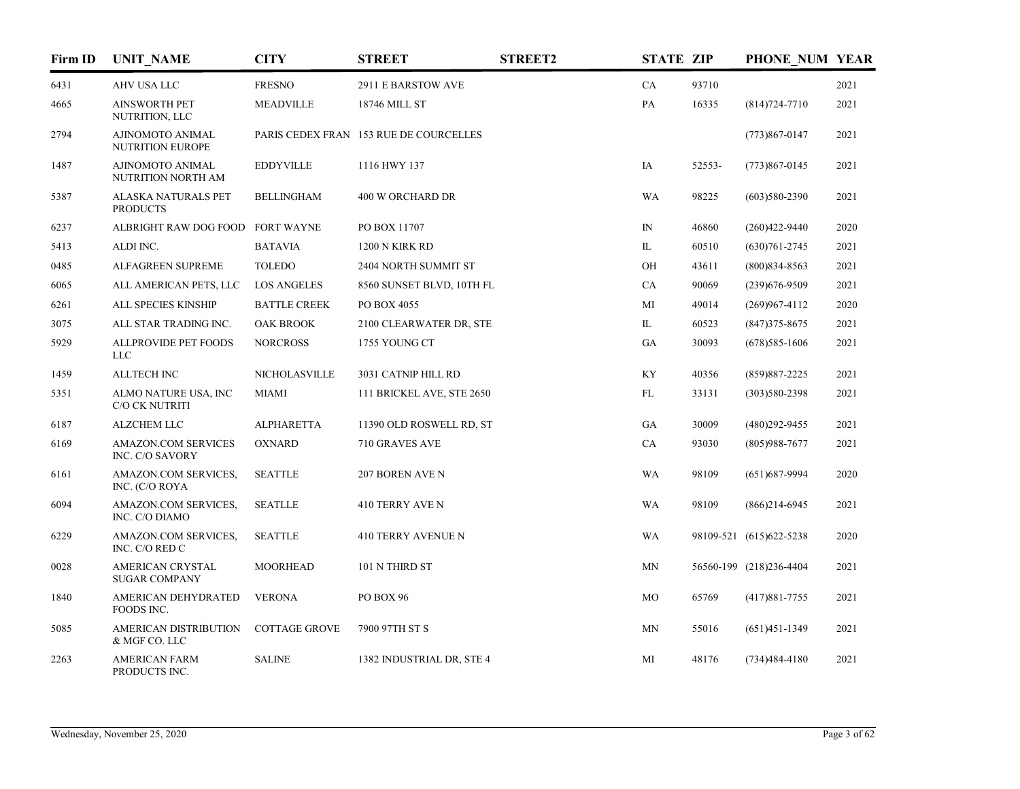| Firm ID | <b>UNIT_NAME</b>                              | <b>CITY</b>          | <b>STREET</b>                          | <b>STREET2</b> | <b>STATE ZIP</b> |        | PHONE NUM YEAR          |      |
|---------|-----------------------------------------------|----------------------|----------------------------------------|----------------|------------------|--------|-------------------------|------|
| 6431    | AHV USA LLC                                   | <b>FRESNO</b>        | 2911 E BARSTOW AVE                     |                | CA               | 93710  |                         | 2021 |
| 4665    | <b>AINSWORTH PET</b><br>NUTRITION, LLC        | <b>MEADVILLE</b>     | 18746 MILL ST                          |                | PA               | 16335  | $(814)724 - 7710$       | 2021 |
| 2794    | AJINOMOTO ANIMAL<br><b>NUTRITION EUROPE</b>   |                      | PARIS CEDEX FRAN 153 RUE DE COURCELLES |                |                  |        | $(773)867 - 0147$       | 2021 |
| 1487    | AJINOMOTO ANIMAL<br>NUTRITION NORTH AM        | <b>EDDYVILLE</b>     | 1116 HWY 137                           |                | IA               | 52553- | $(773)867 - 0145$       | 2021 |
| 5387    | ALASKA NATURALS PET<br><b>PRODUCTS</b>        | <b>BELLINGHAM</b>    | 400 W ORCHARD DR                       |                | WA               | 98225  | $(603)580-2390$         | 2021 |
| 6237    | ALBRIGHT RAW DOG FOOD FORT WAYNE              |                      | PO BOX 11707                           |                | ${\rm IN}$       | 46860  | $(260)422 - 9440$       | 2020 |
| 5413    | ALDI INC.                                     | <b>BATAVIA</b>       | 1200 N KIRK RD                         |                | IL               | 60510  | $(630)761 - 2745$       | 2021 |
| 0485    | ALFAGREEN SUPREME                             | <b>TOLEDO</b>        | 2404 NORTH SUMMIT ST                   |                | OH               | 43611  | $(800)834 - 8563$       | 2021 |
| 6065    | ALL AMERICAN PETS, LLC                        | <b>LOS ANGELES</b>   | 8560 SUNSET BLVD, 10TH FL              |                | CA               | 90069  | $(239)676 - 9509$       | 2021 |
| 6261    | ALL SPECIES KINSHIP                           | <b>BATTLE CREEK</b>  | PO BOX 4055                            |                | MI               | 49014  | $(269)967 - 4112$       | 2020 |
| 3075    | ALL STAR TRADING INC.                         | <b>OAK BROOK</b>     | 2100 CLEARWATER DR, STE                |                | IL               | 60523  | $(847)375 - 8675$       | 2021 |
| 5929    | ALLPROVIDE PET FOODS<br><b>LLC</b>            | <b>NORCROSS</b>      | 1755 YOUNG CT                          |                | GA               | 30093  | $(678)$ 585-1606        | 2021 |
| 1459    | <b>ALLTECH INC</b>                            | <b>NICHOLASVILLE</b> | 3031 CATNIP HILL RD                    |                | KY               | 40356  | $(859)887 - 2225$       | 2021 |
| 5351    | ALMO NATURE USA, INC<br>C/O CK NUTRITI        | <b>MIAMI</b>         | 111 BRICKEL AVE, STE 2650              |                | FL               | 33131  | $(303)580 - 2398$       | 2021 |
| 6187    | <b>ALZCHEM LLC</b>                            | <b>ALPHARETTA</b>    | 11390 OLD ROSWELL RD, ST               |                | GA               | 30009  | $(480)292 - 9455$       | 2021 |
| 6169    | <b>AMAZON.COM SERVICES</b><br>INC. C/O SAVORY | <b>OXNARD</b>        | 710 GRAVES AVE                         |                | CA               | 93030  | $(805)988-7677$         | 2021 |
| 6161    | AMAZON.COM SERVICES,<br>INC. (C/O ROYA        | <b>SEATTLE</b>       | 207 BOREN AVE N                        |                | <b>WA</b>        | 98109  | $(651)$ 687-9994        | 2020 |
| 6094    | AMAZON.COM SERVICES,<br>INC. C/O DIAMO        | <b>SEATLLE</b>       | 410 TERRY AVE N                        |                | <b>WA</b>        | 98109  | $(866)$ 214-6945        | 2021 |
| 6229    | AMAZON.COM SERVICES,<br>INC. C/O RED C        | <b>SEATTLE</b>       | 410 TERRY AVENUE N                     |                | <b>WA</b>        |        | 98109-521 (615)622-5238 | 2020 |
| 0028    | AMERICAN CRYSTAL<br><b>SUGAR COMPANY</b>      | <b>MOORHEAD</b>      | 101 N THIRD ST                         |                | MN               |        | 56560-199 (218)236-4404 | 2021 |
| 1840    | AMERICAN DEHYDRATED<br>FOODS INC.             | <b>VERONA</b>        | PO BOX 96                              |                | MO               | 65769  | $(417)881 - 7755$       | 2021 |
| 5085    | <b>AMERICAN DISTRIBUTION</b><br>& MGF CO. LLC | <b>COTTAGE GROVE</b> | 7900 97TH ST S                         |                | MN               | 55016  | $(651)451-1349$         | 2021 |
| 2263    | <b>AMERICAN FARM</b><br>PRODUCTS INC.         | <b>SALINE</b>        | 1382 INDUSTRIAL DR, STE 4              |                | MI               | 48176  | $(734)484 - 4180$       | 2021 |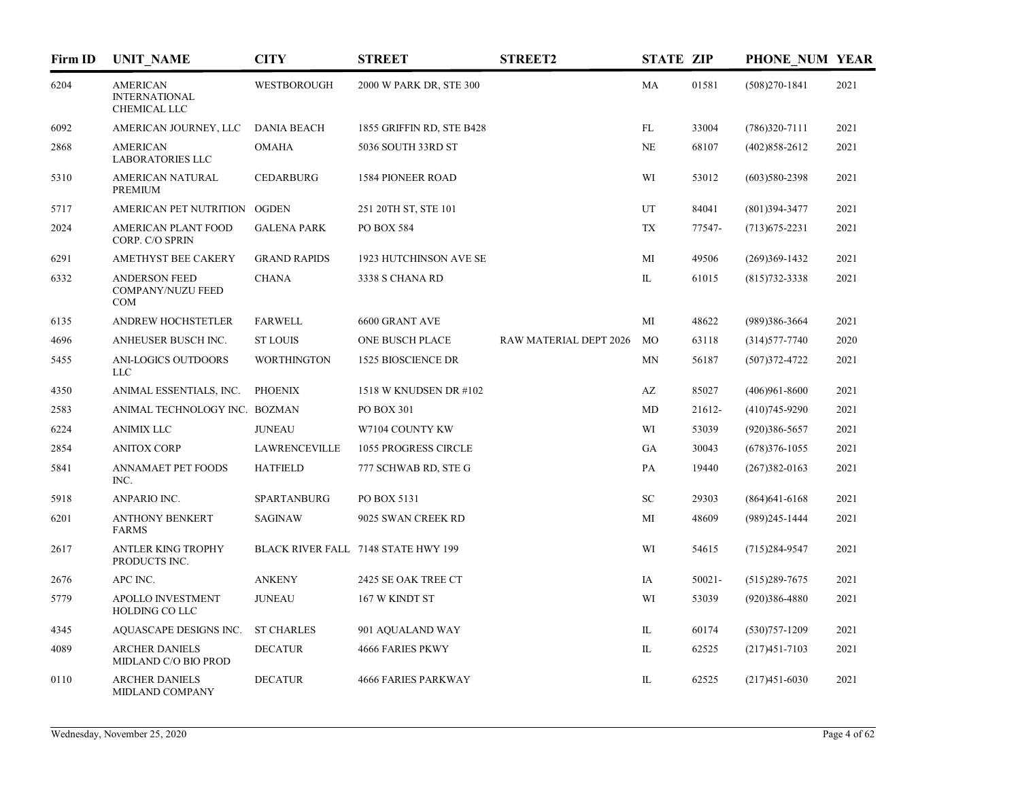| Firm ID | <b>UNIT NAME</b>                                        | <b>CITY</b>          | <b>STREET</b>                       | <b>STREET2</b>         | <b>STATE ZIP</b> |           | PHONE NUM YEAR    |      |
|---------|---------------------------------------------------------|----------------------|-------------------------------------|------------------------|------------------|-----------|-------------------|------|
| 6204    | <b>AMERICAN</b><br><b>INTERNATIONAL</b><br>CHEMICAL LLC | WESTBOROUGH          | 2000 W PARK DR, STE 300             |                        | MA               | 01581     | $(508)270-1841$   | 2021 |
| 6092    | AMERICAN JOURNEY, LLC                                   | <b>DANIA BEACH</b>   | 1855 GRIFFIN RD, STE B428           |                        | FL               | 33004     | $(786)320-7111$   | 2021 |
| 2868    | <b>AMERICAN</b><br><b>LABORATORIES LLC</b>              | <b>OMAHA</b>         | 5036 SOUTH 33RD ST                  |                        | $\rm NE$         | 68107     | $(402)858 - 2612$ | 2021 |
| 5310    | AMERICAN NATURAL<br><b>PREMIUM</b>                      | <b>CEDARBURG</b>     | <b>1584 PIONEER ROAD</b>            |                        | WI               | 53012     | $(603)580-2398$   | 2021 |
| 5717    | AMERICAN PET NUTRITION OGDEN                            |                      | 251 20TH ST, STE 101                |                        | UT               | 84041     | $(801)394 - 3477$ | 2021 |
| 2024    | AMERICAN PLANT FOOD<br>CORP. C/O SPRIN                  | <b>GALENA PARK</b>   | PO BOX 584                          |                        | TX               | 77547-    | $(713)675 - 2231$ | 2021 |
| 6291    | AMETHYST BEE CAKERY                                     | <b>GRAND RAPIDS</b>  | 1923 HUTCHINSON AVE SE              |                        | MI               | 49506     | $(269)369-1432$   | 2021 |
| 6332    | <b>ANDERSON FEED</b><br>COMPANY/NUZU FEED<br>COM        | <b>CHANA</b>         | 3338 S CHANA RD                     |                        | IL               | 61015     | $(815)732 - 3338$ | 2021 |
| 6135    | ANDREW HOCHSTETLER                                      | <b>FARWELL</b>       | 6600 GRANT AVE                      |                        | MI               | 48622     | (989)386-3664     | 2021 |
| 4696    | ANHEUSER BUSCH INC.                                     | <b>ST LOUIS</b>      | ONE BUSCH PLACE                     | RAW MATERIAL DEPT 2026 | <b>MO</b>        | 63118     | $(314)577 - 7740$ | 2020 |
| 5455    | ANI-LOGICS OUTDOORS<br><b>LLC</b>                       | <b>WORTHINGTON</b>   | <b>1525 BIOSCIENCE DR</b>           |                        | MN               | 56187     | $(507)372 - 4722$ | 2021 |
| 4350    | ANIMAL ESSENTIALS, INC.                                 | <b>PHOENIX</b>       | 1518 W KNUDSEN DR #102              |                        | AZ               | 85027     | $(406)961 - 8600$ | 2021 |
| 2583    | ANIMAL TECHNOLOGY INC. BOZMAN                           |                      | PO BOX 301                          |                        | MD               | 21612-    | $(410)745-9290$   | 2021 |
| 6224    | <b>ANIMIX LLC</b>                                       | <b>JUNEAU</b>        | W7104 COUNTY KW                     |                        | WI               | 53039     | $(920)386 - 5657$ | 2021 |
| 2854    | <b>ANITOX CORP</b>                                      | <b>LAWRENCEVILLE</b> | 1055 PROGRESS CIRCLE                |                        | GA               | 30043     | $(678)376 - 1055$ | 2021 |
| 5841    | <b>ANNAMAET PET FOODS</b><br>INC.                       | <b>HATFIELD</b>      | 777 SCHWAB RD, STE G                |                        | PA               | 19440     | $(267)382 - 0163$ | 2021 |
| 5918    | ANPARIO INC.                                            | SPARTANBURG          | PO BOX 5131                         |                        | SC               | 29303     | $(864)641 - 6168$ | 2021 |
| 6201    | <b>ANTHONY BENKERT</b><br><b>FARMS</b>                  | <b>SAGINAW</b>       | 9025 SWAN CREEK RD                  |                        | MI               | 48609     | $(989)$ 245-1444  | 2021 |
| 2617    | <b>ANTLER KING TROPHY</b><br>PRODUCTS INC.              |                      | BLACK RIVER FALL 7148 STATE HWY 199 |                        | WI               | 54615     | $(715)284-9547$   | 2021 |
| 2676    | APC INC.                                                | <b>ANKENY</b>        | 2425 SE OAK TREE CT                 |                        | IA               | $50021 -$ | $(515)289 - 7675$ | 2021 |
| 5779    | APOLLO INVESTMENT<br>HOLDING CO LLC                     | <b>JUNEAU</b>        | 167 W KINDT ST                      |                        | WI               | 53039     | $(920)386 - 4880$ | 2021 |
| 4345    | AQUASCAPE DESIGNS INC.                                  | <b>ST CHARLES</b>    | 901 AQUALAND WAY                    |                        | IL               | 60174     | $(530)757 - 1209$ | 2021 |
| 4089    | <b>ARCHER DANIELS</b><br>MIDLAND C/O BIO PROD           | <b>DECATUR</b>       | <b>4666 FARIES PKWY</b>             |                        | IL               | 62525     | $(217)451 - 7103$ | 2021 |
| 0110    | <b>ARCHER DANIELS</b><br>MIDLAND COMPANY                | <b>DECATUR</b>       | <b>4666 FARIES PARKWAY</b>          |                        | IL               | 62525     | $(217)451 - 6030$ | 2021 |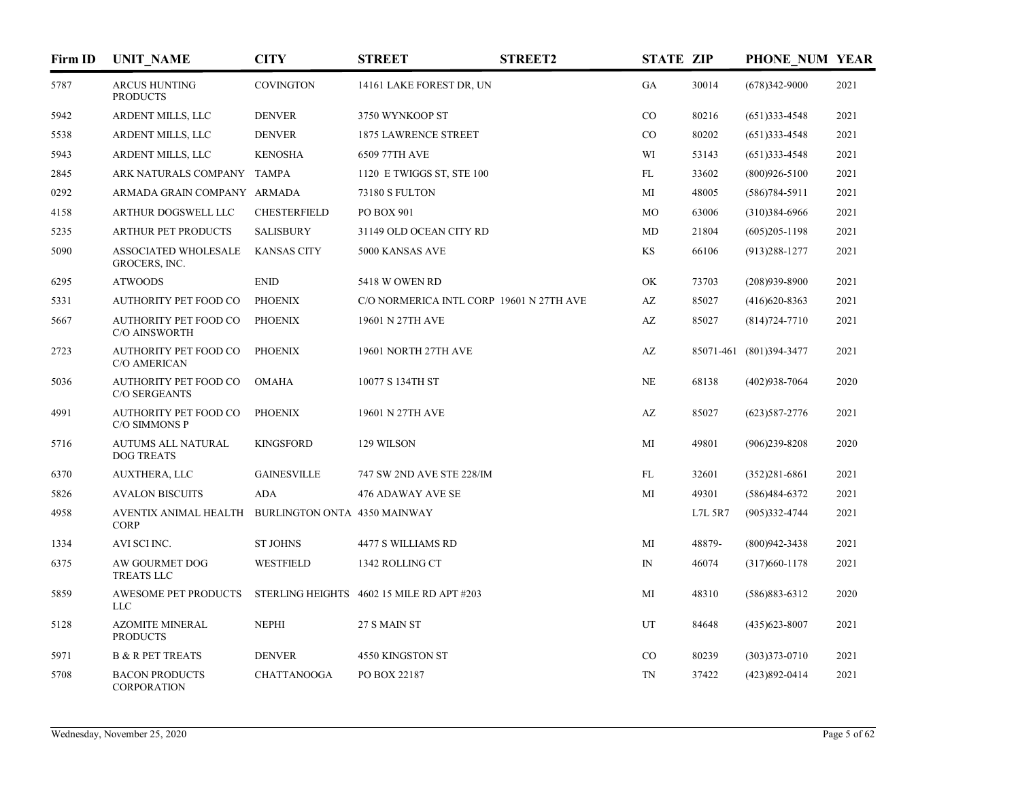| Firm ID | <b>UNIT NAME</b>                                     | <b>CITY</b>                  | <b>STREET</b>                             | <b>STREET2</b> | <b>STATE ZIP</b>       |         | PHONE NUM YEAR          |      |
|---------|------------------------------------------------------|------------------------------|-------------------------------------------|----------------|------------------------|---------|-------------------------|------|
| 5787    | <b>ARCUS HUNTING</b><br><b>PRODUCTS</b>              | <b>COVINGTON</b>             | 14161 LAKE FOREST DR, UN                  |                | GA                     | 30014   | $(678)342-9000$         | 2021 |
| 5942    | ARDENT MILLS, LLC                                    | <b>DENVER</b>                | 3750 WYNKOOP ST                           |                | $_{\rm CO}$            | 80216   | $(651)$ 333-4548        | 2021 |
| 5538    | ARDENT MILLS, LLC                                    | <b>DENVER</b>                | <b>1875 LAWRENCE STREET</b>               |                | CO                     | 80202   | $(651)$ 333-4548        | 2021 |
| 5943    | ARDENT MILLS, LLC                                    | <b>KENOSHA</b>               | 6509 77TH AVE                             |                | WI                     | 53143   | $(651)$ 333-4548        | 2021 |
| 2845    | ARK NATURALS COMPANY TAMPA                           |                              | 1120 E TWIGGS ST, STE 100                 |                | FL                     | 33602   | $(800)926 - 5100$       | 2021 |
| 0292    | ARMADA GRAIN COMPANY ARMADA                          |                              | 73180 S FULTON                            |                | MI                     | 48005   | $(586)784-5911$         | 2021 |
| 4158    | ARTHUR DOGSWELL LLC                                  | <b>CHESTERFIELD</b>          | PO BOX 901                                |                | MO                     | 63006   | $(310)384-6966$         | 2021 |
| 5235    | <b>ARTHUR PET PRODUCTS</b>                           | <b>SALISBURY</b>             | 31149 OLD OCEAN CITY RD                   |                | MD                     | 21804   | $(605)205 - 1198$       | 2021 |
| 5090    | <b>ASSOCIATED WHOLESALE</b><br>GROCERS, INC.         | <b>KANSAS CITY</b>           | 5000 KANSAS AVE                           |                | KS                     | 66106   | $(913)288-1277$         | 2021 |
| 6295    | <b>ATWOODS</b>                                       | <b>ENID</b>                  | 5418 W OWEN RD                            |                | OK                     | 73703   | $(208)939 - 8900$       | 2021 |
| 5331    | <b>AUTHORITY PET FOOD CO</b>                         | <b>PHOENIX</b>               | C/O NORMERICA INTL CORP 19601 N 27TH AVE  |                | $\mathbf{A}\mathbf{Z}$ | 85027   | $(416)620 - 8363$       | 2021 |
| 5667    | <b>AUTHORITY PET FOOD CO</b><br><b>C/O AINSWORTH</b> | <b>PHOENIX</b>               | 19601 N 27TH AVE                          |                | AZ                     | 85027   | $(814)724 - 7710$       | 2021 |
| 2723    | <b>AUTHORITY PET FOOD CO</b><br>C/O AMERICAN         | <b>PHOENIX</b>               | 19601 NORTH 27TH AVE                      |                | $\mathbf{A}\mathbf{Z}$ |         | 85071-461 (801)394-3477 | 2021 |
| 5036    | <b>AUTHORITY PET FOOD CO</b><br><b>C/O SERGEANTS</b> | <b>OMAHA</b>                 | 10077 S 134TH ST                          |                | <b>NE</b>              | 68138   | $(402)938 - 7064$       | 2020 |
| 4991    | AUTHORITY PET FOOD CO<br>C/O SIMMONS P               | <b>PHOENIX</b>               | 19601 N 27TH AVE                          |                | AZ                     | 85027   | $(623)$ 587-2776        | 2021 |
| 5716    | AUTUMS ALL NATURAL<br><b>DOG TREATS</b>              | <b>KINGSFORD</b>             | 129 WILSON                                |                | MI                     | 49801   | $(906)239 - 8208$       | 2020 |
| 6370    | <b>AUXTHERA, LLC</b>                                 | <b>GAINESVILLE</b>           | 747 SW 2ND AVE STE 228/IM                 |                | FL                     | 32601   | $(352)281 - 6861$       | 2021 |
| 5826    | <b>AVALON BISCUITS</b>                               | ADA                          | 476 ADAWAY AVE SE                         |                | MI                     | 49301   | $(586)484-6372$         | 2021 |
| 4958    | AVENTIX ANIMAL HEALTH<br><b>CORP</b>                 | BURLINGTON ONTA 4350 MAINWAY |                                           |                |                        | L7L 5R7 | $(905)332 - 4744$       | 2021 |
| 1334    | AVI SCI INC.                                         | <b>ST JOHNS</b>              | 4477 S WILLIAMS RD                        |                | MI                     | 48879-  | $(800)942 - 3438$       | 2021 |
| 6375    | AW GOURMET DOG<br><b>TREATS LLC</b>                  | <b>WESTFIELD</b>             | 1342 ROLLING CT                           |                | $\mathbb{N}$           | 46074   | $(317)660 - 1178$       | 2021 |
| 5859    | AWESOME PET PRODUCTS<br><b>LLC</b>                   |                              | STERLING HEIGHTS 4602 15 MILE RD APT #203 |                | MI                     | 48310   | $(586)883-6312$         | 2020 |
| 5128    | <b>AZOMITE MINERAL</b><br><b>PRODUCTS</b>            | <b>NEPHI</b>                 | 27 S MAIN ST                              |                | UT                     | 84648   | $(435)623 - 8007$       | 2021 |
| 5971    | <b>B &amp; R PET TREATS</b>                          | <b>DENVER</b>                | 4550 KINGSTON ST                          |                | CO                     | 80239   | $(303)373 - 0710$       | 2021 |
| 5708    | <b>BACON PRODUCTS</b><br><b>CORPORATION</b>          | <b>CHATTANOOGA</b>           | PO BOX 22187                              |                | TN                     | 37422   | $(423)892 - 0414$       | 2021 |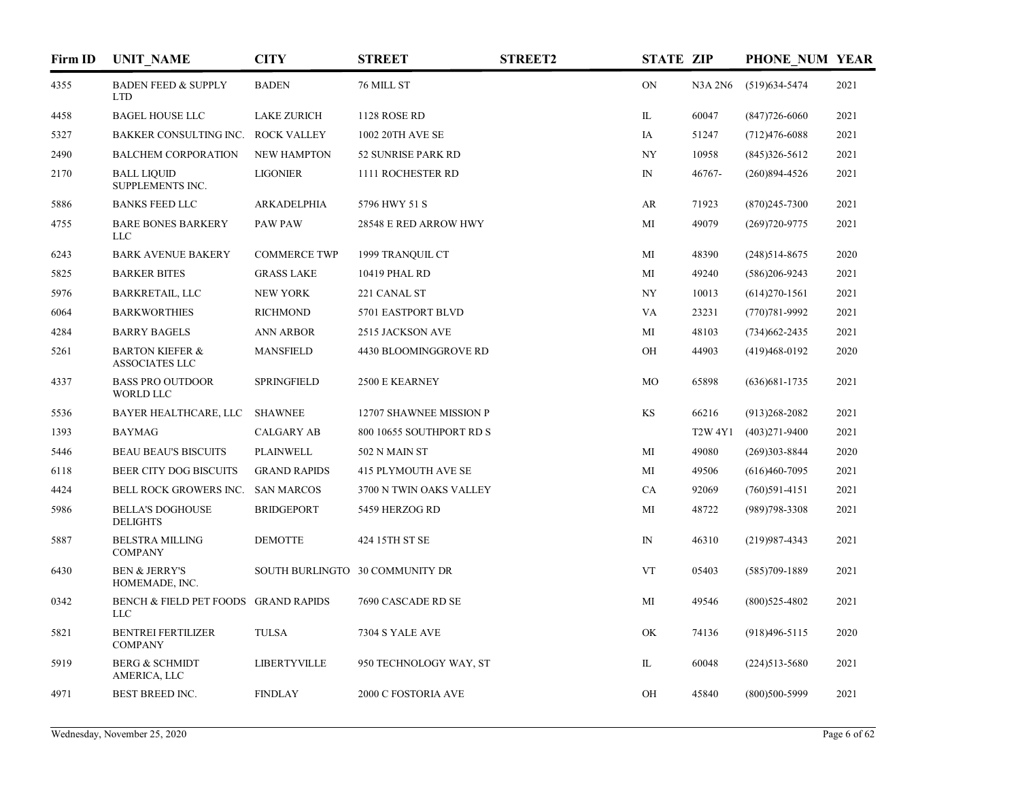| Firm ID | <b>UNIT NAME</b>                                    | <b>CITY</b>         | <b>STREET</b>                   | <b>STREET2</b> | <b>STATE ZIP</b> |                | PHONE NUM YEAR    |      |
|---------|-----------------------------------------------------|---------------------|---------------------------------|----------------|------------------|----------------|-------------------|------|
| 4355    | <b>BADEN FEED &amp; SUPPLY</b><br>LTD.              | <b>BADEN</b>        | 76 MILL ST                      |                | <b>ON</b>        | <b>N3A 2N6</b> | $(519)634 - 5474$ | 2021 |
| 4458    | <b>BAGEL HOUSE LLC</b>                              | <b>LAKE ZURICH</b>  | <b>1128 ROSE RD</b>             |                | IL               | 60047          | $(847)726 - 6060$ | 2021 |
| 5327    | BAKKER CONSULTING INC. ROCK VALLEY                  |                     | 1002 20TH AVE SE                |                | IA               | 51247          | $(712)476 - 6088$ | 2021 |
| 2490    | <b>BALCHEM CORPORATION</b>                          | <b>NEW HAMPTON</b>  | 52 SUNRISE PARK RD              |                | NY               | 10958          | $(845)326 - 5612$ | 2021 |
| 2170    | <b>BALL LIQUID</b><br>SUPPLEMENTS INC.              | <b>LIGONIER</b>     | 1111 ROCHESTER RD               |                | $\mathbb{N}$     | 46767-         | $(260)894 - 4526$ | 2021 |
| 5886    | <b>BANKS FEED LLC</b>                               | ARKADELPHIA         | 5796 HWY 51 S                   |                | AR               | 71923          | $(870)$ 245-7300  | 2021 |
| 4755    | <b>BARE BONES BARKERY</b><br><b>LLC</b>             | <b>PAW PAW</b>      | 28548 E RED ARROW HWY           |                | МI               | 49079          | $(269)720 - 9775$ | 2021 |
| 6243    | <b>BARK AVENUE BAKERY</b>                           | <b>COMMERCE TWP</b> | 1999 TRANQUIL CT                |                | MI               | 48390          | $(248)514-8675$   | 2020 |
| 5825    | <b>BARKER BITES</b>                                 | <b>GRASS LAKE</b>   | 10419 PHAL RD                   |                | MI               | 49240          | $(586)206 - 9243$ | 2021 |
| 5976    | <b>BARKRETAIL, LLC</b>                              | <b>NEW YORK</b>     | 221 CANAL ST                    |                | NY               | 10013          | $(614)270-1561$   | 2021 |
| 6064    | <b>BARKWORTHIES</b>                                 | <b>RICHMOND</b>     | 5701 EASTPORT BLVD              |                | VA               | 23231          | $(770)781 - 9992$ | 2021 |
| 4284    | <b>BARRY BAGELS</b>                                 | <b>ANN ARBOR</b>    | 2515 JACKSON AVE                |                | МI               | 48103          | $(734)662 - 2435$ | 2021 |
| 5261    | <b>BARTON KIEFER &amp;</b><br><b>ASSOCIATES LLC</b> | <b>MANSFIELD</b>    | 4430 BLOOMINGGROVE RD           |                | OH               | 44903          | (419)468-0192     | 2020 |
| 4337    | <b>BASS PRO OUTDOOR</b><br><b>WORLD LLC</b>         | <b>SPRINGFIELD</b>  | 2500 E KEARNEY                  |                | MO               | 65898          | $(636)681 - 1735$ | 2021 |
| 5536    | BAYER HEALTHCARE, LLC                               | <b>SHAWNEE</b>      | 12707 SHAWNEE MISSION P         |                | KS               | 66216          | $(913)268 - 2082$ | 2021 |
| 1393    | <b>BAYMAG</b>                                       | <b>CALGARY AB</b>   | 800 10655 SOUTHPORT RD S        |                |                  | <b>T2W 4Y1</b> | $(403)271 - 9400$ | 2021 |
| 5446    | <b>BEAU BEAU'S BISCUITS</b>                         | <b>PLAINWELL</b>    | 502 N MAIN ST                   |                | MI               | 49080          | $(269)303 - 8844$ | 2020 |
| 6118    | <b>BEER CITY DOG BISCUITS</b>                       | <b>GRAND RAPIDS</b> | <b>415 PLYMOUTH AVE SE</b>      |                | MI               | 49506          | $(616)460-7095$   | 2021 |
| 4424    | BELL ROCK GROWERS INC.                              | <b>SAN MARCOS</b>   | 3700 N TWIN OAKS VALLEY         |                | <b>CA</b>        | 92069          | $(760)591-4151$   | 2021 |
| 5986    | <b>BELLA'S DOGHOUSE</b><br><b>DELIGHTS</b>          | <b>BRIDGEPORT</b>   | 5459 HERZOG RD                  |                | MI               | 48722          | $(989)798 - 3308$ | 2021 |
| 5887    | <b>BELSTRA MILLING</b><br><b>COMPANY</b>            | <b>DEMOTTE</b>      | 424 15TH ST SE                  |                | ${\rm IN}$       | 46310          | $(219)987 - 4343$ | 2021 |
| 6430    | <b>BEN &amp; JERRY'S</b><br>HOMEMADE, INC.          |                     | SOUTH BURLINGTO 30 COMMUNITY DR |                | <b>VT</b>        | 05403          | $(585)709-1889$   | 2021 |
| 0342    | BENCH & FIELD PET FOODS GRAND RAPIDS<br><b>LLC</b>  |                     | 7690 CASCADE RD SE              |                | MI               | 49546          | $(800)$ 525-4802  | 2021 |
| 5821    | <b>BENTREI FERTILIZER</b><br><b>COMPANY</b>         | <b>TULSA</b>        | 7304 S YALE AVE                 |                | <b>OK</b>        | 74136          | $(918)496 - 5115$ | 2020 |
| 5919    | <b>BERG &amp; SCHMIDT</b><br>AMERICA, LLC           | <b>LIBERTYVILLE</b> | 950 TECHNOLOGY WAY, ST          |                | IL               | 60048          | $(224)513 - 5680$ | 2021 |
| 4971    | <b>BEST BREED INC.</b>                              | <b>FINDLAY</b>      | 2000 C FOSTORIA AVE             |                | OH               | 45840          | $(800)500 - 5999$ | 2021 |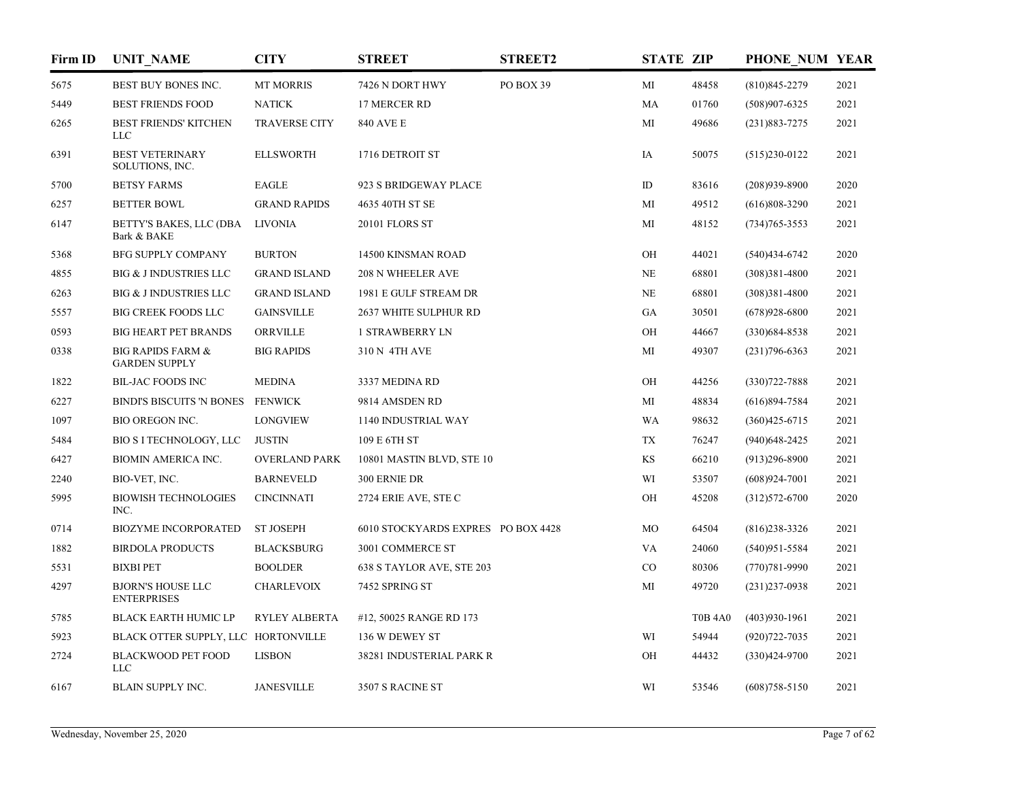| Firm ID | <b>UNIT_NAME</b>                                     | <b>CITY</b>          | <b>STREET</b>                      | <b>STREET2</b> | <b>STATE ZIP</b> |                | PHONE NUM YEAR    |      |
|---------|------------------------------------------------------|----------------------|------------------------------------|----------------|------------------|----------------|-------------------|------|
| 5675    | BEST BUY BONES INC.                                  | <b>MT MORRIS</b>     | 7426 N DORT HWY                    | PO BOX 39      | MI               | 48458          | $(810)845 - 2279$ | 2021 |
| 5449    | <b>BEST FRIENDS FOOD</b>                             | <b>NATICK</b>        | 17 MERCER RD                       |                | MA               | 01760          | $(508)907 - 6325$ | 2021 |
| 6265    | <b>BEST FRIENDS' KITCHEN</b><br>LLC                  | <b>TRAVERSE CITY</b> | <b>840 AVE E</b>                   |                | MI               | 49686          | $(231)883 - 7275$ | 2021 |
| 6391    | <b>BEST VETERINARY</b><br>SOLUTIONS, INC.            | <b>ELLSWORTH</b>     | 1716 DETROIT ST                    |                | IA               | 50075          | $(515)230-0122$   | 2021 |
| 5700    | <b>BETSY FARMS</b>                                   | <b>EAGLE</b>         | 923 S BRIDGEWAY PLACE              |                | $\rm ID$         | 83616          | $(208)939-8900$   | 2020 |
| 6257    | <b>BETTER BOWL</b>                                   | <b>GRAND RAPIDS</b>  | 4635 40TH ST SE                    |                | MI               | 49512          | $(616)808 - 3290$ | 2021 |
| 6147    | BETTY'S BAKES, LLC (DBA<br>Bark & BAKE               | <b>LIVONIA</b>       | 20101 FLORS ST                     |                | MI               | 48152          | $(734)765 - 3553$ | 2021 |
| 5368    | <b>BFG SUPPLY COMPANY</b>                            | <b>BURTON</b>        | 14500 KINSMAN ROAD                 |                | OH               | 44021          | $(540)434-6742$   | 2020 |
| 4855    | <b>BIG &amp; J INDUSTRIES LLC</b>                    | <b>GRAND ISLAND</b>  | 208 N WHEELER AVE                  |                | NE               | 68801          | $(308)381 - 4800$ | 2021 |
| 6263    | <b>BIG &amp; J INDUSTRIES LLC</b>                    | <b>GRAND ISLAND</b>  | 1981 E GULF STREAM DR              |                | NE               | 68801          | $(308)381 - 4800$ | 2021 |
| 5557    | <b>BIG CREEK FOODS LLC</b>                           | <b>GAINSVILLE</b>    | 2637 WHITE SULPHUR RD              |                | GA               | 30501          | $(678)928 - 6800$ | 2021 |
| 0593    | <b>BIG HEART PET BRANDS</b>                          | ORRVILLE             | <b>1 STRAWBERRY LN</b>             |                | OH               | 44667          | $(330)684 - 8538$ | 2021 |
| 0338    | <b>BIG RAPIDS FARM &amp;</b><br><b>GARDEN SUPPLY</b> | <b>BIG RAPIDS</b>    | 310 N 4TH AVE                      |                | MI               | 49307          | $(231)796 - 6363$ | 2021 |
| 1822    | <b>BIL-JAC FOODS INC</b>                             | <b>MEDINA</b>        | 3337 MEDINA RD                     |                | OH               | 44256          | $(330)722 - 7888$ | 2021 |
| 6227    | <b>BINDI'S BISCUITS 'N BONES</b>                     | <b>FENWICK</b>       | 9814 AMSDEN RD                     |                | MI               | 48834          | $(616)894-7584$   | 2021 |
| 1097    | <b>BIO OREGON INC.</b>                               | <b>LONGVIEW</b>      | 1140 INDUSTRIAL WAY                |                | <b>WA</b>        | 98632          | $(360)425 - 6715$ | 2021 |
| 5484    | BIO S I TECHNOLOGY, LLC                              | <b>JUSTIN</b>        | 109 E 6TH ST                       |                | TX               | 76247          | $(940)$ 648-2425  | 2021 |
| 6427    | <b>BIOMIN AMERICA INC.</b>                           | <b>OVERLAND PARK</b> | 10801 MASTIN BLVD, STE 10          |                | KS               | 66210          | $(913)296 - 8900$ | 2021 |
| 2240    | BIO-VET, INC.                                        | <b>BARNEVELD</b>     | 300 ERNIE DR                       |                | WI               | 53507          | $(608)924-7001$   | 2021 |
| 5995    | <b>BIOWISH TECHNOLOGIES</b><br>INC.                  | <b>CINCINNATI</b>    | 2724 ERIE AVE, STE C               |                | OH               | 45208          | $(312)572 - 6700$ | 2020 |
| 0714    | <b>BIOZYME INCORPORATED</b>                          | <b>ST JOSEPH</b>     | 6010 STOCKYARDS EXPRES PO BOX 4428 |                | MO               | 64504          | $(816)$ 238-3326  | 2021 |
| 1882    | <b>BIRDOLA PRODUCTS</b>                              | <b>BLACKSBURG</b>    | 3001 COMMERCE ST                   |                | VA               | 24060          | $(540)951 - 5584$ | 2021 |
| 5531    | <b>BIXBI PET</b>                                     | <b>BOOLDER</b>       | 638 S TAYLOR AVE, STE 203          |                | CO               | 80306          | $(770)781 - 9990$ | 2021 |
| 4297    | <b>BJORN'S HOUSE LLC</b><br><b>ENTERPRISES</b>       | <b>CHARLEVOIX</b>    | 7452 SPRING ST                     |                | MI               | 49720          | $(231)$ 237-0938  | 2021 |
| 5785    | <b>BLACK EARTH HUMIC LP</b>                          | RYLEY ALBERTA        | #12, 50025 RANGE RD 173            |                |                  | <b>T0B 4A0</b> | $(403)930-1961$   | 2021 |
| 5923    | BLACK OTTER SUPPLY, LLC HORTONVILLE                  |                      | 136 W DEWEY ST                     |                | WI               | 54944          | $(920)722 - 7035$ | 2021 |
| 2724    | <b>BLACKWOOD PET FOOD</b><br><b>LLC</b>              | <b>LISBON</b>        | 38281 INDUSTERIAL PARK R           |                | OH               | 44432          | $(330)424-9700$   | 2021 |
| 6167    | BLAIN SUPPLY INC.                                    | <b>JANESVILLE</b>    | 3507 S RACINE ST                   |                | WI               | 53546          | $(608)758 - 5150$ | 2021 |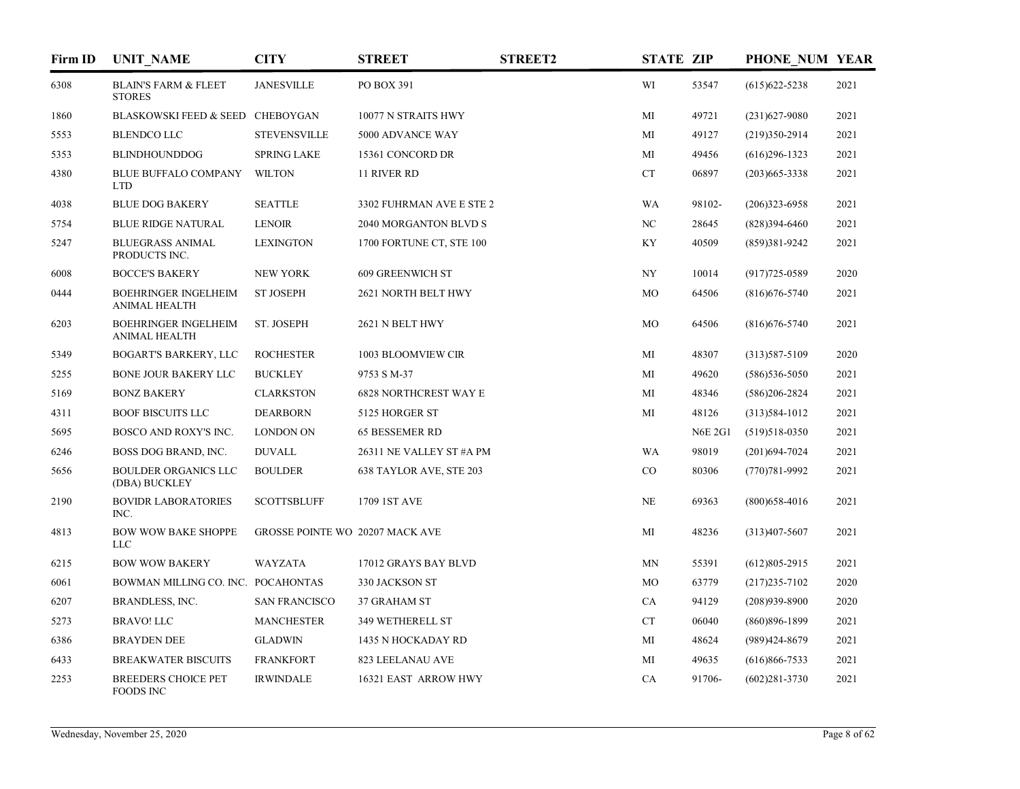| Firm ID | <b>UNIT_NAME</b>                                    | <b>CITY</b>                     | <b>STREET</b>                | <b>STREET2</b> | <b>STATE ZIP</b> |                | PHONE NUM YEAR    |      |
|---------|-----------------------------------------------------|---------------------------------|------------------------------|----------------|------------------|----------------|-------------------|------|
| 6308    | <b>BLAIN'S FARM &amp; FLEET</b><br><b>STORES</b>    | <b>JANESVILLE</b>               | PO BOX 391                   |                | WI               | 53547          | $(615)622 - 5238$ | 2021 |
| 1860    | BLASKOWSKI FEED & SEED CHEBOYGAN                    |                                 | 10077 N STRAITS HWY          |                | MI               | 49721          | $(231)627-9080$   | 2021 |
| 5553    | <b>BLENDCO LLC</b>                                  | <b>STEVENSVILLE</b>             | 5000 ADVANCE WAY             |                | MI               | 49127          | $(219)350-2914$   | 2021 |
| 5353    | <b>BLINDHOUNDDOG</b>                                | <b>SPRING LAKE</b>              | 15361 CONCORD DR             |                | MI               | 49456          | $(616)$ 296-1323  | 2021 |
| 4380    | <b>BLUE BUFFALO COMPANY</b><br><b>LTD</b>           | <b>WILTON</b>                   | 11 RIVER RD                  |                | CT               | 06897          | $(203)665 - 3338$ | 2021 |
| 4038    | <b>BLUE DOG BAKERY</b>                              | <b>SEATTLE</b>                  | 3302 FUHRMAN AVE E STE 2     |                | <b>WA</b>        | 98102-         | $(206)323 - 6958$ | 2021 |
| 5754    | <b>BLUE RIDGE NATURAL</b>                           | LENOIR                          | <b>2040 MORGANTON BLVD S</b> |                | NC               | 28645          | $(828)394-6460$   | 2021 |
| 5247    | <b>BLUEGRASS ANIMAL</b><br>PRODUCTS INC.            | <b>LEXINGTON</b>                | 1700 FORTUNE CT, STE 100     |                | KY               | 40509          | (859)381-9242     | 2021 |
| 6008    | <b>BOCCE'S BAKERY</b>                               | <b>NEW YORK</b>                 | <b>609 GREENWICH ST</b>      |                | NY               | 10014          | $(917)725 - 0589$ | 2020 |
| 0444    | <b>BOEHRINGER INGELHEIM</b><br><b>ANIMAL HEALTH</b> | <b>ST JOSEPH</b>                | 2621 NORTH BELT HWY          |                | MO               | 64506          | $(816)676 - 5740$ | 2021 |
| 6203    | <b>BOEHRINGER INGELHEIM</b><br><b>ANIMAL HEALTH</b> | ST. JOSEPH                      | 2621 N BELT HWY              |                | MO               | 64506          | $(816)676 - 5740$ | 2021 |
| 5349    | BOGART'S BARKERY, LLC                               | <b>ROCHESTER</b>                | 1003 BLOOMVIEW CIR           |                | MI               | 48307          | $(313)587 - 5109$ | 2020 |
| 5255    | <b>BONE JOUR BAKERY LLC</b>                         | <b>BUCKLEY</b>                  | 9753 S M-37                  |                | MI               | 49620          | $(586)$ 536-5050  | 2021 |
| 5169    | <b>BONZ BAKERY</b>                                  | <b>CLARKSTON</b>                | <b>6828 NORTHCREST WAY E</b> |                | MI               | 48346          | $(586)206 - 2824$ | 2021 |
| 4311    | <b>BOOF BISCUITS LLC</b>                            | <b>DEARBORN</b>                 | 5125 HORGER ST               |                | MI               | 48126          | $(313)584-1012$   | 2021 |
| 5695    | BOSCO AND ROXY'S INC.                               | <b>LONDON ON</b>                | <b>65 BESSEMER RD</b>        |                |                  | <b>N6E 2G1</b> | $(519)518-0350$   | 2021 |
| 6246    | BOSS DOG BRAND, INC.                                | <b>DUVALL</b>                   | 26311 NE VALLEY ST #A PM     |                | <b>WA</b>        | 98019          | $(201)694 - 7024$ | 2021 |
| 5656    | <b>BOULDER ORGANICS LLC</b><br>(DBA) BUCKLEY        | <b>BOULDER</b>                  | 638 TAYLOR AVE, STE 203      |                | CO               | 80306          | $(770)781 - 9992$ | 2021 |
| 2190    | <b>BOVIDR LABORATORIES</b><br>INC.                  | <b>SCOTTSBLUFF</b>              | 1709 1ST AVE                 |                | NE               | 69363          | $(800)$ 658-4016  | 2021 |
| 4813    | <b>BOW WOW BAKE SHOPPE</b><br><b>LLC</b>            | GROSSE POINTE WO 20207 MACK AVE |                              |                | MI               | 48236          | $(313)407 - 5607$ | 2021 |
| 6215    | <b>BOW WOW BAKERY</b>                               | <b>WAYZATA</b>                  | 17012 GRAYS BAY BLVD         |                | MN               | 55391          | $(612)805 - 2915$ | 2021 |
| 6061    | BOWMAN MILLING CO. INC. POCAHONTAS                  |                                 | 330 JACKSON ST               |                | MO               | 63779          | $(217)235 - 7102$ | 2020 |
| 6207    | BRANDLESS, INC.                                     | <b>SAN FRANCISCO</b>            | 37 GRAHAM ST                 |                | CA               | 94129          | $(208)939-8900$   | 2020 |
| 5273    | <b>BRAVO! LLC</b>                                   | <b>MANCHESTER</b>               | 349 WETHERELL ST             |                | CT               | 06040          | $(860)896 - 1899$ | 2021 |
| 6386    | <b>BRAYDEN DEE</b>                                  | <b>GLADWIN</b>                  | 1435 N HOCKADAY RD           |                | МI               | 48624          | (989)424-8679     | 2021 |
| 6433    | <b>BREAKWATER BISCUITS</b>                          | <b>FRANKFORT</b>                | 823 LEELANAU AVE             |                | МI               | 49635          | $(616)866 - 7533$ | 2021 |
| 2253    | <b>BREEDERS CHOICE PET</b><br><b>FOODS INC</b>      | <b>IRWINDALE</b>                | 16321 EAST ARROW HWY         |                | CA               | 91706-         | $(602)281 - 3730$ | 2021 |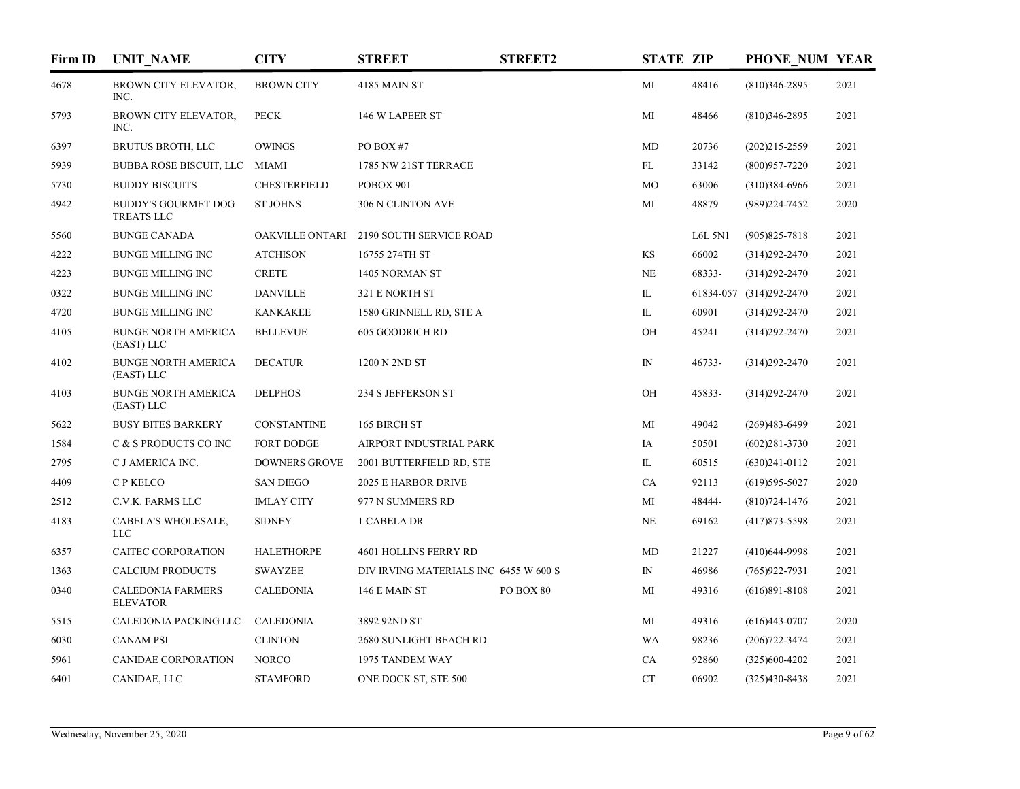| Firm ID | <b>UNIT NAME</b>                            | <b>CITY</b>          | <b>STREET</b>                           | <b>STREET2</b> | <b>STATE ZIP</b> |         | PHONE NUM YEAR          |      |
|---------|---------------------------------------------|----------------------|-----------------------------------------|----------------|------------------|---------|-------------------------|------|
| 4678    | BROWN CITY ELEVATOR,<br>INC.                | <b>BROWN CITY</b>    | 4185 MAIN ST                            |                | MI               | 48416   | $(810)346 - 2895$       | 2021 |
| 5793    | BROWN CITY ELEVATOR,<br>INC.                | <b>PECK</b>          | 146 W LAPEER ST                         |                | MI               | 48466   | $(810)346 - 2895$       | 2021 |
| 6397    | <b>BRUTUS BROTH, LLC</b>                    | <b>OWINGS</b>        | PO BOX #7                               |                | MD               | 20736   | $(202)215 - 2559$       | 2021 |
| 5939    | <b>BUBBA ROSE BISCUIT, LLC</b>              | MIAMI                | 1785 NW 21ST TERRACE                    |                | FL               | 33142   | $(800)957 - 7220$       | 2021 |
| 5730    | <b>BUDDY BISCUITS</b>                       | <b>CHESTERFIELD</b>  | POBOX 901                               |                | MO               | 63006   | $(310)384-6966$         | 2021 |
| 4942    | <b>BUDDY'S GOURMET DOG</b><br>TREATS LLC    | <b>ST JOHNS</b>      | 306 N CLINTON AVE                       |                | MI               | 48879   | (989)224-7452           | 2020 |
| 5560    | <b>BUNGE CANADA</b>                         |                      | OAKVILLE ONTARI 2190 SOUTH SERVICE ROAD |                |                  | L6L 5N1 | $(905)825 - 7818$       | 2021 |
| 4222    | <b>BUNGE MILLING INC</b>                    | <b>ATCHISON</b>      | 16755 274TH ST                          |                | KS               | 66002   | $(314)292 - 2470$       | 2021 |
| 4223    | <b>BUNGE MILLING INC</b>                    | <b>CRETE</b>         | 1405 NORMAN ST                          |                | NE               | 68333-  | $(314)292 - 2470$       | 2021 |
| 0322    | <b>BUNGE MILLING INC</b>                    | <b>DANVILLE</b>      | 321 E NORTH ST                          |                | IL               |         | 61834-057 (314)292-2470 | 2021 |
| 4720    | <b>BUNGE MILLING INC</b>                    | <b>KANKAKEE</b>      | 1580 GRINNELL RD, STE A                 |                | IL               | 60901   | $(314)292 - 2470$       | 2021 |
| 4105    | <b>BUNGE NORTH AMERICA</b><br>(EAST) LLC    | <b>BELLEVUE</b>      | 605 GOODRICH RD                         |                | OH               | 45241   | $(314)292 - 2470$       | 2021 |
| 4102    | <b>BUNGE NORTH AMERICA</b><br>(EAST) LLC    | <b>DECATUR</b>       | 1200 N 2ND ST                           |                | $\mathbb{N}$     | 46733-  | $(314)292 - 2470$       | 2021 |
| 4103    | <b>BUNGE NORTH AMERICA</b><br>(EAST) LLC    | <b>DELPHOS</b>       | 234 S JEFFERSON ST                      |                | OH               | 45833-  | $(314)292 - 2470$       | 2021 |
| 5622    | <b>BUSY BITES BARKERY</b>                   | <b>CONSTANTINE</b>   | 165 BIRCH ST                            |                | MI               | 49042   | $(269)483 - 6499$       | 2021 |
| 1584    | C & S PRODUCTS CO INC                       | FORT DODGE           | AIRPORT INDUSTRIAL PARK                 |                | IA               | 50501   | $(602)281 - 3730$       | 2021 |
| 2795    | C J AMERICA INC.                            | <b>DOWNERS GROVE</b> | 2001 BUTTERFIELD RD, STE                |                | IL               | 60515   | $(630)241 - 0112$       | 2021 |
| 4409    | C P KELCO                                   | <b>SAN DIEGO</b>     | 2025 E HARBOR DRIVE                     |                | CA               | 92113   | $(619)595-5027$         | 2020 |
| 2512    | C.V.K. FARMS LLC                            | <b>IMLAY CITY</b>    | 977 N SUMMERS RD                        |                | MI               | 48444-  | $(810)724 - 1476$       | 2021 |
| 4183    | CABELA'S WHOLESALE,<br><b>LLC</b>           | <b>SIDNEY</b>        | 1 CABELA DR                             |                | NE               | 69162   | $(417)873 - 5598$       | 2021 |
| 6357    | CAITEC CORPORATION                          | <b>HALETHORPE</b>    | 4601 HOLLINS FERRY RD                   |                | MD               | 21227   | $(410)$ 644-9998        | 2021 |
| 1363    | <b>CALCIUM PRODUCTS</b>                     | <b>SWAYZEE</b>       | DIV IRVING MATERIALS INC 6455 W 600 S   |                | $\mathbb{N}$     | 46986   | $(765)922 - 7931$       | 2021 |
| 0340    | <b>CALEDONIA FARMERS</b><br><b>ELEVATOR</b> | <b>CALEDONIA</b>     | 146 E MAIN ST                           | PO BOX 80      | MI               | 49316   | $(616)891 - 8108$       | 2021 |
| 5515    | CALEDONIA PACKING LLC                       | CALEDONIA            | 3892 92ND ST                            |                | МI               | 49316   | $(616)443-0707$         | 2020 |
| 6030    | <b>CANAM PSI</b>                            | <b>CLINTON</b>       | 2680 SUNLIGHT BEACH RD                  |                | <b>WA</b>        | 98236   | $(206)722 - 3474$       | 2021 |
| 5961    | <b>CANIDAE CORPORATION</b>                  | <b>NORCO</b>         | 1975 TANDEM WAY                         |                | CA               | 92860   | $(325)600-4202$         | 2021 |
| 6401    | CANIDAE, LLC                                | <b>STAMFORD</b>      | ONE DOCK ST, STE 500                    |                | CT               | 06902   | $(325)430 - 8438$       | 2021 |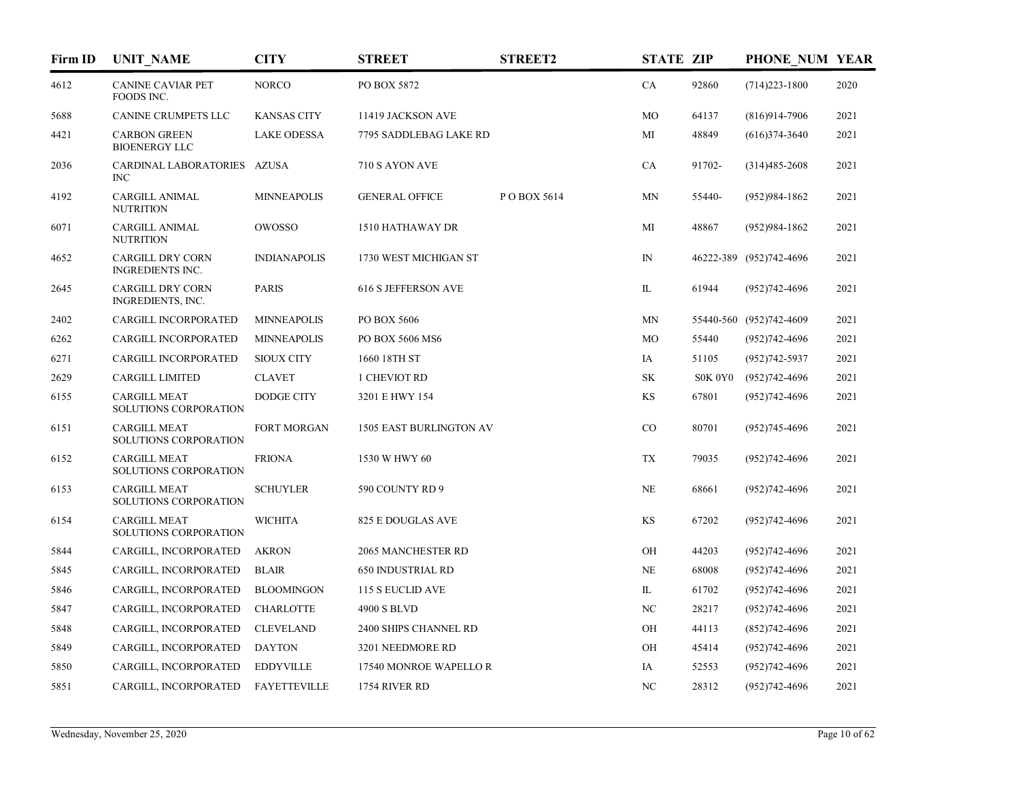| Firm ID | <b>UNIT_NAME</b>                                   | <b>CITY</b>         | <b>STREET</b>                  | <b>STREET2</b> | <b>STATE ZIP</b> |         | PHONE NUM YEAR          |      |
|---------|----------------------------------------------------|---------------------|--------------------------------|----------------|------------------|---------|-------------------------|------|
| 4612    | <b>CANINE CAVIAR PET</b><br>FOODS INC.             | <b>NORCO</b>        | PO BOX 5872                    |                | CA               | 92860   | $(714)223 - 1800$       | 2020 |
| 5688    | CANINE CRUMPETS LLC                                | <b>KANSAS CITY</b>  | 11419 JACKSON AVE              |                | MO               | 64137   | $(816)914-7906$         | 2021 |
| 4421    | <b>CARBON GREEN</b><br><b>BIOENERGY LLC</b>        | <b>LAKE ODESSA</b>  | 7795 SADDLEBAG LAKE RD         |                | MI               | 48849   | $(616)374-3640$         | 2021 |
| 2036    | CARDINAL LABORATORIES AZUSA<br>INC                 |                     | 710 S AYON AVE                 |                | CA               | 91702-  | $(314)485 - 2608$       | 2021 |
| 4192    | <b>CARGILL ANIMAL</b><br><b>NUTRITION</b>          | <b>MINNEAPOLIS</b>  | <b>GENERAL OFFICE</b>          | POBOX 5614     | MN               | 55440-  | $(952)984-1862$         | 2021 |
| 6071    | CARGILL ANIMAL<br><b>NUTRITION</b>                 | OWOSSO              | 1510 HATHAWAY DR               |                | MI               | 48867   | $(952)984-1862$         | 2021 |
| 4652    | <b>CARGILL DRY CORN</b><br><b>INGREDIENTS INC.</b> | <b>INDIANAPOLIS</b> | 1730 WEST MICHIGAN ST          |                | $\mathbb{N}$     |         | 46222-389 (952)742-4696 | 2021 |
| 2645    | CARGILL DRY CORN<br>INGREDIENTS, INC.              | <b>PARIS</b>        | 616 S JEFFERSON AVE            |                | IL               | 61944   | $(952)742 - 4696$       | 2021 |
| 2402    | CARGILL INCORPORATED                               | <b>MINNEAPOLIS</b>  | PO BOX 5606                    |                | MN               |         | 55440-560 (952)742-4609 | 2021 |
| 6262    | <b>CARGILL INCORPORATED</b>                        | <b>MINNEAPOLIS</b>  | PO BOX 5606 MS6                |                | MO               | 55440   | $(952)742 - 4696$       | 2021 |
| 6271    | CARGILL INCORPORATED                               | <b>SIOUX CITY</b>   | 1660 18TH ST                   |                | IA               | 51105   | $(952)742 - 5937$       | 2021 |
| 2629    | <b>CARGILL LIMITED</b>                             | <b>CLAVET</b>       | 1 CHEVIOT RD                   |                | SK               | S0K 0Y0 | $(952)742 - 4696$       | 2021 |
| 6155    | <b>CARGILL MEAT</b><br>SOLUTIONS CORPORATION       | <b>DODGE CITY</b>   | 3201 E HWY 154                 |                | <b>KS</b>        | 67801   | $(952)742 - 4696$       | 2021 |
| 6151    | <b>CARGILL MEAT</b><br>SOLUTIONS CORPORATION       | <b>FORT MORGAN</b>  | <b>1505 EAST BURLINGTON AV</b> |                | CO               | 80701   | $(952)745-4696$         | 2021 |
| 6152    | <b>CARGILL MEAT</b><br>SOLUTIONS CORPORATION       | <b>FRIONA</b>       | 1530 W HWY 60                  |                | TX               | 79035   | $(952)742 - 4696$       | 2021 |
| 6153    | <b>CARGILL MEAT</b><br>SOLUTIONS CORPORATION       | <b>SCHUYLER</b>     | 590 COUNTY RD 9                |                | NE               | 68661   | $(952)742 - 4696$       | 2021 |
| 6154    | <b>CARGILL MEAT</b><br>SOLUTIONS CORPORATION       | <b>WICHITA</b>      | <b>825 E DOUGLAS AVE</b>       |                | <b>KS</b>        | 67202   | $(952)742 - 4696$       | 2021 |
| 5844    | CARGILL, INCORPORATED                              | <b>AKRON</b>        | 2065 MANCHESTER RD             |                | OH               | 44203   | $(952)742 - 4696$       | 2021 |
| 5845    | CARGILL, INCORPORATED                              | <b>BLAIR</b>        | <b>650 INDUSTRIAL RD</b>       |                | NE               | 68008   | $(952)742 - 4696$       | 2021 |
| 5846    | CARGILL, INCORPORATED                              | <b>BLOOMINGON</b>   | 115 S EUCLID AVE               |                | IL               | 61702   | $(952)742 - 4696$       | 2021 |
| 5847    | CARGILL, INCORPORATED                              | <b>CHARLOTTE</b>    | 4900 S BLVD                    |                | NC               | 28217   | $(952)742 - 4696$       | 2021 |
| 5848    | CARGILL, INCORPORATED                              | <b>CLEVELAND</b>    | 2400 SHIPS CHANNEL RD          |                | OН               | 44113   | $(852)742 - 4696$       | 2021 |
| 5849    | CARGILL, INCORPORATED                              | <b>DAYTON</b>       | 3201 NEEDMORE RD               |                | OН               | 45414   | $(952)742 - 4696$       | 2021 |
| 5850    | CARGILL, INCORPORATED                              | <b>EDDYVILLE</b>    | 17540 MONROE WAPELLO R         |                | IA               | 52553   | $(952)742 - 4696$       | 2021 |
| 5851    | CARGILL, INCORPORATED                              | <b>FAYETTEVILLE</b> | 1754 RIVER RD                  |                | NC               | 28312   | $(952)742 - 4696$       | 2021 |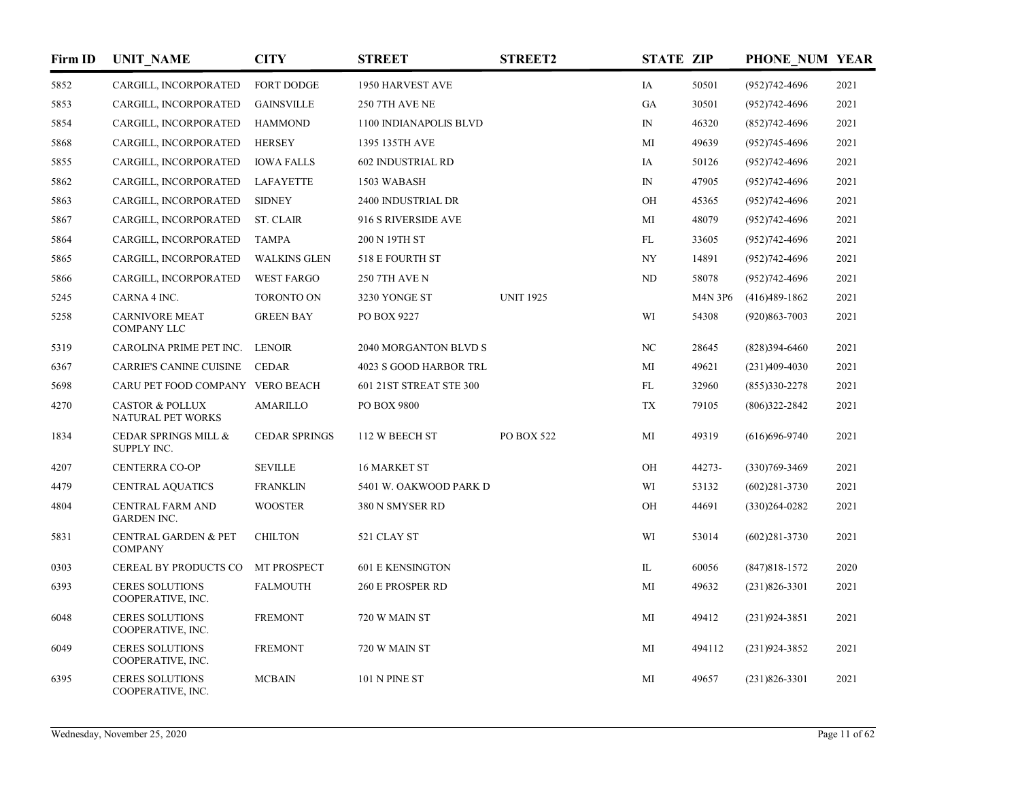| Firm ID | <b>UNIT_NAME</b>                                  | <b>CITY</b>          | <b>STREET</b>            | <b>STREET2</b>   | <b>STATE ZIP</b>         |         | PHONE NUM YEAR    |      |
|---------|---------------------------------------------------|----------------------|--------------------------|------------------|--------------------------|---------|-------------------|------|
| 5852    | CARGILL, INCORPORATED                             | FORT DODGE           | 1950 HARVEST AVE         |                  | IA                       | 50501   | $(952)742 - 4696$ | 2021 |
| 5853    | CARGILL, INCORPORATED                             | <b>GAINSVILLE</b>    | 250 7TH AVE NE           |                  | <b>GA</b>                | 30501   | $(952)742 - 4696$ | 2021 |
| 5854    | CARGILL, INCORPORATED                             | <b>HAMMOND</b>       | 1100 INDIANAPOLIS BLVD   |                  | $\mathbb{N}$             | 46320   | $(852)742 - 4696$ | 2021 |
| 5868    | CARGILL, INCORPORATED                             | <b>HERSEY</b>        | 1395 135TH AVE           |                  | MI                       | 49639   | $(952)745 - 4696$ | 2021 |
| 5855    | CARGILL, INCORPORATED                             | <b>IOWA FALLS</b>    | <b>602 INDUSTRIAL RD</b> |                  | IA                       | 50126   | $(952)742 - 4696$ | 2021 |
| 5862    | CARGILL, INCORPORATED                             | LAFAYETTE            | 1503 WABASH              |                  | ${\rm IN}$               | 47905   | $(952)742 - 4696$ | 2021 |
| 5863    | CARGILL, INCORPORATED                             | <b>SIDNEY</b>        | 2400 INDUSTRIAL DR       |                  | OH                       | 45365   | $(952)742 - 4696$ | 2021 |
| 5867    | CARGILL, INCORPORATED                             | <b>ST. CLAIR</b>     | 916 S RIVERSIDE AVE      |                  | MI                       | 48079   | $(952)742 - 4696$ | 2021 |
| 5864    | CARGILL, INCORPORATED                             | <b>TAMPA</b>         | 200 N 19TH ST            |                  | FL                       | 33605   | $(952)742 - 4696$ | 2021 |
| 5865    | CARGILL, INCORPORATED                             | <b>WALKINS GLEN</b>  | 518 E FOURTH ST          |                  | $\ensuremath{\text{NY}}$ | 14891   | $(952)742 - 4696$ | 2021 |
| 5866    | CARGILL, INCORPORATED                             | <b>WEST FARGO</b>    | <b>250 7TH AVE N</b>     |                  | ND                       | 58078   | $(952)742 - 4696$ | 2021 |
| 5245    | CARNA 4 INC.                                      | <b>TORONTO ON</b>    | 3230 YONGE ST            | <b>UNIT 1925</b> |                          | M4N 3P6 | $(416)489-1862$   | 2021 |
| 5258    | <b>CARNIVORE MEAT</b><br><b>COMPANY LLC</b>       | <b>GREEN BAY</b>     | PO BOX 9227              |                  | WI                       | 54308   | $(920)863 - 7003$ | 2021 |
| 5319    | CAROLINA PRIME PET INC.                           | <b>LENOIR</b>        | 2040 MORGANTON BLVD S    |                  | $_{\mathrm{NC}}$         | 28645   | $(828)394-6460$   | 2021 |
| 6367    | <b>CARRIE'S CANINE CUISINE</b>                    | <b>CEDAR</b>         | 4023 S GOOD HARBOR TRL   |                  | МI                       | 49621   | $(231)409-4030$   | 2021 |
| 5698    | CARU PET FOOD COMPANY VERO BEACH                  |                      | 601 21ST STREAT STE 300  |                  | FL                       | 32960   | $(855)330-2278$   | 2021 |
| 4270    | <b>CASTOR &amp; POLLUX</b><br>NATURAL PET WORKS   | AMARILLO             | PO BOX 9800              |                  | TX                       | 79105   | $(806)322 - 2842$ | 2021 |
| 1834    | CEDAR SPRINGS MILL &<br>SUPPLY INC.               | <b>CEDAR SPRINGS</b> | 112 W BEECH ST           | PO BOX 522       | MI                       | 49319   | $(616)696-9740$   | 2021 |
| 4207    | <b>CENTERRA CO-OP</b>                             | <b>SEVILLE</b>       | 16 MARKET ST             |                  | OH                       | 44273-  | $(330)769 - 3469$ | 2021 |
| 4479    | <b>CENTRAL AQUATICS</b>                           | <b>FRANKLIN</b>      | 5401 W. OAKWOOD PARK D   |                  | WI                       | 53132   | $(602)281 - 3730$ | 2021 |
| 4804    | CENTRAL FARM AND<br><b>GARDEN INC.</b>            | <b>WOOSTER</b>       | 380 N SMYSER RD          |                  | OH                       | 44691   | $(330)264 - 0282$ | 2021 |
| 5831    | <b>CENTRAL GARDEN &amp; PET</b><br><b>COMPANY</b> | <b>CHILTON</b>       | 521 CLAY ST              |                  | WI                       | 53014   | $(602)281 - 3730$ | 2021 |
| 0303    | CEREAL BY PRODUCTS CO                             | MT PROSPECT          | <b>601 E KENSINGTON</b>  |                  | $\mathbbm{L}$            | 60056   | $(847)818 - 1572$ | 2020 |
| 6393    | <b>CERES SOLUTIONS</b><br>COOPERATIVE, INC.       | <b>FALMOUTH</b>      | 260 E PROSPER RD         |                  | MI                       | 49632   | $(231)826 - 3301$ | 2021 |
| 6048    | <b>CERES SOLUTIONS</b><br>COOPERATIVE, INC.       | <b>FREMONT</b>       | 720 W MAIN ST            |                  | MI                       | 49412   | $(231)924 - 3851$ | 2021 |
| 6049    | <b>CERES SOLUTIONS</b><br>COOPERATIVE, INC.       | <b>FREMONT</b>       | 720 W MAIN ST            |                  | MI                       | 494112  | $(231)924 - 3852$ | 2021 |
| 6395    | <b>CERES SOLUTIONS</b><br>COOPERATIVE, INC.       | <b>MCBAIN</b>        | 101 N PINE ST            |                  | MI                       | 49657   | $(231)826 - 3301$ | 2021 |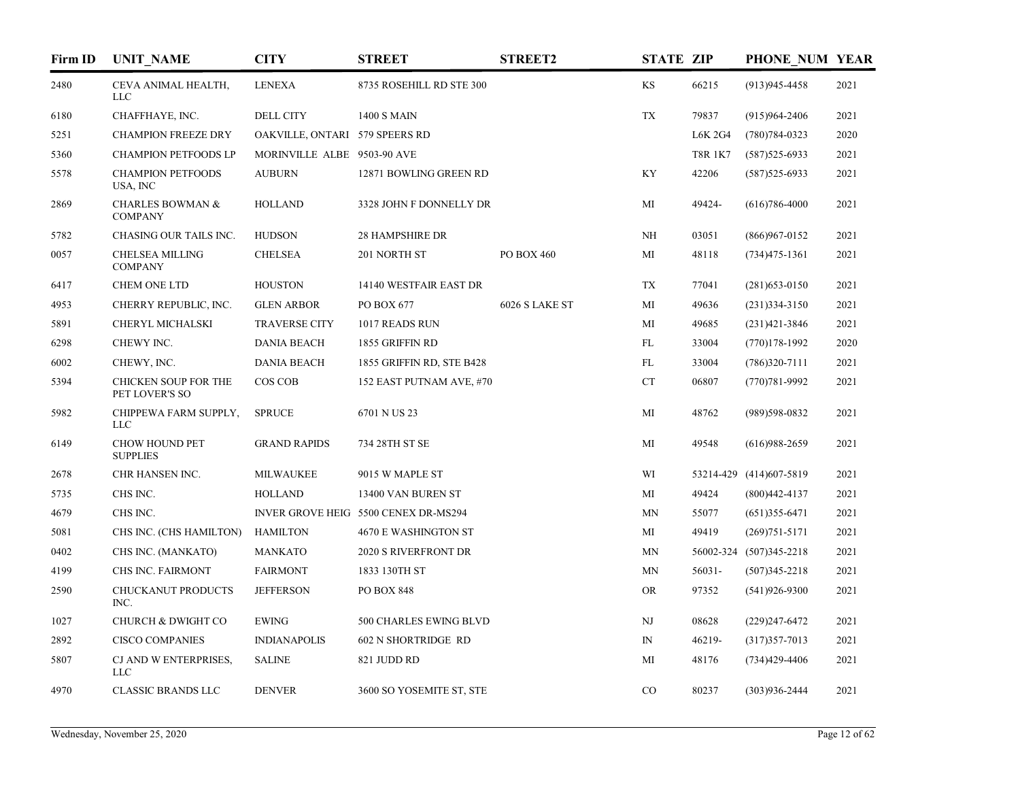| Firm ID | <b>UNIT NAME</b>                              | <b>CITY</b>                    | <b>STREET</b>                        | <b>STREET2</b> | <b>STATE ZIP</b> |                | PHONE NUM YEAR          |      |
|---------|-----------------------------------------------|--------------------------------|--------------------------------------|----------------|------------------|----------------|-------------------------|------|
| 2480    | CEVA ANIMAL HEALTH,<br>LLC                    | <b>LENEXA</b>                  | 8735 ROSEHILL RD STE 300             |                | KS               | 66215          | $(913)945 - 4458$       | 2021 |
| 6180    | CHAFFHAYE, INC.                               | <b>DELL CITY</b>               | <b>1400 S MAIN</b>                   |                | TX               | 79837          | $(915)964 - 2406$       | 2021 |
| 5251    | <b>CHAMPION FREEZE DRY</b>                    | OAKVILLE, ONTARI 579 SPEERS RD |                                      |                |                  | <b>L6K 2G4</b> | $(780)784-0323$         | 2020 |
| 5360    | CHAMPION PETFOODS LP                          | MORINVILLE ALBE 9503-90 AVE    |                                      |                |                  | <b>T8R 1K7</b> | $(587)$ 525-6933        | 2021 |
| 5578    | <b>CHAMPION PETFOODS</b><br>USA, INC          | <b>AUBURN</b>                  | 12871 BOWLING GREEN RD               |                | KY               | 42206          | $(587)525 - 6933$       | 2021 |
| 2869    | <b>CHARLES BOWMAN &amp;</b><br><b>COMPANY</b> | <b>HOLLAND</b>                 | 3328 JOHN F DONNELLY DR              |                | MI               | 49424-         | $(616)786 - 4000$       | 2021 |
| 5782    | CHASING OUR TAILS INC.                        | <b>HUDSON</b>                  | <b>28 HAMPSHIRE DR</b>               |                | <b>NH</b>        | 03051          | $(866)967 - 0152$       | 2021 |
| 0057    | <b>CHELSEA MILLING</b><br><b>COMPANY</b>      | <b>CHELSEA</b>                 | 201 NORTH ST                         | PO BOX 460     | MI               | 48118          | $(734)475 - 1361$       | 2021 |
| 6417    | <b>CHEM ONE LTD</b>                           | <b>HOUSTON</b>                 | 14140 WESTFAIR EAST DR               |                | TX               | 77041          | $(281)$ 653-0150        | 2021 |
| 4953    | CHERRY REPUBLIC, INC.                         | <b>GLEN ARBOR</b>              | PO BOX 677                           | 6026 S LAKE ST | MI               | 49636          | $(231)334 - 3150$       | 2021 |
| 5891    | CHERYL MICHALSKI                              | <b>TRAVERSE CITY</b>           | 1017 READS RUN                       |                | MI               | 49685          | $(231)421 - 3846$       | 2021 |
| 6298    | CHEWY INC.                                    | <b>DANIA BEACH</b>             | 1855 GRIFFIN RD                      |                | FL               | 33004          | $(770)178-1992$         | 2020 |
| 6002    | CHEWY, INC.                                   | <b>DANIA BEACH</b>             | 1855 GRIFFIN RD, STE B428            |                | FL               | 33004          | $(786)320-7111$         | 2021 |
| 5394    | CHICKEN SOUP FOR THE<br>PET LOVER'S SO        | COS COB                        | 152 EAST PUTNAM AVE, #70             |                | CT               | 06807          | $(770)781 - 9992$       | 2021 |
| 5982    | CHIPPEWA FARM SUPPLY,<br>LLC                  | <b>SPRUCE</b>                  | 6701 N US 23                         |                | MI               | 48762          | (989)598-0832           | 2021 |
| 6149    | CHOW HOUND PET<br><b>SUPPLIES</b>             | <b>GRAND RAPIDS</b>            | 734 28TH ST SE                       |                | MI               | 49548          | $(616)988-2659$         | 2021 |
| 2678    | CHR HANSEN INC.                               | <b>MILWAUKEE</b>               | 9015 W MAPLE ST                      |                | WI               |                | 53214-429 (414)607-5819 | 2021 |
| 5735    | CHS INC.                                      | <b>HOLLAND</b>                 | 13400 VAN BUREN ST                   |                | MI               | 49424          | $(800)442 - 4137$       | 2021 |
| 4679    | CHS INC.                                      |                                | INVER GROVE HEIG 5500 CENEX DR-MS294 |                | MN               | 55077          | $(651)355-6471$         | 2021 |
| 5081    | CHS INC. (CHS HAMILTON)                       | <b>HAMILTON</b>                | 4670 E WASHINGTON ST                 |                | МI               | 49419          | $(269)751 - 5171$       | 2021 |
| 0402    | CHS INC. (MANKATO)                            | <b>MANKATO</b>                 | <b>2020 S RIVERFRONT DR</b>          |                | MN               |                | 56002-324 (507)345-2218 | 2021 |
| 4199    | CHS INC. FAIRMONT                             | <b>FAIRMONT</b>                | 1833 130TH ST                        |                | MN               | 56031-         | $(507)345 - 2218$       | 2021 |
| 2590    | CHUCKANUT PRODUCTS<br>INC.                    | <b>JEFFERSON</b>               | <b>PO BOX 848</b>                    |                | <b>OR</b>        | 97352          | $(541)926-9300$         | 2021 |
| 1027    | CHURCH & DWIGHT CO                            | <b>EWING</b>                   | 500 CHARLES EWING BLVD               |                | NJ               | 08628          | $(229)$ 247-6472        | 2021 |
| 2892    | <b>CISCO COMPANIES</b>                        | <b>INDIANAPOLIS</b>            | <b>602 N SHORTRIDGE RD</b>           |                | $\mathbb{N}$     | 46219-         | $(317)357 - 7013$       | 2021 |
| 5807    | CJ AND W ENTERPRISES,<br><b>LLC</b>           | <b>SALINE</b>                  | 821 JUDD RD                          |                | MI               | 48176          | $(734)429 - 4406$       | 2021 |
| 4970    | <b>CLASSIC BRANDS LLC</b>                     | <b>DENVER</b>                  | 3600 SO YOSEMITE ST, STE             |                | CO               | 80237          | $(303)936 - 2444$       | 2021 |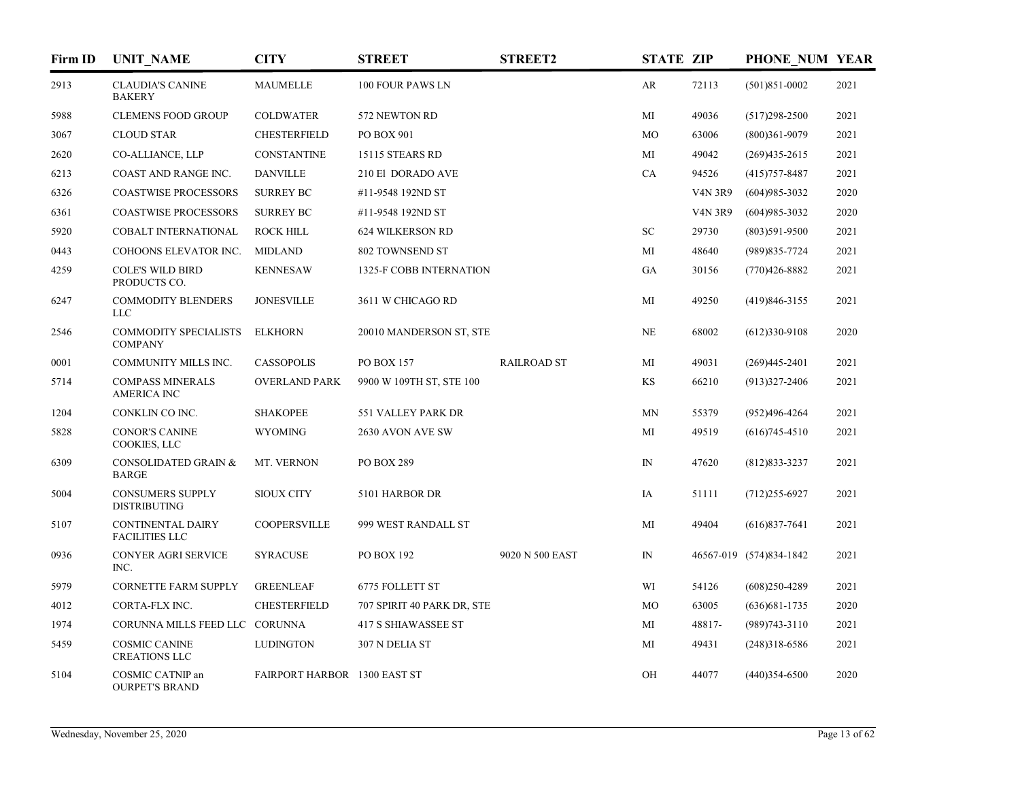| Firm ID | <b>UNIT NAME</b>                                  | <b>CITY</b>                         | <b>STREET</b>                  | <b>STREET2</b>     | <b>STATE ZIP</b> |                | PHONE NUM YEAR          |      |
|---------|---------------------------------------------------|-------------------------------------|--------------------------------|--------------------|------------------|----------------|-------------------------|------|
| 2913    | <b>CLAUDIA'S CANINE</b><br><b>BAKERY</b>          | <b>MAUMELLE</b>                     | 100 FOUR PAWS LN               |                    | AR               | 72113          | $(501)851 - 0002$       | 2021 |
| 5988    | <b>CLEMENS FOOD GROUP</b>                         | <b>COLDWATER</b>                    | 572 NEWTON RD                  |                    | MI               | 49036          | $(517)298-2500$         | 2021 |
| 3067    | <b>CLOUD STAR</b>                                 | <b>CHESTERFIELD</b>                 | PO BOX 901                     |                    | MO               | 63006          | $(800)361 - 9079$       | 2021 |
| 2620    | CO-ALLIANCE, LLP                                  | CONSTANTINE                         | 15115 STEARS RD                |                    | MI               | 49042          | $(269)435 - 2615$       | 2021 |
| 6213    | COAST AND RANGE INC.                              | <b>DANVILLE</b>                     | 210 El DORADO AVE              |                    | CA               | 94526          | $(415)757 - 8487$       | 2021 |
| 6326    | <b>COASTWISE PROCESSORS</b>                       | <b>SURREY BC</b>                    | #11-9548 192ND ST              |                    |                  | <b>V4N 3R9</b> | $(604)985 - 3032$       | 2020 |
| 6361    | <b>COASTWISE PROCESSORS</b>                       | <b>SURREY BC</b>                    | #11-9548 192ND ST              |                    |                  | <b>V4N 3R9</b> | $(604)985 - 3032$       | 2020 |
| 5920    | COBALT INTERNATIONAL                              | <b>ROCK HILL</b>                    | <b>624 WILKERSON RD</b>        |                    | <b>SC</b>        | 29730          | $(803)591 - 9500$       | 2021 |
| 0443    | COHOONS ELEVATOR INC.                             | <b>MIDLAND</b>                      | 802 TOWNSEND ST                |                    | MI               | 48640          | $(989)835 - 7724$       | 2021 |
| 4259    | <b>COLE'S WILD BIRD</b><br>PRODUCTS CO.           | <b>KENNESAW</b>                     | <b>1325-F COBB INTERNATION</b> |                    | GA               | 30156          | $(770)426 - 8882$       | 2021 |
| 6247    | <b>COMMODITY BLENDERS</b><br>$_{LLC}$             | <b>JONESVILLE</b>                   | 3611 W CHICAGO RD              |                    | MI               | 49250          | $(419)846 - 3155$       | 2021 |
| 2546    | <b>COMMODITY SPECIALISTS</b><br><b>COMPANY</b>    | <b>ELKHORN</b>                      | 20010 MANDERSON ST, STE        |                    | NE               | 68002          | $(612)330-9108$         | 2020 |
| 0001    | COMMUNITY MILLS INC.                              | <b>CASSOPOLIS</b>                   | <b>PO BOX 157</b>              | <b>RAILROAD ST</b> | MI               | 49031          | $(269)445 - 2401$       | 2021 |
| 5714    | <b>COMPASS MINERALS</b><br><b>AMERICA INC</b>     | <b>OVERLAND PARK</b>                | 9900 W 109TH ST, STE 100       |                    | KS               | 66210          | $(913)327 - 2406$       | 2021 |
| 1204    | CONKLIN CO INC.                                   | <b>SHAKOPEE</b>                     | 551 VALLEY PARK DR             |                    | MN               | 55379          | (952)496-4264           | 2021 |
| 5828    | <b>CONOR'S CANINE</b><br>COOKIES, LLC             | <b>WYOMING</b>                      | 2630 AVON AVE SW               |                    | MI               | 49519          | $(616)745-4510$         | 2021 |
| 6309    | CONSOLIDATED GRAIN &<br><b>BARGE</b>              | MT. VERNON                          | PO BOX 289                     |                    | ${\rm IN}$       | 47620          | $(812)833 - 3237$       | 2021 |
| 5004    | <b>CONSUMERS SUPPLY</b><br><b>DISTRIBUTING</b>    | <b>SIOUX CITY</b>                   | 5101 HARBOR DR                 |                    | IA               | 51111          | $(712)255-6927$         | 2021 |
| 5107    | <b>CONTINENTAL DAIRY</b><br><b>FACILITIES LLC</b> | <b>COOPERSVILLE</b>                 | 999 WEST RANDALL ST            |                    | MI               | 49404          | $(616)837-7641$         | 2021 |
| 0936    | CONYER AGRI SERVICE<br>INC.                       | <b>SYRACUSE</b>                     | PO BOX 192                     | 9020 N 500 EAST    | $\mathbb{N}$     |                | 46567-019 (574)834-1842 | 2021 |
| 5979    | <b>CORNETTE FARM SUPPLY</b>                       | <b>GREENLEAF</b>                    | 6775 FOLLETT ST                |                    | WI               | 54126          | $(608)250 - 4289$       | 2021 |
| 4012    | CORTA-FLX INC.                                    | <b>CHESTERFIELD</b>                 | 707 SPIRIT 40 PARK DR, STE     |                    | MO               | 63005          | $(636)681-1735$         | 2020 |
| 1974    | CORUNNA MILLS FEED LLC CORUNNA                    |                                     | <b>417 S SHIAWASSEE ST</b>     |                    | MI               | 48817-         | $(989)743 - 3110$       | 2021 |
| 5459    | <b>COSMIC CANINE</b><br><b>CREATIONS LLC</b>      | <b>LUDINGTON</b>                    | 307 N DELIA ST                 |                    | МI               | 49431          | $(248)318-6586$         | 2021 |
| 5104    | COSMIC CATNIP an<br><b>OURPET'S BRAND</b>         | <b>FAIRPORT HARBOR 1300 EAST ST</b> |                                |                    | OH               | 44077          | $(440)354-6500$         | 2020 |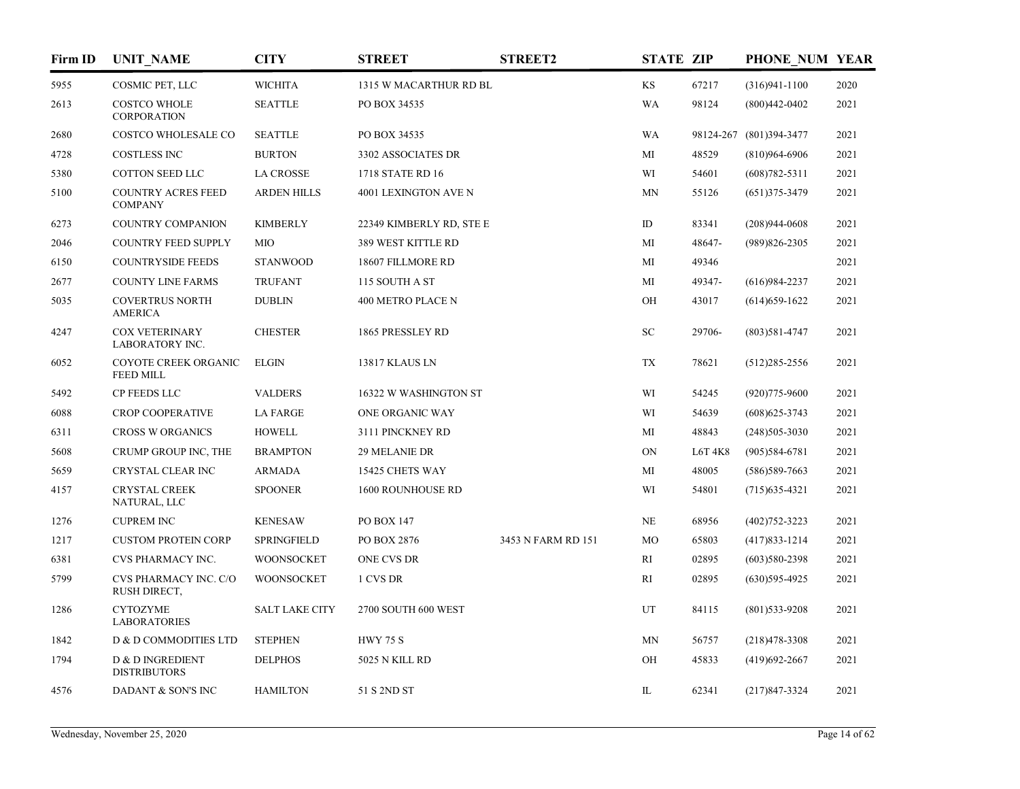| Firm ID | <b>UNIT NAME</b>                            | <b>CITY</b>           | <b>STREET</b>            | <b>STREET2</b>     | <b>STATE ZIP</b> |        | PHONE NUM YEAR          |      |
|---------|---------------------------------------------|-----------------------|--------------------------|--------------------|------------------|--------|-------------------------|------|
| 5955    | COSMIC PET, LLC                             | <b>WICHITA</b>        | 1315 W MACARTHUR RD BL   |                    | KS               | 67217  | $(316)941 - 1100$       | 2020 |
| 2613    | <b>COSTCO WHOLE</b><br>CORPORATION          | <b>SEATTLE</b>        | PO BOX 34535             |                    | WA               | 98124  | $(800)442 - 0402$       | 2021 |
| 2680    | COSTCO WHOLESALE CO                         | <b>SEATTLE</b>        | PO BOX 34535             |                    | WA               |        | 98124-267 (801)394-3477 | 2021 |
| 4728    | <b>COSTLESS INC</b>                         | <b>BURTON</b>         | 3302 ASSOCIATES DR       |                    | MI               | 48529  | $(810)964-6906$         | 2021 |
| 5380    | COTTON SEED LLC                             | <b>LA CROSSE</b>      | 1718 STATE RD 16         |                    | WI               | 54601  | $(608)782 - 5311$       | 2021 |
| 5100    | <b>COUNTRY ACRES FEED</b><br><b>COMPANY</b> | <b>ARDEN HILLS</b>    | 4001 LEXINGTON AVE N     |                    | MN               | 55126  | $(651)375 - 3479$       | 2021 |
| 6273    | COUNTRY COMPANION                           | <b>KIMBERLY</b>       | 22349 KIMBERLY RD, STE E |                    | ID               | 83341  | $(208)944-0608$         | 2021 |
| 2046    | <b>COUNTRY FEED SUPPLY</b>                  | MIO                   | 389 WEST KITTLE RD       |                    | MI               | 48647- | $(989)826 - 2305$       | 2021 |
| 6150    | <b>COUNTRYSIDE FEEDS</b>                    | <b>STANWOOD</b>       | 18607 FILLMORE RD        |                    | MI               | 49346  |                         | 2021 |
| 2677    | <b>COUNTY LINE FARMS</b>                    | <b>TRUFANT</b>        | 115 SOUTH A ST           |                    | МI               | 49347- | $(616)984-2237$         | 2021 |
| 5035    | <b>COVERTRUS NORTH</b><br><b>AMERICA</b>    | <b>DUBLIN</b>         | 400 METRO PLACE N        |                    | OH               | 43017  | $(614)$ 659-1622        | 2021 |
| 4247    | <b>COX VETERINARY</b><br>LABORATORY INC.    | <b>CHESTER</b>        | 1865 PRESSLEY RD         |                    | SC               | 29706- | $(803)581 - 4747$       | 2021 |
| 6052    | COYOTE CREEK ORGANIC<br><b>FEED MILL</b>    | <b>ELGIN</b>          | 13817 KLAUS LN           |                    | TX               | 78621  | $(512)285 - 2556$       | 2021 |
| 5492    | CP FEEDS LLC                                | <b>VALDERS</b>        | 16322 W WASHINGTON ST    |                    | WI               | 54245  | $(920)775 - 9600$       | 2021 |
| 6088    | <b>CROP COOPERATIVE</b>                     | <b>LA FARGE</b>       | ONE ORGANIC WAY          |                    | WI               | 54639  | $(608)625 - 3743$       | 2021 |
| 6311    | <b>CROSS W ORGANICS</b>                     | <b>HOWELL</b>         | 3111 PINCKNEY RD         |                    | MI               | 48843  | $(248)505-3030$         | 2021 |
| 5608    | CRUMP GROUP INC, THE                        | <b>BRAMPTON</b>       | <b>29 MELANIE DR</b>     |                    | ON               | L6T4K8 | $(905)584-6781$         | 2021 |
| 5659    | CRYSTAL CLEAR INC                           | <b>ARMADA</b>         | 15425 CHETS WAY          |                    | MI               | 48005  | $(586)$ 589-7663        | 2021 |
| 4157    | <b>CRYSTAL CREEK</b><br>NATURAL, LLC        | <b>SPOONER</b>        | <b>1600 ROUNHOUSE RD</b> |                    | WI               | 54801  | $(715)$ 635-4321        | 2021 |
| 1276    | <b>CUPREM INC</b>                           | <b>KENESAW</b>        | PO BOX 147               |                    | <b>NE</b>        | 68956  | $(402)752 - 3223$       | 2021 |
| 1217    | <b>CUSTOM PROTEIN CORP</b>                  | <b>SPRINGFIELD</b>    | PO BOX 2876              | 3453 N FARM RD 151 | MO               | 65803  | $(417)833 - 1214$       | 2021 |
| 6381    | CVS PHARMACY INC.                           | <b>WOONSOCKET</b>     | ONE CVS DR               |                    | RI               | 02895  | $(603)580-2398$         | 2021 |
| 5799    | CVS PHARMACY INC. C/O<br>RUSH DIRECT,       | <b>WOONSOCKET</b>     | 1 CVS DR                 |                    | RI               | 02895  | $(630)595-4925$         | 2021 |
| 1286    | <b>CYTOZYME</b><br><b>LABORATORIES</b>      | <b>SALT LAKE CITY</b> | 2700 SOUTH 600 WEST      |                    | UT               | 84115  | $(801)$ 533-9208        | 2021 |
| 1842    | D & D COMMODITIES LTD                       | <b>STEPHEN</b>        | <b>HWY 75 S</b>          |                    | MN               | 56757  | $(218)478 - 3308$       | 2021 |
| 1794    | D & D INGREDIENT<br><b>DISTRIBUTORS</b>     | <b>DELPHOS</b>        | 5025 N KILL RD           |                    | OH               | 45833  | $(419)692 - 2667$       | 2021 |
| 4576    | DADANT & SON'S INC                          | <b>HAMILTON</b>       | 51 S 2ND ST              |                    | IL               | 62341  | $(217)847 - 3324$       | 2021 |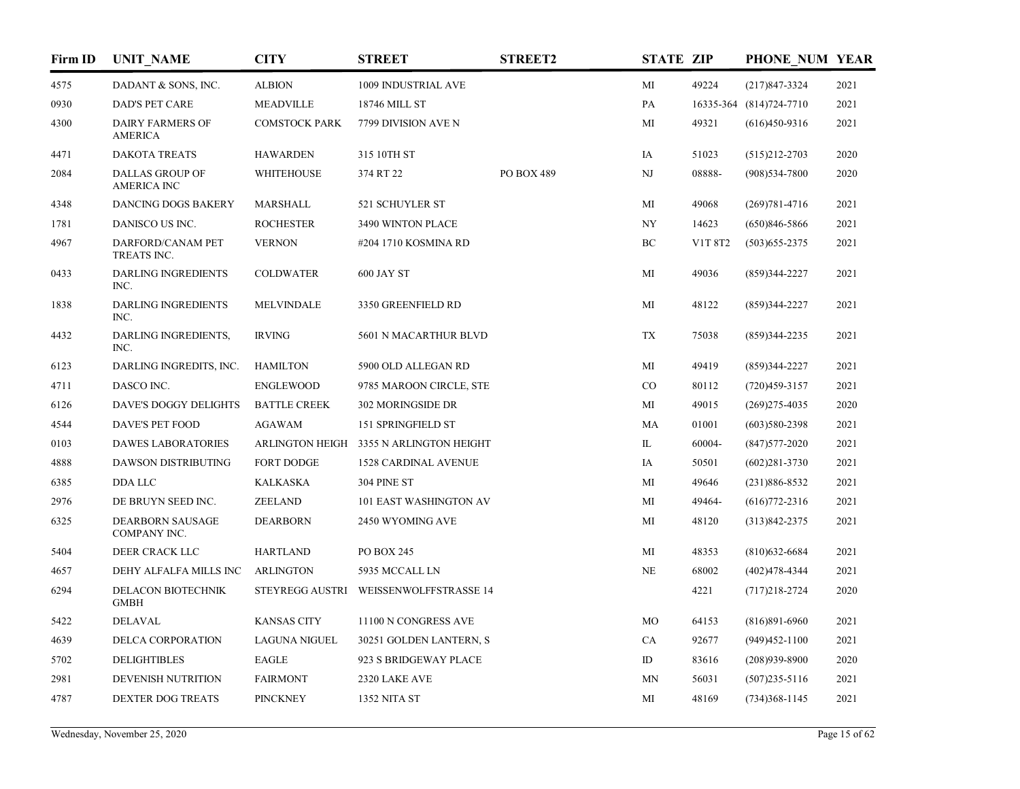| Firm ID | <b>UNIT NAME</b>                             | <b>CITY</b>          | <b>STREET</b>                           | <b>STREET2</b> | <b>STATE ZIP</b> |         | PHONE NUM YEAR          |      |
|---------|----------------------------------------------|----------------------|-----------------------------------------|----------------|------------------|---------|-------------------------|------|
| 4575    | DADANT & SONS, INC.                          | <b>ALBION</b>        | 1009 INDUSTRIAL AVE                     |                | MI               | 49224   | $(217)847 - 3324$       | 2021 |
| 0930    | <b>DAD'S PET CARE</b>                        | <b>MEADVILLE</b>     | 18746 MILL ST                           |                | PA               |         | 16335-364 (814)724-7710 | 2021 |
| 4300    | <b>DAIRY FARMERS OF</b><br><b>AMERICA</b>    | <b>COMSTOCK PARK</b> | 7799 DIVISION AVE N                     |                | MI               | 49321   | $(616)450-9316$         | 2021 |
| 4471    | <b>DAKOTA TREATS</b>                         | <b>HAWARDEN</b>      | 315 10TH ST                             |                | IA               | 51023   | $(515)212 - 2703$       | 2020 |
| 2084    | <b>DALLAS GROUP OF</b><br><b>AMERICA INC</b> | <b>WHITEHOUSE</b>    | 374 RT 22                               | PO BOX 489     | NJ               | 08888-  | $(908)$ 534-7800        | 2020 |
| 4348    | DANCING DOGS BAKERY                          | <b>MARSHALL</b>      | 521 SCHUYLER ST                         |                | MI               | 49068   | $(269)781 - 4716$       | 2021 |
| 1781    | DANISCO US INC.                              | <b>ROCHESTER</b>     | 3490 WINTON PLACE                       |                | NY               | 14623   | $(650)846 - 5866$       | 2021 |
| 4967    | DARFORD/CANAM PET<br>TREATS INC.             | <b>VERNON</b>        | #204 1710 KOSMINA RD                    |                | BC               | V1T 8T2 | $(503)$ 655-2375        | 2021 |
| 0433    | <b>DARLING INGREDIENTS</b><br>INC.           | <b>COLDWATER</b>     | 600 JAY ST                              |                | MI               | 49036   | $(859)344-2227$         | 2021 |
| 1838    | <b>DARLING INGREDIENTS</b><br>INC.           | <b>MELVINDALE</b>    | 3350 GREENFIELD RD                      |                | MI               | 48122   | $(859)344-2227$         | 2021 |
| 4432    | DARLING INGREDIENTS,<br>INC.                 | <b>IRVING</b>        | 5601 N MACARTHUR BLVD                   |                | TX               | 75038   | $(859)344-2235$         | 2021 |
| 6123    | DARLING INGREDITS, INC.                      | <b>HAMILTON</b>      | 5900 OLD ALLEGAN RD                     |                | MI               | 49419   | $(859)344 - 2227$       | 2021 |
| 4711    | DASCO INC.                                   | <b>ENGLEWOOD</b>     | 9785 MAROON CIRCLE, STE                 |                | CO               | 80112   | $(720)459-3157$         | 2021 |
| 6126    | DAVE'S DOGGY DELIGHTS                        | <b>BATTLE CREEK</b>  | 302 MORINGSIDE DR                       |                | MI               | 49015   | $(269)$ 275-4035        | 2020 |
| 4544    | DAVE'S PET FOOD                              | <b>AGAWAM</b>        | 151 SPRINGFIELD ST                      |                | MA               | 01001   | $(603)580-2398$         | 2021 |
| 0103    | <b>DAWES LABORATORIES</b>                    |                      | ARLINGTON HEIGH 3355 N ARLINGTON HEIGHT |                | IL               | 60004-  | $(847)577 - 2020$       | 2021 |
| 4888    | <b>DAWSON DISTRIBUTING</b>                   | <b>FORT DODGE</b>    | <b>1528 CARDINAL AVENUE</b>             |                | IA               | 50501   | $(602)281 - 3730$       | 2021 |
| 6385    | DDA LLC                                      | <b>KALKASKA</b>      | 304 PINE ST                             |                | MI               | 49646   | $(231)886 - 8532$       | 2021 |
| 2976    | DE BRUYN SEED INC.                           | <b>ZEELAND</b>       | 101 EAST WASHINGTON AV                  |                | MI               | 49464-  | $(616)772 - 2316$       | 2021 |
| 6325    | <b>DEARBORN SAUSAGE</b><br>COMPANY INC.      | <b>DEARBORN</b>      | 2450 WYOMING AVE                        |                | MI               | 48120   | $(313)842 - 2375$       | 2021 |
| 5404    | DEER CRACK LLC                               | <b>HARTLAND</b>      | PO BOX 245                              |                | MI               | 48353   | $(810)$ 632-6684        | 2021 |
| 4657    | DEHY ALFALFA MILLS INC                       | <b>ARLINGTON</b>     | 5935 MCCALL LN                          |                | $\rm NE$         | 68002   | $(402)478 - 4344$       | 2021 |
| 6294    | DELACON BIOTECHNIK<br><b>GMBH</b>            |                      | STEYREGG AUSTRI WEISSENWOLFFSTRASSE 14  |                |                  | 4221    | $(717)218 - 2724$       | 2020 |
| 5422    | <b>DELAVAL</b>                               | <b>KANSAS CITY</b>   | 11100 N CONGRESS AVE                    |                | MO               | 64153   | $(816)891-6960$         | 2021 |
| 4639    | DELCA CORPORATION                            | <b>LAGUNA NIGUEL</b> | 30251 GOLDEN LANTERN, S                 |                | CA               | 92677   | $(949)452 - 1100$       | 2021 |
| 5702    | <b>DELIGHTIBLES</b>                          | <b>EAGLE</b>         | 923 S BRIDGEWAY PLACE                   |                | ID               | 83616   | $(208)939 - 8900$       | 2020 |
| 2981    | DEVENISH NUTRITION                           | <b>FAIRMONT</b>      | 2320 LAKE AVE                           |                | <b>MN</b>        | 56031   | $(507)$ 235-5116        | 2021 |
| 4787    | <b>DEXTER DOG TREATS</b>                     | <b>PINCKNEY</b>      | <b>1352 NITA ST</b>                     |                | MI               | 48169   | $(734)368-1145$         | 2021 |
|         |                                              |                      |                                         |                |                  |         |                         |      |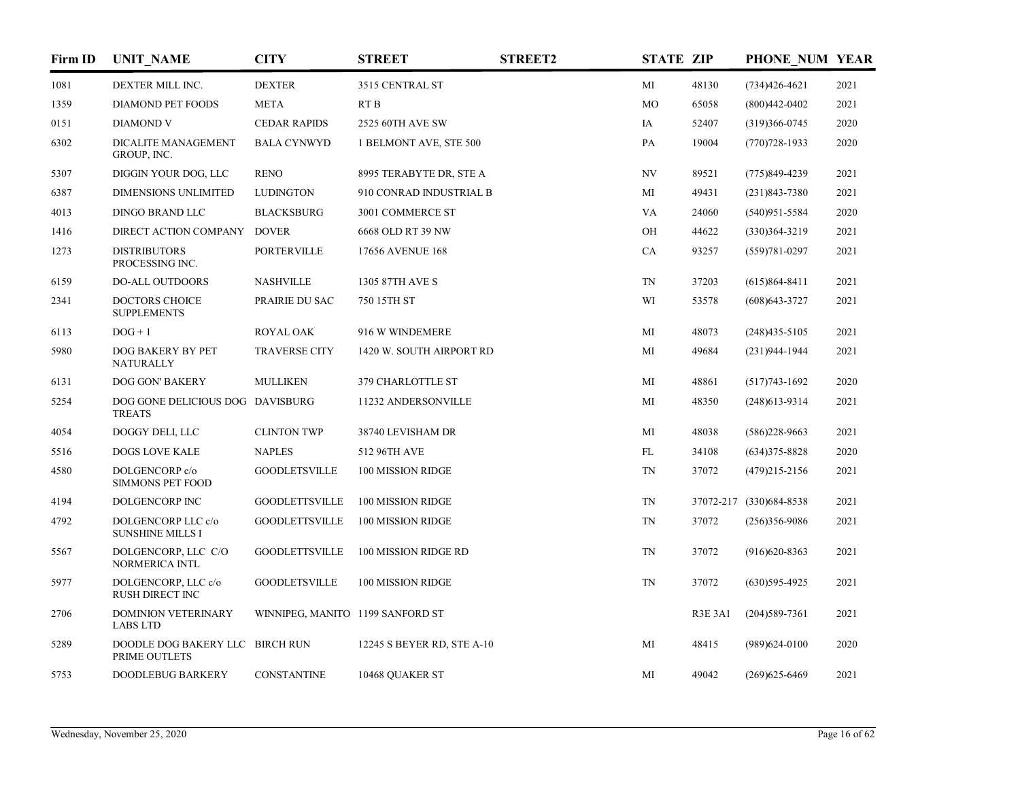| Firm ID | <b>UNIT NAME</b>                                  | <b>CITY</b>                      | <b>STREET</b>              | <b>STREET2</b> | <b>STATE ZIP</b> |                | PHONE NUM YEAR          |      |
|---------|---------------------------------------------------|----------------------------------|----------------------------|----------------|------------------|----------------|-------------------------|------|
| 1081    | DEXTER MILL INC.                                  | <b>DEXTER</b>                    | 3515 CENTRAL ST            |                | MI               | 48130          | $(734)426 - 4621$       | 2021 |
| 1359    | DIAMOND PET FOODS                                 | <b>META</b>                      | RT <sub>B</sub>            |                | MO               | 65058          | $(800)442 - 0402$       | 2021 |
| 0151    | <b>DIAMOND V</b>                                  | <b>CEDAR RAPIDS</b>              | 2525 60TH AVE SW           |                | IA               | 52407          | $(319)366 - 0745$       | 2020 |
| 6302    | DICALITE MANAGEMENT<br>GROUP, INC.                | <b>BALA CYNWYD</b>               | 1 BELMONT AVE, STE 500     |                | PA               | 19004          | $(770)728-1933$         | 2020 |
| 5307    | DIGGIN YOUR DOG, LLC                              | <b>RENO</b>                      | 8995 TERABYTE DR, STE A    |                | NV               | 89521          | $(775)849-4239$         | 2021 |
| 6387    | <b>DIMENSIONS UNLIMITED</b>                       | <b>LUDINGTON</b>                 | 910 CONRAD INDUSTRIAL B    |                | MI               | 49431          | $(231)843 - 7380$       | 2021 |
| 4013    | DINGO BRAND LLC                                   | <b>BLACKSBURG</b>                | 3001 COMMERCE ST           |                | VA               | 24060          | $(540)951 - 5584$       | 2020 |
| 1416    | DIRECT ACTION COMPANY                             | <b>DOVER</b>                     | 6668 OLD RT 39 NW          |                | OH               | 44622          | $(330)364 - 3219$       | 2021 |
| 1273    | <b>DISTRIBUTORS</b><br>PROCESSING INC.            | <b>PORTERVILLE</b>               | 17656 AVENUE 168           |                | CA               | 93257          | $(559)781 - 0297$       | 2021 |
| 6159    | DO-ALL OUTDOORS                                   | <b>NASHVILLE</b>                 | 1305 87TH AVE S            |                | <b>TN</b>        | 37203          | $(615)864 - 8411$       | 2021 |
| 2341    | <b>DOCTORS CHOICE</b><br><b>SUPPLEMENTS</b>       | PRAIRIE DU SAC                   | 750 15TH ST                |                | WI               | 53578          | $(608)$ 643-3727        | 2021 |
| 6113    | $DOG + 1$                                         | <b>ROYAL OAK</b>                 | 916 W WINDEMERE            |                | MI               | 48073          | $(248)435 - 5105$       | 2021 |
| 5980    | DOG BAKERY BY PET<br><b>NATURALLY</b>             | <b>TRAVERSE CITY</b>             | 1420 W. SOUTH AIRPORT RD   |                | MI               | 49684          | $(231)944-1944$         | 2021 |
| 6131    | DOG GON' BAKERY                                   | <b>MULLIKEN</b>                  | 379 CHARLOTTLE ST          |                | MI               | 48861          | $(517)743-1692$         | 2020 |
| 5254    | DOG GONE DELICIOUS DOG DAVISBURG<br><b>TREATS</b> |                                  | 11232 ANDERSONVILLE        |                | MI               | 48350          | $(248)613-9314$         | 2021 |
| 4054    | DOGGY DELI, LLC                                   | <b>CLINTON TWP</b>               | 38740 LEVISHAM DR          |                | MI               | 48038          | $(586)$ 228-9663        | 2021 |
| 5516    | <b>DOGS LOVE KALE</b>                             | <b>NAPLES</b>                    | 512 96TH AVE               |                | FL               | 34108          | $(634)375 - 8828$       | 2020 |
| 4580    | DOLGENCORP c/o<br><b>SIMMONS PET FOOD</b>         | <b>GOODLETSVILLE</b>             | 100 MISSION RIDGE          |                | <b>TN</b>        | 37072          | $(479)215 - 2156$       | 2021 |
| 4194    | DOLGENCORP INC                                    | <b>GOODLETTSVILLE</b>            | 100 MISSION RIDGE          |                | TN               |                | 37072-217 (330)684-8538 | 2021 |
| 4792    | DOLGENCORP LLC c/o<br><b>SUNSHINE MILLS I</b>     | <b>GOODLETTSVILLE</b>            | 100 MISSION RIDGE          |                | TN               | 37072          | $(256)356-9086$         | 2021 |
| 5567    | DOLGENCORP, LLC C/O<br>NORMERICA INTL             | <b>GOODLETTSVILLE</b>            | 100 MISSION RIDGE RD       |                | <b>TN</b>        | 37072          | $(916)620 - 8363$       | 2021 |
| 5977    | DOLGENCORP, LLC c/o<br>RUSH DIRECT INC            | <b>GOODLETSVILLE</b>             | 100 MISSION RIDGE          |                | <b>TN</b>        | 37072          | $(630)595-4925$         | 2021 |
| 2706    | <b>DOMINION VETERINARY</b><br><b>LABS LTD</b>     | WINNIPEG, MANITO 1199 SANFORD ST |                            |                |                  | <b>R3E 3A1</b> | $(204)589-7361$         | 2021 |
| 5289    | DOODLE DOG BAKERY LLC BIRCH RUN<br>PRIME OUTLETS  |                                  | 12245 S BEYER RD, STE A-10 |                | МI               | 48415          | $(989)624-0100$         | 2020 |
| 5753    | DOODLEBUG BARKERY                                 | <b>CONSTANTINE</b>               | 10468 QUAKER ST            |                | МI               | 49042          | $(269)625 - 6469$       | 2021 |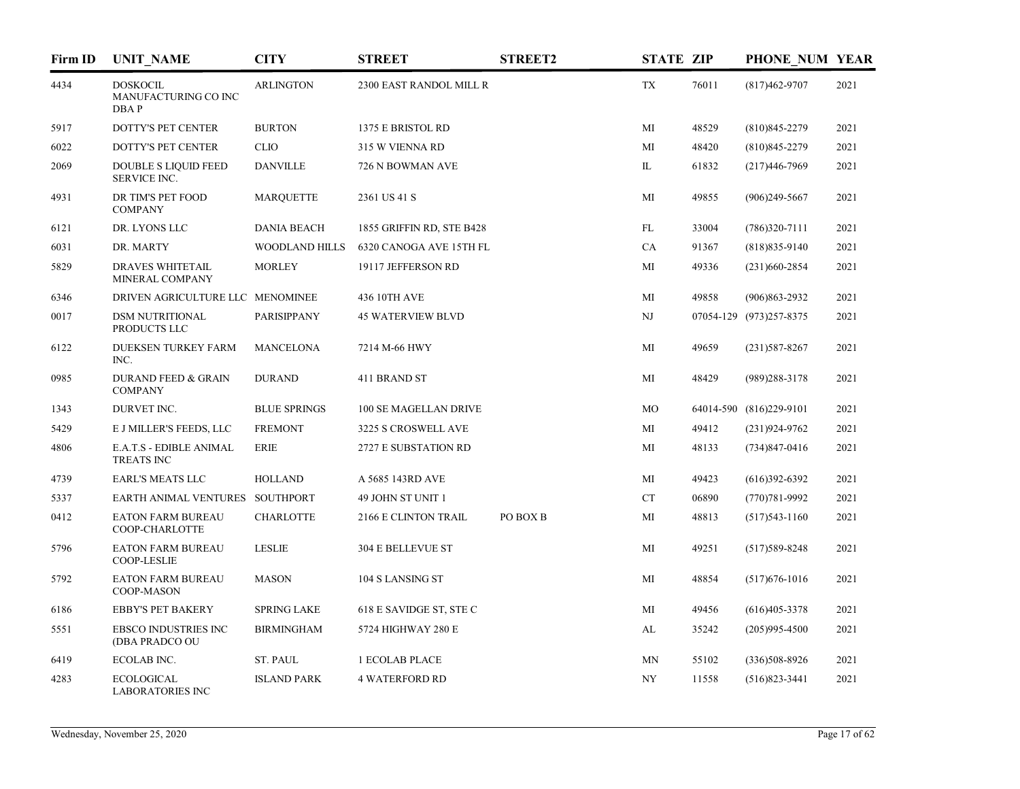| Firm ID | <b>UNIT NAME</b>                                 | <b>CITY</b>           | <b>STREET</b>             | <b>STREET2</b> | <b>STATE ZIP</b>         |       | PHONE NUM YEAR          |      |
|---------|--------------------------------------------------|-----------------------|---------------------------|----------------|--------------------------|-------|-------------------------|------|
| 4434    | <b>DOSKOCIL</b><br>MANUFACTURING CO INC<br>DBAP  | <b>ARLINGTON</b>      | 2300 EAST RANDOL MILL R   |                | TX                       | 76011 | (817)462-9707           | 2021 |
| 5917    | DOTTY'S PET CENTER                               | <b>BURTON</b>         | 1375 E BRISTOL RD         |                | MI                       | 48529 | $(810)845 - 2279$       | 2021 |
| 6022    | DOTTY'S PET CENTER                               | <b>CLIO</b>           | 315 W VIENNA RD           |                | MI                       | 48420 | $(810)845 - 2279$       | 2021 |
| 2069    | <b>DOUBLE S LIQUID FEED</b><br>SERVICE INC.      | <b>DANVILLE</b>       | 726 N BOWMAN AVE          |                | IL                       | 61832 | $(217)446 - 7969$       | 2021 |
| 4931    | DR TIM'S PET FOOD<br><b>COMPANY</b>              | <b>MARQUETTE</b>      | 2361 US 41 S              |                | MI                       | 49855 | $(906)$ 249-5667        | 2021 |
| 6121    | DR. LYONS LLC                                    | <b>DANIA BEACH</b>    | 1855 GRIFFIN RD, STE B428 |                | FL                       | 33004 | $(786)320-7111$         | 2021 |
| 6031    | DR. MARTY                                        | <b>WOODLAND HILLS</b> | 6320 CANOGA AVE 15TH FL   |                | CA                       | 91367 | $(818)835-9140$         | 2021 |
| 5829    | <b>DRAVES WHITETAIL</b><br>MINERAL COMPANY       | <b>MORLEY</b>         | 19117 JEFFERSON RD        |                | МI                       | 49336 | $(231)660 - 2854$       | 2021 |
| 6346    | DRIVEN AGRICULTURE LLC MENOMINEE                 |                       | 436 10TH AVE              |                | MI                       | 49858 | $(906)863 - 2932$       | 2021 |
| 0017    | <b>DSM NUTRITIONAL</b><br>PRODUCTS LLC           | PARISIPPANY           | <b>45 WATERVIEW BLVD</b>  |                | NJ                       |       | 07054-129 (973)257-8375 | 2021 |
| 6122    | <b>DUEKSEN TURKEY FARM</b><br>INC.               | <b>MANCELONA</b>      | 7214 M-66 HWY             |                | MI                       | 49659 | $(231)587 - 8267$       | 2021 |
| 0985    | <b>DURAND FEED &amp; GRAIN</b><br><b>COMPANY</b> | <b>DURAND</b>         | 411 BRAND ST              |                | МI                       | 48429 | $(989)288 - 3178$       | 2021 |
| 1343    | DURVET INC.                                      | <b>BLUE SPRINGS</b>   | 100 SE MAGELLAN DRIVE     |                | MO                       |       | 64014-590 (816)229-9101 | 2021 |
| 5429    | E J MILLER'S FEEDS, LLC                          | <b>FREMONT</b>        | 3225 S CROSWELL AVE       |                | MI                       | 49412 | $(231)924-9762$         | 2021 |
| 4806    | E.A.T.S - EDIBLE ANIMAL<br><b>TREATS INC</b>     | <b>ERIE</b>           | 2727 E SUBSTATION RD      |                | MI                       | 48133 | $(734)847 - 0416$       | 2021 |
| 4739    | <b>EARL'S MEATS LLC</b>                          | <b>HOLLAND</b>        | A 5685 143RD AVE          |                | MI                       | 49423 | $(616)392-6392$         | 2021 |
| 5337    | EARTH ANIMAL VENTURES SOUTHPORT                  |                       | 49 JOHN ST UNIT 1         |                | CT                       | 06890 | $(770)781 - 9992$       | 2021 |
| 0412    | <b>EATON FARM BUREAU</b><br>COOP-CHARLOTTE       | <b>CHARLOTTE</b>      | 2166 E CLINTON TRAIL      | PO BOX B       | MI                       | 48813 | $(517)543 - 1160$       | 2021 |
| 5796    | <b>EATON FARM BUREAU</b><br><b>COOP-LESLIE</b>   | <b>LESLIE</b>         | 304 E BELLEVUE ST         |                | MI                       | 49251 | $(517)589 - 8248$       | 2021 |
| 5792    | <b>EATON FARM BUREAU</b><br>COOP-MASON           | <b>MASON</b>          | 104 S LANSING ST          |                | MI                       | 48854 | $(517)676 - 1016$       | 2021 |
| 6186    | <b>EBBY'S PET BAKERY</b>                         | <b>SPRING LAKE</b>    | 618 E SAVIDGE ST, STE C   |                | МI                       | 49456 | $(616)405 - 3378$       | 2021 |
| 5551    | <b>EBSCO INDUSTRIES INC</b><br>(DBA PRADCO OU    | <b>BIRMINGHAM</b>     | 5724 HIGHWAY 280 E        |                | AL                       | 35242 | $(205)995 - 4500$       | 2021 |
| 6419    | ECOLAB INC.                                      | <b>ST. PAUL</b>       | <b>1 ECOLAB PLACE</b>     |                | MN                       | 55102 | $(336)508 - 8926$       | 2021 |
| 4283    | <b>ECOLOGICAL</b><br><b>LABORATORIES INC.</b>    | <b>ISLAND PARK</b>    | <b>4 WATERFORD RD</b>     |                | $\ensuremath{\text{NY}}$ | 11558 | $(516)823 - 3441$       | 2021 |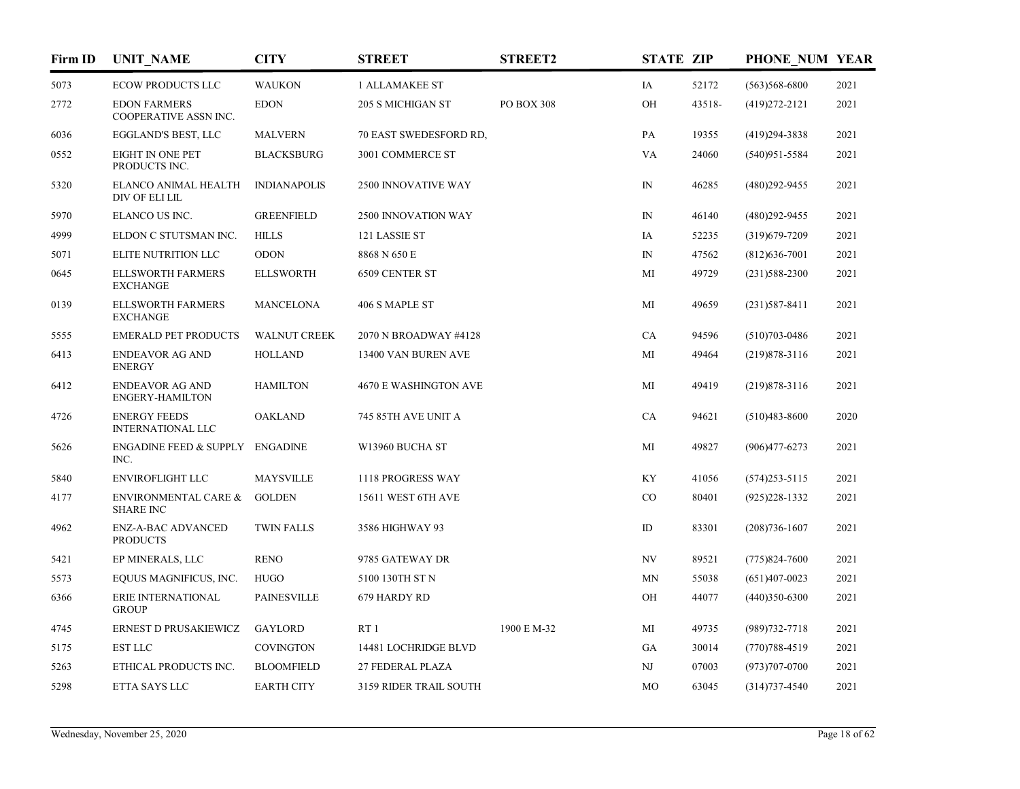| Firm ID | <b>UNIT_NAME</b>                                    | <b>CITY</b>         | <b>STREET</b>                | <b>STREET2</b> | <b>STATE ZIP</b> |        | PHONE NUM YEAR    |      |
|---------|-----------------------------------------------------|---------------------|------------------------------|----------------|------------------|--------|-------------------|------|
| 5073    | <b>ECOW PRODUCTS LLC</b>                            | <b>WAUKON</b>       | <b>1 ALLAMAKEE ST</b>        |                | IA               | 52172  | $(563)568 - 6800$ | 2021 |
| 2772    | <b>EDON FARMERS</b><br>COOPERATIVE ASSN INC.        | <b>EDON</b>         | 205 S MICHIGAN ST            | PO BOX 308     | OH               | 43518- | $(419)272 - 2121$ | 2021 |
| 6036    | EGGLAND'S BEST, LLC                                 | <b>MALVERN</b>      | 70 EAST SWEDESFORD RD,       |                | PA               | 19355  | $(419)294 - 3838$ | 2021 |
| 0552    | <b>EIGHT IN ONE PET</b><br>PRODUCTS INC.            | <b>BLACKSBURG</b>   | 3001 COMMERCE ST             |                | VA               | 24060  | $(540)951 - 5584$ | 2021 |
| 5320    | ELANCO ANIMAL HEALTH<br>DIV OF ELI LIL              | <b>INDIANAPOLIS</b> | 2500 INNOVATIVE WAY          |                | $_{\rm IN}$      | 46285  | $(480)292 - 9455$ | 2021 |
| 5970    | ELANCO US INC.                                      | <b>GREENFIELD</b>   | 2500 INNOVATION WAY          |                | $\mathbb{N}$     | 46140  | $(480)$ 292-9455  | 2021 |
| 4999    | ELDON C STUTSMAN INC.                               | <b>HILLS</b>        | 121 LASSIE ST                |                | IA               | 52235  | $(319)679 - 7209$ | 2021 |
| 5071    | ELITE NUTRITION LLC                                 | <b>ODON</b>         | 8868 N 650 E                 |                | $\mathbb{N}$     | 47562  | $(812)$ 636-7001  | 2021 |
| 0645    | <b>ELLSWORTH FARMERS</b><br><b>EXCHANGE</b>         | <b>ELLSWORTH</b>    | 6509 CENTER ST               |                | MI               | 49729  | $(231)588 - 2300$ | 2021 |
| 0139    | <b>ELLSWORTH FARMERS</b><br><b>EXCHANGE</b>         | <b>MANCELONA</b>    | 406 S MAPLE ST               |                | MI               | 49659  | $(231)587 - 8411$ | 2021 |
| 5555    | <b>EMERALD PET PRODUCTS</b>                         | <b>WALNUT CREEK</b> | 2070 N BROADWAY #4128        |                | CA               | 94596  | $(510)703 - 0486$ | 2021 |
| 6413    | <b>ENDEAVOR AG AND</b><br><b>ENERGY</b>             | <b>HOLLAND</b>      | 13400 VAN BUREN AVE          |                | МI               | 49464  | $(219)878 - 3116$ | 2021 |
| 6412    | <b>ENDEAVOR AG AND</b><br><b>ENGERY-HAMILTON</b>    | <b>HAMILTON</b>     | <b>4670 E WASHINGTON AVE</b> |                | MI               | 49419  | $(219)878-3116$   | 2021 |
| 4726    | <b>ENERGY FEEDS</b><br><b>INTERNATIONAL LLC</b>     | <b>OAKLAND</b>      | 745 85TH AVE UNIT A          |                | CA               | 94621  | $(510)483 - 8600$ | 2020 |
| 5626    | <b>ENGADINE FEED &amp; SUPPLY</b><br>INC.           | <b>ENGADINE</b>     | W13960 BUCHA ST              |                | MI               | 49827  | $(906)477 - 6273$ | 2021 |
| 5840    | <b>ENVIROFLIGHT LLC</b>                             | <b>MAYSVILLE</b>    | 1118 PROGRESS WAY            |                | KY               | 41056  | $(574)$ 253-5115  | 2021 |
| 4177    | <b>ENVIRONMENTAL CARE &amp;</b><br><b>SHARE INC</b> | <b>GOLDEN</b>       | 15611 WEST 6TH AVE           |                | CO               | 80401  | $(925)228-1332$   | 2021 |
| 4962    | <b>ENZ-A-BAC ADVANCED</b><br><b>PRODUCTS</b>        | <b>TWIN FALLS</b>   | 3586 HIGHWAY 93              |                | ID               | 83301  | $(208)736 - 1607$ | 2021 |
| 5421    | EP MINERALS, LLC                                    | <b>RENO</b>         | 9785 GATEWAY DR              |                | NV               | 89521  | $(775)824 - 7600$ | 2021 |
| 5573    | EQUUS MAGNIFICUS, INC.                              | <b>HUGO</b>         | 5100 130TH ST N              |                | MN               | 55038  | $(651)407-0023$   | 2021 |
| 6366    | ERIE INTERNATIONAL<br><b>GROUP</b>                  | <b>PAINESVILLE</b>  | 679 HARDY RD                 |                | OН               | 44077  | $(440)350-6300$   | 2021 |
| 4745    | ERNEST D PRUSAKIEWICZ                               | <b>GAYLORD</b>      | RT1                          | 1900 E M-32    | MI               | 49735  | $(989)732 - 7718$ | 2021 |
| 5175    | <b>EST LLC</b>                                      | <b>COVINGTON</b>    | 14481 LOCHRIDGE BLVD         |                | GA               | 30014  | $(770)788 - 4519$ | 2021 |
| 5263    | ETHICAL PRODUCTS INC.                               | <b>BLOOMFIELD</b>   | 27 FEDERAL PLAZA             |                | NJ               | 07003  | $(973)707 - 0700$ | 2021 |
| 5298    | ETTA SAYS LLC                                       | <b>EARTH CITY</b>   | 3159 RIDER TRAIL SOUTH       |                | MO               | 63045  | $(314)737 - 4540$ | 2021 |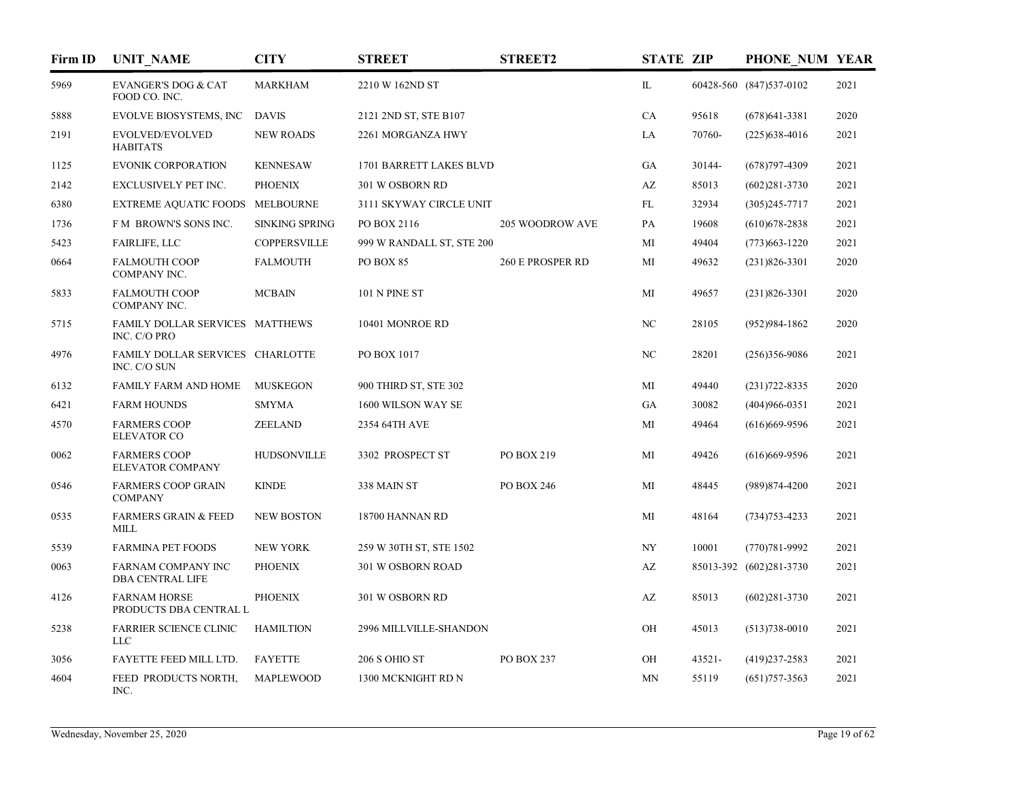| Firm ID | <b>UNIT NAME</b>                                 | CITY                  | <b>STREET</b>             | <b>STREET2</b>   | <b>STATE ZIP</b> |        | PHONE NUM YEAR          |      |
|---------|--------------------------------------------------|-----------------------|---------------------------|------------------|------------------|--------|-------------------------|------|
| 5969    | <b>EVANGER'S DOG &amp; CAT</b><br>FOOD CO. INC.  | <b>MARKHAM</b>        | 2210 W 162ND ST           |                  | $\mathbbm{L}$    |        | 60428-560 (847)537-0102 | 2021 |
| 5888    | <b>EVOLVE BIOSYSTEMS, INC</b>                    | <b>DAVIS</b>          | 2121 2ND ST, STE B107     |                  | CA               | 95618  | $(678)641-3381$         | 2020 |
| 2191    | EVOLVED/EVOLVED<br><b>HABITATS</b>               | <b>NEW ROADS</b>      | 2261 MORGANZA HWY         |                  | LA               | 70760- | $(225)$ 638-4016        | 2021 |
| 1125    | <b>EVONIK CORPORATION</b>                        | <b>KENNESAW</b>       | 1701 BARRETT LAKES BLVD   |                  | GA               | 30144- | $(678)797-4309$         | 2021 |
| 2142    | EXCLUSIVELY PET INC.                             | <b>PHOENIX</b>        | 301 W OSBORN RD           |                  | AZ               | 85013  | $(602)281 - 3730$       | 2021 |
| 6380    | <b>EXTREME AQUATIC FOODS</b>                     | MELBOURNE             | 3111 SKYWAY CIRCLE UNIT   |                  | FL               | 32934  | $(305)245 - 7717$       | 2021 |
| 1736    | FM BROWN'S SONS INC.                             | <b>SINKING SPRING</b> | PO BOX 2116               | 205 WOODROW AVE  | PA               | 19608  | $(610)$ 678-2838        | 2021 |
| 5423    | <b>FAIRLIFE, LLC</b>                             | <b>COPPERSVILLE</b>   | 999 W RANDALL ST, STE 200 |                  | МI               | 49404  | $(773)663 - 1220$       | 2021 |
| 0664    | <b>FALMOUTH COOP</b><br>COMPANY INC.             | <b>FALMOUTH</b>       | PO BOX 85                 | 260 E PROSPER RD | МI               | 49632  | $(231)826 - 3301$       | 2020 |
| 5833    | <b>FALMOUTH COOP</b><br>COMPANY INC.             | <b>MCBAIN</b>         | 101 N PINE ST             |                  | MI               | 49657  | $(231)826 - 3301$       | 2020 |
| 5715    | FAMILY DOLLAR SERVICES MATTHEWS<br>INC. C/O PRO  |                       | 10401 MONROE RD           |                  | NC               | 28105  | $(952)984-1862$         | 2020 |
| 4976    | FAMILY DOLLAR SERVICES CHARLOTTE<br>INC. C/O SUN |                       | PO BOX 1017               |                  | NC               | 28201  | $(256)356-9086$         | 2021 |
| 6132    | FAMILY FARM AND HOME                             | <b>MUSKEGON</b>       | 900 THIRD ST, STE 302     |                  | MI               | 49440  | $(231)722 - 8335$       | 2020 |
| 6421    | <b>FARM HOUNDS</b>                               | <b>SMYMA</b>          | 1600 WILSON WAY SE        |                  | GA               | 30082  | $(404)966 - 0351$       | 2021 |
| 4570    | <b>FARMERS COOP</b><br><b>ELEVATOR CO</b>        | ZEELAND               | 2354 64TH AVE             |                  | MI               | 49464  | $(616)669-9596$         | 2021 |
| 0062    | <b>FARMERS COOP</b><br><b>ELEVATOR COMPANY</b>   | <b>HUDSONVILLE</b>    | 3302 PROSPECT ST          | PO BOX 219       | MI               | 49426  | $(616)$ 669-9596        | 2021 |
| 0546    | <b>FARMERS COOP GRAIN</b><br><b>COMPANY</b>      | <b>KINDE</b>          | 338 MAIN ST               | PO BOX 246       | MI               | 48445  | (989)874-4200           | 2021 |
| 0535    | <b>FARMERS GRAIN &amp; FEED</b><br><b>MILL</b>   | <b>NEW BOSTON</b>     | 18700 HANNAN RD           |                  | MI               | 48164  | $(734)753 - 4233$       | 2021 |
| 5539    | <b>FARMINA PET FOODS</b>                         | <b>NEW YORK</b>       | 259 W 30TH ST, STE 1502   |                  | NY               | 10001  | $(770)781 - 9992$       | 2021 |
| 0063    | FARNAM COMPANY INC<br><b>DBA CENTRAL LIFE</b>    | <b>PHOENIX</b>        | 301 W OSBORN ROAD         |                  | AZ               |        | 85013-392 (602)281-3730 | 2021 |
| 4126    | <b>FARNAM HORSE</b><br>PRODUCTS DBA CENTRAL L    | <b>PHOENIX</b>        | 301 W OSBORN RD           |                  | AZ               | 85013  | $(602)281 - 3730$       | 2021 |
| 5238    | <b>FARRIER SCIENCE CLINIC</b><br><b>LLC</b>      | <b>HAMILTION</b>      | 2996 MILLVILLE-SHANDON    |                  | OH               | 45013  | $(513)738 - 0010$       | 2021 |
| 3056    | FAYETTE FEED MILL LTD.                           | <b>FAYETTE</b>        | 206 S OHIO ST             | PO BOX 237       | OH               | 43521- | $(419)237 - 2583$       | 2021 |
| 4604    | FEED PRODUCTS NORTH,<br>INC.                     | MAPLEWOOD             | 1300 MCKNIGHT RD N        |                  | MN               | 55119  | $(651)757 - 3563$       | 2021 |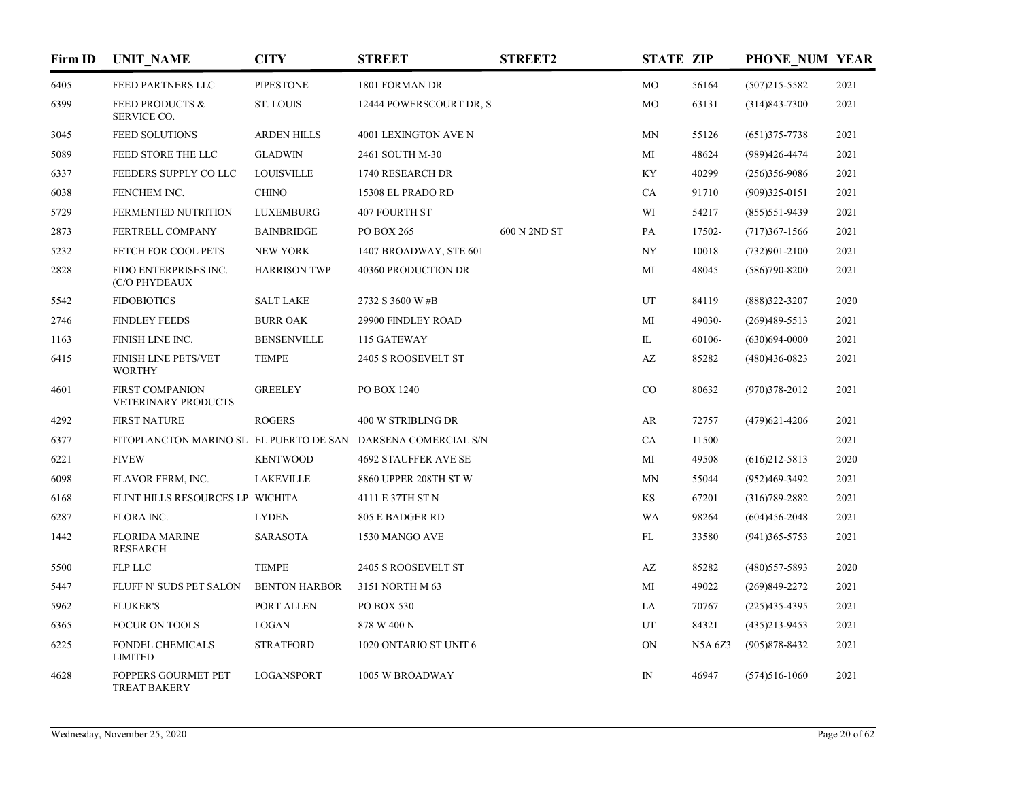| Firm ID | <b>UNIT NAME</b>                                              | <b>CITY</b>          | <b>STREET</b>              | <b>STREET2</b> | <b>STATE ZIP</b>       |                | PHONE NUM YEAR    |      |
|---------|---------------------------------------------------------------|----------------------|----------------------------|----------------|------------------------|----------------|-------------------|------|
| 6405    | FEED PARTNERS LLC                                             | <b>PIPESTONE</b>     | 1801 FORMAN DR             |                | MO                     | 56164          | $(507)215 - 5582$ | 2021 |
| 6399    | <b>FEED PRODUCTS &amp;</b><br>SERVICE CO.                     | <b>ST. LOUIS</b>     | 12444 POWERSCOURT DR, S    |                | MO                     | 63131          | $(314)843 - 7300$ | 2021 |
| 3045    | <b>FEED SOLUTIONS</b>                                         | <b>ARDEN HILLS</b>   | 4001 LEXINGTON AVE N       |                | MN                     | 55126          | $(651)375 - 7738$ | 2021 |
| 5089    | FEED STORE THE LLC                                            | <b>GLADWIN</b>       | 2461 SOUTH M-30            |                | MI                     | 48624          | (989)426-4474     | 2021 |
| 6337    | FEEDERS SUPPLY COLLC                                          | <b>LOUISVILLE</b>    | 1740 RESEARCH DR           |                | KY                     | 40299          | $(256)356-9086$   | 2021 |
| 6038    | FENCHEM INC.                                                  | <b>CHINO</b>         | 15308 EL PRADO RD          |                | CA                     | 91710          | $(909)325 - 0151$ | 2021 |
| 5729    | FERMENTED NUTRITION                                           | <b>LUXEMBURG</b>     | <b>407 FOURTH ST</b>       |                | WI                     | 54217          | $(855)$ 551-9439  | 2021 |
| 2873    | FERTRELL COMPANY                                              | <b>BAINBRIDGE</b>    | PO BOX 265                 | 600 N 2ND ST   | PA                     | 17502-         | $(717)367 - 1566$ | 2021 |
| 5232    | FETCH FOR COOL PETS                                           | <b>NEW YORK</b>      | 1407 BROADWAY, STE 601     |                | NY                     | 10018          | $(732)901 - 2100$ | 2021 |
| 2828    | FIDO ENTERPRISES INC.<br>(C/O PHYDEAUX                        | <b>HARRISON TWP</b>  | <b>40360 PRODUCTION DR</b> |                | MI                     | 48045          | $(586)790 - 8200$ | 2021 |
| 5542    | <b>FIDOBIOTICS</b>                                            | <b>SALT LAKE</b>     | 2732 S 3600 W #B           |                | UT                     | 84119          | $(888)322 - 3207$ | 2020 |
| 2746    | <b>FINDLEY FEEDS</b>                                          | <b>BURR OAK</b>      | 29900 FINDLEY ROAD         |                | MI                     | 49030-         | $(269)489-5513$   | 2021 |
| 1163    | FINISH LINE INC.                                              | <b>BENSENVILLE</b>   | 115 GATEWAY                |                | IL                     | 60106-         | $(630)694-0000$   | 2021 |
| 6415    | FINISH LINE PETS/VET<br><b>WORTHY</b>                         | <b>TEMPE</b>         | 2405 S ROOSEVELT ST        |                | $\mathbf{A}\mathbf{Z}$ | 85282          | $(480)436-0823$   | 2021 |
| 4601    | <b>FIRST COMPANION</b><br>VETERINARY PRODUCTS                 | <b>GREELEY</b>       | PO BOX 1240                |                | CO                     | 80632          | $(970)378 - 2012$ | 2021 |
| 4292    | <b>FIRST NATURE</b>                                           | <b>ROGERS</b>        | 400 W STRIBLING DR         |                | AR                     | 72757          | $(479)621 - 4206$ | 2021 |
| 6377    | FITOPLANCTON MARINO SL EL PUERTO DE SAN DARSENA COMERCIAL S/N |                      |                            |                | CA                     | 11500          |                   | 2021 |
| 6221    | <b>FIVEW</b>                                                  | <b>KENTWOOD</b>      | 4692 STAUFFER AVE SE       |                | МI                     | 49508          | $(616)212 - 5813$ | 2020 |
| 6098    | FLAVOR FERM, INC.                                             | LAKEVILLE            | 8860 UPPER 208TH ST W      |                | MN                     | 55044          | $(952)469-3492$   | 2021 |
| 6168    | FLINT HILLS RESOURCES LP WICHITA                              |                      | 4111 E 37TH ST N           |                | KS                     | 67201          | $(316)789 - 2882$ | 2021 |
| 6287    | FLORA INC.                                                    | <b>LYDEN</b>         | 805 E BADGER RD            |                | <b>WA</b>              | 98264          | $(604)456 - 2048$ | 2021 |
| 1442    | <b>FLORIDA MARINE</b><br><b>RESEARCH</b>                      | SARASOTA             | 1530 MANGO AVE             |                | FL                     | 33580          | $(941)365 - 5753$ | 2021 |
| 5500    | <b>FLP LLC</b>                                                | <b>TEMPE</b>         | 2405 S ROOSEVELT ST        |                | AZ                     | 85282          | $(480)$ 557-5893  | 2020 |
| 5447    | FLUFF N' SUDS PET SALON                                       | <b>BENTON HARBOR</b> | 3151 NORTH M 63            |                | MI                     | 49022          | $(269)849 - 2272$ | 2021 |
| 5962    | <b>FLUKER'S</b>                                               | PORT ALLEN           | PO BOX 530                 |                | LA                     | 70767          | $(225)435 - 4395$ | 2021 |
| 6365    | <b>FOCUR ON TOOLS</b>                                         | <b>LOGAN</b>         | 878 W 400 N                |                | UT                     | 84321          | $(435)213 - 9453$ | 2021 |
| 6225    | <b>FONDEL CHEMICALS</b><br><b>LIMITED</b>                     | <b>STRATFORD</b>     | 1020 ONTARIO ST UNIT 6     |                | ON                     | <b>N5A 6Z3</b> | $(905)878 - 8432$ | 2021 |
| 4628    | <b>FOPPERS GOURMET PET</b><br>TREAT BAKERY                    | <b>LOGANSPORT</b>    | 1005 W BROADWAY            |                | ${\rm IN}$             | 46947          | $(574)516-1060$   | 2021 |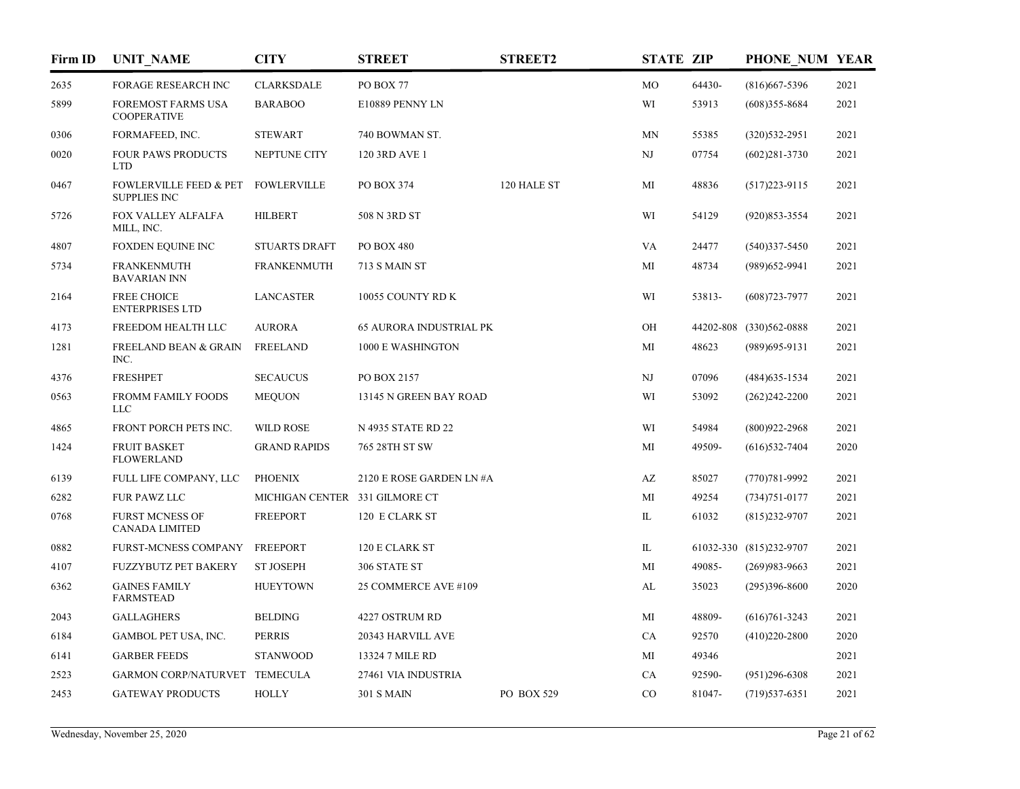| Firm ID | <b>UNIT NAME</b>                                         | <b>CITY</b>                    | <b>STREET</b>                  | <b>STREET2</b> | <b>STATE ZIP</b>       |        | PHONE NUM YEAR          |      |
|---------|----------------------------------------------------------|--------------------------------|--------------------------------|----------------|------------------------|--------|-------------------------|------|
| 2635    | <b>FORAGE RESEARCH INC</b>                               | <b>CLARKSDALE</b>              | PO BOX 77                      |                | MO                     | 64430- | $(816)667 - 5396$       | 2021 |
| 5899    | FOREMOST FARMS USA<br><b>COOPERATIVE</b>                 | <b>BARABOO</b>                 | E10889 PENNY LN                |                | WI                     | 53913  | $(608)355 - 8684$       | 2021 |
| 0306    | FORMAFEED, INC.                                          | <b>STEWART</b>                 | 740 BOWMAN ST.                 |                | MN                     | 55385  | (320) 532-2951          | 2021 |
| 0020    | <b>FOUR PAWS PRODUCTS</b><br><b>LTD</b>                  | NEPTUNE CITY                   | 120 3RD AVE 1                  |                | NJ                     | 07754  | $(602)281 - 3730$       | 2021 |
| 0467    | <b>FOWLERVILLE FEED &amp; PET</b><br><b>SUPPLIES INC</b> | <b>FOWLERVILLE</b>             | PO BOX 374                     | 120 HALE ST    | MI                     | 48836  | $(517)223 - 9115$       | 2021 |
| 5726    | FOX VALLEY ALFALFA<br>MILL, INC.                         | <b>HILBERT</b>                 | 508 N 3RD ST                   |                | WI                     | 54129  | $(920)853 - 3554$       | 2021 |
| 4807    | <b>FOXDEN EQUINE INC</b>                                 | <b>STUARTS DRAFT</b>           | PO BOX 480                     |                | VA                     | 24477  | $(540)337 - 5450$       | 2021 |
| 5734    | <b>FRANKENMUTH</b><br><b>BAVARIAN INN</b>                | <b>FRANKENMUTH</b>             | 713 S MAIN ST                  |                | MI                     | 48734  | (989) 652-9941          | 2021 |
| 2164    | <b>FREE CHOICE</b><br><b>ENTERPRISES LTD</b>             | <b>LANCASTER</b>               | 10055 COUNTY RD K              |                | WI                     | 53813- | $(608)723 - 7977$       | 2021 |
| 4173    | FREEDOM HEALTH LLC                                       | <b>AURORA</b>                  | <b>65 AURORA INDUSTRIAL PK</b> |                | OН                     |        | 44202-808 (330)562-0888 | 2021 |
| 1281    | <b>FREELAND BEAN &amp; GRAIN</b><br>INC.                 | <b>FREELAND</b>                | 1000 E WASHINGTON              |                | MI                     | 48623  | (989) 695-9131          | 2021 |
| 4376    | <b>FRESHPET</b>                                          | <b>SECAUCUS</b>                | PO BOX 2157                    |                | NJ                     | 07096  | $(484)$ 635-1534        | 2021 |
| 0563    | FROMM FAMILY FOODS<br><b>LLC</b>                         | <b>MEQUON</b>                  | 13145 N GREEN BAY ROAD         |                | WI                     | 53092  | $(262)242 - 2200$       | 2021 |
| 4865    | FRONT PORCH PETS INC.                                    | <b>WILD ROSE</b>               | N 4935 STATE RD 22             |                | WI                     | 54984  | $(800)922 - 2968$       | 2021 |
| 1424    | <b>FRUIT BASKET</b><br><b>FLOWERLAND</b>                 | <b>GRAND RAPIDS</b>            | 765 28TH ST SW                 |                | MI                     | 49509- | $(616)$ 532-7404        | 2020 |
| 6139    | FULL LIFE COMPANY, LLC                                   | <b>PHOENIX</b>                 | 2120 E ROSE GARDEN LN #A       |                | $\mathbf{A}\mathbf{Z}$ | 85027  | $(770)781 - 9992$       | 2021 |
| 6282    | FUR PAWZ LLC                                             | MICHIGAN CENTER 331 GILMORE CT |                                |                | MI                     | 49254  | $(734)751 - 0177$       | 2021 |
| 0768    | <b>FURST MCNESS OF</b><br><b>CANADA LIMITED</b>          | <b>FREEPORT</b>                | 120 E CLARK ST                 |                | IL                     | 61032  | $(815)$ 232-9707        | 2021 |
| 0882    | <b>FURST-MCNESS COMPANY</b>                              | <b>FREEPORT</b>                | 120 E CLARK ST                 |                | IL                     |        | 61032-330 (815)232-9707 | 2021 |
| 4107    | <b>FUZZYBUTZ PET BAKERY</b>                              | <b>ST JOSEPH</b>               | 306 STATE ST                   |                | MI                     | 49085- | $(269)983 - 9663$       | 2021 |
| 6362    | <b>GAINES FAMILY</b><br><b>FARMSTEAD</b>                 | <b>HUEYTOWN</b>                | 25 COMMERCE AVE #109           |                | AL                     | 35023  | $(295)396 - 8600$       | 2020 |
| 2043    | <b>GALLAGHERS</b>                                        | <b>BELDING</b>                 | 4227 OSTRUM RD                 |                | MI                     | 48809- | $(616)761 - 3243$       | 2021 |
| 6184    | GAMBOL PET USA, INC.                                     | <b>PERRIS</b>                  | 20343 HARVILL AVE              |                | CA                     | 92570  | $(410)220 - 2800$       | 2020 |
| 6141    | <b>GARBER FEEDS</b>                                      | <b>STANWOOD</b>                | 13324 7 MILE RD                |                | MI                     | 49346  |                         | 2021 |
| 2523    | GARMON CORP/NATURVET TEMECULA                            |                                | 27461 VIA INDUSTRIA            |                | CA                     | 92590- | $(951)296-6308$         | 2021 |
| 2453    | <b>GATEWAY PRODUCTS</b>                                  | <b>HOLLY</b>                   | <b>301 S MAIN</b>              | PO BOX 529     | $_{\rm CO}$            | 81047- | $(719)$ 537-6351        | 2021 |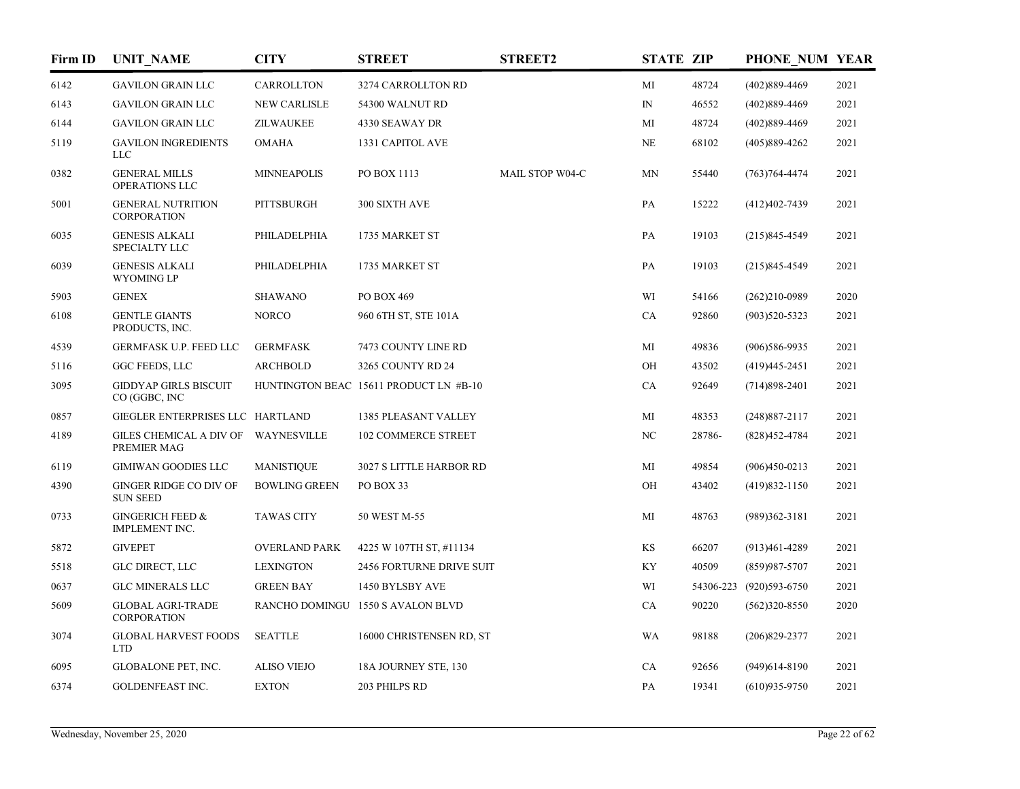| Firm ID | <b>UNIT_NAME</b>                                   | <b>CITY</b>          | <b>STREET</b>                          | <b>STREET2</b>  | <b>STATE ZIP</b> |        | PHONE NUM YEAR          |      |
|---------|----------------------------------------------------|----------------------|----------------------------------------|-----------------|------------------|--------|-------------------------|------|
| 6142    | <b>GAVILON GRAIN LLC</b>                           | CARROLLTON           | 3274 CARROLLTON RD                     |                 | MI               | 48724  | $(402)889-4469$         | 2021 |
| 6143    | <b>GAVILON GRAIN LLC</b>                           | <b>NEW CARLISLE</b>  | 54300 WALNUT RD                        |                 | $I\!N$           | 46552  | $(402)889-4469$         | 2021 |
| 6144    | <b>GAVILON GRAIN LLC</b>                           | ZILWAUKEE            | 4330 SEAWAY DR                         |                 | MI               | 48724  | $(402)889-4469$         | 2021 |
| 5119    | <b>GAVILON INGREDIENTS</b><br><b>LLC</b>           | <b>OMAHA</b>         | 1331 CAPITOL AVE                       |                 | NE               | 68102  | $(405)889-4262$         | 2021 |
| 0382    | <b>GENERAL MILLS</b><br>OPERATIONS LLC             | <b>MINNEAPOLIS</b>   | PO BOX 1113                            | MAIL STOP W04-C | <b>MN</b>        | 55440  | $(763)764 - 4474$       | 2021 |
| 5001    | <b>GENERAL NUTRITION</b><br><b>CORPORATION</b>     | <b>PITTSBURGH</b>    | 300 SIXTH AVE                          |                 | PA               | 15222  | $(412)402 - 7439$       | 2021 |
| 6035    | <b>GENESIS ALKALI</b><br>SPECIALTY LLC             | PHILADELPHIA         | 1735 MARKET ST                         |                 | PA               | 19103  | $(215)845 - 4549$       | 2021 |
| 6039    | <b>GENESIS ALKALI</b><br><b>WYOMING LP</b>         | PHILADELPHIA         | 1735 MARKET ST                         |                 | PA               | 19103  | $(215)845 - 4549$       | 2021 |
| 5903    | <b>GENEX</b>                                       | <b>SHAWANO</b>       | PO BOX 469                             |                 | WI               | 54166  | $(262)210-0989$         | 2020 |
| 6108    | <b>GENTLE GIANTS</b><br>PRODUCTS, INC.             | <b>NORCO</b>         | 960 6TH ST, STE 101A                   |                 | CA               | 92860  | $(903)520 - 5323$       | 2021 |
| 4539    | GERMFASK U.P. FEED LLC                             | <b>GERMFASK</b>      | 7473 COUNTY LINE RD                    |                 | MI               | 49836  | $(906)586-9935$         | 2021 |
| 5116    | GGC FEEDS, LLC                                     | <b>ARCHBOLD</b>      | 3265 COUNTY RD 24                      |                 | OH               | 43502  | $(419)445 - 2451$       | 2021 |
| 3095    | <b>GIDDYAP GIRLS BISCUIT</b><br>CO (GGBC, INC      |                      | HUNTINGTON BEAC 15611 PRODUCT LN #B-10 |                 | CA               | 92649  | $(714)898-2401$         | 2021 |
| 0857    | GIEGLER ENTERPRISES LLC HARTLAND                   |                      | 1385 PLEASANT VALLEY                   |                 | MI               | 48353  | $(248)887 - 2117$       | 2021 |
| 4189    | GILES CHEMICAL A DIV OF WAYNESVILLE<br>PREMIER MAG |                      | <b>102 COMMERCE STREET</b>             |                 | NC               | 28786- | (828)452-4784           | 2021 |
| 6119    | <b>GIMIWAN GOODIES LLC</b>                         | <b>MANISTIQUE</b>    | 3027 S LITTLE HARBOR RD                |                 | МI               | 49854  | $(906)450-0213$         | 2021 |
| 4390    | <b>GINGER RIDGE CO DIV OF</b><br><b>SUN SEED</b>   | <b>BOWLING GREEN</b> | PO BOX 33                              |                 | OH               | 43402  | $(419)832 - 1150$       | 2021 |
| 0733    | <b>GINGERICH FEED &amp;</b><br>IMPLEMENT INC.      | <b>TAWAS CITY</b>    | 50 WEST M-55                           |                 | MI               | 48763  | $(989)362 - 3181$       | 2021 |
| 5872    | <b>GIVEPET</b>                                     | <b>OVERLAND PARK</b> | 4225 W 107TH ST, #11134                |                 | KS               | 66207  | $(913)461 - 4289$       | 2021 |
| 5518    | GLC DIRECT, LLC                                    | <b>LEXINGTON</b>     | <b>2456 FORTURNE DRIVE SUIT</b>        |                 | KY               | 40509  | $(859)987 - 5707$       | 2021 |
| 0637    | <b>GLC MINERALS LLC</b>                            | <b>GREEN BAY</b>     | 1450 BYLSBY AVE                        |                 | WI               |        | 54306-223 (920)593-6750 | 2021 |
| 5609    | <b>GLOBAL AGRI-TRADE</b><br><b>CORPORATION</b>     |                      | RANCHO DOMINGU 1550 S AVALON BLVD      |                 | CA               | 90220  | $(562)320-8550$         | 2020 |
| 3074    | <b>GLOBAL HARVEST FOODS</b><br><b>LTD</b>          | <b>SEATTLE</b>       | 16000 CHRISTENSEN RD, ST               |                 | WA               | 98188  | $(206)829 - 2377$       | 2021 |
| 6095    | GLOBALONE PET, INC.                                | <b>ALISO VIEJO</b>   | 18A JOURNEY STE, 130                   |                 | CA               | 92656  | $(949)614-8190$         | 2021 |
| 6374    | GOLDENFEAST INC.                                   | <b>EXTON</b>         | 203 PHILPS RD                          |                 | PA               | 19341  | $(610)935-9750$         | 2021 |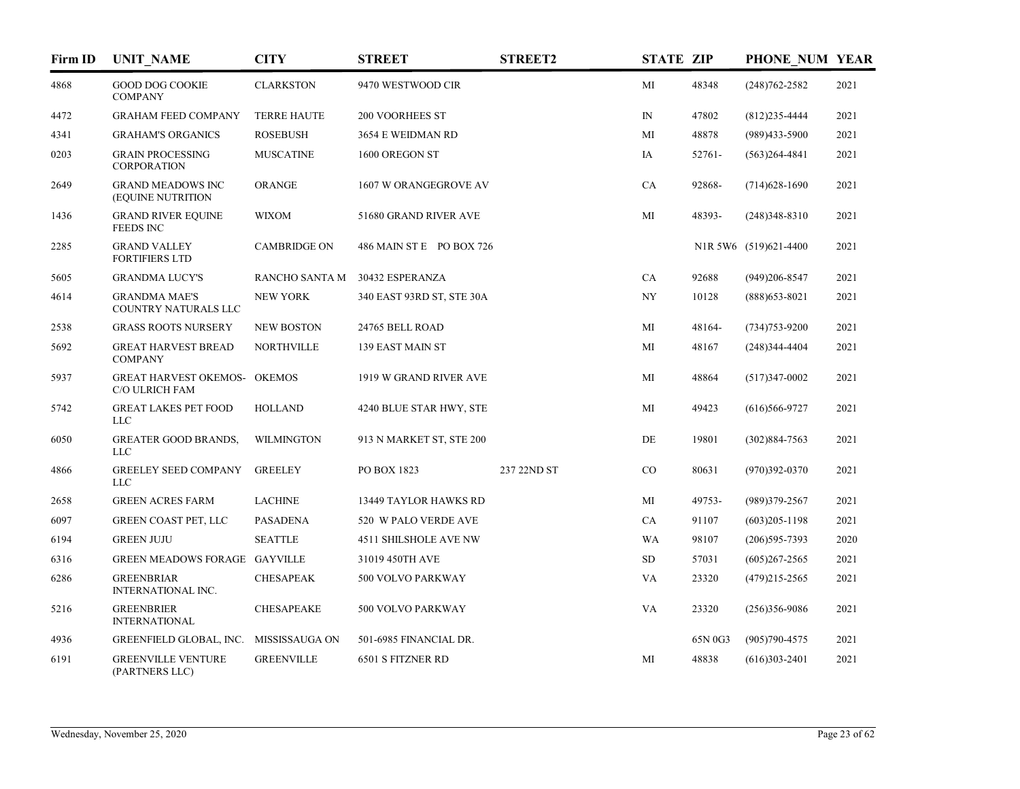| Firm ID | <b>UNIT_NAME</b>                               | <b>CITY</b>         | <b>STREET</b>                | <b>STREET2</b> | <b>STATE ZIP</b> |         | PHONE NUM YEAR        |      |
|---------|------------------------------------------------|---------------------|------------------------------|----------------|------------------|---------|-----------------------|------|
| 4868    | <b>GOOD DOG COOKIE</b><br><b>COMPANY</b>       | <b>CLARKSTON</b>    | 9470 WESTWOOD CIR            |                | MI               | 48348   | $(248)762 - 2582$     | 2021 |
| 4472    | <b>GRAHAM FEED COMPANY</b>                     | <b>TERRE HAUTE</b>  | 200 VOORHEES ST              |                | $\mathbb{N}$     | 47802   | $(812)235 - 4444$     | 2021 |
| 4341    | <b>GRAHAM'S ORGANICS</b>                       | <b>ROSEBUSH</b>     | 3654 E WEIDMAN RD            |                | MI               | 48878   | $(989)433 - 5900$     | 2021 |
| 0203    | <b>GRAIN PROCESSING</b><br>CORPORATION         | <b>MUSCATINE</b>    | 1600 OREGON ST               |                | IA               | 52761-  | $(563)264 - 4841$     | 2021 |
| 2649    | <b>GRAND MEADOWS INC</b><br>(EQUINE NUTRITION  | <b>ORANGE</b>       | 1607 W ORANGEGROVE AV        |                | CA               | 92868-  | $(714)628-1690$       | 2021 |
| 1436    | <b>GRAND RIVER EQUINE</b><br><b>FEEDS INC</b>  | <b>WIXOM</b>        | 51680 GRAND RIVER AVE        |                | MI               | 48393-  | $(248)348 - 8310$     | 2021 |
| 2285    | <b>GRAND VALLEY</b><br><b>FORTIFIERS LTD</b>   | <b>CAMBRIDGE ON</b> | 486 MAIN ST E PO BOX 726     |                |                  |         | N1R 5W6 (519)621-4400 | 2021 |
| 5605    | <b>GRANDMA LUCY'S</b>                          | RANCHO SANTA M      | 30432 ESPERANZA              |                | CA               | 92688   | $(949)206 - 8547$     | 2021 |
| 4614    | <b>GRANDMA MAE'S</b><br>COUNTRY NATURALS LLC   | <b>NEW YORK</b>     | 340 EAST 93RD ST, STE 30A    |                | NY               | 10128   | $(888)$ 653-8021      | 2021 |
| 2538    | <b>GRASS ROOTS NURSERY</b>                     | <b>NEW BOSTON</b>   | 24765 BELL ROAD              |                | MI               | 48164-  | $(734)753 - 9200$     | 2021 |
| 5692    | <b>GREAT HARVEST BREAD</b><br><b>COMPANY</b>   | <b>NORTHVILLE</b>   | 139 EAST MAIN ST             |                | MI               | 48167   | $(248)344-4404$       | 2021 |
| 5937    | GREAT HARVEST OKEMOS- OKEMOS<br>C/O ULRICH FAM |                     | 1919 W GRAND RIVER AVE       |                | MI               | 48864   | $(517)347 - 0002$     | 2021 |
| 5742    | <b>GREAT LAKES PET FOOD</b><br><b>LLC</b>      | <b>HOLLAND</b>      | 4240 BLUE STAR HWY, STE      |                | MI               | 49423   | $(616)566-9727$       | 2021 |
| 6050    | <b>GREATER GOOD BRANDS,</b><br><b>LLC</b>      | <b>WILMINGTON</b>   | 913 N MARKET ST, STE 200     |                | DE               | 19801   | $(302)884 - 7563$     | 2021 |
| 4866    | <b>GREELEY SEED COMPANY</b><br><b>LLC</b>      | <b>GREELEY</b>      | PO BOX 1823                  | 237 22ND ST    | CO               | 80631   | $(970)392 - 0370$     | 2021 |
| 2658    | <b>GREEN ACRES FARM</b>                        | <b>LACHINE</b>      | 13449 TAYLOR HAWKS RD        |                | MI               | 49753-  | (989)379-2567         | 2021 |
| 6097    | <b>GREEN COAST PET, LLC</b>                    | <b>PASADENA</b>     | 520 W PALO VERDE AVE         |                | CA               | 91107   | $(603)205 - 1198$     | 2021 |
| 6194    | <b>GREEN JUJU</b>                              | <b>SEATTLE</b>      | <b>4511 SHILSHOLE AVE NW</b> |                | <b>WA</b>        | 98107   | $(206)595 - 7393$     | 2020 |
| 6316    | GREEN MEADOWS FORAGE GAYVILLE                  |                     | 31019 450TH AVE              |                | SD               | 57031   | $(605)267 - 2565$     | 2021 |
| 6286    | <b>GREENBRIAR</b><br><b>INTERNATIONAL INC.</b> | <b>CHESAPEAK</b>    | 500 VOLVO PARKWAY            |                | VA               | 23320   | $(479)215 - 2565$     | 2021 |
| 5216    | <b>GREENBRIER</b><br><b>INTERNATIONAL</b>      | <b>CHESAPEAKE</b>   | 500 VOLVO PARKWAY            |                | VA               | 23320   | $(256)356-9086$       | 2021 |
| 4936    | GREENFIELD GLOBAL, INC. MISSISSAUGA ON         |                     | 501-6985 FINANCIAL DR.       |                |                  | 65N 0G3 | $(905)790 - 4575$     | 2021 |
| 6191    | <b>GREENVILLE VENTURE</b><br>(PARTNERS LLC)    | <b>GREENVILLE</b>   | 6501 S FITZNER RD            |                | MI               | 48838   | $(616)303 - 2401$     | 2021 |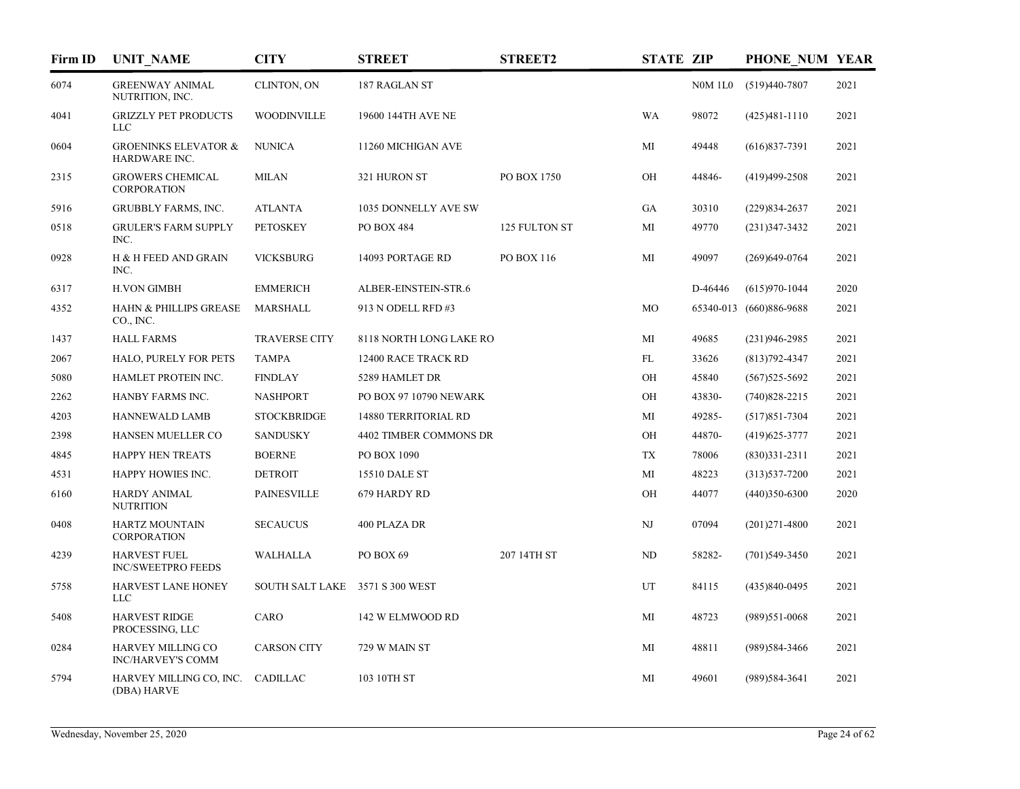| Firm ID | <b>UNIT_NAME</b>                                 | <b>CITY</b>            | <b>STREET</b>               | <b>STREET2</b> | <b>STATE ZIP</b> |                | PHONE NUM YEAR          |      |
|---------|--------------------------------------------------|------------------------|-----------------------------|----------------|------------------|----------------|-------------------------|------|
| 6074    | <b>GREENWAY ANIMAL</b><br>NUTRITION, INC.        | CLINTON, ON            | 187 RAGLAN ST               |                |                  | <b>N0M 1L0</b> | $(519)440-7807$         | 2021 |
| 4041    | <b>GRIZZLY PET PRODUCTS</b><br><b>LLC</b>        | <b>WOODINVILLE</b>     | 19600 144TH AVE NE          |                | <b>WA</b>        | 98072          | $(425)481-1110$         | 2021 |
| 0604    | <b>GROENINKS ELEVATOR &amp;</b><br>HARDWARE INC. | <b>NUNICA</b>          | 11260 MICHIGAN AVE          |                | МI               | 49448          | $(616)837-7391$         | 2021 |
| 2315    | <b>GROWERS CHEMICAL</b><br><b>CORPORATION</b>    | <b>MILAN</b>           | 321 HURON ST                | PO BOX 1750    | OH               | 44846-         | $(419)499-2508$         | 2021 |
| 5916    | <b>GRUBBLY FARMS, INC.</b>                       | <b>ATLANTA</b>         | 1035 DONNELLY AVE SW        |                | GA               | 30310          | $(229)834 - 2637$       | 2021 |
| 0518    | <b>GRULER'S FARM SUPPLY</b><br>INC.              | <b>PETOSKEY</b>        | PO BOX 484                  | 125 FULTON ST  | MI               | 49770          | $(231)347 - 3432$       | 2021 |
| 0928    | H & H FEED AND GRAIN<br>INC.                     | <b>VICKSBURG</b>       | 14093 PORTAGE RD            | PO BOX 116     | МI               | 49097          | $(269)$ 649-0764        | 2021 |
| 6317    | <b>H.VON GIMBH</b>                               | <b>EMMERICH</b>        | ALBER-EINSTEIN-STR.6        |                |                  | D-46446        | $(615)970-1044$         | 2020 |
| 4352    | <b>HAHN &amp; PHILLIPS GREASE</b><br>CO., INC.   | MARSHALL               | 913 N ODELL RFD #3          |                | MO               |                | 65340-013 (660)886-9688 | 2021 |
| 1437    | <b>HALL FARMS</b>                                | <b>TRAVERSE CITY</b>   | 8118 NORTH LONG LAKE RO     |                | МI               | 49685          | $(231)946 - 2985$       | 2021 |
| 2067    | HALO, PURELY FOR PETS                            | <b>TAMPA</b>           | 12400 RACE TRACK RD         |                | FL               | 33626          | $(813)792 - 4347$       | 2021 |
| 5080    | HAMLET PROTEIN INC.                              | <b>FINDLAY</b>         | 5289 HAMLET DR              |                | OH               | 45840          | $(567)525 - 5692$       | 2021 |
| 2262    | HANBY FARMS INC.                                 | <b>NASHPORT</b>        | PO BOX 97 10790 NEWARK      |                | OH               | 43830-         | $(740)828 - 2215$       | 2021 |
| 4203    | HANNEWALD LAMB                                   | <b>STOCKBRIDGE</b>     | <b>14880 TERRITORIAL RD</b> |                | MI               | 49285-         | $(517)851 - 7304$       | 2021 |
| 2398    | HANSEN MUELLER CO                                | <b>SANDUSKY</b>        | 4402 TIMBER COMMONS DR      |                | ОH               | 44870-         | $(419)625 - 3777$       | 2021 |
| 4845    | HAPPY HEN TREATS                                 | <b>BOERNE</b>          | PO BOX 1090                 |                | TX               | 78006          | $(830)331 - 2311$       | 2021 |
| 4531    | HAPPY HOWIES INC.                                | <b>DETROIT</b>         | 15510 DALE ST               |                | MI               | 48223          | $(313)537 - 7200$       | 2021 |
| 6160    | <b>HARDY ANIMAL</b><br><b>NUTRITION</b>          | <b>PAINESVILLE</b>     | 679 HARDY RD                |                | OH               | 44077          | $(440)350-6300$         | 2020 |
| 0408    | HARTZ MOUNTAIN<br>CORPORATION                    | <b>SECAUCUS</b>        | 400 PLAZA DR                |                | NJ               | 07094          | $(201)271 - 4800$       | 2021 |
| 4239    | <b>HARVEST FUEL</b><br><b>INC/SWEETPRO FEEDS</b> | WALHALLA               | PO BOX 69                   | 207 14TH ST    | ND               | 58282-         | $(701)$ 549-3450        | 2021 |
| 5758    | HARVEST LANE HONEY<br><b>LLC</b>                 | <b>SOUTH SALT LAKE</b> | 3571 S 300 WEST             |                | UT               | 84115          | $(435)840-0495$         | 2021 |
| 5408    | <b>HARVEST RIDGE</b><br>PROCESSING, LLC          | CARO                   | 142 W ELMWOOD RD            |                | MI               | 48723          | $(989)551 - 0068$       | 2021 |
| 0284    | HARVEY MILLING CO<br><b>INC/HARVEY'S COMM</b>    | <b>CARSON CITY</b>     | 729 W MAIN ST               |                | MI               | 48811          | (989) 584-3466          | 2021 |
| 5794    | HARVEY MILLING CO, INC.<br>(DBA) HARVE           | CADILLAC               | 103 10TH ST                 |                | MI               | 49601          | (989) 584-3641          | 2021 |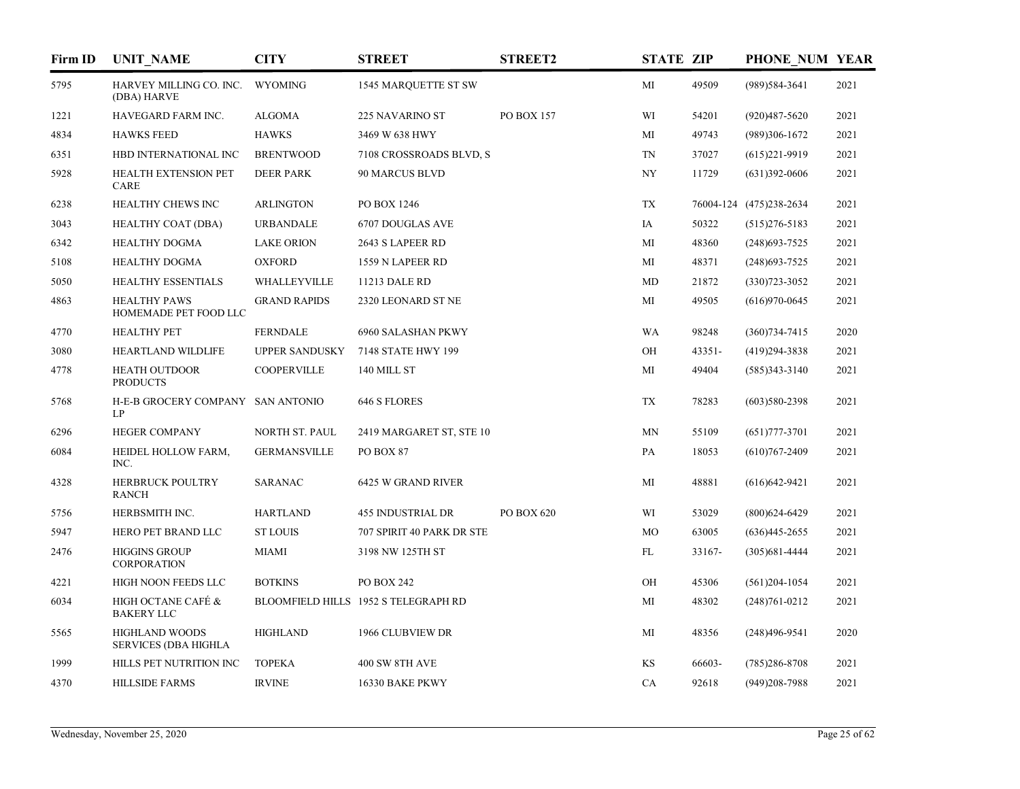| Firm ID | <b>UNIT_NAME</b>                                     | <b>CITY</b>           | <b>STREET</b>                        | <b>STREET2</b> | <b>STATE ZIP</b> |        | PHONE NUM YEAR          |      |
|---------|------------------------------------------------------|-----------------------|--------------------------------------|----------------|------------------|--------|-------------------------|------|
| 5795    | HARVEY MILLING CO. INC.<br>(DBA) HARVE               | <b>WYOMING</b>        | <b>1545 MARQUETTE ST SW</b>          |                | MI               | 49509  | (989) 584-3641          | 2021 |
| 1221    | HAVEGARD FARM INC.                                   | <b>ALGOMA</b>         | 225 NAVARINO ST                      | PO BOX 157     | WI               | 54201  | $(920)487 - 5620$       | 2021 |
| 4834    | <b>HAWKS FEED</b>                                    | <b>HAWKS</b>          | 3469 W 638 HWY                       |                | MI               | 49743  | $(989)306-1672$         | 2021 |
| 6351    | HBD INTERNATIONAL INC                                | <b>BRENTWOOD</b>      | 7108 CROSSROADS BLVD, S              |                | TN               | 37027  | $(615)221-9919$         | 2021 |
| 5928    | <b>HEALTH EXTENSION PET</b><br>CARE                  | <b>DEER PARK</b>      | 90 MARCUS BLVD                       |                | NY               | 11729  | $(631)392-0606$         | 2021 |
| 6238    | HEALTHY CHEWS INC                                    | <b>ARLINGTON</b>      | PO BOX 1246                          |                | TX               |        | 76004-124 (475)238-2634 | 2021 |
| 3043    | HEALTHY COAT (DBA)                                   | <b>URBANDALE</b>      | 6707 DOUGLAS AVE                     |                | IA               | 50322  | $(515)276 - 5183$       | 2021 |
| 6342    | <b>HEALTHY DOGMA</b>                                 | <b>LAKE ORION</b>     | 2643 S LAPEER RD                     |                | MI               | 48360  | (248) 693-7525          | 2021 |
| 5108    | <b>HEALTHY DOGMA</b>                                 | <b>OXFORD</b>         | 1559 N LAPEER RD                     |                | МI               | 48371  | $(248)693 - 7525$       | 2021 |
| 5050    | <b>HEALTHY ESSENTIALS</b>                            | WHALLEYVILLE          | 11213 DALE RD                        |                | MD               | 21872  | $(330)723 - 3052$       | 2021 |
| 4863    | <b>HEALTHY PAWS</b><br>HOMEMADE PET FOOD LLC         | <b>GRAND RAPIDS</b>   | 2320 LEONARD ST NE                   |                | МI               | 49505  | $(616)970-0645$         | 2021 |
| 4770    | <b>HEALTHY PET</b>                                   | <b>FERNDALE</b>       | 6960 SALASHAN PKWY                   |                | WA               | 98248  | $(360)734 - 7415$       | 2020 |
| 3080    | HEARTLAND WILDLIFE                                   | <b>UPPER SANDUSKY</b> | 7148 STATE HWY 199                   |                | OH               | 43351- | $(419)294 - 3838$       | 2021 |
| 4778    | <b>HEATH OUTDOOR</b><br><b>PRODUCTS</b>              | <b>COOPERVILLE</b>    | 140 MILL ST                          |                | MI               | 49404  | $(585)343 - 3140$       | 2021 |
| 5768    | H-E-B GROCERY COMPANY SAN ANTONIO<br>LP              |                       | 646 S FLORES                         |                | TX               | 78283  | $(603)580-2398$         | 2021 |
| 6296    | <b>HEGER COMPANY</b>                                 | NORTH ST. PAUL        | 2419 MARGARET ST, STE 10             |                | MN               | 55109  | $(651)777 - 3701$       | 2021 |
| 6084    | HEIDEL HOLLOW FARM,<br>INC.                          | <b>GERMANSVILLE</b>   | PO BOX 87                            |                | PA               | 18053  | $(610)767 - 2409$       | 2021 |
| 4328    | <b>HERBRUCK POULTRY</b><br><b>RANCH</b>              | <b>SARANAC</b>        | 6425 W GRAND RIVER                   |                | MI               | 48881  | $(616)$ 642-9421        | 2021 |
| 5756    | HERBSMITH INC.                                       | <b>HARTLAND</b>       | <b>455 INDUSTRIAL DR</b>             | PO BOX 620     | WI               | 53029  | $(800)624-6429$         | 2021 |
| 5947    | HERO PET BRAND LLC                                   | <b>ST LOUIS</b>       | 707 SPIRIT 40 PARK DR STE            |                | MO               | 63005  | $(636)445 - 2655$       | 2021 |
| 2476    | <b>HIGGINS GROUP</b><br><b>CORPORATION</b>           | MIAMI                 | 3198 NW 125TH ST                     |                | FL               | 33167- | $(305)681 - 4444$       | 2021 |
| 4221    | HIGH NOON FEEDS LLC                                  | <b>BOTKINS</b>        | PO BOX 242                           |                | OH               | 45306  | $(561)204-1054$         | 2021 |
| 6034    | HIGH OCTANE CAFÉ &<br><b>BAKERY LLC</b>              |                       | BLOOMFIELD HILLS 1952 S TELEGRAPH RD |                | MI               | 48302  | $(248)761 - 0212$       | 2021 |
| 5565    | <b>HIGHLAND WOODS</b><br><b>SERVICES (DBA HIGHLA</b> | <b>HIGHLAND</b>       | 1966 CLUBVIEW DR                     |                | MI               | 48356  | $(248)496-9541$         | 2020 |
| 1999    | HILLS PET NUTRITION INC                              | <b>TOPEKA</b>         | 400 SW 8TH AVE                       |                | KS               | 66603- | $(785)286 - 8708$       | 2021 |
| 4370    | <b>HILLSIDE FARMS</b>                                | <b>IRVINE</b>         | 16330 BAKE PKWY                      |                | CA               | 92618  | (949)208-7988           | 2021 |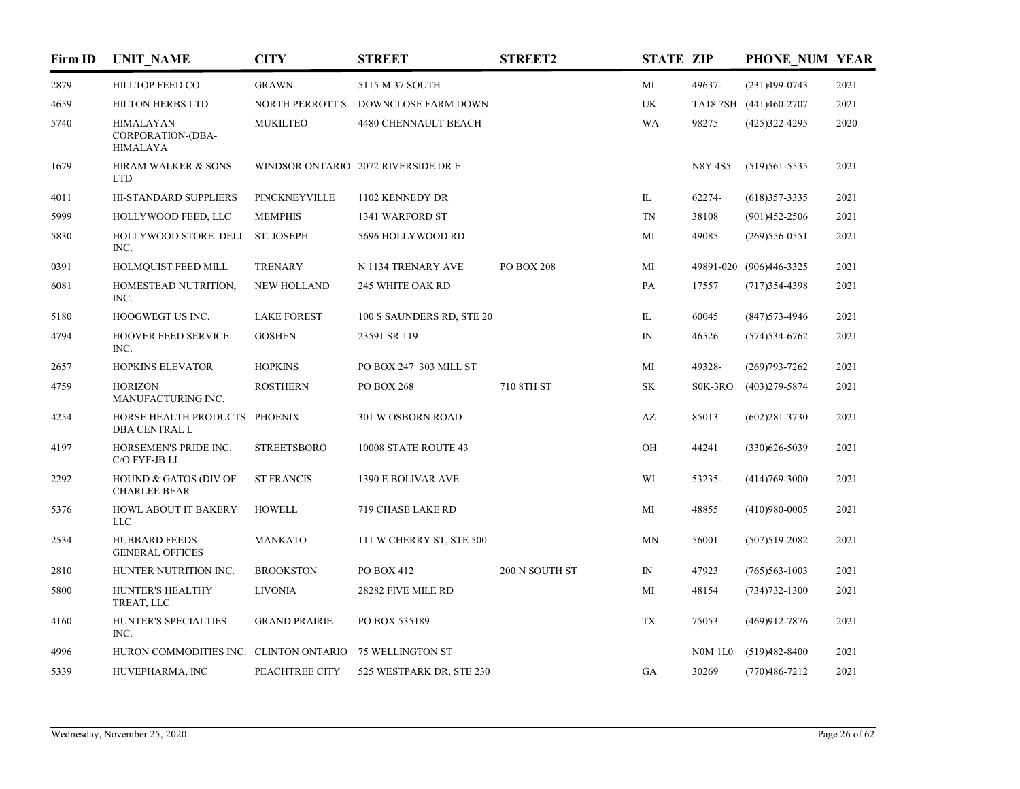| Firm ID | <b>UNIT NAME</b>                                         | <b>CITY</b>            | <b>STREET</b>                       | <b>STREET2</b>    | <b>STATE ZIP</b> |                | PHONE NUM YEAR          |      |
|---------|----------------------------------------------------------|------------------------|-------------------------------------|-------------------|------------------|----------------|-------------------------|------|
| 2879    | <b>HILLTOP FEED CO</b>                                   | <b>GRAWN</b>           | 5115 M 37 SOUTH                     |                   | MI               | 49637-         | $(231)499-0743$         | 2021 |
| 4659    | <b>HILTON HERBS LTD</b>                                  | <b>NORTH PERROTT S</b> | DOWNCLOSE FARM DOWN                 |                   | UK               |                | TA187SH (441)460-2707   | 2021 |
| 5740    | <b>HIMALAYAN</b><br>CORPORATION-(DBA-<br><b>HIMALAYA</b> | <b>MUKILTEO</b>        | 4480 CHENNAULT BEACH                |                   | WA               | 98275          | $(425)322 - 4295$       | 2020 |
| 1679    | HIRAM WALKER & SONS<br><b>LTD</b>                        |                        | WINDSOR ONTARIO 2072 RIVERSIDE DR E |                   |                  | <b>N8Y 4S5</b> | $(519)561 - 5535$       | 2021 |
| 4011    | HI-STANDARD SUPPLIERS                                    | PINCKNEYVILLE          | 1102 KENNEDY DR                     |                   | IL               | 62274-         | $(618)357-3335$         | 2021 |
| 5999    | HOLLYWOOD FEED, LLC                                      | <b>MEMPHIS</b>         | 1341 WARFORD ST                     |                   | TN               | 38108          | $(901)452 - 2506$       | 2021 |
| 5830    | HOLLYWOOD STORE DELI<br>INC.                             | ST. JOSEPH             | 5696 HOLLYWOOD RD                   |                   | MI               | 49085          | $(269)$ 556-0551        | 2021 |
| 0391    | HOLMQUIST FEED MILL                                      | <b>TRENARY</b>         | N 1134 TRENARY AVE                  | <b>PO BOX 208</b> | MI               |                | 49891-020 (906)446-3325 | 2021 |
| 6081    | HOMESTEAD NUTRITION,<br>INC.                             | <b>NEW HOLLAND</b>     | 245 WHITE OAK RD                    |                   | PA               | 17557          | $(717)354 - 4398$       | 2021 |
| 5180    | HOOGWEGT US INC.                                         | <b>LAKE FOREST</b>     | 100 S SAUNDERS RD, STE 20           |                   | IL               | 60045          | $(847)573 - 4946$       | 2021 |
| 4794    | <b>HOOVER FEED SERVICE</b><br>INC.                       | <b>GOSHEN</b>          | 23591 SR 119                        |                   | $\mathbb{N}$     | 46526          | $(574)$ 534-6762        | 2021 |
| 2657    | <b>HOPKINS ELEVATOR</b>                                  | <b>HOPKINS</b>         | PO BOX 247 303 MILL ST              |                   | MI               | 49328-         | $(269)793 - 7262$       | 2021 |
| 4759    | <b>HORIZON</b><br>MANUFACTURING INC.                     | <b>ROSTHERN</b>        | <b>PO BOX 268</b>                   | 710 8TH ST        | <b>SK</b>        | S0K-3RO        | $(403)279 - 5874$       | 2021 |
| 4254    | HORSE HEALTH PRODUCTS PHOENIX<br><b>DBA CENTRAL L</b>    |                        | 301 W OSBORN ROAD                   |                   | AZ               | 85013          | $(602)281 - 3730$       | 2021 |
| 4197    | HORSEMEN'S PRIDE INC.<br>C/O FYF-JB LL                   | <b>STREETSBORO</b>     | 10008 STATE ROUTE 43                |                   | OH               | 44241          | $(330)626 - 5039$       | 2021 |
| 2292    | HOUND & GATOS (DIV OF<br><b>CHARLEE BEAR</b>             | <b>ST FRANCIS</b>      | 1390 E BOLIVAR AVE                  |                   | WI               | 53235-         | $(414)769 - 3000$       | 2021 |
| 5376    | HOWL ABOUT IT BAKERY<br><b>LLC</b>                       | <b>HOWELL</b>          | 719 CHASE LAKE RD                   |                   | MI               | 48855          | $(410)980-0005$         | 2021 |
| 2534    | <b>HUBBARD FEEDS</b><br><b>GENERAL OFFICES</b>           | <b>MANKATO</b>         | 111 W CHERRY ST, STE 500            |                   | <b>MN</b>        | 56001          | $(507)519 - 2082$       | 2021 |
| 2810    | HUNTER NUTRITION INC.                                    | <b>BROOKSTON</b>       | PO BOX 412                          | 200 N SOUTH ST    | IN               | 47923          | $(765)563 - 1003$       | 2021 |
| 5800    | HUNTER'S HEALTHY<br>TREAT, LLC                           | <b>LIVONIA</b>         | 28282 FIVE MILE RD                  |                   | MI               | 48154          | $(734)732 - 1300$       | 2021 |
| 4160    | HUNTER'S SPECIALTIES<br>INC.                             | <b>GRAND PRAIRIE</b>   | PO BOX 535189                       |                   | <b>TX</b>        | 75053          | $(469)912 - 7876$       | 2021 |
| 4996    | HURON COMMODITIES INC. CLINTON ONTARIO                   |                        | 75 WELLINGTON ST                    |                   |                  | <b>N0M 1L0</b> | $(519)482 - 8400$       | 2021 |
| 5339    | HUVEPHARMA, INC                                          | PEACHTREE CITY         | 525 WESTPARK DR, STE 230            |                   | GA               | 30269          | $(770)486 - 7212$       | 2021 |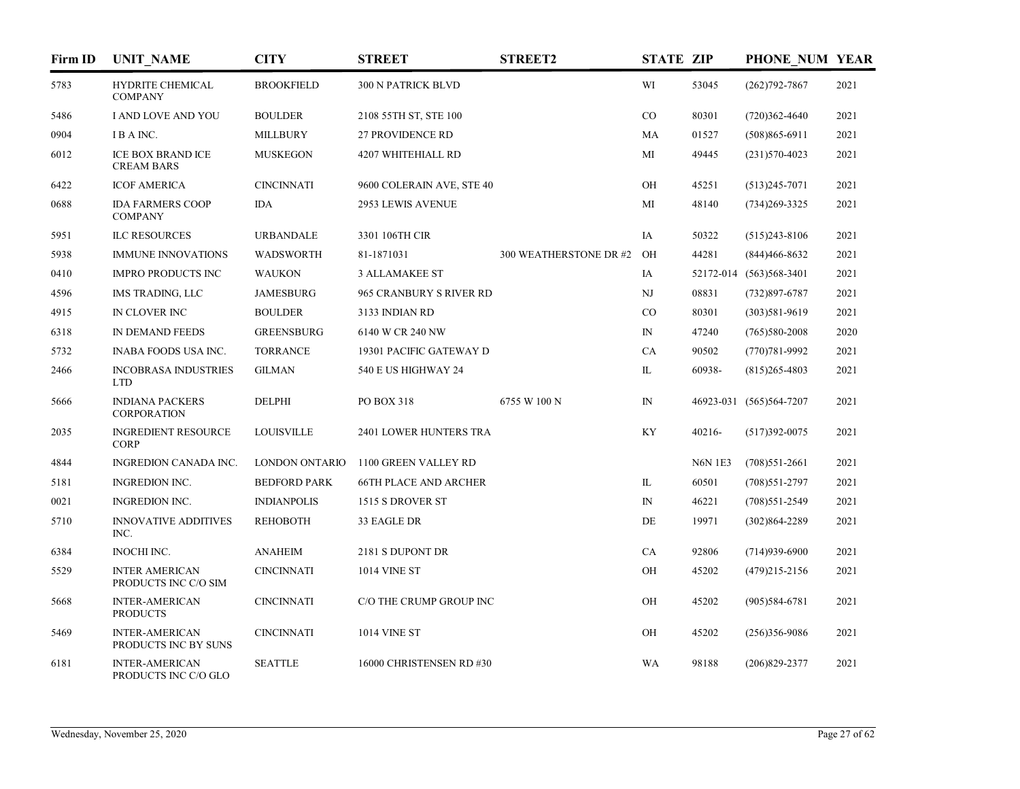| Firm ID | <b>UNIT_NAME</b>                              | <b>CITY</b>         | <b>STREET</b>                | <b>STREET2</b>         | <b>STATE ZIP</b> |                | PHONE NUM YEAR           |      |
|---------|-----------------------------------------------|---------------------|------------------------------|------------------------|------------------|----------------|--------------------------|------|
| 5783    | <b>HYDRITE CHEMICAL</b><br><b>COMPANY</b>     | <b>BROOKFIELD</b>   | 300 N PATRICK BLVD           |                        | WI               | 53045          | $(262)792 - 7867$        | 2021 |
| 5486    | I AND LOVE AND YOU                            | <b>BOULDER</b>      | 2108 55TH ST, STE 100        |                        | CO               | 80301          | $(720)362 - 4640$        | 2021 |
| 0904    | IBA INC.                                      | <b>MILLBURY</b>     | <b>27 PROVIDENCE RD</b>      |                        | MA               | 01527          | $(508)865 - 6911$        | 2021 |
| 6012    | <b>ICE BOX BRAND ICE</b><br><b>CREAM BARS</b> | <b>MUSKEGON</b>     | 4207 WHITEHIALL RD           |                        | МI               | 49445          | $(231)570-4023$          | 2021 |
| 6422    | <b>ICOF AMERICA</b>                           | <b>CINCINNATI</b>   | 9600 COLERAIN AVE, STE 40    |                        | OH               | 45251          | $(513)245 - 7071$        | 2021 |
| 0688    | <b>IDA FARMERS COOP</b><br><b>COMPANY</b>     | <b>IDA</b>          | 2953 LEWIS AVENUE            |                        | MI               | 48140          | $(734)269 - 3325$        | 2021 |
| 5951    | <b>ILC RESOURCES</b>                          | <b>URBANDALE</b>    | 3301 106TH CIR               |                        | IA               | 50322          | $(515)243 - 8106$        | 2021 |
| 5938    | <b>IMMUNE INNOVATIONS</b>                     | <b>WADSWORTH</b>    | 81-1871031                   | 300 WEATHERSTONE DR #2 | OH               | 44281          | $(844)466 - 8632$        | 2021 |
| 0410    | <b>IMPRO PRODUCTS INC</b>                     | <b>WAUKON</b>       | <b>3 ALLAMAKEE ST</b>        |                        | IA               |                | 52172-014 (563) 568-3401 | 2021 |
| 4596    | IMS TRADING, LLC                              | <b>JAMESBURG</b>    | 965 CRANBURY S RIVER RD      |                        | NJ               | 08831          | $(732)897 - 6787$        | 2021 |
| 4915    | IN CLOVER INC                                 | <b>BOULDER</b>      | 3133 INDIAN RD               |                        | CO               | 80301          | $(303)581 - 9619$        | 2021 |
| 6318    | IN DEMAND FEEDS                               | <b>GREENSBURG</b>   | 6140 W CR 240 NW             |                        | $\mathbb{N}$     | 47240          | $(765)580-2008$          | 2020 |
| 5732    | INABA FOODS USA INC.                          | <b>TORRANCE</b>     | 19301 PACIFIC GATEWAY D      |                        | CA               | 90502          | $(770)781 - 9992$        | 2021 |
| 2466    | <b>INCOBRASA INDUSTRIES</b><br><b>LTD</b>     | <b>GILMAN</b>       | 540 E US HIGHWAY 24          |                        | IL               | 60938-         | $(815)265 - 4803$        | 2021 |
| 5666    | <b>INDIANA PACKERS</b><br><b>CORPORATION</b>  | <b>DELPHI</b>       | PO BOX 318                   | 6755 W 100 N           | ${\rm IN}$       |                | 46923-031 (565)564-7207  | 2021 |
| 2035    | <b>INGREDIENT RESOURCE</b><br><b>CORP</b>     | <b>LOUISVILLE</b>   | 2401 LOWER HUNTERS TRA       |                        | KY               | 40216-         | $(517)392 - 0075$        | 2021 |
| 4844    | INGREDION CANADA INC.                         | LONDON ONTARIO      | 1100 GREEN VALLEY RD         |                        |                  | <b>N6N 1E3</b> | $(708)551-2661$          | 2021 |
| 5181    | <b>INGREDION INC.</b>                         | <b>BEDFORD PARK</b> | <b>66TH PLACE AND ARCHER</b> |                        | IL               | 60501          | $(708)$ 551-2797         | 2021 |
| 0021    | <b>INGREDION INC.</b>                         | <b>INDIANPOLIS</b>  | 1515 S DROVER ST             |                        | $\mathbb{N}$     | 46221          | $(708)$ 551-2549         | 2021 |
| 5710    | <b>INNOVATIVE ADDITIVES</b><br>INC.           | <b>REHOBOTH</b>     | 33 EAGLE DR                  |                        | DE               | 19971          | $(302)864 - 2289$        | 2021 |
| 6384    | INOCHI INC.                                   | <b>ANAHEIM</b>      | 2181 S DUPONT DR             |                        | CA               | 92806          | $(714)939-6900$          | 2021 |
| 5529    | <b>INTER AMERICAN</b><br>PRODUCTS INC C/O SIM | <b>CINCINNATI</b>   | <b>1014 VINE ST</b>          |                        | OH               | 45202          | $(479)215 - 2156$        | 2021 |
| 5668    | <b>INTER-AMERICAN</b><br><b>PRODUCTS</b>      | <b>CINCINNATI</b>   | C/O THE CRUMP GROUP INC      |                        | OH               | 45202          | $(905)584-6781$          | 2021 |
| 5469    | <b>INTER-AMERICAN</b><br>PRODUCTS INC BY SUNS | <b>CINCINNATI</b>   | <b>1014 VINE ST</b>          |                        | OH               | 45202          | $(256)356-9086$          | 2021 |
| 6181    | <b>INTER-AMERICAN</b><br>PRODUCTS INC C/O GLO | <b>SEATTLE</b>      | 16000 CHRISTENSEN RD #30     |                        | <b>WA</b>        | 98188          | $(206)829 - 2377$        | 2021 |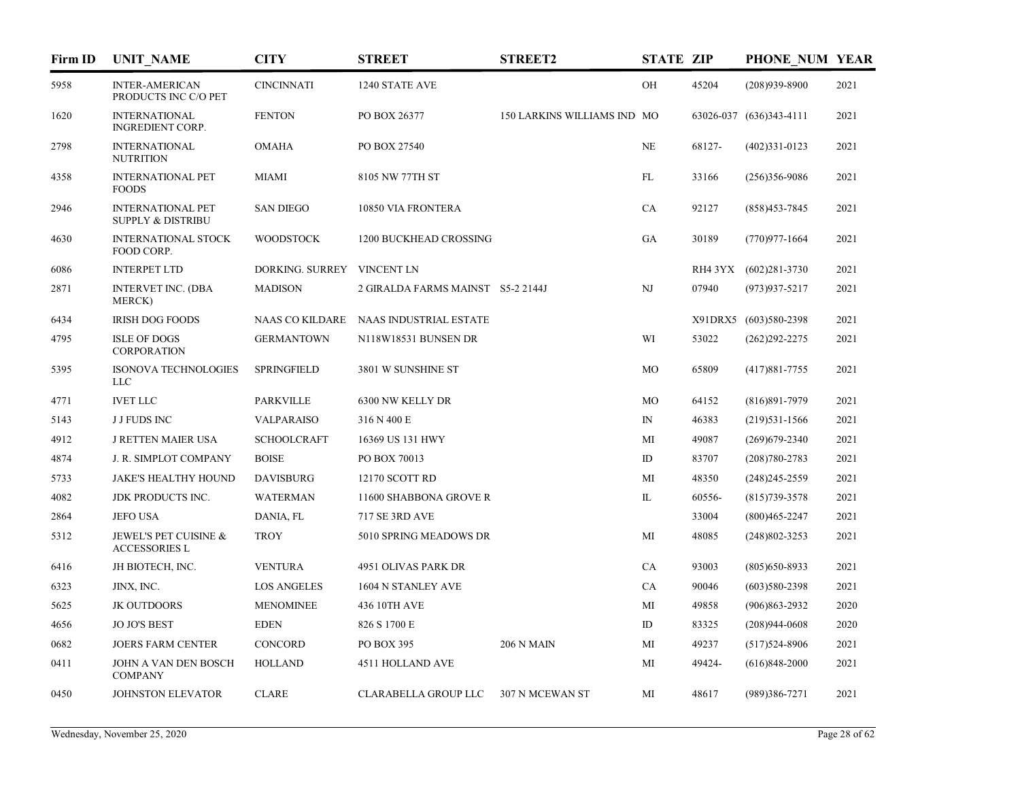| Firm ID | <b>UNIT NAME</b>                                         | <b>CITY</b>                | <b>STREET</b>                          | <b>STREET2</b>              | <b>STATE ZIP</b> |        | PHONE NUM YEAR          |      |
|---------|----------------------------------------------------------|----------------------------|----------------------------------------|-----------------------------|------------------|--------|-------------------------|------|
| 5958    | <b>INTER-AMERICAN</b><br>PRODUCTS INC C/O PET            | <b>CINCINNATI</b>          | 1240 STATE AVE                         |                             | OH               | 45204  | $(208)939 - 8900$       | 2021 |
| 1620    | <b>INTERNATIONAL</b><br><b>INGREDIENT CORP.</b>          | <b>FENTON</b>              | PO BOX 26377                           | 150 LARKINS WILLIAMS IND MO |                  |        | 63026-037 (636)343-4111 | 2021 |
| 2798    | <b>INTERNATIONAL</b><br><b>NUTRITION</b>                 | <b>OMAHA</b>               | PO BOX 27540                           |                             | NE               | 68127- | $(402)331 - 0123$       | 2021 |
| 4358    | <b>INTERNATIONAL PET</b><br><b>FOODS</b>                 | <b>MIAMI</b>               | 8105 NW 77TH ST                        |                             | FL               | 33166  | $(256)356-9086$         | 2021 |
| 2946    | <b>INTERNATIONAL PET</b><br><b>SUPPLY &amp; DISTRIBU</b> | <b>SAN DIEGO</b>           | 10850 VIA FRONTERA                     |                             | CA               | 92127  | $(858)453 - 7845$       | 2021 |
| 4630    | <b>INTERNATIONAL STOCK</b><br>FOOD CORP.                 | <b>WOODSTOCK</b>           | 1200 BUCKHEAD CROSSING                 |                             | GA               | 30189  | $(770)977 - 1664$       | 2021 |
| 6086    | <b>INTERPET LTD</b>                                      | DORKING. SURREY VINCENT LN |                                        |                             |                  |        | RH4 3YX (602)281-3730   | 2021 |
| 2871    | <b>INTERVET INC. (DBA</b><br><b>MERCK</b> )              | <b>MADISON</b>             | 2 GIRALDA FARMS MAINST S5-2 2144J      |                             | NJ               | 07940  | $(973)937 - 5217$       | 2021 |
| 6434    | <b>IRISH DOG FOODS</b>                                   |                            | NAAS CO KILDARE NAAS INDUSTRIAL ESTATE |                             |                  |        | X91DRX5 (603)580-2398   | 2021 |
| 4795    | <b>ISLE OF DOGS</b><br><b>CORPORATION</b>                | <b>GERMANTOWN</b>          | N118W18531 BUNSEN DR                   |                             | WI               | 53022  | $(262)292 - 2275$       | 2021 |
| 5395    | <b>ISONOVA TECHNOLOGIES</b><br><b>LLC</b>                | <b>SPRINGFIELD</b>         | 3801 W SUNSHINE ST                     |                             | <b>MO</b>        | 65809  | $(417)881 - 7755$       | 2021 |
| 4771    | <b>IVET LLC</b>                                          | <b>PARKVILLE</b>           | 6300 NW KELLY DR                       |                             | MO               | 64152  | $(816)891 - 7979$       | 2021 |
| 5143    | <b>J J FUDS INC</b>                                      | VALPARAISO                 | 316 N 400 E                            |                             | $\mathbb{N}$     | 46383  | $(219)531-1566$         | 2021 |
| 4912    | <b>J RETTEN MAIER USA</b>                                | <b>SCHOOLCRAFT</b>         | 16369 US 131 HWY                       |                             | MI               | 49087  | $(269)$ 679-2340        | 2021 |
| 4874    | J. R. SIMPLOT COMPANY                                    | <b>BOISE</b>               | PO BOX 70013                           |                             | ID               | 83707  | $(208)780 - 2783$       | 2021 |
| 5733    | <b>JAKE'S HEALTHY HOUND</b>                              | <b>DAVISBURG</b>           | 12170 SCOTT RD                         |                             | MI               | 48350  | $(248)$ 245-2559        | 2021 |
| 4082    | JDK PRODUCTS INC.                                        | <b>WATERMAN</b>            | 11600 SHABBONA GROVE R                 |                             | IL               | 60556- | $(815)739 - 3578$       | 2021 |
| 2864    | <b>JEFO USA</b>                                          | DANIA, FL                  | <b>717 SE 3RD AVE</b>                  |                             |                  | 33004  | $(800)465 - 2247$       | 2021 |
| 5312    | JEWEL'S PET CUISINE &<br><b>ACCESSORIES L</b>            | <b>TROY</b>                | 5010 SPRING MEADOWS DR                 |                             | MI               | 48085  | $(248)802 - 3253$       | 2021 |
| 6416    | JH BIOTECH, INC.                                         | <b>VENTURA</b>             | 4951 OLIVAS PARK DR                    |                             | CA               | 93003  | $(805)$ 650-8933        | 2021 |
| 6323    | JINX, INC.                                               | <b>LOS ANGELES</b>         | 1604 N STANLEY AVE                     |                             | CA               | 90046  | $(603)580-2398$         | 2021 |
| 5625    | <b>JK OUTDOORS</b>                                       | <b>MENOMINEE</b>           | 436 10TH AVE                           |                             | MI               | 49858  | $(906)863 - 2932$       | 2020 |
| 4656    | <b>JO JO'S BEST</b>                                      | <b>EDEN</b>                | 826 S 1700 E                           |                             | ID               | 83325  | $(208)944-0608$         | 2020 |
| 0682    | <b>JOERS FARM CENTER</b>                                 | CONCORD                    | PO BOX 395                             | <b>206 N MAIN</b>           | MI               | 49237  | $(517)524-8906$         | 2021 |
| 0411    | JOHN A VAN DEN BOSCH<br><b>COMPANY</b>                   | <b>HOLLAND</b>             | 4511 HOLLAND AVE                       |                             | МI               | 49424- | $(616)848 - 2000$       | 2021 |
| 0450    | JOHNSTON ELEVATOR                                        | <b>CLARE</b>               | CLARABELLA GROUP LLC                   | 307 N MCEWAN ST             | МI               | 48617  | $(989)386 - 7271$       | 2021 |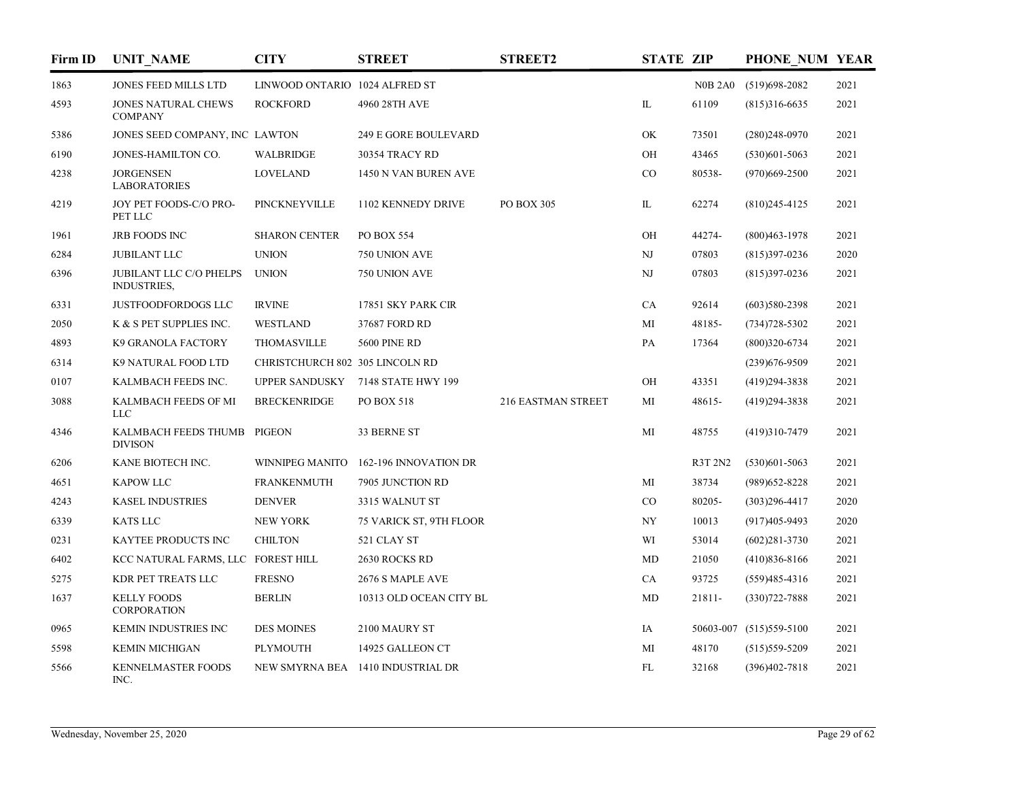| Firm ID | <b>UNIT NAME</b>                                     | <b>CITY</b>                     | <b>STREET</b>                     | <b>STREET2</b>     | <b>STATE ZIP</b> |         | PHONE NUM YEAR          |      |
|---------|------------------------------------------------------|---------------------------------|-----------------------------------|--------------------|------------------|---------|-------------------------|------|
| 1863    | JONES FEED MILLS LTD                                 | LINWOOD ONTARIO 1024 ALFRED ST  |                                   |                    |                  |         | N0B 2A0 (519)698-2082   | 2021 |
| 4593    | JONES NATURAL CHEWS<br><b>COMPANY</b>                | <b>ROCKFORD</b>                 | 4960 28TH AVE                     |                    | IL               | 61109   | $(815)316-6635$         | 2021 |
| 5386    | JONES SEED COMPANY, INC LAWTON                       |                                 | <b>249 E GORE BOULEVARD</b>       |                    | OK               | 73501   | $(280)248-0970$         | 2021 |
| 6190    | JONES-HAMILTON CO.                                   | <b>WALBRIDGE</b>                | 30354 TRACY RD                    |                    | OH               | 43465   | $(530)601 - 5063$       | 2021 |
| 4238    | <b>JORGENSEN</b><br><b>LABORATORIES</b>              | <b>LOVELAND</b>                 | 1450 N VAN BUREN AVE              |                    | $_{\rm CO}$      | 80538-  | $(970)669 - 2500$       | 2021 |
| 4219    | JOY PET FOODS-C/O PRO-<br>PET LLC                    | PINCKNEYVILLE                   | 1102 KENNEDY DRIVE                | PO BOX 305         | IL               | 62274   | $(810)$ 245-4125        | 2021 |
| 1961    | JRB FOODS INC                                        | <b>SHARON CENTER</b>            | PO BOX 554                        |                    | OH               | 44274-  | $(800)463 - 1978$       | 2021 |
| 6284    | <b>JUBILANT LLC</b>                                  | <b>UNION</b>                    | 750 UNION AVE                     |                    | NJ               | 07803   | $(815)397-0236$         | 2020 |
| 6396    | <b>JUBILANT LLC C/O PHELPS</b><br><b>INDUSTRIES,</b> | <b>UNION</b>                    | 750 UNION AVE                     |                    | NJ               | 07803   | $(815)397-0236$         | 2021 |
| 6331    | JUSTFOODFORDOGS LLC                                  | <b>IRVINE</b>                   | 17851 SKY PARK CIR                |                    | CA               | 92614   | $(603)580-2398$         | 2021 |
| 2050    | K & S PET SUPPLIES INC.                              | WESTLAND                        | 37687 FORD RD                     |                    | MI               | 48185-  | $(734)728 - 5302$       | 2021 |
| 4893    | K9 GRANOLA FACTORY                                   | <b>THOMASVILLE</b>              | <b>5600 PINE RD</b>               |                    | PA               | 17364   | $(800)320 - 6734$       | 2021 |
| 6314    | K9 NATURAL FOOD LTD                                  | CHRISTCHURCH 802 305 LINCOLN RD |                                   |                    |                  |         | $(239)676 - 9509$       | 2021 |
| 0107    | KALMBACH FEEDS INC.                                  | <b>UPPER SANDUSKY</b>           | 7148 STATE HWY 199                |                    | OH               | 43351   | $(419)294 - 3838$       | 2021 |
| 3088    | KALMBACH FEEDS OF MI<br><b>LLC</b>                   | <b>BRECKENRIDGE</b>             | PO BOX 518                        | 216 EASTMAN STREET | МI               | 48615-  | $(419)294 - 3838$       | 2021 |
| 4346    | KALMBACH FEEDS THUMB PIGEON<br><b>DIVISON</b>        |                                 | 33 BERNE ST                       |                    | MI               | 48755   | $(419)310-7479$         | 2021 |
| 6206    | KANE BIOTECH INC.                                    | WINNIPEG MANITO                 | 162-196 INNOVATION DR             |                    |                  | R3T 2N2 | $(530)601 - 5063$       | 2021 |
| 4651    | <b>KAPOW LLC</b>                                     | <b>FRANKENMUTH</b>              | 7905 JUNCTION RD                  |                    | MI               | 38734   | $(989)$ 652-8228        | 2021 |
| 4243    | <b>KASEL INDUSTRIES</b>                              | <b>DENVER</b>                   | 3315 WALNUT ST                    |                    | $\rm CO$         | 80205-  | $(303)296 - 4417$       | 2020 |
| 6339    | <b>KATS LLC</b>                                      | NEW YORK                        | 75 VARICK ST, 9TH FLOOR           |                    | <b>NY</b>        | 10013   | $(917)405 - 9493$       | 2020 |
| 0231    | KAYTEE PRODUCTS INC                                  | <b>CHILTON</b>                  | 521 CLAY ST                       |                    | WI               | 53014   | $(602)281 - 3730$       | 2021 |
| 6402    | KCC NATURAL FARMS, LLC FOREST HILL                   |                                 | 2630 ROCKS RD                     |                    | MD               | 21050   | $(410)836 - 8166$       | 2021 |
| 5275    | KDR PET TREATS LLC                                   | <b>FRESNO</b>                   | 2676 S MAPLE AVE                  |                    | CA               | 93725   | $(559)485 - 4316$       | 2021 |
| 1637    | <b>KELLY FOODS</b><br>CORPORATION                    | <b>BERLIN</b>                   | 10313 OLD OCEAN CITY BL           |                    | MD               | 21811-  | $(330)722 - 7888$       | 2021 |
| 0965    | KEMIN INDUSTRIES INC                                 | <b>DES MOINES</b>               | 2100 MAURY ST                     |                    | IA               |         | 50603-007 (515)559-5100 | 2021 |
| 5598    | <b>KEMIN MICHIGAN</b>                                | <b>PLYMOUTH</b>                 | 14925 GALLEON CT                  |                    | МI               | 48170   | $(515)$ 559-5209        | 2021 |
| 5566    | KENNELMASTER FOODS<br>$\Gamma$                       |                                 | NEW SMYRNA BEA 1410 INDUSTRIAL DR |                    | FL               | 32168   | $(396)402 - 7818$       | 2021 |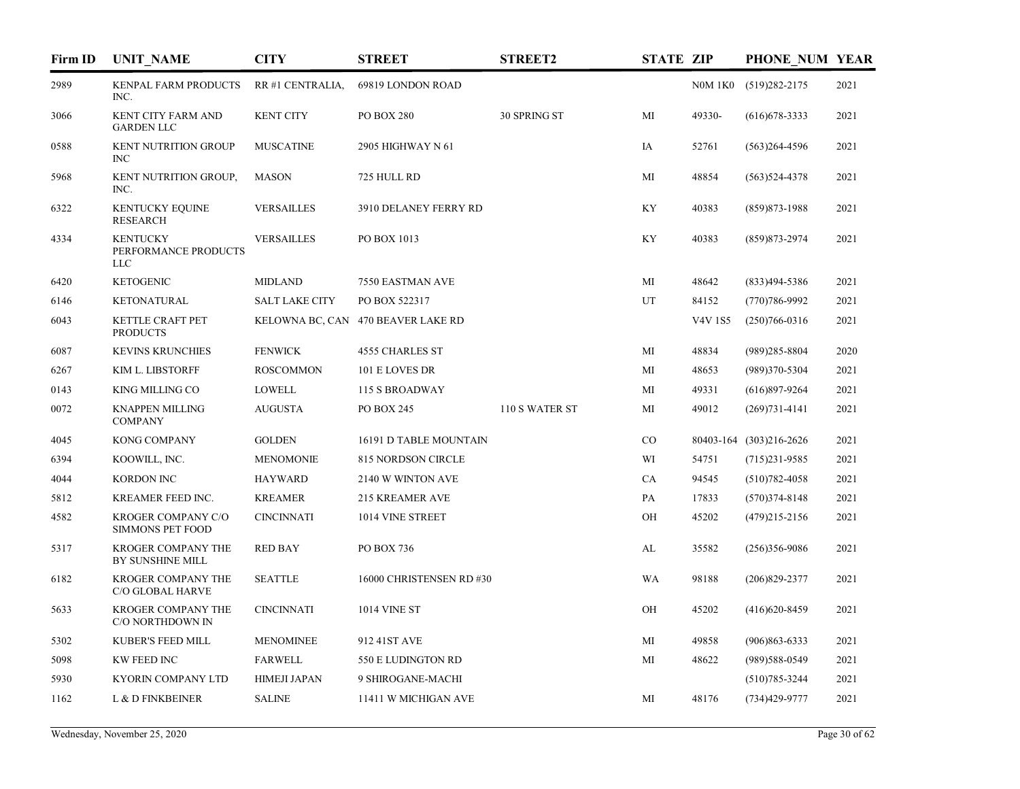| Firm ID | <b>UNIT NAME</b>                                      | <b>CITY</b>           | <b>STREET</b>                      | <b>STREET2</b> | <b>STATE ZIP</b> |                | PHONE NUM YEAR          |      |
|---------|-------------------------------------------------------|-----------------------|------------------------------------|----------------|------------------|----------------|-------------------------|------|
| 2989    | KENPAL FARM PRODUCTS<br>INC.                          | RR #1 CENTRALIA,      | 69819 LONDON ROAD                  |                |                  | <b>N0M 1K0</b> | $(519)282 - 2175$       | 2021 |
| 3066    | KENT CITY FARM AND<br><b>GARDEN LLC</b>               | <b>KENT CITY</b>      | <b>PO BOX 280</b>                  | 30 SPRING ST   | MI               | 49330-         | $(616)678 - 3333$       | 2021 |
| 0588    | <b>KENT NUTRITION GROUP</b><br><b>INC</b>             | <b>MUSCATINE</b>      | 2905 HIGHWAY N 61                  |                | IA               | 52761          | $(563)264-4596$         | 2021 |
| 5968    | KENT NUTRITION GROUP,<br>INC.                         | <b>MASON</b>          | 725 HULL RD                        |                | MI               | 48854          | $(563)$ 524-4378        | 2021 |
| 6322    | <b>KENTUCKY EQUINE</b><br><b>RESEARCH</b>             | <b>VERSAILLES</b>     | 3910 DELANEY FERRY RD              |                | ΚY               | 40383          | $(859)873 - 1988$       | 2021 |
| 4334    | <b>KENTUCKY</b><br>PERFORMANCE PRODUCTS<br><b>LLC</b> | <b>VERSAILLES</b>     | PO BOX 1013                        |                | ΚY               | 40383          | $(859)873 - 2974$       | 2021 |
| 6420    | <b>KETOGENIC</b>                                      | <b>MIDLAND</b>        | 7550 EASTMAN AVE                   |                | MI               | 48642          | $(833)494 - 5386$       | 2021 |
| 6146    | <b>KETONATURAL</b>                                    | <b>SALT LAKE CITY</b> | PO BOX 522317                      |                | UT               | 84152          | $(770)786 - 9992$       | 2021 |
| 6043    | KETTLE CRAFT PET<br><b>PRODUCTS</b>                   |                       | KELOWNA BC, CAN 470 BEAVER LAKE RD |                |                  | <b>V4V1S5</b>  | $(250)766 - 0316$       | 2021 |
| 6087    | <b>KEVINS KRUNCHIES</b>                               | <b>FENWICK</b>        | <b>4555 CHARLES ST</b>             |                | MI               | 48834          | $(989)285 - 8804$       | 2020 |
| 6267    | KIM L. LIBSTORFF                                      | <b>ROSCOMMON</b>      | 101 E LOVES DR                     |                | MI               | 48653          | (989)370-5304           | 2021 |
| 0143    | KING MILLING CO                                       | <b>LOWELL</b>         | 115 S BROADWAY                     |                | MI               | 49331          | $(616)897-9264$         | 2021 |
| 0072    | <b>KNAPPEN MILLING</b><br><b>COMPANY</b>              | <b>AUGUSTA</b>        | PO BOX 245                         | 110 S WATER ST | MI               | 49012          | $(269)731 - 4141$       | 2021 |
| 4045    | KONG COMPANY                                          | <b>GOLDEN</b>         | 16191 D TABLE MOUNTAIN             |                | $_{\rm CO}$      |                | 80403-164 (303)216-2626 | 2021 |
| 6394    | KOOWILL, INC.                                         | <b>MENOMONIE</b>      | 815 NORDSON CIRCLE                 |                | WI               | 54751          | $(715)231 - 9585$       | 2021 |
| 4044    | <b>KORDON INC</b>                                     | <b>HAYWARD</b>        | 2140 W WINTON AVE                  |                | CA               | 94545          | $(510)782 - 4058$       | 2021 |
| 5812    | KREAMER FEED INC.                                     | <b>KREAMER</b>        | 215 KREAMER AVE                    |                | PA               | 17833          | $(570)374 - 8148$       | 2021 |
| 4582    | KROGER COMPANY C/O<br><b>SIMMONS PET FOOD</b>         | <b>CINCINNATI</b>     | 1014 VINE STREET                   |                | OН               | 45202          | $(479)215 - 2156$       | 2021 |
| 5317    | KROGER COMPANY THE<br>BY SUNSHINE MILL                | <b>RED BAY</b>        | PO BOX 736                         |                | AL               | 35582          | $(256)356-9086$         | 2021 |
| 6182    | KROGER COMPANY THE<br>C/O GLOBAL HARVE                | <b>SEATTLE</b>        | 16000 CHRISTENSEN RD #30           |                | WA               | 98188          | $(206)829 - 2377$       | 2021 |
| 5633    | KROGER COMPANY THE<br>C/O NORTHDOWN IN                | <b>CINCINNATI</b>     | <b>1014 VINE ST</b>                |                | OH               | 45202          | $(416)620 - 8459$       | 2021 |
| 5302    | KUBER'S FEED MILL                                     | <b>MENOMINEE</b>      | 912 41ST AVE                       |                | MI               | 49858          | $(906)863 - 6333$       | 2021 |
| 5098    | KW FEED INC                                           | <b>FARWELL</b>        | 550 E LUDINGTON RD                 |                | MI               | 48622          | (989) 588-0549          | 2021 |
| 5930    | KYORIN COMPANY LTD                                    | <b>HIMEJI JAPAN</b>   | 9 SHIROGANE-MACHI                  |                |                  |                | $(510)785 - 3244$       | 2021 |
| 1162    | L & D FINKBEINER                                      | <b>SALINE</b>         | 11411 W MICHIGAN AVE               |                | MI               | 48176          | (734)429-9777           | 2021 |
|         |                                                       |                       |                                    |                |                  |                |                         |      |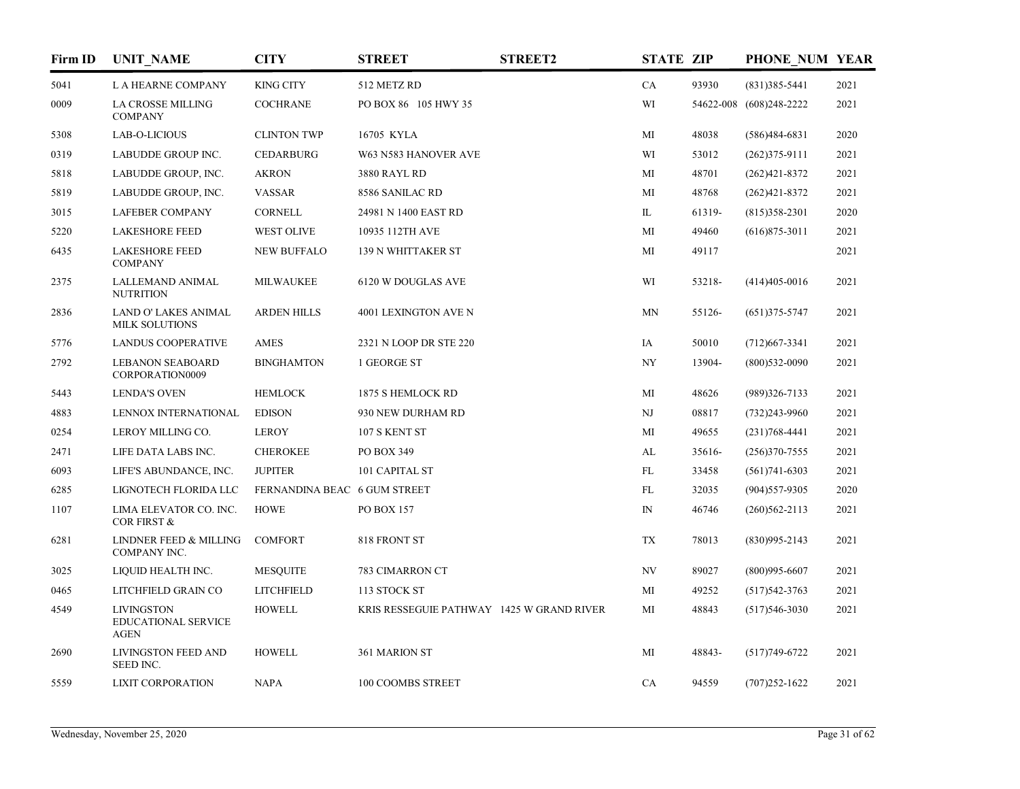| Firm ID | <b>UNIT NAME</b>                                               | <b>CITY</b>                  | <b>STREET</b>                             | <b>STREET2</b> | <b>STATE ZIP</b> |        | PHONE NUM YEAR          |      |
|---------|----------------------------------------------------------------|------------------------------|-------------------------------------------|----------------|------------------|--------|-------------------------|------|
| 5041    | L A HEARNE COMPANY                                             | <b>KING CITY</b>             | 512 METZ RD                               |                | CA               | 93930  | $(831)385 - 5441$       | 2021 |
| 0009    | <b>LA CROSSE MILLING</b><br><b>COMPANY</b>                     | <b>COCHRANE</b>              | PO BOX 86 105 HWY 35                      |                | WI               |        | 54622-008 (608)248-2222 | 2021 |
| 5308    | LAB-O-LICIOUS                                                  | <b>CLINTON TWP</b>           | 16705 KYLA                                |                | МI               | 48038  | $(586)484-6831$         | 2020 |
| 0319    | LABUDDE GROUP INC.                                             | <b>CEDARBURG</b>             | W63 N583 HANOVER AVE                      |                | WI               | 53012  | $(262)375-9111$         | 2021 |
| 5818    | LABUDDE GROUP, INC.                                            | <b>AKRON</b>                 | 3880 RAYL RD                              |                | MI               | 48701  | $(262)421 - 8372$       | 2021 |
| 5819    | LABUDDE GROUP, INC.                                            | <b>VASSAR</b>                | 8586 SANILAC RD                           |                | MI               | 48768  | $(262)421 - 8372$       | 2021 |
| 3015    | <b>LAFEBER COMPANY</b>                                         | <b>CORNELL</b>               | 24981 N 1400 EAST RD                      |                | IL               | 61319- | $(815)358-2301$         | 2020 |
| 5220    | <b>LAKESHORE FEED</b>                                          | <b>WEST OLIVE</b>            | 10935 112TH AVE                           |                | MI               | 49460  | $(616)875 - 3011$       | 2021 |
| 6435    | <b>LAKESHORE FEED</b><br><b>COMPANY</b>                        | <b>NEW BUFFALO</b>           | 139 N WHITTAKER ST                        |                | MI               | 49117  |                         | 2021 |
| 2375    | LALLEMAND ANIMAL<br><b>NUTRITION</b>                           | <b>MILWAUKEE</b>             | 6120 W DOUGLAS AVE                        |                | WI               | 53218- | $(414)405-0016$         | 2021 |
| 2836    | LAND O' LAKES ANIMAL<br><b>MILK SOLUTIONS</b>                  | <b>ARDEN HILLS</b>           | 4001 LEXINGTON AVE N                      |                | <b>MN</b>        | 55126- | $(651)375 - 5747$       | 2021 |
| 5776    | <b>LANDUS COOPERATIVE</b>                                      | AMES                         | 2321 N LOOP DR STE 220                    |                | IA               | 50010  | $(712)$ 667-3341        | 2021 |
| 2792    | <b>LEBANON SEABOARD</b><br>CORPORATION0009                     | <b>BINGHAMTON</b>            | 1 GEORGE ST                               |                | NY               | 13904- | $(800)$ 532-0090        | 2021 |
| 5443    | <b>LENDA'S OVEN</b>                                            | <b>HEMLOCK</b>               | 1875 S HEMLOCK RD                         |                | МI               | 48626  | $(989)326 - 7133$       | 2021 |
| 4883    | LENNOX INTERNATIONAL                                           | <b>EDISON</b>                | 930 NEW DURHAM RD                         |                | NJ               | 08817  | $(732)243 - 9960$       | 2021 |
| 0254    | LEROY MILLING CO.                                              | <b>LEROY</b>                 | 107 S KENT ST                             |                | МI               | 49655  | $(231)768 - 4441$       | 2021 |
| 2471    | LIFE DATA LABS INC.                                            | <b>CHEROKEE</b>              | PO BOX 349                                |                | AL               | 35616- | $(256)370 - 7555$       | 2021 |
| 6093    | LIFE'S ABUNDANCE, INC.                                         | <b>JUPITER</b>               | 101 CAPITAL ST                            |                | FL               | 33458  | $(561)741-6303$         | 2021 |
| 6285    | LIGNOTECH FLORIDA LLC                                          | FERNANDINA BEAC 6 GUM STREET |                                           |                | FL               | 32035  | $(904)$ 557-9305        | 2020 |
| 1107    | LIMA ELEVATOR CO. INC.<br><b>COR FIRST &amp;</b>               | <b>HOWE</b>                  | PO BOX 157                                |                | $\mathbb{N}$     | 46746  | $(260)562 - 2113$       | 2021 |
| 6281    | LINDNER FEED & MILLING<br>COMPANY INC.                         | <b>COMFORT</b>               | 818 FRONT ST                              |                | TX               | 78013  | $(830)995 - 2143$       | 2021 |
| 3025    | LIQUID HEALTH INC.                                             | <b>MESQUITE</b>              | 783 CIMARRON CT                           |                | NV               | 89027  | $(800)995 - 6607$       | 2021 |
| 0465    | LITCHFIELD GRAIN CO                                            | <b>LITCHFIELD</b>            | 113 STOCK ST                              |                | МI               | 49252  | $(517)542 - 3763$       | 2021 |
| 4549    | <b>LIVINGSTON</b><br><b>EDUCATIONAL SERVICE</b><br><b>AGEN</b> | <b>HOWELL</b>                | KRIS RESSEGUIE PATHWAY 1425 W GRAND RIVER |                | МI               | 48843  | $(517)546-3030$         | 2021 |
| 2690    | LIVINGSTON FEED AND<br>SEED INC.                               | <b>HOWELL</b>                | 361 MARION ST                             |                | МI               | 48843- | $(517)749-6722$         | 2021 |
| 5559    | <b>LIXIT CORPORATION</b>                                       | <b>NAPA</b>                  | 100 COOMBS STREET                         |                | CA               | 94559  | $(707)252 - 1622$       | 2021 |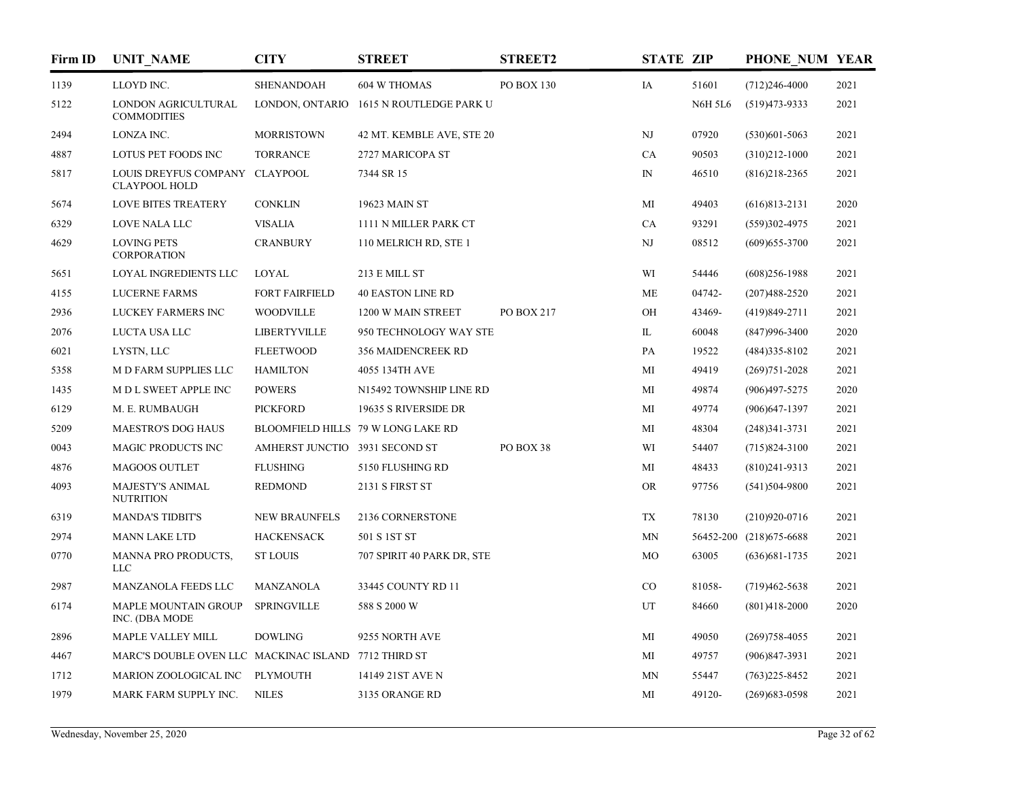| Firm ID | <b>UNIT_NAME</b>                                       | <b>CITY</b>                    | <b>STREET</b>                           | <b>STREET2</b> | <b>STATE ZIP</b> |                | PHONE NUM YEAR           |      |
|---------|--------------------------------------------------------|--------------------------------|-----------------------------------------|----------------|------------------|----------------|--------------------------|------|
| 1139    | LLOYD INC.                                             | <b>SHENANDOAH</b>              | 604 W THOMAS                            | PO BOX 130     | IA               | 51601          | $(712)246-4000$          | 2021 |
| 5122    | LONDON AGRICULTURAL<br><b>COMMODITIES</b>              |                                | LONDON, ONTARIO 1615 N ROUTLEDGE PARK U |                |                  | <b>N6H 5L6</b> | $(519)473-9333$          | 2021 |
| 2494    | LONZA INC.                                             | <b>MORRISTOWN</b>              | 42 MT. KEMBLE AVE, STE 20               |                | NJ               | 07920          | $(530)601 - 5063$        | 2021 |
| 4887    | <b>LOTUS PET FOODS INC</b>                             | <b>TORRANCE</b>                | 2727 MARICOPA ST                        |                | CA               | 90503          | $(310)212 - 1000$        | 2021 |
| 5817    | LOUIS DREYFUS COMPANY CLAYPOOL<br><b>CLAYPOOL HOLD</b> |                                | 7344 SR 15                              |                | $\mathbb{N}$     | 46510          | $(816)218 - 2365$        | 2021 |
| 5674    | <b>LOVE BITES TREATERY</b>                             | <b>CONKLIN</b>                 | 19623 MAIN ST                           |                | MI               | 49403          | $(616)813-2131$          | 2020 |
| 6329    | LOVE NALA LLC                                          | <b>VISALIA</b>                 | 1111 N MILLER PARK CT                   |                | CA               | 93291          | $(559)302 - 4975$        | 2021 |
| 4629    | <b>LOVING PETS</b><br><b>CORPORATION</b>               | <b>CRANBURY</b>                | 110 MELRICH RD, STE 1                   |                | NJ               | 08512          | $(609)$ 655-3700         | 2021 |
| 5651    | LOYAL INGREDIENTS LLC                                  | <b>LOYAL</b>                   | 213 E MILL ST                           |                | WI               | 54446          | $(608)256 - 1988$        | 2021 |
| 4155    | <b>LUCERNE FARMS</b>                                   | <b>FORT FAIRFIELD</b>          | <b>40 EASTON LINE RD</b>                |                | ME               | 04742-         | $(207)488 - 2520$        | 2021 |
| 2936    | LUCKEY FARMERS INC                                     | <b>WOODVILLE</b>               | 1200 W MAIN STREET                      | PO BOX 217     | OH               | 43469-         | $(419)849-2711$          | 2021 |
| 2076    | LUCTA USA LLC                                          | <b>LIBERTYVILLE</b>            | 950 TECHNOLOGY WAY STE                  |                | IL               | 60048          | $(847)996 - 3400$        | 2020 |
| 6021    | LYSTN, LLC                                             | <b>FLEETWOOD</b>               | 356 MAIDENCREEK RD                      |                | PA               | 19522          | $(484)335 - 8102$        | 2021 |
| 5358    | M D FARM SUPPLIES LLC                                  | <b>HAMILTON</b>                | 4055 134TH AVE                          |                | MI               | 49419          | $(269)751 - 2028$        | 2021 |
| 1435    | M D L SWEET APPLE INC                                  | <b>POWERS</b>                  | N15492 TOWNSHIP LINE RD                 |                | MI               | 49874          | $(906)497 - 5275$        | 2020 |
| 6129    | M. E. RUMBAUGH                                         | <b>PICKFORD</b>                | 19635 S RIVERSIDE DR                    |                | MI               | 49774          | $(906)$ 647-1397         | 2021 |
| 5209    | <b>MAESTRO'S DOG HAUS</b>                              |                                | BLOOMFIELD HILLS 79 W LONG LAKE RD      |                | MI               | 48304          | $(248)341 - 3731$        | 2021 |
| 0043    | <b>MAGIC PRODUCTS INC</b>                              | AMHERST JUNCTIO 3931 SECOND ST |                                         | PO BOX 38      | WI               | 54407          | $(715)824 - 3100$        | 2021 |
| 4876    | <b>MAGOOS OUTLET</b>                                   | <b>FLUSHING</b>                | 5150 FLUSHING RD                        |                | MI               | 48433          | $(810)241-9313$          | 2021 |
| 4093    | MAJESTY'S ANIMAL<br><b>NUTRITION</b>                   | <b>REDMOND</b>                 | 2131 S FIRST ST                         |                | <b>OR</b>        | 97756          | $(541)504-9800$          | 2021 |
| 6319    | <b>MANDA'S TIDBIT'S</b>                                | <b>NEW BRAUNFELS</b>           | 2136 CORNERSTONE                        |                | TX               | 78130          | $(210)920-0716$          | 2021 |
| 2974    | <b>MANN LAKE LTD</b>                                   | <b>HACKENSACK</b>              | 501 S 1ST ST                            |                | MN               |                | 56452-200 (218) 675-6688 | 2021 |
| 0770    | MANNA PRO PRODUCTS,<br><b>LLC</b>                      | <b>ST LOUIS</b>                | 707 SPIRIT 40 PARK DR, STE              |                | MO               | 63005          | $(636)681 - 1735$        | 2021 |
| 2987    | MANZANOLA FEEDS LLC                                    | <b>MANZANOLA</b>               | 33445 COUNTY RD 11                      |                | $_{\rm CO}$      | 81058-         | $(719)462 - 5638$        | 2021 |
| 6174    | <b>MAPLE MOUNTAIN GROUP</b><br>INC. (DBA MODE          | <b>SPRINGVILLE</b>             | 588 S 2000 W                            |                | UT               | 84660          | $(801)418 - 2000$        | 2020 |
| 2896    | <b>MAPLE VALLEY MILL</b>                               | <b>DOWLING</b>                 | 9255 NORTH AVE                          |                | МI               | 49050          | $(269)758 - 4055$        | 2021 |
| 4467    | MARC'S DOUBLE OVEN LLC MACKINAC ISLAND 7712 THIRD ST   |                                |                                         |                | MI               | 49757          | $(906)847 - 3931$        | 2021 |
| 1712    | MARION ZOOLOGICAL INC                                  | <b>PLYMOUTH</b>                | 14149 21ST AVE N                        |                | ΜN               | 55447          | $(763)225 - 8452$        | 2021 |
| 1979    | MARK FARM SUPPLY INC.                                  | <b>NILES</b>                   | 3135 ORANGE RD                          |                | МI               | 49120-         | $(269)$ 683-0598         | 2021 |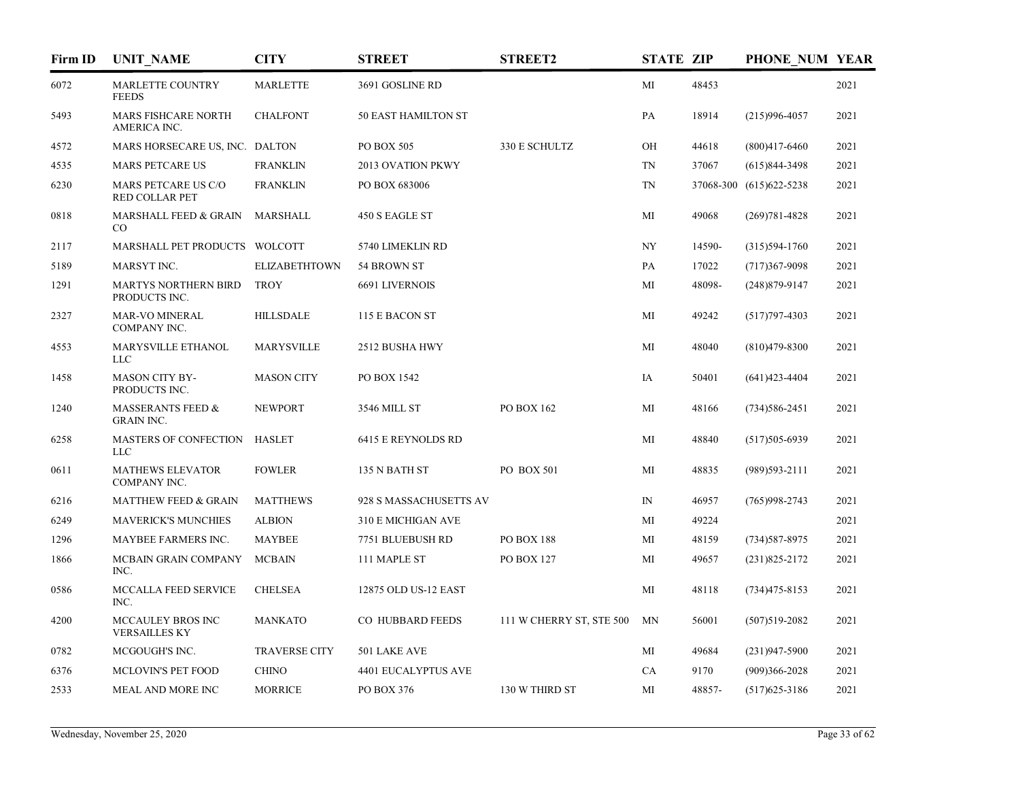| Firm ID | <b>UNIT NAME</b>                                  | <b>CITY</b>          | <b>STREET</b>              | <b>STREET2</b>           | <b>STATE ZIP</b> |        | PHONE NUM YEAR          |      |
|---------|---------------------------------------------------|----------------------|----------------------------|--------------------------|------------------|--------|-------------------------|------|
| 6072    | MARLETTE COUNTRY<br><b>FEEDS</b>                  | <b>MARLETTE</b>      | 3691 GOSLINE RD            |                          | MI               | 48453  |                         | 2021 |
| 5493    | <b>MARS FISHCARE NORTH</b><br>AMERICA INC.        | <b>CHALFONT</b>      | <b>50 EAST HAMILTON ST</b> |                          | PA               | 18914  | $(215)996 - 4057$       | 2021 |
| 4572    | MARS HORSECARE US, INC. DALTON                    |                      | PO BOX 505                 | 330 E SCHULTZ            | OH               | 44618  | $(800)417-6460$         | 2021 |
| 4535    | <b>MARS PETCARE US</b>                            | <b>FRANKLIN</b>      | 2013 OVATION PKWY          |                          | TN               | 37067  | $(615)844-3498$         | 2021 |
| 6230    | MARS PETCARE US C/O<br><b>RED COLLAR PET</b>      | <b>FRANKLIN</b>      | PO BOX 683006              |                          | <b>TN</b>        |        | 37068-300 (615)622-5238 | 2021 |
| 0818    | MARSHALL FEED & GRAIN<br>$_{\rm CO}$              | MARSHALL             | 450 S EAGLE ST             |                          | MI               | 49068  | $(269)781 - 4828$       | 2021 |
| 2117    | MARSHALL PET PRODUCTS WOLCOTT                     |                      | 5740 LIMEKLIN RD           |                          | NY               | 14590- | $(315)594-1760$         | 2021 |
| 5189    | MARSYT INC.                                       | <b>ELIZABETHTOWN</b> | 54 BROWN ST                |                          | PA               | 17022  | $(717)367-9098$         | 2021 |
| 1291    | <b>MARTYS NORTHERN BIRD</b><br>PRODUCTS INC.      | <b>TROY</b>          | <b>6691 LIVERNOIS</b>      |                          | MI               | 48098- | $(248)879 - 9147$       | 2021 |
| 2327    | <b>MAR-VO MINERAL</b><br>COMPANY INC.             | <b>HILLSDALE</b>     | 115 E BACON ST             |                          | MI               | 49242  | $(517)797 - 4303$       | 2021 |
| 4553    | MARYSVILLE ETHANOL<br><b>LLC</b>                  | <b>MARYSVILLE</b>    | 2512 BUSHA HWY             |                          | MI               | 48040  | $(810)479 - 8300$       | 2021 |
| 1458    | <b>MASON CITY BY-</b><br>PRODUCTS INC.            | <b>MASON CITY</b>    | PO BOX 1542                |                          | IA               | 50401  | $(641)423 - 4404$       | 2021 |
| 1240    | <b>MASSERANTS FEED &amp;</b><br><b>GRAIN INC.</b> | <b>NEWPORT</b>       | 3546 MILL ST               | PO BOX 162               | MI               | 48166  | $(734)586 - 2451$       | 2021 |
| 6258    | MASTERS OF CONFECTION<br><b>LLC</b>               | <b>HASLET</b>        | 6415 E REYNOLDS RD         |                          | MI               | 48840  | $(517)505-6939$         | 2021 |
| 0611    | <b>MATHEWS ELEVATOR</b><br>COMPANY INC.           | <b>FOWLER</b>        | 135 N BATH ST              | <b>PO BOX 501</b>        | MI               | 48835  | $(989)593-2111$         | 2021 |
| 6216    | <b>MATTHEW FEED &amp; GRAIN</b>                   | <b>MATTHEWS</b>      | 928 S MASSACHUSETTS AV     |                          | IN               | 46957  | $(765)998 - 2743$       | 2021 |
| 6249    | <b>MAVERICK'S MUNCHIES</b>                        | <b>ALBION</b>        | 310 E MICHIGAN AVE         |                          | MI               | 49224  |                         | 2021 |
| 1296    | MAYBEE FARMERS INC.                               | <b>MAYBEE</b>        | 7751 BLUEBUSH RD           | <b>PO BOX 188</b>        | MI               | 48159  | $(734)587 - 8975$       | 2021 |
| 1866    | MCBAIN GRAIN COMPANY<br>INC.                      | <b>MCBAIN</b>        | 111 MAPLE ST               | PO BOX 127               | MI               | 49657  | $(231)825 - 2172$       | 2021 |
| 0586    | <b>MCCALLA FEED SERVICE</b><br>INC.               | <b>CHELSEA</b>       | 12875 OLD US-12 EAST       |                          | MI               | 48118  | $(734)475 - 8153$       | 2021 |
| 4200    | MCCAULEY BROS INC<br><b>VERSAILLES KY</b>         | <b>MANKATO</b>       | CO HUBBARD FEEDS           | 111 W CHERRY ST, STE 500 | MN               | 56001  | $(507)519-2082$         | 2021 |
| 0782    | MCGOUGH'S INC.                                    | <b>TRAVERSE CITY</b> | 501 LAKE AVE               |                          | MI               | 49684  | $(231)947 - 5900$       | 2021 |
| 6376    | MCLOVIN'S PET FOOD                                | <b>CHINO</b>         | 4401 EUCALYPTUS AVE        |                          | CA               | 9170   | $(909)366 - 2028$       | 2021 |
| 2533    | MEAL AND MORE INC                                 | <b>MORRICE</b>       | PO BOX 376                 | 130 W THIRD ST           | MI               | 48857- | $(517)625 - 3186$       | 2021 |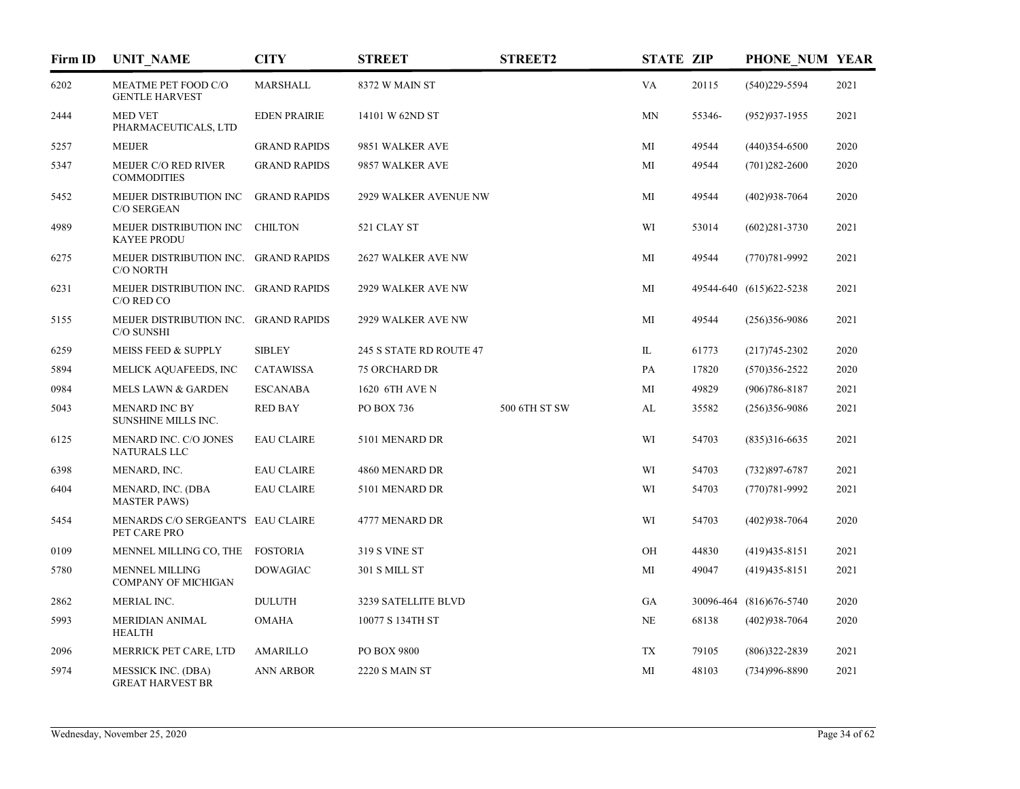| Firm ID | <b>UNIT NAME</b>                                     | <b>CITY</b>         | <b>STREET</b>           | <b>STREET2</b> | <b>STATE ZIP</b> |        | PHONE NUM YEAR          |      |
|---------|------------------------------------------------------|---------------------|-------------------------|----------------|------------------|--------|-------------------------|------|
| 6202    | MEATME PET FOOD C/O<br><b>GENTLE HARVEST</b>         | <b>MARSHALL</b>     | 8372 W MAIN ST          |                | VA               | 20115  | $(540)229 - 5594$       | 2021 |
| 2444    | <b>MED VET</b><br>PHARMACEUTICALS, LTD               | <b>EDEN PRAIRIE</b> | 14101 W 62ND ST         |                | MN               | 55346- | $(952)937-1955$         | 2021 |
| 5257    | <b>MEIJER</b>                                        | <b>GRAND RAPIDS</b> | 9851 WALKER AVE         |                | MI               | 49544  | $(440)354-6500$         | 2020 |
| 5347    | <b>MEIJER C/O RED RIVER</b><br><b>COMMODITIES</b>    | <b>GRAND RAPIDS</b> | 9857 WALKER AVE         |                | MI               | 49544  | $(701)282 - 2600$       | 2020 |
| 5452    | MEIJER DISTRIBUTION INC<br>C/O SERGEAN               | <b>GRAND RAPIDS</b> | 2929 WALKER AVENUE NW   |                | MI               | 49544  | $(402)938 - 7064$       | 2020 |
| 4989    | MEIJER DISTRIBUTION INC<br><b>KAYEE PRODU</b>        | <b>CHILTON</b>      | 521 CLAY ST             |                | WI               | 53014  | $(602)281 - 3730$       | 2021 |
| 6275    | MEIJER DISTRIBUTION INC. GRAND RAPIDS<br>C/O NORTH   |                     | 2627 WALKER AVE NW      |                | MI               | 49544  | $(770)781 - 9992$       | 2021 |
| 6231    | MEIJER DISTRIBUTION INC. GRAND RAPIDS<br>C/O RED CO  |                     | 2929 WALKER AVE NW      |                | MI               |        | 49544-640 (615)622-5238 | 2021 |
| 5155    | MEIJER DISTRIBUTION INC. GRAND RAPIDS<br>C/O SUNSHI  |                     | 2929 WALKER AVE NW      |                | MI               | 49544  | $(256)356-9086$         | 2021 |
| 6259    | <b>MEISS FEED &amp; SUPPLY</b>                       | <b>SIBLEY</b>       | 245 S STATE RD ROUTE 47 |                | IL               | 61773  | $(217)745 - 2302$       | 2020 |
| 5894    | MELICK AQUAFEEDS, INC                                | <b>CATAWISSA</b>    | <b>75 ORCHARD DR</b>    |                | PA               | 17820  | $(570)356 - 2522$       | 2020 |
| 0984    | <b>MELS LAWN &amp; GARDEN</b>                        | <b>ESCANABA</b>     | 1620 6TH AVE N          |                | MI               | 49829  | $(906)786 - 8187$       | 2021 |
| 5043    | <b>MENARD INC BY</b><br>SUNSHINE MILLS INC.          | <b>RED BAY</b>      | PO BOX 736              | 500 6TH ST SW  | AL               | 35582  | $(256)356-9086$         | 2021 |
| 6125    | MENARD INC. C/O JONES<br><b>NATURALS LLC</b>         | <b>EAU CLAIRE</b>   | 5101 MENARD DR          |                | WI               | 54703  | $(835)316-6635$         | 2021 |
| 6398    | MENARD, INC.                                         | <b>EAU CLAIRE</b>   | 4860 MENARD DR          |                | WI               | 54703  | $(732)897 - 6787$       | 2021 |
| 6404    | MENARD, INC. (DBA<br><b>MASTER PAWS)</b>             | <b>EAU CLAIRE</b>   | 5101 MENARD DR          |                | WI               | 54703  | $(770)781 - 9992$       | 2021 |
| 5454    | MENARDS C/O SERGEANT'S EAU CLAIRE<br>PET CARE PRO    |                     | 4777 MENARD DR          |                | WI               | 54703  | $(402)938-7064$         | 2020 |
| 0109    | MENNEL MILLING CO, THE                               | <b>FOSTORIA</b>     | <b>319 S VINE ST</b>    |                | OH               | 44830  | $(419)435 - 8151$       | 2021 |
| 5780    | <b>MENNEL MILLING</b><br><b>COMPANY OF MICHIGAN</b>  | <b>DOWAGIAC</b>     | 301 S MILL ST           |                | MI               | 49047  | $(419)435 - 8151$       | 2021 |
| 2862    | MERIAL INC.                                          | <b>DULUTH</b>       | 3239 SATELLITE BLVD     |                | GA               |        | 30096-464 (816)676-5740 | 2020 |
| 5993    | <b>MERIDIAN ANIMAL</b><br><b>HEALTH</b>              | <b>OMAHA</b>        | 10077 S 134TH ST        |                | <b>NE</b>        | 68138  | $(402)938 - 7064$       | 2020 |
| 2096    | MERRICK PET CARE, LTD                                | <b>AMARILLO</b>     | PO BOX 9800             |                | <b>TX</b>        | 79105  | $(806)322 - 2839$       | 2021 |
| 5974    | <b>MESSICK INC. (DBA)</b><br><b>GREAT HARVEST BR</b> | <b>ANN ARBOR</b>    | <b>2220 S MAIN ST</b>   |                | MI               | 48103  | $(734)996 - 8890$       | 2021 |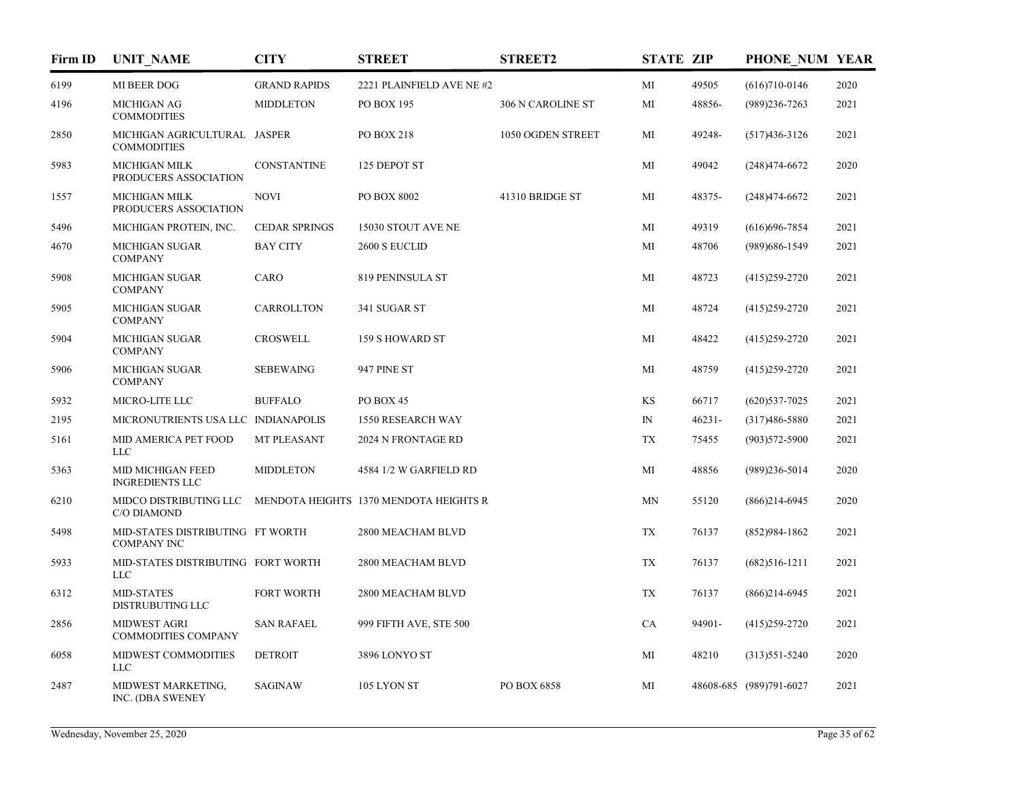| Firm ID | <b>UNIT NAME</b>                                                             | <b>CITY</b>          | <b>STREET</b>             | <b>STREET2</b>    | <b>STATE ZIP</b> |           | PHONE NUM YEAR          |      |
|---------|------------------------------------------------------------------------------|----------------------|---------------------------|-------------------|------------------|-----------|-------------------------|------|
| 6199    | MI BEER DOG                                                                  | <b>GRAND RAPIDS</b>  | 2221 PLAINFIELD AVE NE #2 |                   | MI               | 49505     | $(616)710-0146$         | 2020 |
| 4196    | <b>MICHIGAN AG</b><br><b>COMMODITIES</b>                                     | <b>MIDDLETON</b>     | PO BOX 195                | 306 N CAROLINE ST | MI               | 48856-    | $(989)$ 236-7263        | 2021 |
| 2850    | MICHIGAN AGRICULTURAL JASPER<br><b>COMMODITIES</b>                           |                      | PO BOX 218                | 1050 OGDEN STREET | MI               | 49248-    | $(517)436-3126$         | 2021 |
| 5983    | <b>MICHIGAN MILK</b><br>PRODUCERS ASSOCIATION                                | <b>CONSTANTINE</b>   | 125 DEPOT ST              |                   | MI               | 49042     | $(248)474-6672$         | 2020 |
| 1557    | <b>MICHIGAN MILK</b><br>PRODUCERS ASSOCIATION                                | <b>NOVI</b>          | PO BOX 8002               | 41310 BRIDGE ST   | MI               | 48375-    | $(248)474-6672$         | 2021 |
| 5496    | MICHIGAN PROTEIN, INC.                                                       | <b>CEDAR SPRINGS</b> | 15030 STOUT AVE NE        |                   | MI               | 49319     | $(616)696 - 7854$       | 2021 |
| 4670    | <b>MICHIGAN SUGAR</b><br><b>COMPANY</b>                                      | <b>BAY CITY</b>      | 2600 S EUCLID             |                   | MI               | 48706     | (989) 686-1549          | 2021 |
| 5908    | <b>MICHIGAN SUGAR</b><br><b>COMPANY</b>                                      | CARO                 | 819 PENINSULA ST          |                   | MI               | 48723     | $(415)259-2720$         | 2021 |
| 5905    | <b>MICHIGAN SUGAR</b><br><b>COMPANY</b>                                      | CARROLLTON           | 341 SUGAR ST              |                   | MI               | 48724     | $(415)259-2720$         | 2021 |
| 5904    | <b>MICHIGAN SUGAR</b><br><b>COMPANY</b>                                      | <b>CROSWELL</b>      | 159 S HOWARD ST           |                   | MI               | 48422     | $(415)259 - 2720$       | 2021 |
| 5906    | <b>MICHIGAN SUGAR</b><br><b>COMPANY</b>                                      | <b>SEBEWAING</b>     | 947 PINE ST               |                   | MI               | 48759     | $(415)259-2720$         | 2021 |
| 5932    | MICRO-LITE LLC                                                               | <b>BUFFALO</b>       | PO BOX 45                 |                   | KS               | 66717     | $(620)$ 537-7025        | 2021 |
| 2195    | MICRONUTRIENTS USA LLC INDIANAPOLIS                                          |                      | 1550 RESEARCH WAY         |                   | $I\!N$           | $46231 -$ | $(317)486 - 5880$       | 2021 |
| 5161    | MID AMERICA PET FOOD<br><b>LLC</b>                                           | <b>MT PLEASANT</b>   | 2024 N FRONTAGE RD        |                   | <b>TX</b>        | 75455     | $(903)572 - 5900$       | 2021 |
| 5363    | MID MICHIGAN FEED<br><b>INGREDIENTS LLC</b>                                  | <b>MIDDLETON</b>     | 4584 1/2 W GARFIELD RD    |                   | MI               | 48856     | $(989)$ 236-5014        | 2020 |
| 6210    | MIDCO DISTRIBUTING LLC MENDOTA HEIGHTS 1370 MENDOTA HEIGHTS R<br>C/O DIAMOND |                      |                           |                   | MN               | 55120     | $(866)$ 214-6945        | 2020 |
| 5498    | MID-STATES DISTRIBUTING FT WORTH<br><b>COMPANY INC</b>                       |                      | 2800 MEACHAM BLVD         |                   | TX               | 76137     | $(852)984-1862$         | 2021 |
| 5933    | MID-STATES DISTRIBUTING FORT WORTH<br><b>LLC</b>                             |                      | 2800 MEACHAM BLVD         |                   | TX               | 76137     | $(682)516-1211$         | 2021 |
| 6312    | <b>MID-STATES</b><br><b>DISTRUBUTING LLC</b>                                 | <b>FORT WORTH</b>    | 2800 MEACHAM BLVD         |                   | TX               | 76137     | $(866)$ 214-6945        | 2021 |
| 2856    | <b>MIDWEST AGRI</b><br>COMMODITIES COMPANY                                   | <b>SAN RAFAEL</b>    | 999 FIFTH AVE, STE 500    |                   | CA               | 94901-    | $(415)259-2720$         | 2021 |
| 6058    | MIDWEST COMMODITIES<br><b>LLC</b>                                            | <b>DETROIT</b>       | 3896 LONYO ST             |                   | MI               | 48210     | $(313)551 - 5240$       | 2020 |
| 2487    | MIDWEST MARKETING,<br>INC. (DBA SWENEY                                       | <b>SAGINAW</b>       | 105 LYON ST               | PO BOX 6858       | MI               |           | 48608-685 (989)791-6027 | 2021 |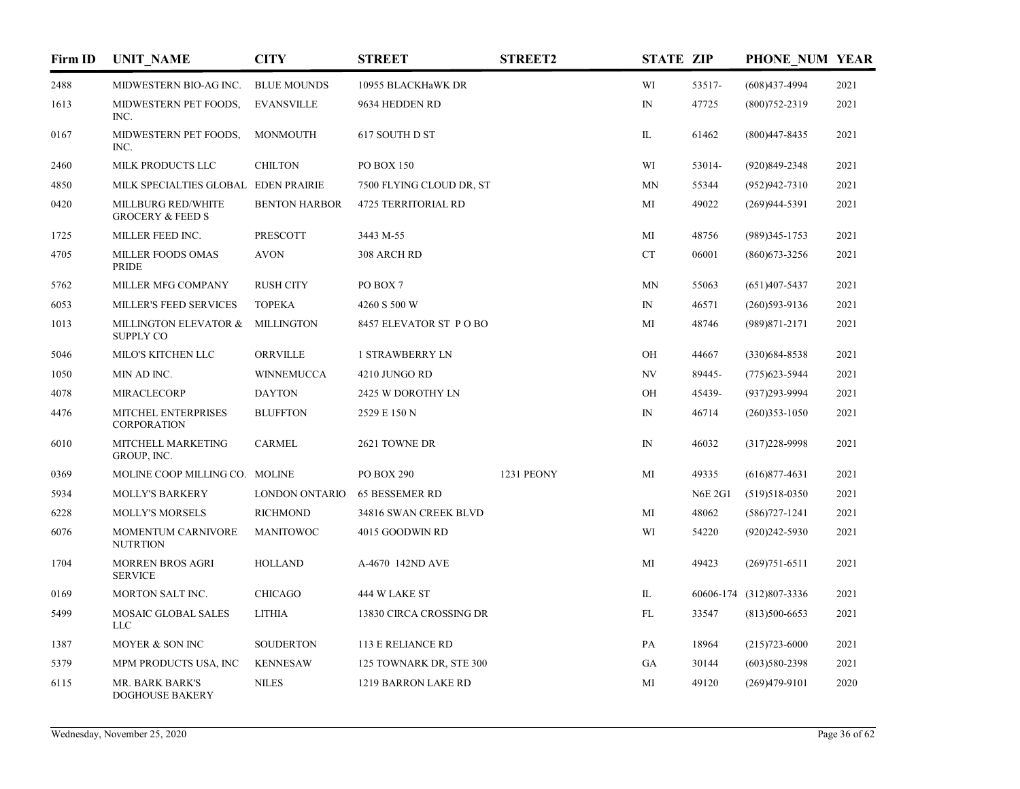| Firm ID | <b>UNIT NAME</b>                                  | <b>CITY</b>           | <b>STREET</b>              | <b>STREET2</b> | <b>STATE ZIP</b> |                | PHONE NUM YEAR          |      |
|---------|---------------------------------------------------|-----------------------|----------------------------|----------------|------------------|----------------|-------------------------|------|
| 2488    | MIDWESTERN BIO-AG INC.                            | <b>BLUE MOUNDS</b>    | 10955 BLACKHaWK DR         |                | WI               | 53517-         | $(608)437-4994$         | 2021 |
| 1613    | MIDWESTERN PET FOODS,<br>INC.                     | <b>EVANSVILLE</b>     | 9634 HEDDEN RD             |                | ${\rm IN}$       | 47725          | $(800)752 - 2319$       | 2021 |
| 0167    | MIDWESTERN PET FOODS,<br>INC.                     | <b>MONMOUTH</b>       | 617 SOUTH D ST             |                | IL               | 61462          | $(800)447 - 8435$       | 2021 |
| 2460    | MILK PRODUCTS LLC                                 | <b>CHILTON</b>        | <b>PO BOX 150</b>          |                | WI               | 53014-         | $(920)849 - 2348$       | 2021 |
| 4850    | MILK SPECIALTIES GLOBAL EDEN PRAIRIE              |                       | 7500 FLYING CLOUD DR, ST   |                | MN               | 55344          | $(952)942 - 7310$       | 2021 |
| 0420    | MILLBURG RED/WHITE<br><b>GROCERY &amp; FEED S</b> | <b>BENTON HARBOR</b>  | <b>4725 TERRITORIAL RD</b> |                | МI               | 49022          | $(269)944-5391$         | 2021 |
| 1725    | MILLER FEED INC.                                  | <b>PRESCOTT</b>       | 3443 M-55                  |                | MI               | 48756          | $(989)345 - 1753$       | 2021 |
| 4705    | MILLER FOODS OMAS<br>PRIDE                        | <b>AVON</b>           | 308 ARCH RD                |                | CT               | 06001          | $(860)$ 673-3256        | 2021 |
| 5762    | MILLER MFG COMPANY                                | <b>RUSH CITY</b>      | PO BOX 7                   |                | MN               | 55063          | $(651)407 - 5437$       | 2021 |
| 6053    | <b>MILLER'S FEED SERVICES</b>                     | <b>TOPEKA</b>         | 4260 S 500 W               |                | ${\rm IN}$       | 46571          | $(260)593-9136$         | 2021 |
| 1013    | MILLINGTON ELEVATOR &<br><b>SUPPLY CO</b>         | <b>MILLINGTON</b>     | 8457 ELEVATOR ST POBO      |                | MI               | 48746          | $(989)871 - 2171$       | 2021 |
| 5046    | MILO'S KITCHEN LLC                                | ORRVILLE              | <b>1 STRAWBERRY LN</b>     |                | OH               | 44667          | $(330)684 - 8538$       | 2021 |
| 1050    | MIN AD INC.                                       | <b>WINNEMUCCA</b>     | 4210 JUNGO RD              |                | NV               | 89445-         | $(775)$ 623-5944        | 2021 |
| 4078    | <b>MIRACLECORP</b>                                | <b>DAYTON</b>         | 2425 W DOROTHY LN          |                | OH               | 45439-         | (937)293-9994           | 2021 |
| 4476    | MITCHEL ENTERPRISES<br><b>CORPORATION</b>         | <b>BLUFFTON</b>       | 2529 E 150 N               |                | ${\rm IN}$       | 46714          | $(260)353 - 1050$       | 2021 |
| 6010    | MITCHELL MARKETING<br>GROUP, INC.                 | <b>CARMEL</b>         | 2621 TOWNE DR              |                | ${\rm IN}$       | 46032          | $(317)228-9998$         | 2021 |
| 0369    | MOLINE COOP MILLING CO. MOLINE                    |                       | <b>PO BOX 290</b>          | 1231 PEONY     | MI               | 49335          | $(616)877-4631$         | 2021 |
| 5934    | <b>MOLLY'S BARKERY</b>                            | <b>LONDON ONTARIO</b> | <b>65 BESSEMER RD</b>      |                |                  | <b>N6E 2G1</b> | $(519)518-0350$         | 2021 |
| 6228    | <b>MOLLY'S MORSELS</b>                            | <b>RICHMOND</b>       | 34816 SWAN CREEK BLVD      |                | MI               | 48062          | $(586)727 - 1241$       | 2021 |
| 6076    | MOMENTUM CARNIVORE<br><b>NUTRTION</b>             | <b>MANITOWOC</b>      | 4015 GOODWIN RD            |                | WI               | 54220          | $(920)242 - 5930$       | 2021 |
| 1704    | <b>MORREN BROS AGRI</b><br><b>SERVICE</b>         | <b>HOLLAND</b>        | A-4670 142ND AVE           |                | MI               | 49423          | $(269)751-6511$         | 2021 |
| 0169    | MORTON SALT INC.                                  | <b>CHICAGO</b>        | 444 W LAKE ST              |                | IL               |                | 60606-174 (312)807-3336 | 2021 |
| 5499    | MOSAIC GLOBAL SALES<br><b>LLC</b>                 | <b>LITHIA</b>         | 13830 CIRCA CROSSING DR    |                | FL               | 33547          | $(813)500-6653$         | 2021 |
| 1387    | MOYER & SON INC                                   | <b>SOUDERTON</b>      | <b>113 E RELIANCE RD</b>   |                | PA               | 18964          | $(215)723 - 6000$       | 2021 |
| 5379    | MPM PRODUCTS USA, INC                             | <b>KENNESAW</b>       | 125 TOWNARK DR, STE 300    |                | GA               | 30144          | $(603)580-2398$         | 2021 |
| 6115    | <b>MR. BARK BARK'S</b><br><b>DOGHOUSE BAKERY</b>  | <b>NILES</b>          | 1219 BARRON LAKE RD        |                | MI               | 49120          | $(269)479-9101$         | 2020 |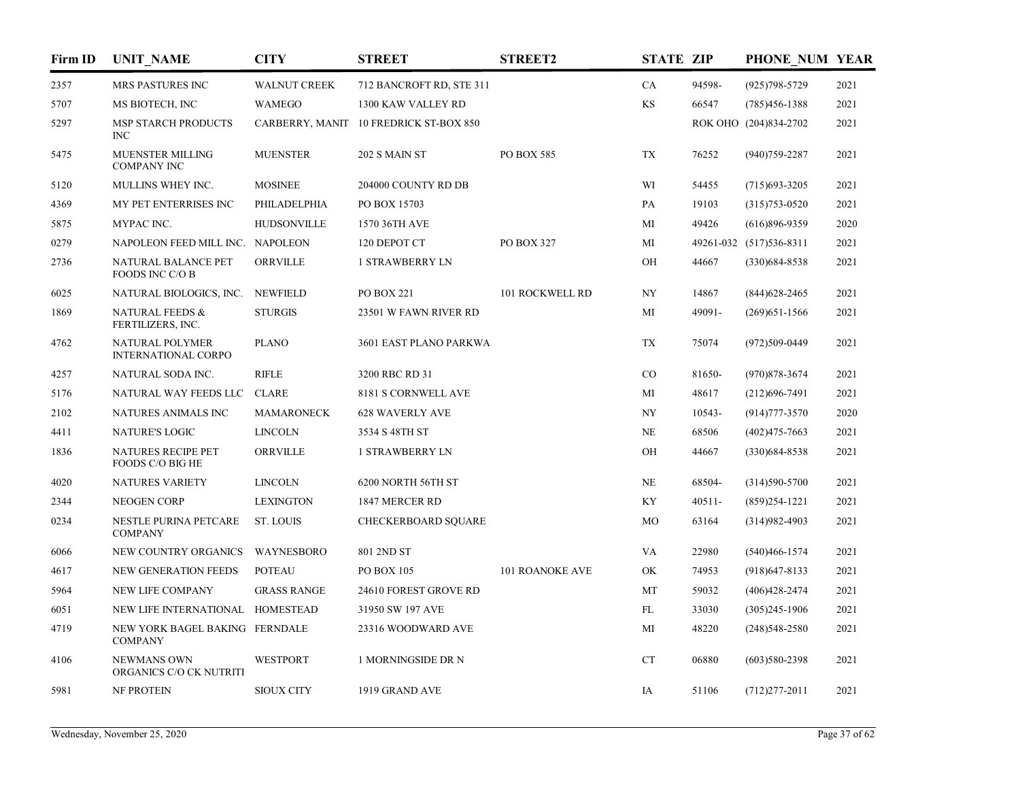| Firm ID | <b>UNIT NAME</b>                                 | <b>CITY</b>         | <b>STREET</b>                          | <b>STREET2</b>         | <b>STATE ZIP</b> |           | PHONE NUM YEAR          |      |
|---------|--------------------------------------------------|---------------------|----------------------------------------|------------------------|------------------|-----------|-------------------------|------|
| 2357    | <b>MRS PASTURES INC</b>                          | <b>WALNUT CREEK</b> | 712 BANCROFT RD, STE 311               |                        | CA               | 94598-    | $(925)798 - 5729$       | 2021 |
| 5707    | MS BIOTECH, INC                                  | <b>WAMEGO</b>       | 1300 KAW VALLEY RD                     |                        | $\mathbf{KS}$    | 66547     | $(785)456 - 1388$       | 2021 |
| 5297    | MSP STARCH PRODUCTS<br>INC                       |                     | CARBERRY, MANIT 10 FREDRICK ST-BOX 850 |                        |                  |           | ROK OHO (204)834-2702   | 2021 |
| 5475    | <b>MUENSTER MILLING</b><br><b>COMPANY INC</b>    | <b>MUENSTER</b>     | 202 S MAIN ST                          | PO BOX 585             | TX               | 76252     | $(940)759 - 2287$       | 2021 |
| 5120    | MULLINS WHEY INC.                                | <b>MOSINEE</b>      | 204000 COUNTY RD DB                    |                        | WI               | 54455     | $(715)693 - 3205$       | 2021 |
| 4369    | MY PET ENTERRISES INC                            | PHILADELPHIA        | PO BOX 15703                           |                        | PA               | 19103     | $(315)753 - 0520$       | 2021 |
| 5875    | MYPAC INC.                                       | <b>HUDSONVILLE</b>  | 1570 36TH AVE                          |                        | МI               | 49426     | $(616)896 - 9359$       | 2020 |
| 0279    | NAPOLEON FEED MILL INC. NAPOLEON                 |                     | 120 DEPOT CT                           | PO BOX 327             | МI               |           | 49261-032 (517)536-8311 | 2021 |
| 2736    | NATURAL BALANCE PET<br>FOODS INC C/O B           | ORRVILLE            | 1 STRAWBERRY LN                        |                        | OH               | 44667     | $(330)684 - 8538$       | 2021 |
| 6025    | NATURAL BIOLOGICS, INC.                          | <b>NEWFIELD</b>     | PO BOX 221                             | 101 ROCKWELL RD        | NY               | 14867     | $(844)628 - 2465$       | 2021 |
| 1869    | <b>NATURAL FEEDS &amp;</b><br>FERTILIZERS, INC.  | <b>STURGIS</b>      | 23501 W FAWN RIVER RD                  |                        | МI               | 49091-    | $(269)$ 651-1566        | 2021 |
| 4762    | NATURAL POLYMER<br>INTERNATIONAL CORPO           | <b>PLANO</b>        | 3601 EAST PLANO PARKWA                 |                        | TX               | 75074     | $(972)509 - 0449$       | 2021 |
| 4257    | NATURAL SODA INC.                                | <b>RIFLE</b>        | 3200 RBC RD 31                         |                        | CO               | 81650-    | $(970)878 - 3674$       | 2021 |
| 5176    | NATURAL WAY FEEDS LLC                            | <b>CLARE</b>        | 8181 S CORNWELL AVE                    |                        | МI               | 48617     | $(212)696 - 7491$       | 2021 |
| 2102    | NATURES ANIMALS INC                              | <b>MAMARONECK</b>   | 628 WAVERLY AVE                        |                        | NY               | 10543-    | $(914)777 - 3570$       | 2020 |
| 4411    | <b>NATURE'S LOGIC</b>                            | <b>LINCOLN</b>      | 3534 S 48TH ST                         |                        | <b>NE</b>        | 68506     | $(402)475 - 7663$       | 2021 |
| 1836    | NATURES RECIPE PET<br>FOODS C/O BIG HE           | ORRVILLE            | <b>1 STRAWBERRY LN</b>                 |                        | OH               | 44667     | $(330)684 - 8538$       | 2021 |
| 4020    | <b>NATURES VARIETY</b>                           | <b>LINCOLN</b>      | 6200 NORTH 56TH ST                     |                        | NE               | 68504-    | $(314)590 - 5700$       | 2021 |
| 2344    | <b>NEOGEN CORP</b>                               | <b>LEXINGTON</b>    | 1847 MERCER RD                         |                        | KY               | $40511 -$ | $(859)254-1221$         | 2021 |
| 0234    | NESTLE PURINA PETCARE<br><b>COMPANY</b>          | ST. LOUIS           | CHECKERBOARD SQUARE                    |                        | MO               | 63164     | $(314)982 - 4903$       | 2021 |
| 6066    | NEW COUNTRY ORGANICS                             | WAYNESBORO          | 801 2ND ST                             |                        | VA               | 22980     | $(540)466 - 1574$       | 2021 |
| 4617    | NEW GENERATION FEEDS                             | <b>POTEAU</b>       | PO BOX 105                             | <b>101 ROANOKE AVE</b> | OK               | 74953     | $(918)$ 647-8133        | 2021 |
| 5964    | NEW LIFE COMPANY                                 | <b>GRASS RANGE</b>  | 24610 FOREST GROVE RD                  |                        | MT               | 59032     | $(406)428 - 2474$       | 2021 |
| 6051    | NEW LIFE INTERNATIONAL                           | <b>HOMESTEAD</b>    | 31950 SW 197 AVE                       |                        | FL               | 33030     | $(305)245-1906$         | 2021 |
| 4719    | NEW YORK BAGEL BAKING FERNDALE<br><b>COMPANY</b> |                     | 23316 WOODWARD AVE                     |                        | MI               | 48220     | $(248)548 - 2580$       | 2021 |
| 4106    | NEWMANS OWN<br>ORGANICS C/O CK NUTRITI           | <b>WESTPORT</b>     | 1 MORNINGSIDE DR N                     |                        | CT               | 06880     | $(603)580-2398$         | 2021 |
| 5981    | NF PROTEIN                                       | <b>SIOUX CITY</b>   | 1919 GRAND AVE                         |                        | IA               | 51106     | $(712)277 - 2011$       | 2021 |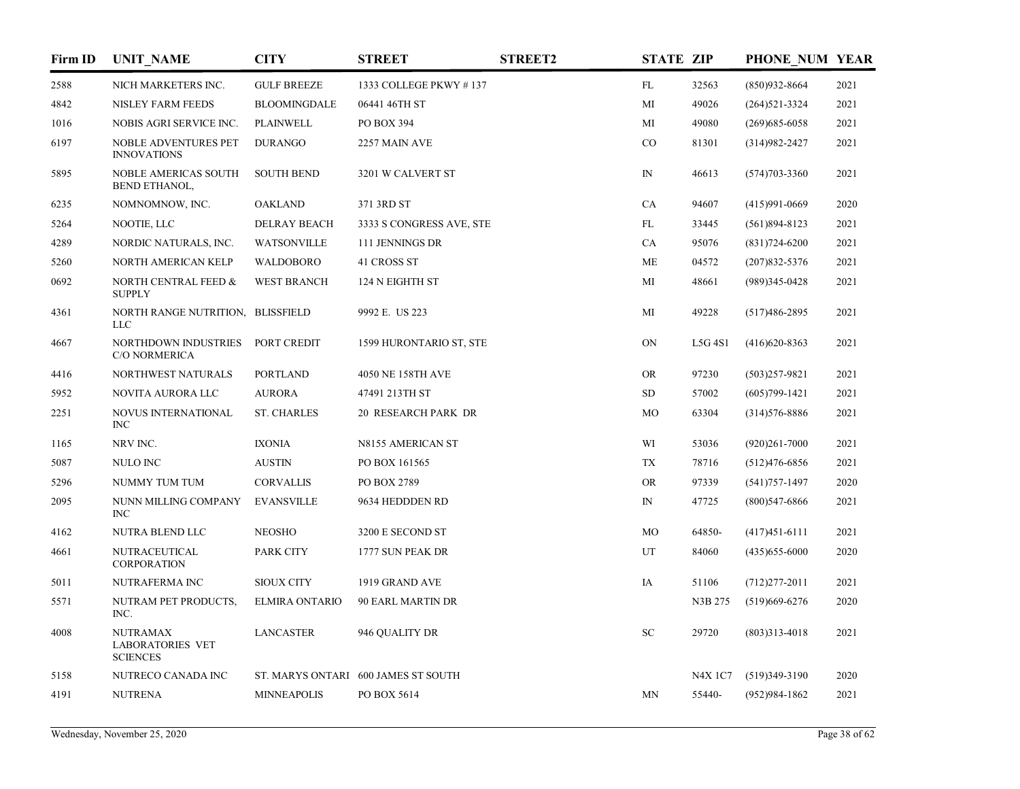| Firm ID | <b>UNIT NAME</b>                                              | <b>CITY</b>           | <b>STREET</b>                       | <b>STREET2</b> | <b>STATE ZIP</b> |               | PHONE NUM YEAR    |      |
|---------|---------------------------------------------------------------|-----------------------|-------------------------------------|----------------|------------------|---------------|-------------------|------|
| 2588    | NICH MARKETERS INC.                                           | <b>GULF BREEZE</b>    | 1333 COLLEGE PKWY #137              |                | FL               | 32563         | $(850)932 - 8664$ | 2021 |
| 4842    | NISLEY FARM FEEDS                                             | <b>BLOOMINGDALE</b>   | 06441 46TH ST                       |                | MI               | 49026         | $(264)521 - 3324$ | 2021 |
| 1016    | NOBIS AGRI SERVICE INC.                                       | <b>PLAINWELL</b>      | PO BOX 394                          |                | MI               | 49080         | $(269)$ 685-6058  | 2021 |
| 6197    | NOBLE ADVENTURES PET<br><b>INNOVATIONS</b>                    | <b>DURANGO</b>        | 2257 MAIN AVE                       |                | $\rm CO$         | 81301         | $(314)982 - 2427$ | 2021 |
| 5895    | NOBLE AMERICAS SOUTH<br><b>BEND ETHANOL,</b>                  | <b>SOUTH BEND</b>     | 3201 W CALVERT ST                   |                | $\mathbb{N}$     | 46613         | $(574)703 - 3360$ | 2021 |
| 6235    | NOMNOMNOW, INC.                                               | <b>OAKLAND</b>        | 371 3RD ST                          |                | CA               | 94607         | $(415)991 - 0669$ | 2020 |
| 5264    | NOOTIE, LLC                                                   | <b>DELRAY BEACH</b>   | 3333 S CONGRESS AVE, STE            |                | FL               | 33445         | $(561)894 - 8123$ | 2021 |
| 4289    | NORDIC NATURALS, INC.                                         | WATSONVILLE           | 111 JENNINGS DR                     |                | CA               | 95076         | $(831)724 - 6200$ | 2021 |
| 5260    | NORTH AMERICAN KELP                                           | WALDOBORO             | 41 CROSS ST                         |                | ME               | 04572         | $(207)832 - 5376$ | 2021 |
| 0692    | NORTH CENTRAL FEED &<br><b>SUPPLY</b>                         | <b>WEST BRANCH</b>    | 124 N EIGHTH ST                     |                | MI               | 48661         | $(989)345-0428$   | 2021 |
| 4361    | NORTH RANGE NUTRITION, BLISSFIELD<br><b>LLC</b>               |                       | 9992 E. US 223                      |                | MI               | 49228         | $(517)486 - 2895$ | 2021 |
| 4667    | NORTHDOWN INDUSTRIES<br>C/O NORMERICA                         | PORT CREDIT           | 1599 HURONTARIO ST, STE             |                | ON               | L5G 4S1       | $(416)620 - 8363$ | 2021 |
| 4416    | NORTHWEST NATURALS                                            | <b>PORTLAND</b>       | 4050 NE 158TH AVE                   |                | <b>OR</b>        | 97230         | $(503)257-9821$   | 2021 |
| 5952    | NOVITA AURORA LLC                                             | <b>AURORA</b>         | 47491 213TH ST                      |                | SD               | 57002         | $(605)799 - 1421$ | 2021 |
| 2251    | NOVUS INTERNATIONAL<br>INC                                    | <b>ST. CHARLES</b>    | 20 RESEARCH PARK DR                 |                | MO               | 63304         | $(314)576 - 8886$ | 2021 |
| 1165    | NRV INC.                                                      | <b>IXONIA</b>         | N8155 AMERICAN ST                   |                | WI               | 53036         | $(920)261 - 7000$ | 2021 |
| 5087    | NULO INC                                                      | <b>AUSTIN</b>         | PO BOX 161565                       |                | TX               | 78716         | $(512)476-6856$   | 2021 |
| 5296    | NUMMY TUM TUM                                                 | <b>CORVALLIS</b>      | PO BOX 2789                         |                | <b>OR</b>        | 97339         | $(541)757 - 1497$ | 2020 |
| 2095    | NUNN MILLING COMPANY<br>INC                                   | <b>EVANSVILLE</b>     | 9634 HEDDDEN RD                     |                | $\mathbb{N}$     | 47725         | $(800)$ 547-6866  | 2021 |
| 4162    | NUTRA BLEND LLC                                               | <b>NEOSHO</b>         | 3200 E SECOND ST                    |                | MO               | 64850-        | $(417)451-6111$   | 2021 |
| 4661    | NUTRACEUTICAL<br>CORPORATION                                  | PARK CITY             | 1777 SUN PEAK DR                    |                | UT               | 84060         | $(435)$ 655-6000  | 2020 |
| 5011    | NUTRAFERMA INC                                                | <b>SIOUX CITY</b>     | 1919 GRAND AVE                      |                | IA               | 51106         | $(712)277 - 2011$ | 2021 |
| 5571    | NUTRAM PET PRODUCTS,<br>INC.                                  | <b>ELMIRA ONTARIO</b> | 90 EARL MARTIN DR                   |                |                  | N3B 275       | $(519)$ 669-6276  | 2020 |
| 4008    | <b>NUTRAMAX</b><br><b>LABORATORIES VET</b><br><b>SCIENCES</b> | <b>LANCASTER</b>      | 946 QUALITY DR                      |                | SC               | 29720         | $(803)313 - 4018$ | 2021 |
| 5158    | NUTRECO CANADA INC                                            |                       | ST. MARYS ONTARI 600 JAMES ST SOUTH |                |                  | <b>N4X1C7</b> | $(519)349-3190$   | 2020 |
| 4191    | <b>NUTRENA</b>                                                | <b>MINNEAPOLIS</b>    | PO BOX 5614                         |                | MN               | 55440-        | $(952)984-1862$   | 2021 |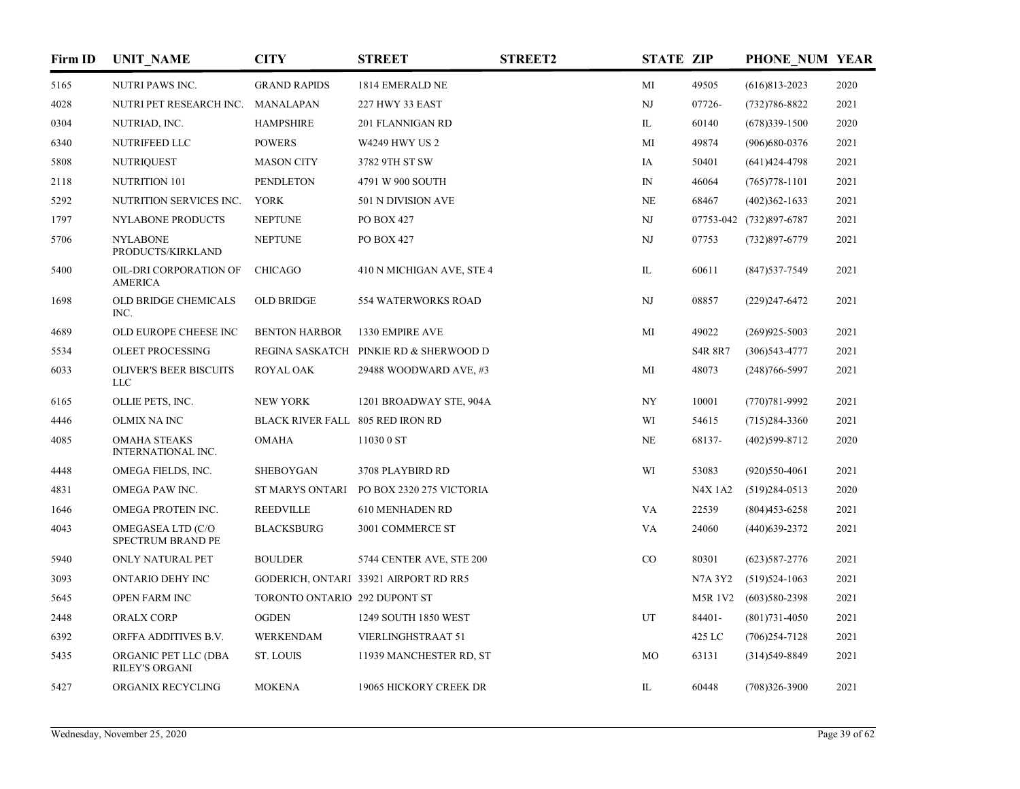| Firm ID | <b>UNIT_NAME</b>                                 | <b>CITY</b>                      | <b>STREET</b>                          | <b>STREET2</b> | <b>STATE ZIP</b> |                | PHONE NUM YEAR          |      |
|---------|--------------------------------------------------|----------------------------------|----------------------------------------|----------------|------------------|----------------|-------------------------|------|
| 5165    | <b>NUTRI PAWS INC.</b>                           | <b>GRAND RAPIDS</b>              | 1814 EMERALD NE                        |                | MI               | 49505          | $(616)813 - 2023$       | 2020 |
| 4028    | NUTRI PET RESEARCH INC. MANALAPAN                |                                  | 227 HWY 33 EAST                        |                | NJ               | 07726-         | (732) 786-8822          | 2021 |
| 0304    | NUTRIAD, INC.                                    | <b>HAMPSHIRE</b>                 | 201 FLANNIGAN RD                       |                | IL               | 60140          | $(678)339-1500$         | 2020 |
| 6340    | <b>NUTRIFEED LLC</b>                             | <b>POWERS</b>                    | <b>W4249 HWY US 2</b>                  |                | MI               | 49874          | $(906)680-0376$         | 2021 |
| 5808    | <b>NUTRIQUEST</b>                                | <b>MASON CITY</b>                | 3782 9TH ST SW                         |                | IA               | 50401          | $(641)424 - 4798$       | 2021 |
| 2118    | NUTRITION 101                                    | <b>PENDLETON</b>                 | 4791 W 900 SOUTH                       |                | $\mathbb{N}$     | 46064          | $(765)778-1101$         | 2021 |
| 5292    | NUTRITION SERVICES INC.                          | <b>YORK</b>                      | 501 N DIVISION AVE                     |                | $\rm NE$         | 68467          | $(402)362 - 1633$       | 2021 |
| 1797    | NYLABONE PRODUCTS                                | <b>NEPTUNE</b>                   | PO BOX 427                             |                | NJ               |                | 07753-042 (732)897-6787 | 2021 |
| 5706    | <b>NYLABONE</b><br>PRODUCTS/KIRKLAND             | <b>NEPTUNE</b>                   | PO BOX 427                             |                | NJ               | 07753          | $(732)897 - 6779$       | 2021 |
| 5400    | OIL-DRI CORPORATION OF<br><b>AMERICA</b>         | <b>CHICAGO</b>                   | 410 N MICHIGAN AVE, STE 4              |                | IL               | 60611          | $(847)$ 537-7549        | 2021 |
| 1698    | <b>OLD BRIDGE CHEMICALS</b><br>INC.              | OLD BRIDGE                       | <b>554 WATERWORKS ROAD</b>             |                | NJ               | 08857          | $(229)$ 247-6472        | 2021 |
| 4689    | OLD EUROPE CHEESE INC                            | <b>BENTON HARBOR</b>             | 1330 EMPIRE AVE                        |                | MI               | 49022          | $(269)925 - 5003$       | 2021 |
| 5534    | <b>OLEET PROCESSING</b>                          |                                  | REGINA SASKATCH PINKIE RD & SHERWOOD D |                |                  | <b>S4R 8R7</b> | $(306)543 - 4777$       | 2021 |
| 6033    | <b>OLIVER'S BEER BISCUITS</b><br><b>LLC</b>      | ROYAL OAK                        | 29488 WOODWARD AVE, #3                 |                | MI               | 48073          | $(248)766 - 5997$       | 2021 |
| 6165    | OLLIE PETS, INC.                                 | <b>NEW YORK</b>                  | 1201 BROADWAY STE, 904A                |                | NY               | 10001          | $(770)781 - 9992$       | 2021 |
| 4446    | OLMIX NA INC                                     | BLACK RIVER FALL 805 RED IRON RD |                                        |                | WI               | 54615          | $(715)284-3360$         | 2021 |
| 4085    | <b>OMAHA STEAKS</b><br><b>INTERNATIONAL INC.</b> | <b>OMAHA</b>                     | 11030 0 ST                             |                | <b>NE</b>        | 68137-         | $(402)599-8712$         | 2020 |
| 4448    | OMEGA FIELDS, INC.                               | <b>SHEBOYGAN</b>                 | 3708 PLAYBIRD RD                       |                | WI               | 53083          | $(920)550-4061$         | 2021 |
| 4831    | OMEGA PAW INC.                                   | ST MARYS ONTARI                  | PO BOX 2320 275 VICTORIA               |                |                  | <b>N4X 1A2</b> | $(519)284-0513$         | 2020 |
| 1646    | OMEGA PROTEIN INC.                               | <b>REEDVILLE</b>                 | <b>610 MENHADEN RD</b>                 |                | VA               | 22539          | $(804)453 - 6258$       | 2021 |
| 4043    | OMEGASEA LTD (C/O<br>SPECTRUM BRAND PE           | <b>BLACKSBURG</b>                | 3001 COMMERCE ST                       |                | VA               | 24060          | $(440)$ 639-2372        | 2021 |
| 5940    | ONLY NATURAL PET                                 | <b>BOULDER</b>                   | 5744 CENTER AVE, STE 200               |                | $_{\rm CO}$      | 80301          | $(623)$ 587-2776        | 2021 |
| 3093    | ONTARIO DEHY INC                                 |                                  | GODERICH, ONTARI 33921 AIRPORT RD RR5  |                |                  | N7A 3Y2        | $(519)524-1063$         | 2021 |
| 5645    | OPEN FARM INC                                    | TORONTO ONTARIO 292 DUPONT ST    |                                        |                |                  | <b>M5R 1V2</b> | $(603)580-2398$         | 2021 |
| 2448    | <b>ORALX CORP</b>                                | <b>OGDEN</b>                     | 1249 SOUTH 1850 WEST                   |                | UT               | 84401-         | $(801)731 - 4050$       | 2021 |
| 6392    | ORFFA ADDITIVES B.V.                             | WERKENDAM                        | <b>VIERLINGHSTRAAT 51</b>              |                |                  | 425 LC         | $(706)254 - 7128$       | 2021 |
| 5435    | ORGANIC PET LLC (DBA<br><b>RILEY'S ORGANI</b>    | <b>ST. LOUIS</b>                 | 11939 MANCHESTER RD, ST                |                | MO               | 63131          | $(314)549 - 8849$       | 2021 |
| 5427    | ORGANIX RECYCLING                                | <b>MOKENA</b>                    | 19065 HICKORY CREEK DR                 |                | IL               | 60448          | $(708)326 - 3900$       | 2021 |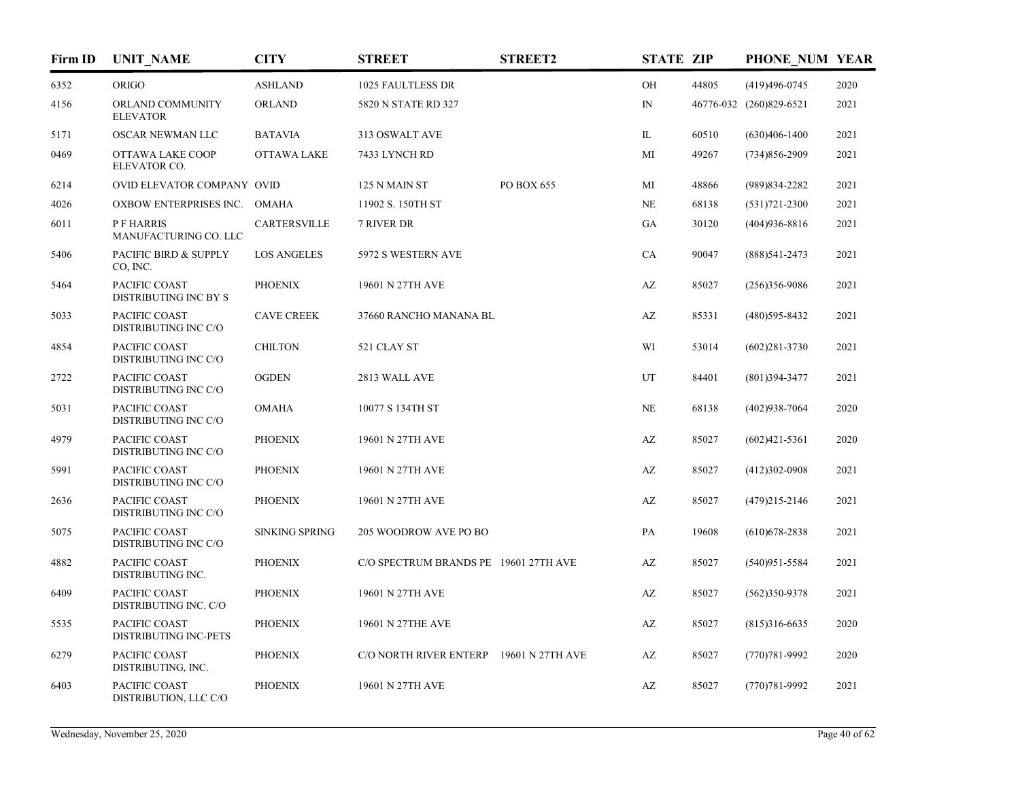| Firm ID | <b>UNIT NAME</b>                              | <b>CITY</b>           | <b>STREET</b>                           | <b>STREET2</b> | <b>STATE ZIP</b>       |       | PHONE NUM YEAR          |      |
|---------|-----------------------------------------------|-----------------------|-----------------------------------------|----------------|------------------------|-------|-------------------------|------|
| 6352    | <b>ORIGO</b>                                  | <b>ASHLAND</b>        | 1025 FAULTLESS DR                       |                | OH                     | 44805 | $(419)496-0745$         | 2020 |
| 4156    | ORLAND COMMUNITY<br><b>ELEVATOR</b>           | <b>ORLAND</b>         | 5820 N STATE RD 327                     |                | $\mathbb{N}$           |       | 46776-032 (260)829-6521 | 2021 |
| 5171    | OSCAR NEWMAN LLC                              | <b>BATAVIA</b>        | 313 OSWALT AVE                          |                | IL                     | 60510 | $(630)406 - 1400$       | 2021 |
| 0469    | OTTAWA LAKE COOP<br>ELEVATOR CO.              | <b>OTTAWA LAKE</b>    | 7433 LYNCH RD                           |                | MI                     | 49267 | $(734)856 - 2909$       | 2021 |
| 6214    | OVID ELEVATOR COMPANY OVID                    |                       | 125 N MAIN ST                           | PO BOX 655     | MI                     | 48866 | (989) 834-2282          | 2021 |
| 4026    | OXBOW ENTERPRISES INC.                        | OMAHA                 | 11902 S. 150TH ST                       |                | <b>NE</b>              | 68138 | $(531)721 - 2300$       | 2021 |
| 6011    | <b>P F HARRIS</b><br>MANUFACTURING CO. LLC    | <b>CARTERSVILLE</b>   | 7 RIVER DR                              |                | GA                     | 30120 | $(404)936 - 8816$       | 2021 |
| 5406    | PACIFIC BIRD & SUPPLY<br>CO, INC.             | <b>LOS ANGELES</b>    | 5972 S WESTERN AVE                      |                | CA                     | 90047 | $(888)$ 541-2473        | 2021 |
| 5464    | PACIFIC COAST<br>DISTRIBUTING INC BY S        | <b>PHOENIX</b>        | 19601 N 27TH AVE                        |                | $\mathbf{A}\mathbf{Z}$ | 85027 | $(256)356-9086$         | 2021 |
| 5033    | PACIFIC COAST<br>DISTRIBUTING INC C/O         | <b>CAVE CREEK</b>     | 37660 RANCHO MANANA BL                  |                | AZ                     | 85331 | (480) 595-8432          | 2021 |
| 4854    | PACIFIC COAST<br>DISTRIBUTING INC C/O         | <b>CHILTON</b>        | 521 CLAY ST                             |                | WI                     | 53014 | $(602)281 - 3730$       | 2021 |
| 2722    | PACIFIC COAST<br>DISTRIBUTING INC C/O         | <b>OGDEN</b>          | 2813 WALL AVE                           |                | UT                     | 84401 | $(801)394 - 3477$       | 2021 |
| 5031    | PACIFIC COAST<br>DISTRIBUTING INC C/O         | <b>OMAHA</b>          | 10077 S 134TH ST                        |                | NE                     | 68138 | $(402)938 - 7064$       | 2020 |
| 4979    | PACIFIC COAST<br>DISTRIBUTING INC C/O         | <b>PHOENIX</b>        | 19601 N 27TH AVE                        |                | $\mathbf{A}\mathbf{Z}$ | 85027 | $(602)421 - 5361$       | 2020 |
| 5991    | PACIFIC COAST<br>DISTRIBUTING INC C/O         | <b>PHOENIX</b>        | 19601 N 27TH AVE                        |                | AZ                     | 85027 | $(412)302-0908$         | 2021 |
| 2636    | PACIFIC COAST<br>DISTRIBUTING INC C/O         | <b>PHOENIX</b>        | 19601 N 27TH AVE                        |                | AZ                     | 85027 | $(479)215 - 2146$       | 2021 |
| 5075    | PACIFIC COAST<br>DISTRIBUTING INC C/O         | <b>SINKING SPRING</b> | 205 WOODROW AVE PO BO                   |                | PA                     | 19608 | $(610)$ 678-2838        | 2021 |
| 4882    | PACIFIC COAST<br>DISTRIBUTING INC.            | <b>PHOENIX</b>        | C/O SPECTRUM BRANDS PE 19601 27TH AVE   |                | AZ                     | 85027 | $(540)951 - 5584$       | 2021 |
| 6409    | PACIFIC COAST<br>DISTRIBUTING INC. C/O        | <b>PHOENIX</b>        | 19601 N 27TH AVE                        |                | AZ                     | 85027 | $(562)350-9378$         | 2021 |
| 5535    | PACIFIC COAST<br><b>DISTRIBUTING INC-PETS</b> | <b>PHOENIX</b>        | 19601 N 27THE AVE                       |                | AZ                     | 85027 | $(815)316-6635$         | 2020 |
| 6279    | PACIFIC COAST<br>DISTRIBUTING, INC.           | <b>PHOENIX</b>        | C/O NORTH RIVER ENTERP 19601 N 27TH AVE |                | AZ                     | 85027 | $(770)781 - 9992$       | 2020 |
| 6403    | PACIFIC COAST<br>DISTRIBUTION, LLC C/O        | <b>PHOENIX</b>        | 19601 N 27TH AVE                        |                | AZ                     | 85027 | $(770)781 - 9992$       | 2021 |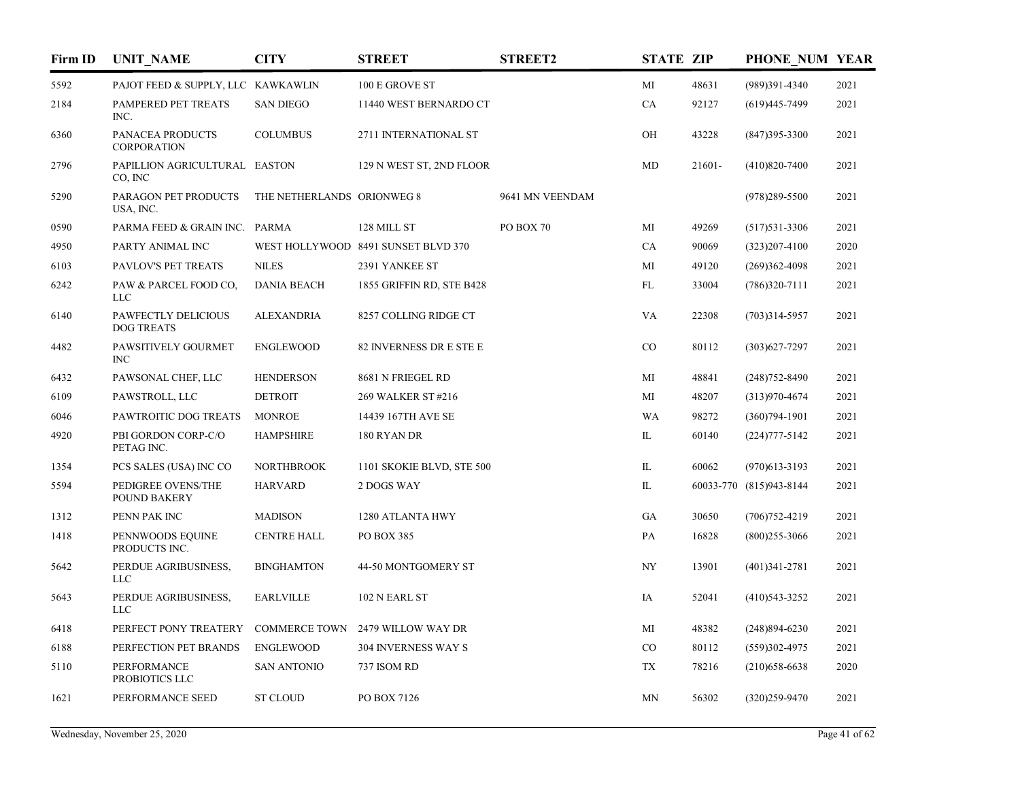| Firm ID | <b>UNIT NAME</b>                          | <b>CITY</b>                | <b>STREET</b>                       | <b>STREET2</b>  | <b>STATE ZIP</b> |        | PHONE NUM YEAR          |      |
|---------|-------------------------------------------|----------------------------|-------------------------------------|-----------------|------------------|--------|-------------------------|------|
| 5592    | PAJOT FEED & SUPPLY, LLC KAWKAWLIN        |                            | 100 E GROVE ST                      |                 | MI               | 48631  | (989)391-4340           | 2021 |
| 2184    | PAMPERED PET TREATS<br>INC.               | <b>SAN DIEGO</b>           | 11440 WEST BERNARDO CT              |                 | ${\rm CA}$       | 92127  | $(619)445 - 7499$       | 2021 |
| 6360    | PANACEA PRODUCTS<br><b>CORPORATION</b>    | <b>COLUMBUS</b>            | 2711 INTERNATIONAL ST               |                 | OH               | 43228  | $(847)395 - 3300$       | 2021 |
| 2796    | PAPILLION AGRICULTURAL EASTON<br>CO, INC  |                            | 129 N WEST ST, 2ND FLOOR            |                 | MD               | 21601- | $(410)820 - 7400$       | 2021 |
| 5290    | PARAGON PET PRODUCTS<br>USA, INC.         | THE NETHERLANDS ORIONWEG 8 |                                     | 9641 MN VEENDAM |                  |        | $(978)289 - 5500$       | 2021 |
| 0590    | PARMA FEED & GRAIN INC. PARMA             |                            | 128 MILL ST                         | PO BOX 70       | MI               | 49269  | $(517)531-3306$         | 2021 |
| 4950    | PARTY ANIMAL INC                          |                            | WEST HOLLYWOOD 8491 SUNSET BLVD 370 |                 | CA               | 90069  | $(323)207-4100$         | 2020 |
| 6103    | PAVLOV'S PET TREATS                       | <b>NILES</b>               | 2391 YANKEE ST                      |                 | MI               | 49120  | $(269)362 - 4098$       | 2021 |
| 6242    | PAW & PARCEL FOOD CO,<br>LLC              | <b>DANIA BEACH</b>         | 1855 GRIFFIN RD, STE B428           |                 | FL               | 33004  | $(786)320-7111$         | 2021 |
| 6140    | PAWFECTLY DELICIOUS<br><b>DOG TREATS</b>  | <b>ALEXANDRIA</b>          | 8257 COLLING RIDGE CT               |                 | <b>VA</b>        | 22308  | $(703)314 - 5957$       | 2021 |
| 4482    | PAWSITIVELY GOURMET<br><b>INC</b>         | <b>ENGLEWOOD</b>           | 82 INVERNESS DR E STE E             |                 | CO               | 80112  | $(303)627 - 7297$       | 2021 |
| 6432    | PAWSONAL CHEF, LLC                        | <b>HENDERSON</b>           | 8681 N FRIEGEL RD                   |                 | MI               | 48841  | $(248)752 - 8490$       | 2021 |
| 6109    | PAWSTROLL, LLC                            | <b>DETROIT</b>             | 269 WALKER ST #216                  |                 | МI               | 48207  | $(313)970 - 4674$       | 2021 |
| 6046    | PAWTROITIC DOG TREATS                     | <b>MONROE</b>              | 14439 167TH AVE SE                  |                 | WA               | 98272  | $(360)794-1901$         | 2021 |
| 4920    | PBI GORDON CORP-C/O<br>PETAG INC.         | <b>HAMPSHIRE</b>           | 180 RYAN DR                         |                 | IL               | 60140  | $(224)777 - 5142$       | 2021 |
| 1354    | PCS SALES (USA) INC CO                    | <b>NORTHBROOK</b>          | 1101 SKOKIE BLVD, STE 500           |                 | $\mathbf{L}$     | 60062  | $(970)$ 613-3193        | 2021 |
| 5594    | PEDIGREE OVENS/THE<br><b>POUND BAKERY</b> | <b>HARVARD</b>             | 2 DOGS WAY                          |                 | IL               |        | 60033-770 (815)943-8144 | 2021 |
| 1312    | PENN PAK INC                              | <b>MADISON</b>             | 1280 ATLANTA HWY                    |                 | GA               | 30650  | $(706)752 - 4219$       | 2021 |
| 1418    | PENNWOODS EQUINE<br>PRODUCTS INC.         | <b>CENTRE HALL</b>         | PO BOX 385                          |                 | PA               | 16828  | $(800)$ 255-3066        | 2021 |
| 5642    | PERDUE AGRIBUSINESS,<br><b>LLC</b>        | <b>BINGHAMTON</b>          | 44-50 MONTGOMERY ST                 |                 | NY               | 13901  | $(401)341 - 2781$       | 2021 |
| 5643    | PERDUE AGRIBUSINESS,<br><b>LLC</b>        | <b>EARLVILLE</b>           | 102 N EARL ST                       |                 | IA               | 52041  | $(410)$ 543-3252        | 2021 |
| 6418    | PERFECT PONY TREATERY                     | <b>COMMERCE TOWN</b>       | 2479 WILLOW WAY DR                  |                 | MI               | 48382  | $(248)894 - 6230$       | 2021 |
| 6188    | PERFECTION PET BRANDS                     | <b>ENGLEWOOD</b>           | 304 INVERNESS WAY S                 |                 | CO               | 80112  | $(559)302 - 4975$       | 2021 |
| 5110    | PERFORMANCE<br>PROBIOTICS LLC             | <b>SAN ANTONIO</b>         | 737 ISOM RD                         |                 | TX               | 78216  | $(210)$ 658-6638        | 2020 |
| 1621    | PERFORMANCE SEED                          | <b>ST CLOUD</b>            | PO BOX 7126                         |                 | MN               | 56302  | $(320)259-9470$         | 2021 |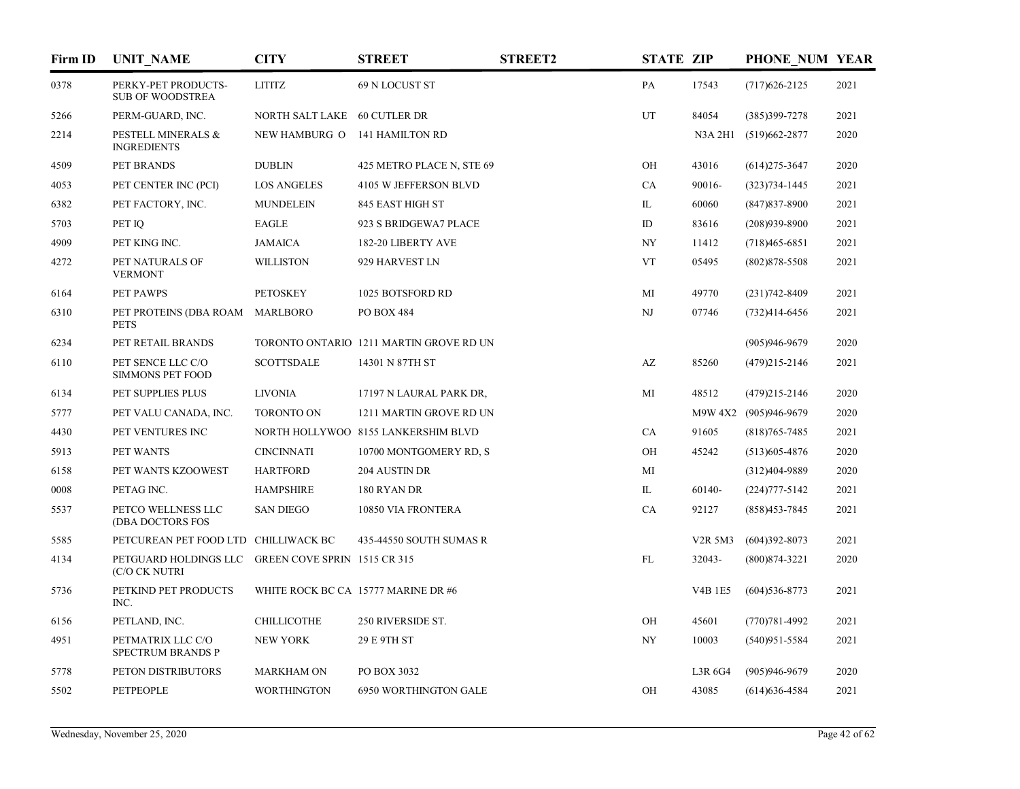| Firm ID | <b>UNIT_NAME</b>                               | <b>CITY</b>                  | <b>STREET</b>                           | <b>STREET2</b> | <b>STATE ZIP</b> |                | PHONE NUM YEAR        |      |
|---------|------------------------------------------------|------------------------------|-----------------------------------------|----------------|------------------|----------------|-----------------------|------|
| 0378    | PERKY-PET PRODUCTS-<br><b>SUB OF WOODSTREA</b> | <b>LITITZ</b>                | 69 N LOCUST ST                          |                | PA               | 17543          | $(717)626 - 2125$     | 2021 |
| 5266    | PERM-GUARD, INC.                               | NORTH SALT LAKE 60 CUTLER DR |                                         |                | UT               | 84054          | (385)399-7278         | 2021 |
| 2214    | PESTELL MINERALS &<br><b>INGREDIENTS</b>       | NEW HAMBURG O                | 141 HAMILTON RD                         |                |                  |                | N3A 2H1 (519)662-2877 | 2020 |
| 4509    | PET BRANDS                                     | <b>DUBLIN</b>                | 425 METRO PLACE N, STE 69               |                | OH               | 43016          | $(614)$ 275-3647      | 2020 |
| 4053    | PET CENTER INC (PCI)                           | <b>LOS ANGELES</b>           | 4105 W JEFFERSON BLVD                   |                | CA               | 90016-         | $(323)734 - 1445$     | 2021 |
| 6382    | PET FACTORY, INC.                              | <b>MUNDELEIN</b>             | 845 EAST HIGH ST                        |                | IL               | 60060          | $(847)837 - 8900$     | 2021 |
| 5703    | PET IQ                                         | <b>EAGLE</b>                 | 923 S BRIDGEWA7 PLACE                   |                | ID               | 83616          | $(208)939-8900$       | 2021 |
| 4909    | PET KING INC.                                  | <b>JAMAICA</b>               | 182-20 LIBERTY AVE                      |                | NY               | 11412          | $(718)465 - 6851$     | 2021 |
| 4272    | PET NATURALS OF<br><b>VERMONT</b>              | <b>WILLISTON</b>             | 929 HARVEST LN                          |                | <b>VT</b>        | 05495          | $(802)878 - 5508$     | 2021 |
| 6164    | PET PAWPS                                      | <b>PETOSKEY</b>              | 1025 BOTSFORD RD                        |                | MI               | 49770          | $(231)742 - 8409$     | 2021 |
| 6310    | PET PROTEINS (DBA ROAM<br><b>PETS</b>          | MARLBORO                     | PO BOX 484                              |                | NJ               | 07746          | $(732)414-6456$       | 2021 |
| 6234    | PET RETAIL BRANDS                              |                              | TORONTO ONTARIO 1211 MARTIN GROVE RD UN |                |                  |                | $(905)946-9679$       | 2020 |
| 6110    | PET SENCE LLC C/O<br><b>SIMMONS PET FOOD</b>   | <b>SCOTTSDALE</b>            | 14301 N 87TH ST                         |                | AZ               | 85260          | $(479)215 - 2146$     | 2021 |
| 6134    | PET SUPPLIES PLUS                              | <b>LIVONIA</b>               | 17197 N LAURAL PARK DR,                 |                | MI               | 48512          | $(479)215 - 2146$     | 2020 |
| 5777    | PET VALU CANADA, INC.                          | <b>TORONTO ON</b>            | 1211 MARTIN GROVE RD UN                 |                |                  |                | M9W 4X2 (905)946-9679 | 2020 |
| 4430    | PET VENTURES INC                               |                              | NORTH HOLLYWOO 8155 LANKERSHIM BLVD     |                | CA               | 91605          | $(818)765 - 7485$     | 2021 |
| 5913    | PET WANTS                                      | <b>CINCINNATI</b>            | 10700 MONTGOMERY RD, S                  |                | OH               | 45242          | $(513)605 - 4876$     | 2020 |
| 6158    | PET WANTS KZOOWEST                             | <b>HARTFORD</b>              | 204 AUSTIN DR                           |                | MI               |                | (312)404-9889         | 2020 |
| 0008    | PETAG INC.                                     | <b>HAMPSHIRE</b>             | 180 RYAN DR                             |                | IL               | 60140-         | $(224)777 - 5142$     | 2021 |
| 5537    | PETCO WELLNESS LLC<br>(DBA DOCTORS FOS         | <b>SAN DIEGO</b>             | 10850 VIA FRONTERA                      |                | CA               | 92127          | $(858)453 - 7845$     | 2021 |
| 5585    | PETCUREAN PET FOOD LTD CHILLIWACK BC           |                              | 435-44550 SOUTH SUMAS R                 |                |                  | V2R 5M3        | $(604)392 - 8073$     | 2021 |
| 4134    | PETGUARD HOLDINGS LLC<br>(C/O CK NUTRI         | GREEN COVE SPRIN 1515 CR 315 |                                         |                | ${\rm FL}$       | 32043-         | $(800)874 - 3221$     | 2020 |
| 5736    | PETKIND PET PRODUCTS<br>INC.                   |                              | WHITE ROCK BC CA 15777 MARINE DR #6     |                |                  | <b>V4B 1E5</b> | $(604)536 - 8773$     | 2021 |
| 6156    | PETLAND, INC.                                  | CHILLICOTHE                  | 250 RIVERSIDE ST.                       |                | OH               | 45601          | $(770)781 - 4992$     | 2021 |
| 4951    | PETMATRIX LLC C/O<br>SPECTRUM BRANDS P         | <b>NEW YORK</b>              | 29 E 9TH ST                             |                | NY               | 10003          | $(540)951 - 5584$     | 2021 |
| 5778    | PETON DISTRIBUTORS                             | <b>MARKHAM ON</b>            | PO BOX 3032                             |                |                  | L3R 6G4        | $(905)946-9679$       | 2020 |
| 5502    | <b>PETPEOPLE</b>                               | <b>WORTHINGTON</b>           | 6950 WORTHINGTON GALE                   |                | OH               | 43085          | $(614)636 - 4584$     | 2021 |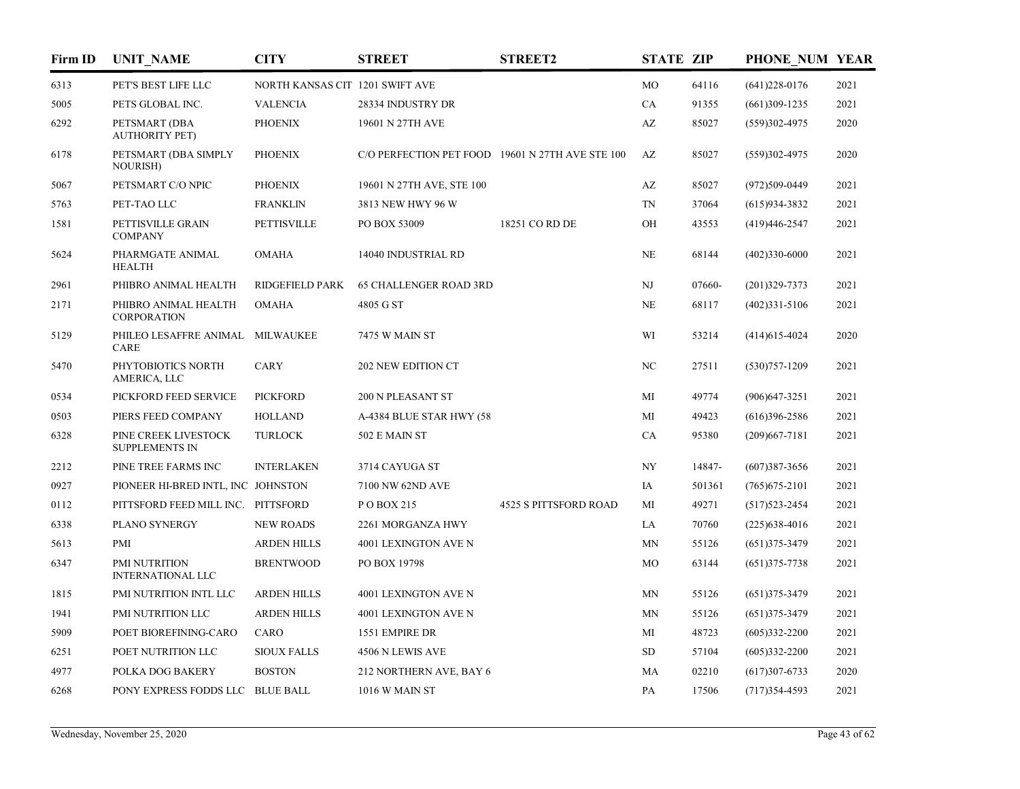| Firm ID | <b>UNIT_NAME</b>                              | <b>CITY</b>                     | <b>STREET</b>                                    | <b>STREET2</b>               | <b>STATE ZIP</b>       |        | PHONE NUM YEAR    |      |
|---------|-----------------------------------------------|---------------------------------|--------------------------------------------------|------------------------------|------------------------|--------|-------------------|------|
| 6313    | PET'S BEST LIFE LLC                           | NORTH KANSAS CIT 1201 SWIFT AVE |                                                  |                              | MO                     | 64116  | $(641)228-0176$   | 2021 |
| 5005    | PETS GLOBAL INC.                              | <b>VALENCIA</b>                 | 28334 INDUSTRY DR                                |                              | CA                     | 91355  | $(661)309-1235$   | 2021 |
| 6292    | PETSMART (DBA<br><b>AUTHORITY PET)</b>        | <b>PHOENIX</b>                  | 19601 N 27TH AVE                                 |                              | $\mathbf{A}\mathbf{Z}$ | 85027  | $(559)302 - 4975$ | 2020 |
| 6178    | PETSMART (DBA SIMPLY<br><b>NOURISH)</b>       | <b>PHOENIX</b>                  | C/O PERFECTION PET FOOD 19601 N 27TH AVE STE 100 |                              | AZ                     | 85027  | $(559)302 - 4975$ | 2020 |
| 5067    | PETSMART C/O NPIC                             | <b>PHOENIX</b>                  | 19601 N 27TH AVE, STE 100                        |                              | AZ                     | 85027  | (972)509-0449     | 2021 |
| 5763    | PET-TAO LLC                                   | <b>FRANKLIN</b>                 | 3813 NEW HWY 96 W                                |                              | TN                     | 37064  | $(615)934-3832$   | 2021 |
| 1581    | PETTISVILLE GRAIN<br><b>COMPANY</b>           | <b>PETTISVILLE</b>              | PO BOX 53009                                     | 18251 CO RD DE               | OH                     | 43553  | $(419)446 - 2547$ | 2021 |
| 5624    | PHARMGATE ANIMAL<br><b>HEALTH</b>             | <b>OMAHA</b>                    | 14040 INDUSTRIAL RD                              |                              | NE                     | 68144  | $(402)330-6000$   | 2021 |
| 2961    | PHIBRO ANIMAL HEALTH                          | RIDGEFIELD PARK                 | <b>65 CHALLENGER ROAD 3RD</b>                    |                              | NJ                     | 07660- | $(201)329 - 7373$ | 2021 |
| 2171    | PHIBRO ANIMAL HEALTH<br><b>CORPORATION</b>    | <b>OMAHA</b>                    | 4805 G ST                                        |                              | NE                     | 68117  | $(402)331 - 5106$ | 2021 |
| 5129    | PHILEO LESAFFRE ANIMAL<br>CARE                | MILWAUKEE                       | 7475 W MAIN ST                                   |                              | WI                     | 53214  | $(414)615 - 4024$ | 2020 |
| 5470    | PHYTOBIOTICS NORTH<br>AMERICA, LLC            | <b>CARY</b>                     | 202 NEW EDITION CT                               |                              | NC                     | 27511  | $(530)757 - 1209$ | 2021 |
| 0534    | PICKFORD FEED SERVICE                         | <b>PICKFORD</b>                 | 200 N PLEASANT ST                                |                              | MI                     | 49774  | $(906)$ 647-3251  | 2021 |
| 0503    | PIERS FEED COMPANY                            | <b>HOLLAND</b>                  | A-4384 BLUE STAR HWY (58                         |                              | MI                     | 49423  | $(616)396 - 2586$ | 2021 |
| 6328    | PINE CREEK LIVESTOCK<br><b>SUPPLEMENTS IN</b> | <b>TURLOCK</b>                  | 502 E MAIN ST                                    |                              | CA                     | 95380  | $(209)667 - 7181$ | 2021 |
| 2212    | PINE TREE FARMS INC                           | <b>INTERLAKEN</b>               | 3714 CAYUGA ST                                   |                              | NY                     | 14847- | $(607)387 - 3656$ | 2021 |
| 0927    | PIONEER HI-BRED INTL, INC JOHNSTON            |                                 | 7100 NW 62ND AVE                                 |                              | IA                     | 501361 | $(765)$ 675-2101  | 2021 |
| 0112    | PITTSFORD FEED MILL INC. PITTSFORD            |                                 | POBOX 215                                        | <b>4525 S PITTSFORD ROAD</b> | MI                     | 49271  | $(517)523 - 2454$ | 2021 |
| 6338    | PLANO SYNERGY                                 | <b>NEW ROADS</b>                | 2261 MORGANZA HWY                                |                              | LA                     | 70760  | $(225)$ 638-4016  | 2021 |
| 5613    | PMI                                           | <b>ARDEN HILLS</b>              | 4001 LEXINGTON AVE N                             |                              | MN                     | 55126  | $(651)375 - 3479$ | 2021 |
| 6347    | PMI NUTRITION<br><b>INTERNATIONAL LLC</b>     | <b>BRENTWOOD</b>                | PO BOX 19798                                     |                              | MO                     | 63144  | $(651)375 - 7738$ | 2021 |
| 1815    | PMI NUTRITION INTL LLC                        | <b>ARDEN HILLS</b>              | 4001 LEXINGTON AVE N                             |                              | MN                     | 55126  | $(651)375 - 3479$ | 2021 |
| 1941    | PMI NUTRITION LLC                             | <b>ARDEN HILLS</b>              | 4001 LEXINGTON AVE N                             |                              | MN                     | 55126  | $(651)375 - 3479$ | 2021 |
| 5909    | POET BIOREFINING-CARO                         | CARO                            | 1551 EMPIRE DR                                   |                              | MI                     | 48723  | $(605)332 - 2200$ | 2021 |
| 6251    | POET NUTRITION LLC                            | <b>SIOUX FALLS</b>              | 4506 N LEWIS AVE                                 |                              | SD                     | 57104  | $(605)332 - 2200$ | 2021 |
| 4977    | POLKA DOG BAKERY                              | <b>BOSTON</b>                   | 212 NORTHERN AVE, BAY 6                          |                              | MA                     | 02210  | $(617)307-6733$   | 2020 |
| 6268    | PONY EXPRESS FODDS LLC BLUE BALL              |                                 | 1016 W MAIN ST                                   |                              | PA                     | 17506  | $(717)354 - 4593$ | 2021 |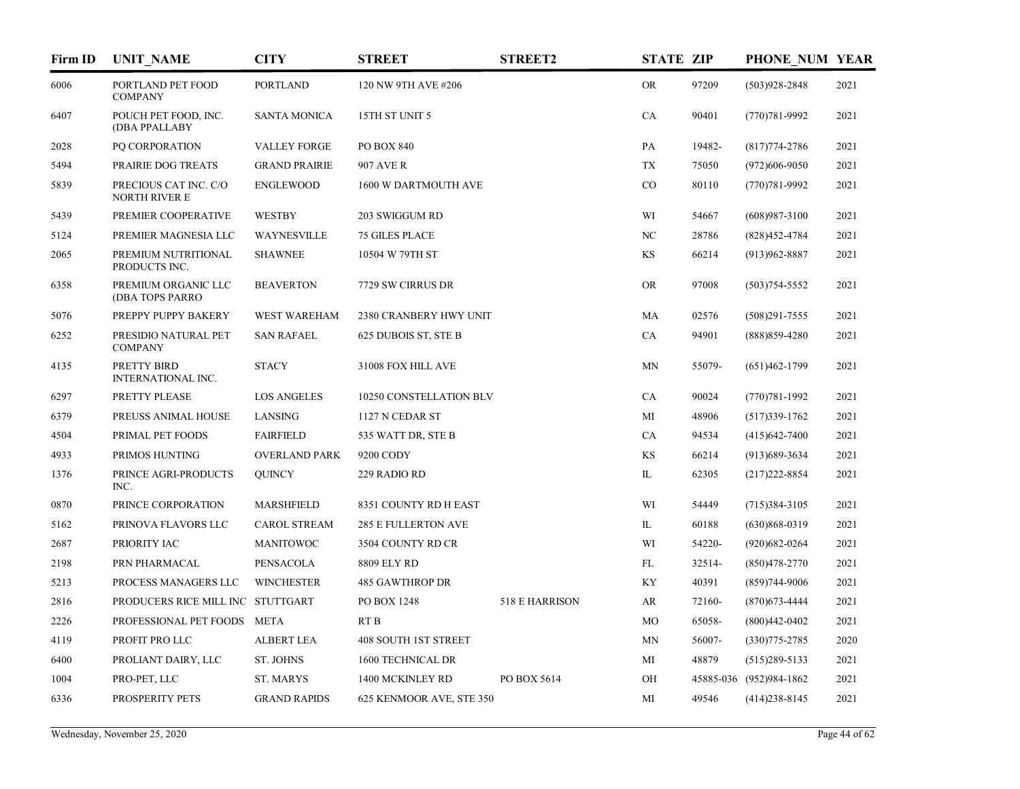| Firm ID | <b>UNIT_NAME</b>                              | <b>CITY</b>          | <b>STREET</b>               | <b>STREET2</b> | <b>STATE ZIP</b> |        | PHONE NUM YEAR          |      |
|---------|-----------------------------------------------|----------------------|-----------------------------|----------------|------------------|--------|-------------------------|------|
| 6006    | PORTLAND PET FOOD<br><b>COMPANY</b>           | <b>PORTLAND</b>      | 120 NW 9TH AVE #206         |                | <b>OR</b>        | 97209  | $(503)928 - 2848$       | 2021 |
| 6407    | POUCH PET FOOD, INC.<br>(DBA PPALLABY         | <b>SANTA MONICA</b>  | 15TH ST UNIT 5              |                | CA               | 90401  | $(770)781 - 9992$       | 2021 |
| 2028    | PQ CORPORATION                                | <b>VALLEY FORGE</b>  | PO BOX 840                  |                | PA               | 19482- | $(817)774 - 2786$       | 2021 |
| 5494    | PRAIRIE DOG TREATS                            | <b>GRAND PRAIRIE</b> | 907 AVE R                   |                | TX               | 75050  | $(972)606 - 9050$       | 2021 |
| 5839    | PRECIOUS CAT INC. C/O<br><b>NORTH RIVER E</b> | <b>ENGLEWOOD</b>     | 1600 W DARTMOUTH AVE        |                | CO               | 80110  | $(770)781 - 9992$       | 2021 |
| 5439    | PREMIER COOPERATIVE                           | <b>WESTBY</b>        | 203 SWIGGUM RD              |                | WI               | 54667  | $(608)987 - 3100$       | 2021 |
| 5124    | PREMIER MAGNESIA LLC                          | <b>WAYNESVILLE</b>   | <b>75 GILES PLACE</b>       |                | $_{\mathrm{NC}}$ | 28786  | $(828)452 - 4784$       | 2021 |
| 2065    | PREMIUM NUTRITIONAL<br>PRODUCTS INC.          | <b>SHAWNEE</b>       | 10504 W 79TH ST             |                | KS               | 66214  | $(913)962 - 8887$       | 2021 |
| 6358    | PREMIUM ORGANIC LLC<br>(DBA TOPS PARRO        | <b>BEAVERTON</b>     | 7729 SW CIRRUS DR           |                | <b>OR</b>        | 97008  | $(503)754 - 5552$       | 2021 |
| 5076    | PREPPY PUPPY BAKERY                           | <b>WEST WAREHAM</b>  | 2380 CRANBERY HWY UNIT      |                | MA               | 02576  | $(508)291 - 7555$       | 2021 |
| 6252    | PRESIDIO NATURAL PET<br><b>COMPANY</b>        | <b>SAN RAFAEL</b>    | 625 DUBOIS ST, STE B        |                | CA               | 94901  | $(888)859-4280$         | 2021 |
| 4135    | PRETTY BIRD<br><b>INTERNATIONAL INC.</b>      | <b>STACY</b>         | 31008 FOX HILL AVE          |                | MN               | 55079- | $(651)462 - 1799$       | 2021 |
| 6297    | PRETTY PLEASE                                 | <b>LOS ANGELES</b>   | 10250 CONSTELLATION BLV     |                | CA               | 90024  | $(770)781 - 1992$       | 2021 |
| 6379    | PREUSS ANIMAL HOUSE                           | LANSING              | 1127 N CEDAR ST             |                | MI               | 48906  | $(517)339-1762$         | 2021 |
| 4504    | PRIMAL PET FOODS                              | <b>FAIRFIELD</b>     | 535 WATT DR, STE B          |                | CA               | 94534  | $(415)$ 642-7400        | 2021 |
| 4933    | PRIMOS HUNTING                                | <b>OVERLAND PARK</b> | 9200 CODY                   |                | KS               | 66214  | $(913)689-3634$         | 2021 |
| 1376    | PRINCE AGRI-PRODUCTS<br>INC.                  | <b>QUINCY</b>        | 229 RADIO RD                |                | IL               | 62305  | $(217)222 - 8854$       | 2021 |
| 0870    | PRINCE CORPORATION                            | <b>MARSHFIELD</b>    | 8351 COUNTY RD H EAST       |                | WI               | 54449  | $(715)384 - 3105$       | 2021 |
| 5162    | PRINOVA FLAVORS LLC                           | <b>CAROL STREAM</b>  | <b>285 E FULLERTON AVE</b>  |                | IL               | 60188  | $(630)868 - 0319$       | 2021 |
| 2687    | PRIORITY IAC                                  | <b>MANITOWOC</b>     | 3504 COUNTY RD CR           |                | WI               | 54220- | $(920)682 - 0264$       | 2021 |
| 2198    | PRN PHARMACAL                                 | PENSACOLA            | 8809 ELY RD                 |                | FL               | 32514- | $(850)478 - 2770$       | 2021 |
| 5213    | PROCESS MANAGERS LLC                          | <b>WINCHESTER</b>    | <b>485 GAWTHROP DR</b>      |                | KY               | 40391  | $(859)744-9006$         | 2021 |
| 2816    | PRODUCERS RICE MILL INC STUTTGART             |                      | PO BOX 1248                 | 518 E HARRISON | AR               | 72160- | $(870)$ 673-4444        | 2021 |
| 2226    | PROFESSIONAL PET FOODS META                   |                      | RT <sub>B</sub>             |                | MO               | 65058- | $(800)442 - 0402$       | 2021 |
| 4119    | PROFIT PRO LLC                                | <b>ALBERT LEA</b>    | <b>408 SOUTH 1ST STREET</b> |                | MN               | 56007- | $(330)775 - 2785$       | 2020 |
| 6400    | PROLIANT DAIRY, LLC                           | ST. JOHNS            | 1600 TECHNICAL DR           |                | MI               | 48879  | $(515)289 - 5133$       | 2021 |
| 1004    | PRO-PET, LLC                                  | ST. MARYS            | 1400 MCKINLEY RD            | PO BOX 5614    | OH               |        | 45885-036 (952)984-1862 | 2021 |
| 6336    | PROSPERITY PETS                               | <b>GRAND RAPIDS</b>  | 625 KENMOOR AVE, STE 350    |                | МI               | 49546  | $(414)238 - 8145$       | 2021 |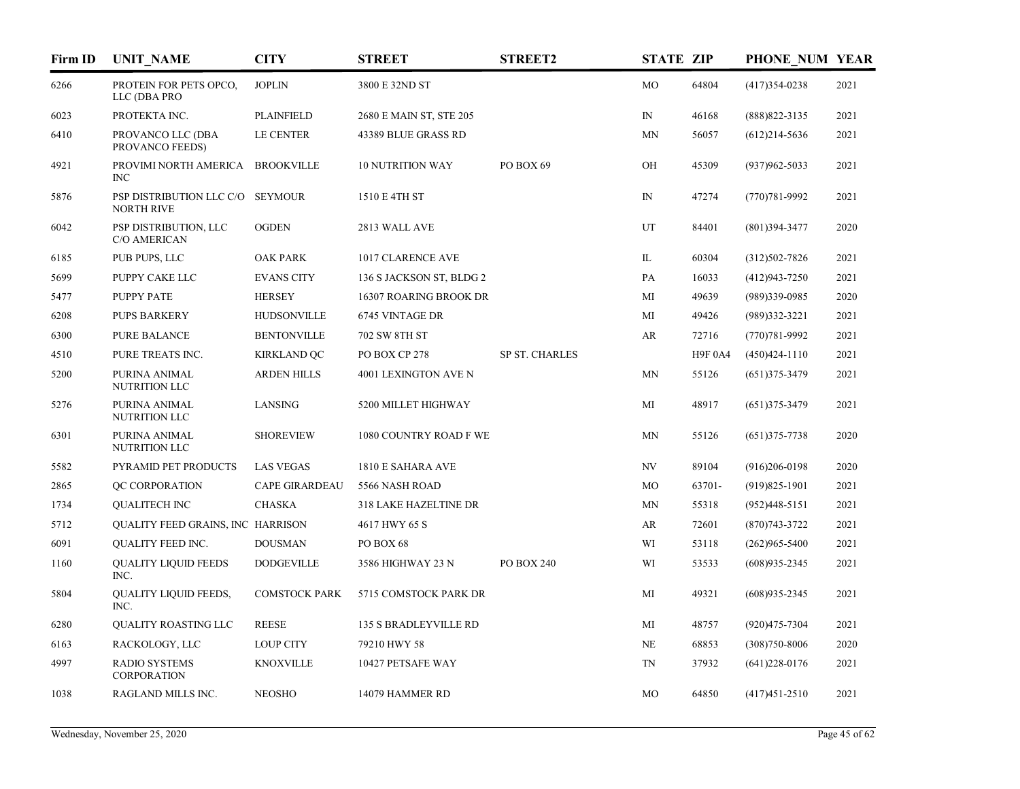| Firm ID | <b>UNIT NAME</b>                                      | <b>CITY</b>           | <b>STREET</b>                | <b>STREET2</b> | <b>STATE ZIP</b> |                | PHONE NUM YEAR    |      |
|---------|-------------------------------------------------------|-----------------------|------------------------------|----------------|------------------|----------------|-------------------|------|
| 6266    | PROTEIN FOR PETS OPCO,<br>LLC (DBA PRO                | <b>JOPLIN</b>         | 3800 E 32ND ST               |                | MO               | 64804          | $(417)354 - 0238$ | 2021 |
| 6023    | PROTEKTA INC.                                         | <b>PLAINFIELD</b>     | 2680 E MAIN ST, STE 205      |                | $\mathbb{N}$     | 46168          | $(888)822 - 3135$ | 2021 |
| 6410    | PROVANCO LLC (DBA<br>PROVANCO FEEDS)                  | LE CENTER             | 43389 BLUE GRASS RD          |                | MN               | 56057          | $(612)214-5636$   | 2021 |
| 4921    | PROVIMI NORTH AMERICA<br><b>INC</b>                   | <b>BROOKVILLE</b>     | <b>10 NUTRITION WAY</b>      | PO BOX 69      | OH               | 45309          | $(937)962 - 5033$ | 2021 |
| 5876    | PSP DISTRIBUTION LLC C/O SEYMOUR<br><b>NORTH RIVE</b> |                       | 1510 E 4TH ST                |                | $\mathbb{N}$     | 47274          | $(770)781 - 9992$ | 2021 |
| 6042    | PSP DISTRIBUTION, LLC<br>C/O AMERICAN                 | <b>OGDEN</b>          | 2813 WALL AVE                |                | UT               | 84401          | $(801)$ 394-3477  | 2020 |
| 6185    | PUB PUPS, LLC                                         | <b>OAK PARK</b>       | 1017 CLARENCE AVE            |                | IL               | 60304          | $(312)502 - 7826$ | 2021 |
| 5699    | PUPPY CAKE LLC                                        | <b>EVANS CITY</b>     | 136 S JACKSON ST, BLDG 2     |                | PA               | 16033          | $(412)943 - 7250$ | 2021 |
| 5477    | PUPPY PATE                                            | <b>HERSEY</b>         | 16307 ROARING BROOK DR       |                | MI               | 49639          | (989)339-0985     | 2020 |
| 6208    | <b>PUPS BARKERY</b>                                   | <b>HUDSONVILLE</b>    | 6745 VINTAGE DR              |                | MI               | 49426          | $(989)332 - 3221$ | 2021 |
| 6300    | <b>PURE BALANCE</b>                                   | <b>BENTONVILLE</b>    | 702 SW 8TH ST                |                | AR               | 72716          | $(770)781 - 9992$ | 2021 |
| 4510    | PURE TREATS INC.                                      | <b>KIRKLAND QC</b>    | PO BOX CP 278                | SP ST. CHARLES |                  | <b>H9F 0A4</b> | $(450)424 - 1110$ | 2021 |
| 5200    | PURINA ANIMAL<br>NUTRITION LLC                        | <b>ARDEN HILLS</b>    | 4001 LEXINGTON AVE N         |                | MN               | 55126          | $(651)375 - 3479$ | 2021 |
| 5276    | PURINA ANIMAL<br>NUTRITION LLC                        | LANSING               | 5200 MILLET HIGHWAY          |                | MI               | 48917          | $(651)375 - 3479$ | 2021 |
| 6301    | PURINA ANIMAL<br>NUTRITION LLC                        | <b>SHOREVIEW</b>      | 1080 COUNTRY ROAD F WE       |                | MN               | 55126          | $(651)375 - 7738$ | 2020 |
| 5582    | PYRAMID PET PRODUCTS                                  | <b>LAS VEGAS</b>      | 1810 E SAHARA AVE            |                | NV               | 89104          | $(916)206-0198$   | 2020 |
| 2865    | QC CORPORATION                                        | <b>CAPE GIRARDEAU</b> | 5566 NASH ROAD               |                | MO               | 63701-         | $(919)825-1901$   | 2021 |
| 1734    | <b>OUALITECH INC</b>                                  | <b>CHASKA</b>         | <b>318 LAKE HAZELTINE DR</b> |                | MN               | 55318          | $(952)448-5151$   | 2021 |
| 5712    | QUALITY FEED GRAINS, INC HARRISON                     |                       | 4617 HWY 65 S                |                | AR               | 72601          | $(870)743 - 3722$ | 2021 |
| 6091    | QUALITY FEED INC.                                     | <b>DOUSMAN</b>        | PO BOX 68                    |                | WI               | 53118          | $(262)965 - 5400$ | 2021 |
| 1160    | <b>QUALITY LIQUID FEEDS</b><br>INC.                   | <b>DODGEVILLE</b>     | 3586 HIGHWAY 23 N            | PO BOX 240     | WI               | 53533          | $(608)935 - 2345$ | 2021 |
| 5804    | QUALITY LIQUID FEEDS,<br>INC.                         | <b>COMSTOCK PARK</b>  | 5715 COMSTOCK PARK DR        |                | MI               | 49321          | $(608)935 - 2345$ | 2021 |
| 6280    | QUALITY ROASTING LLC                                  | <b>REESE</b>          | 135 S BRADLEYVILLE RD        |                | МI               | 48757          | $(920)475 - 7304$ | 2021 |
| 6163    | RACKOLOGY, LLC                                        | <b>LOUP CITY</b>      | 79210 HWY 58                 |                | NE               | 68853          | $(308)750 - 8006$ | 2020 |
| 4997    | <b>RADIO SYSTEMS</b><br>CORPORATION                   | <b>KNOXVILLE</b>      | 10427 PETSAFE WAY            |                | TN               | 37932          | $(641)$ 228-0176  | 2021 |
| 1038    | RAGLAND MILLS INC.                                    | <b>NEOSHO</b>         | 14079 HAMMER RD              |                | MO               | 64850          | $(417)451 - 2510$ | 2021 |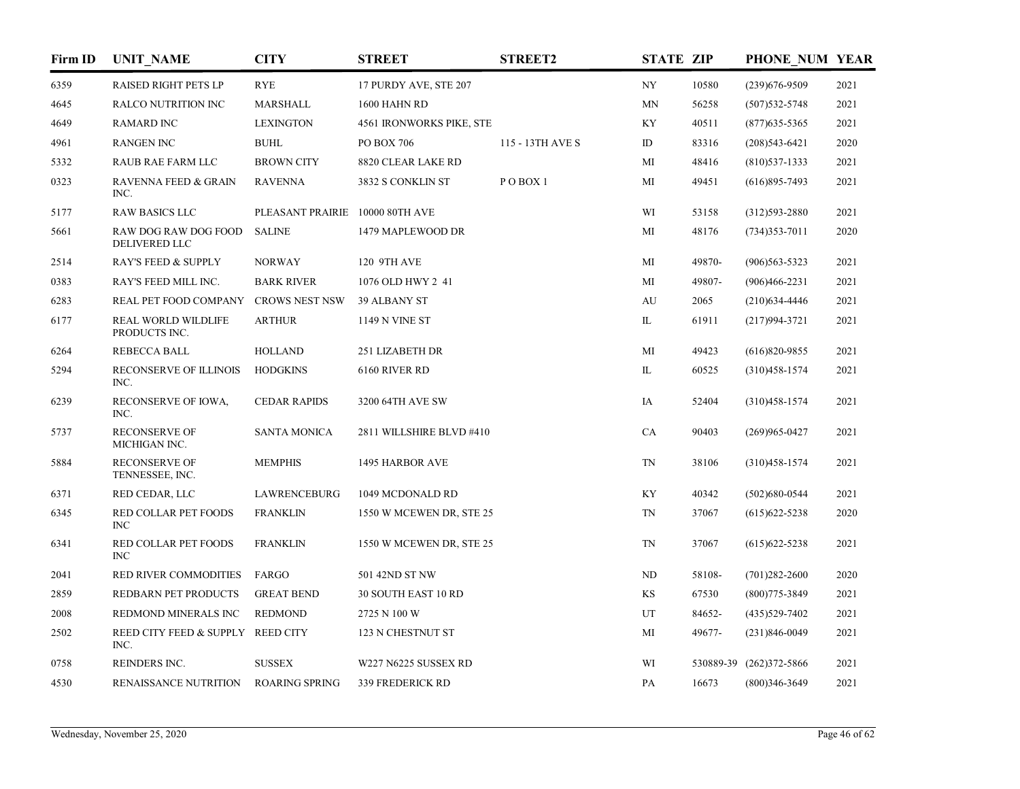| Firm ID | <b>UNIT_NAME</b>                            | <b>CITY</b>                     | <b>STREET</b>            | <b>STREET2</b>     | <b>STATE ZIP</b> |        | PHONE NUM YEAR          |      |
|---------|---------------------------------------------|---------------------------------|--------------------------|--------------------|------------------|--------|-------------------------|------|
| 6359    | <b>RAISED RIGHT PETS LP</b>                 | <b>RYE</b>                      | 17 PURDY AVE, STE 207    |                    | <b>NY</b>        | 10580  | $(239)676 - 9509$       | 2021 |
| 4645    | <b>RALCO NUTRITION INC</b>                  | <b>MARSHALL</b>                 | 1600 HAHN RD             |                    | <b>MN</b>        | 56258  | $(507)$ 532-5748        | 2021 |
| 4649    | <b>RAMARD INC</b>                           | <b>LEXINGTON</b>                | 4561 IRONWORKS PIKE, STE |                    | KY               | 40511  | $(877)$ 635-5365        | 2021 |
| 4961    | <b>RANGEN INC</b>                           | <b>BUHL</b>                     | PO BOX 706               | 115 - 13TH AVE S   | ID               | 83316  | $(208)543-6421$         | 2020 |
| 5332    | <b>RAUB RAE FARM LLC</b>                    | <b>BROWN CITY</b>               | 8820 CLEAR LAKE RD       |                    | МI               | 48416  | $(810)$ 537-1333        | 2021 |
| 0323    | <b>RAVENNA FEED &amp; GRAIN</b><br>INC.     | <b>RAVENNA</b>                  | 3832 S CONKLIN ST        | POBOX <sub>1</sub> | MI               | 49451  | $(616)895 - 7493$       | 2021 |
| 5177    | <b>RAW BASICS LLC</b>                       | PLEASANT PRAIRIE 10000 80TH AVE |                          |                    | WI               | 53158  | $(312)593 - 2880$       | 2021 |
| 5661    | RAW DOG RAW DOG FOOD<br>DELIVERED LLC       | <b>SALINE</b>                   | 1479 MAPLEWOOD DR        |                    | MI               | 48176  | $(734)353 - 7011$       | 2020 |
| 2514    | <b>RAY'S FEED &amp; SUPPLY</b>              | <b>NORWAY</b>                   | 120 9TH AVE              |                    | MI               | 49870- | $(906)563 - 5323$       | 2021 |
| 0383    | RAY'S FEED MILL INC.                        | <b>BARK RIVER</b>               | 1076 OLD HWY 2 41        |                    | MI               | 49807- | $(906)466 - 2231$       | 2021 |
| 6283    | REAL PET FOOD COMPANY                       | <b>CROWS NEST NSW</b>           | 39 ALBANY ST             |                    | AU               | 2065   | $(210)$ 634-4446        | 2021 |
| 6177    | <b>REAL WORLD WILDLIFE</b><br>PRODUCTS INC. | <b>ARTHUR</b>                   | 1149 N VINE ST           |                    | IL               | 61911  | $(217)994 - 3721$       | 2021 |
| 6264    | <b>REBECCA BALL</b>                         | <b>HOLLAND</b>                  | 251 LIZABETH DR          |                    | MI               | 49423  | $(616)820 - 9855$       | 2021 |
| 5294    | RECONSERVE OF ILLINOIS<br>INC.              | <b>HODGKINS</b>                 | 6160 RIVER RD            |                    | IL               | 60525  | $(310)458 - 1574$       | 2021 |
| 6239    | RECONSERVE OF IOWA,<br>INC.                 | <b>CEDAR RAPIDS</b>             | 3200 64TH AVE SW         |                    | IA               | 52404  | $(310)458 - 1574$       | 2021 |
| 5737    | <b>RECONSERVE OF</b><br>MICHIGAN INC.       | <b>SANTA MONICA</b>             | 2811 WILLSHIRE BLVD #410 |                    | CA               | 90403  | $(269)965 - 0427$       | 2021 |
| 5884    | <b>RECONSERVE OF</b><br>TENNESSEE, INC.     | <b>MEMPHIS</b>                  | 1495 HARBOR AVE          |                    | TN               | 38106  | $(310)458 - 1574$       | 2021 |
| 6371    | RED CEDAR, LLC                              | LAWRENCEBURG                    | 1049 MCDONALD RD         |                    | KY               | 40342  | $(502)680 - 0544$       | 2021 |
| 6345    | RED COLLAR PET FOODS<br><b>INC</b>          | <b>FRANKLIN</b>                 | 1550 W MCEWEN DR, STE 25 |                    | $\mbox{TN}$      | 37067  | $(615)622 - 5238$       | 2020 |
| 6341    | RED COLLAR PET FOODS<br><b>INC</b>          | <b>FRANKLIN</b>                 | 1550 W MCEWEN DR, STE 25 |                    | <b>TN</b>        | 37067  | $(615)622 - 5238$       | 2021 |
| 2041    | RED RIVER COMMODITIES                       | FARGO                           | 501 42ND ST NW           |                    | ND               | 58108- | $(701)282 - 2600$       | 2020 |
| 2859    | REDBARN PET PRODUCTS                        | <b>GREAT BEND</b>               | 30 SOUTH EAST 10 RD      |                    | KS               | 67530  | $(800)775 - 3849$       | 2021 |
| 2008    | REDMOND MINERALS INC                        | <b>REDMOND</b>                  | 2725 N 100 W             |                    | UT               | 84652- | $(435)529 - 7402$       | 2021 |
| 2502    | REED CITY FEED & SUPPLY REED CITY<br>INC.   |                                 | 123 N CHESTNUT ST        |                    | MI               | 49677- | $(231)846-0049$         | 2021 |
| 0758    | REINDERS INC.                               | <b>SUSSEX</b>                   | W227 N6225 SUSSEX RD     |                    | WI               |        | 530889-39 (262)372-5866 | 2021 |
| 4530    | <b>RENAISSANCE NUTRITION</b>                | <b>ROARING SPRING</b>           | 339 FREDERICK RD         |                    | PA               | 16673  | $(800)346 - 3649$       | 2021 |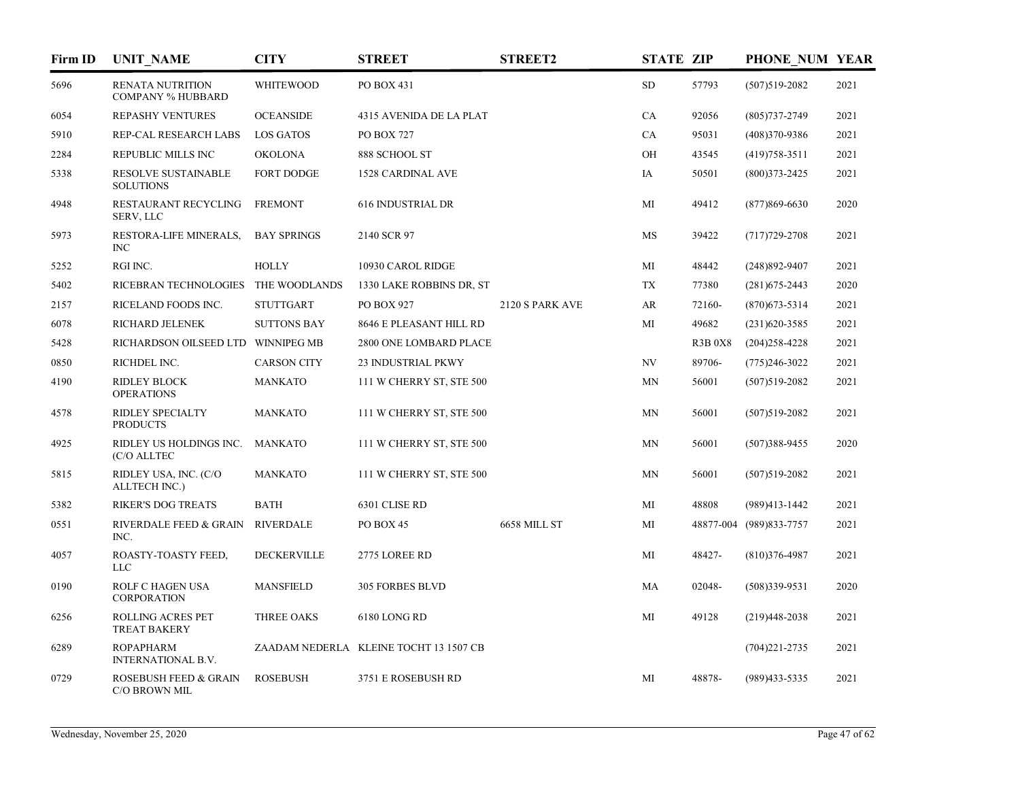| Firm ID | <b>UNIT_NAME</b>                                    | <b>CITY</b>        | <b>STREET</b>                          | <b>STREET2</b>  | <b>STATE ZIP</b> |                | PHONE NUM YEAR          |      |
|---------|-----------------------------------------------------|--------------------|----------------------------------------|-----------------|------------------|----------------|-------------------------|------|
| 5696    | <b>RENATA NUTRITION</b><br><b>COMPANY % HUBBARD</b> | <b>WHITEWOOD</b>   | PO BOX 431                             |                 | <b>SD</b>        | 57793          | $(507)519-2082$         | 2021 |
| 6054    | REPASHY VENTURES                                    | <b>OCEANSIDE</b>   | 4315 AVENIDA DE LA PLAT                |                 | CA               | 92056          | $(805)737 - 2749$       | 2021 |
| 5910    | REP-CAL RESEARCH LABS                               | LOS GATOS          | <b>PO BOX 727</b>                      |                 | <b>CA</b>        | 95031          | $(408)370-9386$         | 2021 |
| 2284    | <b>REPUBLIC MILLS INC</b>                           | <b>OKOLONA</b>     | 888 SCHOOL ST                          |                 | OH               | 43545          | $(419)758-3511$         | 2021 |
| 5338    | RESOLVE SUSTAINABLE<br><b>SOLUTIONS</b>             | <b>FORT DODGE</b>  | <b>1528 CARDINAL AVE</b>               |                 | IA               | 50501          | $(800)373 - 2425$       | 2021 |
| 4948    | RESTAURANT RECYCLING<br>SERV, LLC                   | <b>FREMONT</b>     | <b>616 INDUSTRIAL DR</b>               |                 | МI               | 49412          | $(877)869 - 6630$       | 2020 |
| 5973    | RESTORA-LIFE MINERALS,<br><b>INC</b>                | <b>BAY SPRINGS</b> | 2140 SCR 97                            |                 | MS               | 39422          | $(717)729 - 2708$       | 2021 |
| 5252    | RGI INC.                                            | <b>HOLLY</b>       | 10930 CAROL RIDGE                      |                 | МI               | 48442          | $(248)892 - 9407$       | 2021 |
| 5402    | RICEBRAN TECHNOLOGIES                               | THE WOODLANDS      | 1330 LAKE ROBBINS DR, ST               |                 | <b>TX</b>        | 77380          | $(281)$ 675-2443        | 2020 |
| 2157    | RICELAND FOODS INC.                                 | <b>STUTTGART</b>   | PO BOX 927                             | 2120 S PARK AVE | AR               | 72160-         | $(870)$ 673-5314        | 2021 |
| 6078    | RICHARD JELENEK                                     | <b>SUTTONS BAY</b> | 8646 E PLEASANT HILL RD                |                 | MI               | 49682          | $(231)620 - 3585$       | 2021 |
| 5428    | RICHARDSON OILSEED LTD WINNIPEG MB                  |                    | 2800 ONE LOMBARD PLACE                 |                 |                  | <b>R3B 0X8</b> | $(204)258 - 4228$       | 2021 |
| 0850    | RICHDEL INC.                                        | <b>CARSON CITY</b> | 23 INDUSTRIAL PKWY                     |                 | NV               | 89706-         | $(775)246 - 3022$       | 2021 |
| 4190    | <b>RIDLEY BLOCK</b><br><b>OPERATIONS</b>            | <b>MANKATO</b>     | 111 W CHERRY ST, STE 500               |                 | MN               | 56001          | $(507)519-2082$         | 2021 |
| 4578    | <b>RIDLEY SPECIALTY</b><br><b>PRODUCTS</b>          | <b>MANKATO</b>     | 111 W CHERRY ST, STE 500               |                 | <b>MN</b>        | 56001          | $(507)519-2082$         | 2021 |
| 4925    | RIDLEY US HOLDINGS INC.<br>(C/O ALLTEC              | <b>MANKATO</b>     | 111 W CHERRY ST, STE 500               |                 | MN               | 56001          | $(507)388 - 9455$       | 2020 |
| 5815    | RIDLEY USA, INC. (C/O<br>ALLTECH INC.)              | <b>MANKATO</b>     | 111 W CHERRY ST, STE 500               |                 | <b>MN</b>        | 56001          | $(507)519-2082$         | 2021 |
| 5382    | <b>RIKER'S DOG TREATS</b>                           | <b>BATH</b>        | 6301 CLISE RD                          |                 | МI               | 48808          | (989)413-1442           | 2021 |
| 0551    | RIVERDALE FEED & GRAIN<br>INC.                      | <b>RIVERDALE</b>   | PO BOX 45                              | 6658 MILL ST    | MI               |                | 48877-004 (989)833-7757 | 2021 |
| 4057    | ROASTY-TOASTY FEED,<br><b>LLC</b>                   | <b>DECKERVILLE</b> | 2775 LOREE RD                          |                 | MI               | 48427-         | $(810)376 - 4987$       | 2021 |
| 0190    | ROLF C HAGEN USA<br><b>CORPORATION</b>              | <b>MANSFIELD</b>   | <b>305 FORBES BLVD</b>                 |                 | MA               | 02048-         | $(508)339-9531$         | 2020 |
| 6256    | <b>ROLLING ACRES PET</b><br><b>TREAT BAKERY</b>     | THREE OAKS         | 6180 LONG RD                           |                 | MI               | 49128          | $(219)448-2038$         | 2021 |
| 6289    | <b>ROPAPHARM</b><br><b>INTERNATIONAL B.V.</b>       |                    | ZAADAM NEDERLA KLEINE TOCHT 13 1507 CB |                 |                  |                | $(704)221 - 2735$       | 2021 |
| 0729    | ROSEBUSH FEED & GRAIN<br>C/O BROWN MIL              | <b>ROSEBUSH</b>    | 3751 E ROSEBUSH RD                     |                 | MI               | 48878-         | $(989)433 - 5335$       | 2021 |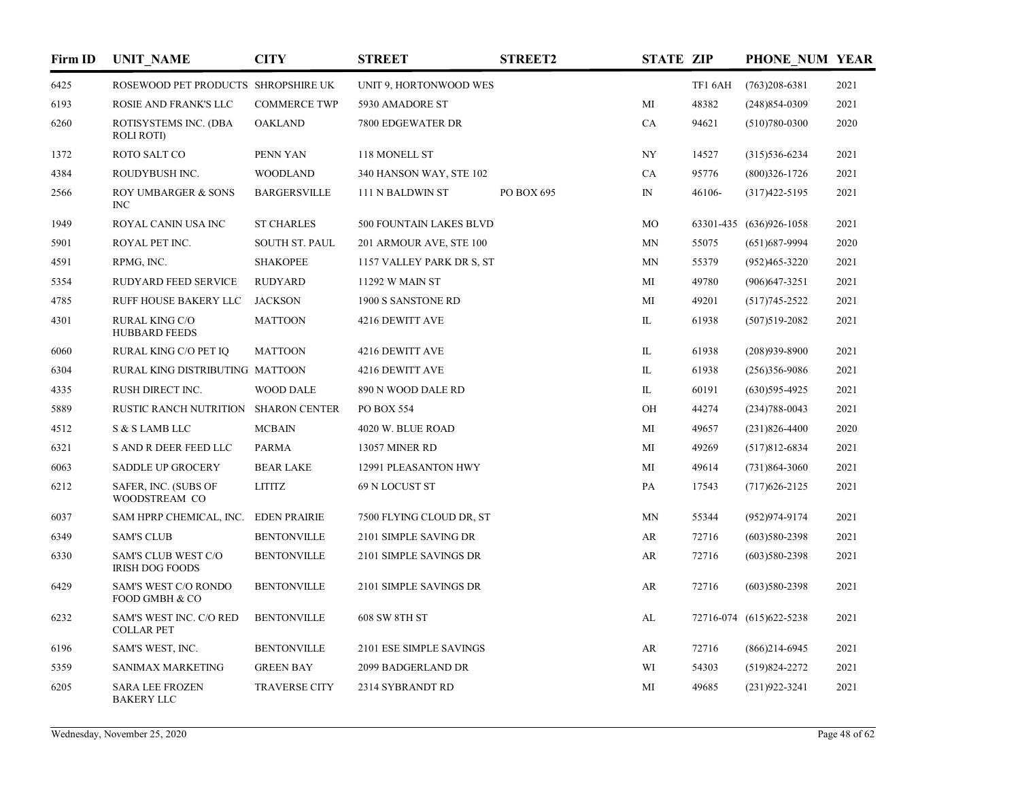| Firm ID | <b>UNIT NAME</b>                                     | <b>CITY</b>           | <b>STREET</b>             | <b>STREET2</b> | <b>STATE ZIP</b> |         | PHONE NUM YEAR          |      |
|---------|------------------------------------------------------|-----------------------|---------------------------|----------------|------------------|---------|-------------------------|------|
| 6425    | ROSEWOOD PET PRODUCTS SHROPSHIRE UK                  |                       | UNIT 9, HORTONWOOD WES    |                |                  | TF1 6AH | $(763)208-6381$         | 2021 |
| 6193    | ROSIE AND FRANK'S LLC                                | <b>COMMERCE TWP</b>   | 5930 AMADORE ST           |                | MI               | 48382   | $(248)854-0309$         | 2021 |
| 6260    | ROTISYSTEMS INC. (DBA<br><b>ROLI ROTI</b>            | <b>OAKLAND</b>        | 7800 EDGEWATER DR         |                | CA               | 94621   | $(510)780-0300$         | 2020 |
| 1372    | ROTO SALT CO                                         | PENN YAN              | 118 MONELL ST             |                | NY               | 14527   | $(315)536-6234$         | 2021 |
| 4384    | ROUDYBUSH INC.                                       | <b>WOODLAND</b>       | 340 HANSON WAY, STE 102   |                | CA               | 95776   | $(800)326 - 1726$       | 2021 |
| 2566    | <b>ROY UMBARGER &amp; SONS</b><br><b>INC</b>         | <b>BARGERSVILLE</b>   | 111 N BALDWIN ST          | PO BOX 695     | $\mathbb{N}$     | 46106-  | $(317)422 - 5195$       | 2021 |
| 1949    | ROYAL CANIN USA INC                                  | <b>ST CHARLES</b>     | 500 FOUNTAIN LAKES BLVD   |                | MO               |         | 63301-435 (636)926-1058 | 2021 |
| 5901    | ROYAL PET INC.                                       | <b>SOUTH ST. PAUL</b> | 201 ARMOUR AVE, STE 100   |                | MN               | 55075   | $(651)$ 687-9994        | 2020 |
| 4591    | RPMG, INC.                                           | <b>SHAKOPEE</b>       | 1157 VALLEY PARK DR S, ST |                | MN               | 55379   | $(952)465 - 3220$       | 2021 |
| 5354    | RUDYARD FEED SERVICE                                 | <b>RUDYARD</b>        | 11292 W MAIN ST           |                | МI               | 49780   | $(906)$ 647-3251        | 2021 |
| 4785    | RUFF HOUSE BAKERY LLC                                | <b>JACKSON</b>        | 1900 S SANSTONE RD        |                | MI               | 49201   | $(517)745 - 2522$       | 2021 |
| 4301    | <b>RURAL KING C/O</b><br><b>HUBBARD FEEDS</b>        | <b>MATTOON</b>        | 4216 DEWITT AVE           |                | IL               | 61938   | $(507)519-2082$         | 2021 |
| 6060    | RURAL KING C/O PET IQ                                | <b>MATTOON</b>        | 4216 DEWITT AVE           |                | IL               | 61938   | $(208)939 - 8900$       | 2021 |
| 6304    | RURAL KING DISTRIBUTING MATTOON                      |                       | 4216 DEWITT AVE           |                | IL               | 61938   | $(256)356-9086$         | 2021 |
| 4335    | RUSH DIRECT INC.                                     | <b>WOOD DALE</b>      | 890 N WOOD DALE RD        |                | IL               | 60191   | $(630)595-4925$         | 2021 |
| 5889    | <b>RUSTIC RANCH NUTRITION</b>                        | SHARON CENTER         | PO BOX 554                |                | OH               | 44274   | $(234)788 - 0043$       | 2021 |
| 4512    | S & S LAMB LLC                                       | <b>MCBAIN</b>         | 4020 W. BLUE ROAD         |                | MI               | 49657   | $(231)826 - 4400$       | 2020 |
| 6321    | S AND R DEER FEED LLC                                | <b>PARMA</b>          | <b>13057 MINER RD</b>     |                | MI               | 49269   | $(517)812-6834$         | 2021 |
| 6063    | <b>SADDLE UP GROCERY</b>                             | <b>BEAR LAKE</b>      | 12991 PLEASANTON HWY      |                | MI               | 49614   | $(731)864 - 3060$       | 2021 |
| 6212    | SAFER, INC. (SUBS OF<br>WOODSTREAM CO                | <b>LITITZ</b>         | 69 N LOCUST ST            |                | PA               | 17543   | $(717)626 - 2125$       | 2021 |
| 6037    | SAM HPRP CHEMICAL, INC.                              | <b>EDEN PRAIRIE</b>   | 7500 FLYING CLOUD DR, ST  |                | <b>MN</b>        | 55344   | (952)974-9174           | 2021 |
| 6349    | <b>SAM'S CLUB</b>                                    | <b>BENTONVILLE</b>    | 2101 SIMPLE SAVING DR     |                | AR               | 72716   | $(603)580-2398$         | 2021 |
| 6330    | <b>SAM'S CLUB WEST C/O</b><br><b>IRISH DOG FOODS</b> | <b>BENTONVILLE</b>    | 2101 SIMPLE SAVINGS DR    |                | AR               | 72716   | $(603)580-2398$         | 2021 |
| 6429    | SAM'S WEST C/O RONDO<br>FOOD GMBH & CO               | <b>BENTONVILLE</b>    | 2101 SIMPLE SAVINGS DR    |                | AR               | 72716   | $(603)580-2398$         | 2021 |
| 6232    | SAM'S WEST INC. C/O RED<br><b>COLLAR PET</b>         | <b>BENTONVILLE</b>    | 608 SW 8TH ST             |                | AL               |         | 72716-074 (615)622-5238 | 2021 |
| 6196    | SAM'S WEST, INC.                                     | <b>BENTONVILLE</b>    | 2101 ESE SIMPLE SAVINGS   |                | AR               | 72716   | $(866)$ 214-6945        | 2021 |
| 5359    | <b>SANIMAX MARKETING</b>                             | <b>GREEN BAY</b>      | 2099 BADGERLAND DR        |                | WI               | 54303   | $(519)824 - 2272$       | 2021 |
| 6205    | <b>SARA LEE FROZEN</b><br><b>BAKERY LLC</b>          | <b>TRAVERSE CITY</b>  | 2314 SYBRANDT RD          |                | МI               | 49685   | $(231)922 - 3241$       | 2021 |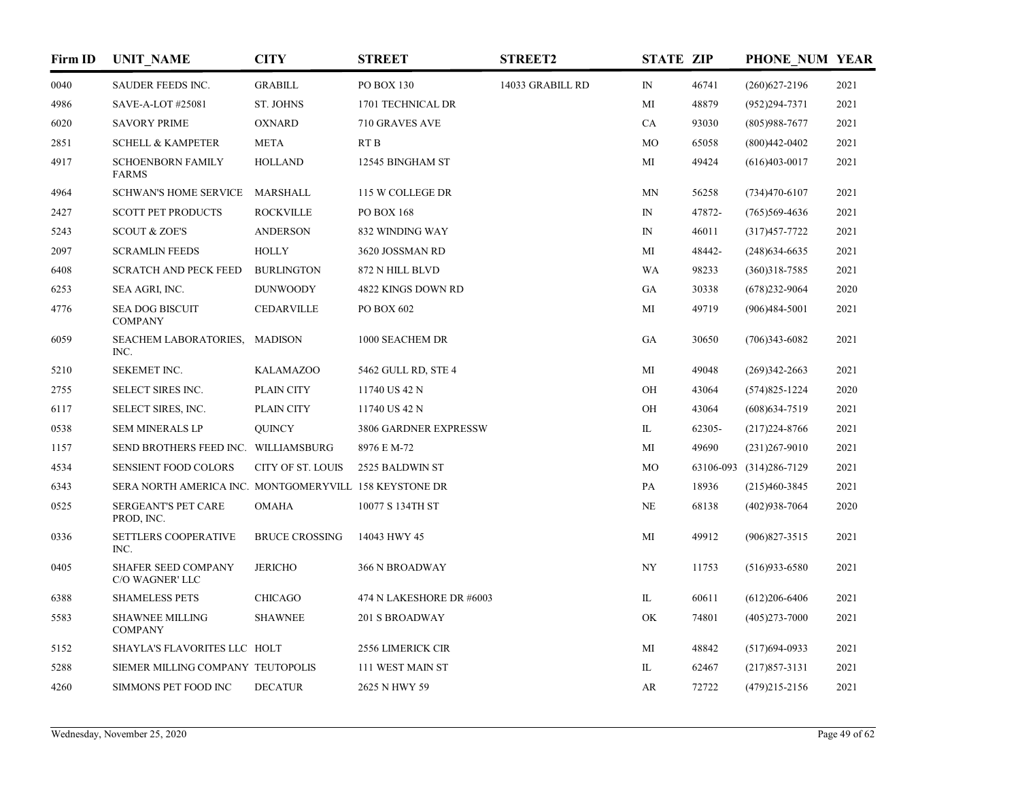| Firm ID | <b>UNIT_NAME</b>                                       | <b>CITY</b>           | <b>STREET</b>            | <b>STREET2</b>                                                                         | <b>STATE ZIP</b> |        | PHONE NUM YEAR          |      |
|---------|--------------------------------------------------------|-----------------------|--------------------------|----------------------------------------------------------------------------------------|------------------|--------|-------------------------|------|
| 0040    | SAUDER FEEDS INC.                                      | <b>GRABILL</b>        | PO BOX 130               | 14033 GRABILL RD                                                                       | $\mathbb{N}$     | 46741  | $(260)627 - 2196$       | 2021 |
| 4986    | SAVE-A-LOT #25081                                      | ST. JOHNS             | 1701 TECHNICAL DR        |                                                                                        | MI               | 48879  | $(952)294 - 7371$       | 2021 |
| 6020    | <b>SAVORY PRIME</b>                                    | <b>OXNARD</b>         | 710 GRAVES AVE           |                                                                                        | CA               | 93030  | $(805)988-7677$         | 2021 |
| 2851    | <b>SCHELL &amp; KAMPETER</b>                           | <b>META</b>           | RT <sub>B</sub>          |                                                                                        | MO               | 65058  | $(800)442 - 0402$       | 2021 |
| 4917    | <b>SCHOENBORN FAMILY</b><br><b>FARMS</b>               | <b>HOLLAND</b>        | 12545 BINGHAM ST         |                                                                                        | МI               | 49424  | $(616)403-0017$         | 2021 |
| 4964    | <b>SCHWAN'S HOME SERVICE</b>                           | MARSHALL              | 115 W COLLEGE DR         |                                                                                        | MN               | 56258  | $(734)470-6107$         | 2021 |
| 2427    | <b>SCOTT PET PRODUCTS</b>                              | <b>ROCKVILLE</b>      | PO BOX 168               |                                                                                        | $\mathbb{N}$     | 47872- | $(765)569-4636$         | 2021 |
| 5243    | <b>SCOUT &amp; ZOE'S</b>                               | <b>ANDERSON</b>       | 832 WINDING WAY          |                                                                                        | $_{\rm IN}$      | 46011  | $(317)457 - 7722$       | 2021 |
| 2097    | <b>SCRAMLIN FEEDS</b>                                  | <b>HOLLY</b>          | 3620 JOSSMAN RD          |                                                                                        | MI               | 48442- | $(248)$ 634-6635        | 2021 |
| 6408    | <b>SCRATCH AND PECK FEED</b>                           | <b>BURLINGTON</b>     | 872 N HILL BLVD          | WA<br>GA<br>MI<br>GA<br>MI<br>OH<br>OH<br>IL<br>MI<br>MO<br>PA<br>NE<br>MI<br>NY<br>IL |                  | 98233  | $(360)318 - 7585$       | 2021 |
| 6253    | SEA AGRI, INC.                                         | <b>DUNWOODY</b>       | 4822 KINGS DOWN RD       |                                                                                        |                  | 30338  | $(678)$ 232-9064        | 2020 |
| 4776    | <b>SEA DOG BISCUIT</b><br><b>COMPANY</b>               | <b>CEDARVILLE</b>     | PO BOX 602               |                                                                                        |                  | 49719  | $(906)484 - 5001$       | 2021 |
| 6059    | SEACHEM LABORATORIES, MADISON<br>INC.                  |                       | 1000 SEACHEM DR          |                                                                                        |                  | 30650  | $(706)343 - 6082$       | 2021 |
| 5210    | SEKEMET INC.                                           | <b>KALAMAZOO</b>      | 5462 GULL RD, STE 4      |                                                                                        |                  | 49048  | $(269)342 - 2663$       | 2021 |
| 2755    | SELECT SIRES INC.                                      | PLAIN CITY            | 11740 US 42 N            |                                                                                        |                  | 43064  | $(574)825 - 1224$       | 2020 |
| 6117    | SELECT SIRES, INC.                                     | PLAIN CITY            | 11740 US 42 N            |                                                                                        |                  | 43064  | $(608)$ 634-7519        | 2021 |
| 0538    | <b>SEM MINERALS LP</b>                                 | <b>OUINCY</b>         | 3806 GARDNER EXPRESSW    |                                                                                        |                  | 62305- | $(217)224 - 8766$       | 2021 |
| 1157    | SEND BROTHERS FEED INC. WILLIAMSBURG                   |                       | 8976 E M-72              |                                                                                        |                  | 49690  | $(231)267-9010$         | 2021 |
| 4534    | SENSIENT FOOD COLORS                                   | CITY OF ST. LOUIS     | 2525 BALDWIN ST          |                                                                                        |                  |        | 63106-093 (314)286-7129 | 2021 |
| 6343    | SERA NORTH AMERICA INC. MONTGOMERYVILL 158 KEYSTONE DR |                       |                          |                                                                                        |                  | 18936  | $(215)460-3845$         | 2021 |
| 0525    | SERGEANT'S PET CARE<br>PROD, INC.                      | <b>OMAHA</b>          | 10077 S 134TH ST         |                                                                                        |                  | 68138  | $(402)938 - 7064$       | 2020 |
| 0336    | <b>SETTLERS COOPERATIVE</b><br>INC.                    | <b>BRUCE CROSSING</b> | 14043 HWY 45             |                                                                                        |                  | 49912  | $(906)827 - 3515$       | 2021 |
| 0405    | SHAFER SEED COMPANY<br>C/O WAGNER' LLC                 | <b>JERICHO</b>        | <b>366 N BROADWAY</b>    |                                                                                        |                  | 11753  | $(516)933 - 6580$       | 2021 |
| 6388    | <b>SHAMELESS PETS</b>                                  | <b>CHICAGO</b>        | 474 N LAKESHORE DR #6003 |                                                                                        |                  | 60611  | $(612)206 - 6406$       | 2021 |
| 5583    | <b>SHAWNEE MILLING</b><br><b>COMPANY</b>               | <b>SHAWNEE</b>        | 201 S BROADWAY           |                                                                                        | OK               | 74801  | $(405)273 - 7000$       | 2021 |
| 5152    | SHAYLA'S FLAVORITES LLC HOLT                           |                       | 2556 LIMERICK CIR        |                                                                                        | MI               | 48842  | $(517)694-0933$         | 2021 |
| 5288    | SIEMER MILLING COMPANY TEUTOPOLIS                      |                       | 111 WEST MAIN ST         |                                                                                        | IL               | 62467  | $(217)857 - 3131$       | 2021 |
| 4260    | SIMMONS PET FOOD INC                                   | <b>DECATUR</b>        | 2625 N HWY 59            |                                                                                        | AR               | 72722  | $(479)215 - 2156$       | 2021 |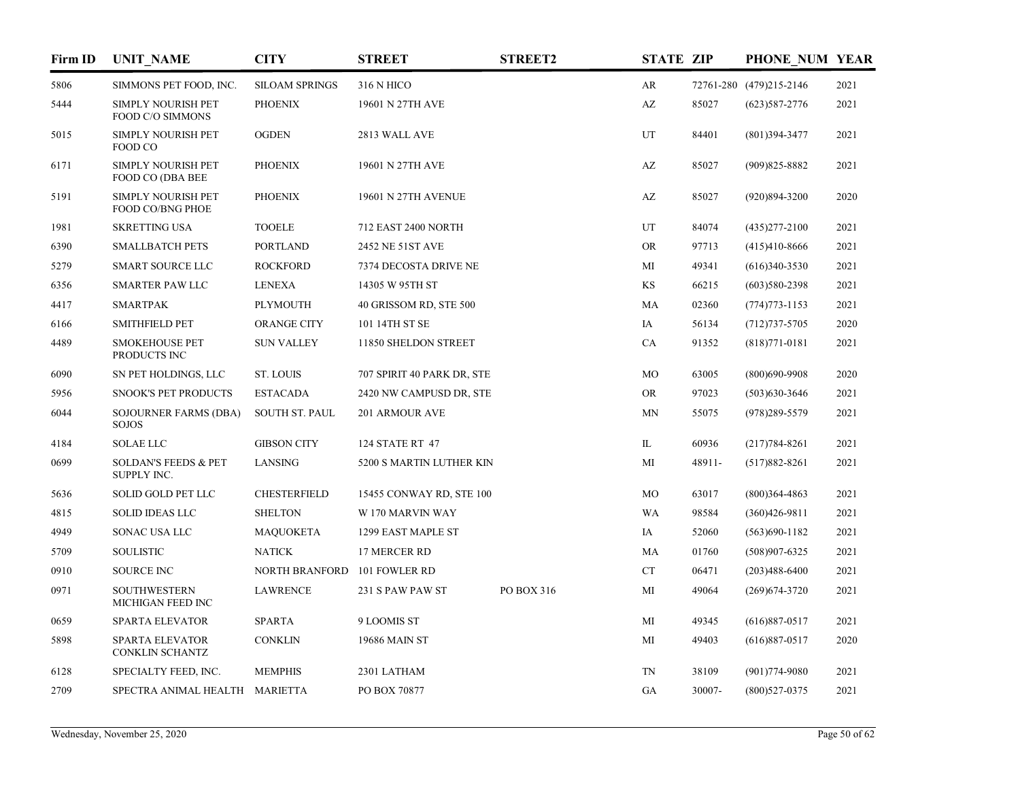| Firm ID | <b>UNIT_NAME</b>                               | <b>CITY</b>           | <b>STREET</b>              | <b>STREET2</b> | <b>STATE ZIP</b>       |        | PHONE NUM YEAR          |      |
|---------|------------------------------------------------|-----------------------|----------------------------|----------------|------------------------|--------|-------------------------|------|
| 5806    | SIMMONS PET FOOD, INC.                         | <b>SILOAM SPRINGS</b> | 316 N HICO                 |                | AR                     |        | 72761-280 (479)215-2146 | 2021 |
| 5444    | <b>SIMPLY NOURISH PET</b><br>FOOD C/O SIMMONS  | <b>PHOENIX</b>        | 19601 N 27TH AVE           |                | $\mathbf{A}\mathbf{Z}$ | 85027  | $(623)587 - 2776$       | 2021 |
| 5015    | <b>SIMPLY NOURISH PET</b><br>FOOD CO           | <b>OGDEN</b>          | 2813 WALL AVE              |                | UT                     | 84401  | $(801)394 - 3477$       | 2021 |
| 6171    | <b>SIMPLY NOURISH PET</b><br>FOOD CO (DBA BEE  | <b>PHOENIX</b>        | 19601 N 27TH AVE           |                | $\mathbf{A}\mathbf{Z}$ | 85027  | $(909)825 - 8882$       | 2021 |
| 5191    | SIMPLY NOURISH PET<br><b>FOOD CO/BNG PHOE</b>  | <b>PHOENIX</b>        | 19601 N 27TH AVENUE        |                | AZ                     | 85027  | $(920)894 - 3200$       | 2020 |
| 1981    | <b>SKRETTING USA</b>                           | <b>TOOELE</b>         | 712 EAST 2400 NORTH        |                | UT                     | 84074  | $(435)277 - 2100$       | 2021 |
| 6390    | <b>SMALLBATCH PETS</b>                         | <b>PORTLAND</b>       | 2452 NE 51ST AVE           |                | <b>OR</b>              | 97713  | $(415)410-8666$         | 2021 |
| 5279    | <b>SMART SOURCE LLC</b>                        | <b>ROCKFORD</b>       | 7374 DECOSTA DRIVE NE      |                | МI                     | 49341  | $(616)340-3530$         | 2021 |
| 6356    | <b>SMARTER PAW LLC</b>                         | <b>LENEXA</b>         | 14305 W 95TH ST            |                | KS                     | 66215  | $(603)580-2398$         | 2021 |
| 4417    | <b>SMARTPAK</b>                                | <b>PLYMOUTH</b>       | 40 GRISSOM RD, STE 500     |                | MA                     | 02360  | $(774)773 - 1153$       | 2021 |
| 6166    | <b>SMITHFIELD PET</b>                          | ORANGE CITY           | 101 14TH ST SE             |                | IA                     | 56134  | $(712)737 - 5705$       | 2020 |
| 4489    | <b>SMOKEHOUSE PET</b><br>PRODUCTS INC          | <b>SUN VALLEY</b>     | 11850 SHELDON STREET       |                | CA                     | 91352  | $(818)771 - 0181$       | 2021 |
| 6090    | SN PET HOLDINGS, LLC                           | <b>ST. LOUIS</b>      | 707 SPIRIT 40 PARK DR, STE |                | MO                     | 63005  | $(800)690 - 9908$       | 2020 |
| 5956    | <b>SNOOK'S PET PRODUCTS</b>                    | <b>ESTACADA</b>       | 2420 NW CAMPUSD DR, STE    |                | <b>OR</b>              | 97023  | $(503)$ 630-3646        | 2021 |
| 6044    | <b>SOJOURNER FARMS (DBA)</b><br><b>SOJOS</b>   | SOUTH ST. PAUL        | 201 ARMOUR AVE             |                | <b>MN</b>              | 55075  | $(978)289 - 5579$       | 2021 |
| 4184    | <b>SOLAE LLC</b>                               | <b>GIBSON CITY</b>    | 124 STATE RT 47            |                | IL                     | 60936  | $(217)784 - 8261$       | 2021 |
| 0699    | <b>SOLDAN'S FEEDS &amp; PET</b><br>SUPPLY INC. | LANSING               | 5200 S MARTIN LUTHER KIN   |                | МI                     | 48911- | $(517)882 - 8261$       | 2021 |
| 5636    | SOLID GOLD PET LLC                             | <b>CHESTERFIELD</b>   | 15455 CONWAY RD, STE 100   |                | MO                     | 63017  | $(800)364 - 4863$       | 2021 |
| 4815    | <b>SOLID IDEAS LLC</b>                         | <b>SHELTON</b>        | W 170 MARVIN WAY           |                | <b>WA</b>              | 98584  | $(360)426 - 9811$       | 2021 |
| 4949    | SONAC USA LLC                                  | <b>MAQUOKETA</b>      | 1299 EAST MAPLE ST         |                | IA                     | 52060  | $(563)690 - 1182$       | 2021 |
| 5709    | <b>SOULISTIC</b>                               | <b>NATICK</b>         | 17 MERCER RD               |                | MA                     | 01760  | $(508)907 - 6325$       | 2021 |
| 0910    | <b>SOURCE INC</b>                              | NORTH BRANFORD        | 101 FOWLER RD              |                | ${\cal C}{\cal T}$     | 06471  | $(203)488 - 6400$       | 2021 |
| 0971    | <b>SOUTHWESTERN</b><br>MICHIGAN FEED INC       | <b>LAWRENCE</b>       | 231 S PAW PAW ST           | PO BOX 316     | MI                     | 49064  | $(269)674 - 3720$       | 2021 |
| 0659    | SPARTA ELEVATOR                                | <b>SPARTA</b>         | 9 LOOMIS ST                |                | MI                     | 49345  | $(616)887-0517$         | 2021 |
| 5898    | <b>SPARTA ELEVATOR</b><br>CONKLIN SCHANTZ      | <b>CONKLIN</b>        | 19686 MAIN ST              |                | MI                     | 49403  | $(616)887-0517$         | 2020 |
| 6128    | SPECIALTY FEED, INC.                           | <b>MEMPHIS</b>        | 2301 LATHAM                |                | <b>TN</b>              | 38109  | $(901)774-9080$         | 2021 |
| 2709    | SPECTRA ANIMAL HEALTH MARIETTA                 |                       | PO BOX 70877               |                | GA                     | 30007- | $(800)527 - 0375$       | 2021 |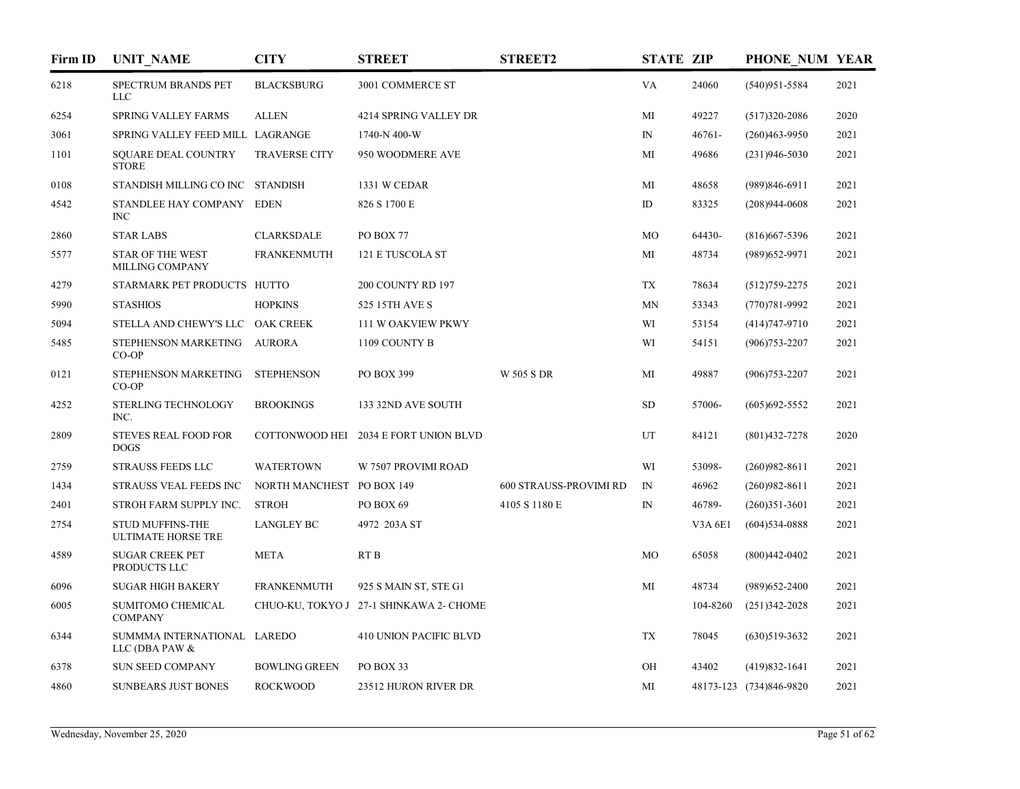| Firm ID | <b>UNIT_NAME</b>                                     | <b>CITY</b>               | <b>STREET</b>                           | <b>STREET2</b>         | <b>STATE ZIP</b> |           | PHONE NUM YEAR          |      |
|---------|------------------------------------------------------|---------------------------|-----------------------------------------|------------------------|------------------|-----------|-------------------------|------|
| 6218    | SPECTRUM BRANDS PET<br><b>LLC</b>                    | <b>BLACKSBURG</b>         | 3001 COMMERCE ST                        |                        | VA               | 24060     | $(540)951 - 5584$       | 2021 |
| 6254    | SPRING VALLEY FARMS                                  | <b>ALLEN</b>              | 4214 SPRING VALLEY DR                   |                        | MI               | 49227     | $(517)320 - 2086$       | 2020 |
| 3061    | SPRING VALLEY FEED MILL LAGRANGE                     |                           | 1740-N 400-W                            |                        | $\mathbb{N}$     | $46761 -$ | $(260)463 - 9950$       | 2021 |
| 1101    | <b>SQUARE DEAL COUNTRY</b><br><b>STORE</b>           | <b>TRAVERSE CITY</b>      | 950 WOODMERE AVE                        |                        | MI               | 49686     | $(231)946 - 5030$       | 2021 |
| 0108    | STANDISH MILLING CO INC STANDISH                     |                           | 1331 W CEDAR                            |                        | MI               | 48658     | $(989)846-6911$         | 2021 |
| 4542    | STANDLEE HAY COMPANY EDEN<br><b>INC</b>              |                           | 826 S 1700 E                            |                        | ID               | 83325     | $(208)944-0608$         | 2021 |
| 2860    | <b>STAR LABS</b>                                     | <b>CLARKSDALE</b>         | PO BOX 77                               |                        | MO               | 64430-    | $(816)$ 667-5396        | 2021 |
| 5577    | <b>STAR OF THE WEST</b><br>MILLING COMPANY           | <b>FRANKENMUTH</b>        | 121 E TUSCOLA ST                        |                        | МI               | 48734     | $(989)$ 652-9971        | 2021 |
| 4279    | STARMARK PET PRODUCTS HUTTO                          |                           | 200 COUNTY RD 197                       |                        | <b>TX</b>        | 78634     | $(512)759 - 2275$       | 2021 |
| 5990    | <b>STASHIOS</b>                                      | <b>HOPKINS</b>            | 525 15TH AVE S                          |                        | <b>MN</b>        | 53343     | $(770)781 - 9992$       | 2021 |
| 5094    | STELLA AND CHEWY'S LLC OAK CREEK                     |                           | 111 W OAKVIEW PKWY                      |                        | WI               | 53154     | $(414)747-9710$         | 2021 |
| 5485    | STEPHENSON MARKETING AURORA<br>$CO-OP$               |                           | 1109 COUNTY B                           |                        | WI               | 54151     | $(906)753 - 2207$       | 2021 |
| 0121    | STEPHENSON MARKETING<br>$CO-OP$                      | <b>STEPHENSON</b>         | PO BOX 399                              | <b>W 505 S DR</b>      | MI               | 49887     | $(906)753 - 2207$       | 2021 |
| 4252    | STERLING TECHNOLOGY<br>INC.                          | <b>BROOKINGS</b>          | 133 32ND AVE SOUTH                      |                        | <b>SD</b>        | 57006-    | $(605)692 - 5552$       | 2021 |
| 2809    | <b>STEVES REAL FOOD FOR</b><br><b>DOGS</b>           |                           | COTTONWOOD HEI 2034 E FORT UNION BLVD   |                        | UT               | 84121     | $(801)432 - 7278$       | 2020 |
| 2759    | <b>STRAUSS FEEDS LLC</b>                             | <b>WATERTOWN</b>          | W 7507 PROVIMI ROAD                     |                        | WI               | 53098-    | $(260)982 - 8611$       | 2021 |
| 1434    | STRAUSS VEAL FEEDS INC                               | NORTH MANCHEST PO BOX 149 |                                         | 600 STRAUSS-PROVIMI RD | $I\!N$           | 46962     | $(260)982 - 8611$       | 2021 |
| 2401    | STROH FARM SUPPLY INC.                               | <b>STROH</b>              | PO BOX 69                               | 4105 S 1180 E          | $_{\rm IN}$      | 46789-    | $(260)351-3601$         | 2021 |
| 2754    | <b>STUD MUFFINS-THE</b><br><b>ULTIMATE HORSE TRE</b> | <b>LANGLEY BC</b>         | 4972 203A ST                            |                        |                  | V3A6E1    | $(604)$ 534-0888        | 2021 |
| 4589    | <b>SUGAR CREEK PET</b><br>PRODUCTS LLC               | <b>META</b>               | RT <sub>B</sub>                         |                        | MO               | 65058     | $(800)442 - 0402$       | 2021 |
| 6096    | <b>SUGAR HIGH BAKERY</b>                             | <b>FRANKENMUTH</b>        | 925 S MAIN ST, STE G1                   |                        | МI               | 48734     | $(989)$ 652-2400        | 2021 |
| 6005    | SUMITOMO CHEMICAL<br><b>COMPANY</b>                  |                           | CHUO-KU, TOKYO J 27-1 SHINKAWA 2- CHOME |                        |                  | 104-8260  | $(251)342 - 2028$       | 2021 |
| 6344    | SUMMMA INTERNATIONAL LAREDO<br>LLC (DBA PAW &        |                           | <b>410 UNION PACIFIC BLVD</b>           |                        | <b>TX</b>        | 78045     | $(630)519-3632$         | 2021 |
| 6378    | SUN SEED COMPANY                                     | <b>BOWLING GREEN</b>      | PO BOX 33                               |                        | OH               | 43402     | $(419)832 - 1641$       | 2021 |
| 4860    | <b>SUNBEARS JUST BONES</b>                           | <b>ROCKWOOD</b>           | 23512 HURON RIVER DR                    |                        | MI               |           | 48173-123 (734)846-9820 | 2021 |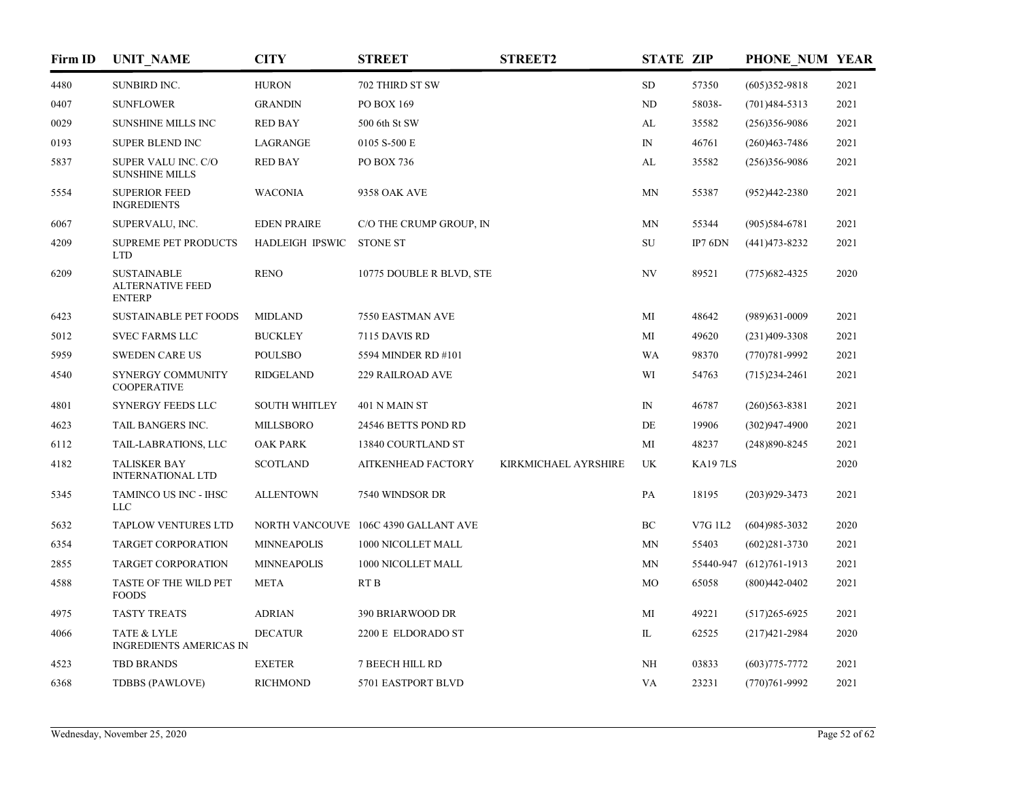| Firm ID | <b>UNIT_NAME</b>                                               | <b>CITY</b>              | <b>STREET</b>                        | <b>STREET2</b>       | <b>STATE ZIP</b> |                | PHONE NUM YEAR          |      |
|---------|----------------------------------------------------------------|--------------------------|--------------------------------------|----------------------|------------------|----------------|-------------------------|------|
| 4480    | SUNBIRD INC.                                                   | <b>HURON</b>             | 702 THIRD ST SW                      |                      | SD               | 57350          | $(605)352-9818$         | 2021 |
| 0407    | <b>SUNFLOWER</b>                                               | <b>GRANDIN</b>           | PO BOX 169                           |                      | ND               | 58038-         | $(701)484 - 5313$       | 2021 |
| 0029    | <b>SUNSHINE MILLS INC</b>                                      | <b>RED BAY</b>           | 500 6th St SW                        |                      | AL               | 35582          | $(256)356-9086$         | 2021 |
| 0193    | SUPER BLEND INC                                                | LAGRANGE                 | 0105 S-500 E                         |                      | ${\rm IN}$       | 46761          | $(260)463 - 7486$       | 2021 |
| 5837    | SUPER VALU INC. C/O<br><b>SUNSHINE MILLS</b>                   | <b>RED BAY</b>           | PO BOX 736                           |                      | AL               | 35582          | $(256)356-9086$         | 2021 |
| 5554    | <b>SUPERIOR FEED</b><br><b>INGREDIENTS</b>                     | <b>WACONIA</b>           | 9358 OAK AVE                         |                      | <b>MN</b>        | 55387          | $(952)442 - 2380$       | 2021 |
| 6067    | SUPERVALU, INC.                                                | <b>EDEN PRAIRE</b>       | C/O THE CRUMP GROUP, IN              |                      | <b>MN</b>        | 55344          | $(905)584-6781$         | 2021 |
| 4209    | <b>SUPREME PET PRODUCTS</b><br><b>LTD</b>                      | HADLEIGH IPSWIC STONE ST |                                      |                      | SU               | IP7 $6$ DN     | $(441)473 - 8232$       | 2021 |
| 6209    | <b>SUSTAINABLE</b><br><b>ALTERNATIVE FEED</b><br><b>ENTERP</b> | <b>RENO</b>              | 10775 DOUBLE R BLVD, STE             |                      | NV               | 89521          | $(775)682 - 4325$       | 2020 |
| 6423    | <b>SUSTAINABLE PET FOODS</b>                                   | <b>MIDLAND</b>           | 7550 EASTMAN AVE                     |                      | МI               | 48642          | $(989)$ 631-0009        | 2021 |
| 5012    | <b>SVEC FARMS LLC</b>                                          | <b>BUCKLEY</b>           | 7115 DAVIS RD                        |                      | MI               | 49620          | $(231)409 - 3308$       | 2021 |
| 5959    | <b>SWEDEN CARE US</b>                                          | <b>POULSBO</b>           | 5594 MINDER RD #101                  |                      | WA               | 98370          | $(770)781 - 9992$       | 2021 |
| 4540    | SYNERGY COMMUNITY<br><b>COOPERATIVE</b>                        | <b>RIDGELAND</b>         | 229 RAILROAD AVE                     |                      | WI               | 54763          | $(715)$ 234-2461        | 2021 |
| 4801    | <b>SYNERGY FEEDS LLC</b>                                       | <b>SOUTH WHITLEY</b>     | 401 N MAIN ST                        |                      | $_{\rm IN}$      | 46787          | $(260)563 - 8381$       | 2021 |
| 4623    | TAIL BANGERS INC.                                              | <b>MILLSBORO</b>         | 24546 BETTS POND RD                  |                      | DE               | 19906          | $(302)947-4900$         | 2021 |
| 6112    | TAIL-LABRATIONS, LLC                                           | <b>OAK PARK</b>          | 13840 COURTLAND ST                   |                      | МI               | 48237          | $(248)890 - 8245$       | 2021 |
| 4182    | <b>TALISKER BAY</b><br><b>INTERNATIONAL LTD</b>                | <b>SCOTLAND</b>          | <b>AITKENHEAD FACTORY</b>            | KIRKMICHAEL AYRSHIRE | UK               | <b>KA197LS</b> |                         | 2020 |
| 5345    | TAMINCO US INC - IHSC<br>LLC                                   | <b>ALLENTOWN</b>         | 7540 WINDSOR DR                      |                      | PA               | 18195          | $(203)929 - 3473$       | 2021 |
| 5632    | <b>TAPLOW VENTURES LTD</b>                                     |                          | NORTH VANCOUVE 106C 4390 GALLANT AVE |                      | BC               | V7G 1L2        | $(604)985 - 3032$       | 2020 |
| 6354    | TARGET CORPORATION                                             | <b>MINNEAPOLIS</b>       | 1000 NICOLLET MALL                   |                      | MN               | 55403          | $(602)281 - 3730$       | 2021 |
| 2855    | TARGET CORPORATION                                             | <b>MINNEAPOLIS</b>       | 1000 NICOLLET MALL                   |                      | MN               |                | 55440-947 (612)761-1913 | 2021 |
| 4588    | TASTE OF THE WILD PET<br><b>FOODS</b>                          | <b>META</b>              | RT <sub>B</sub>                      |                      | MO               | 65058          | $(800)442 - 0402$       | 2021 |
| 4975    | <b>TASTY TREATS</b>                                            | <b>ADRIAN</b>            | 390 BRIARWOOD DR                     |                      | MI               | 49221          | $(517)265 - 6925$       | 2021 |
| 4066    | TATE & LYLE<br>INGREDIENTS AMERICAS IN                         | <b>DECATUR</b>           | 2200 E ELDORADO ST                   |                      | IL               | 62525          | $(217)421 - 2984$       | 2020 |
| 4523    | <b>TBD BRANDS</b>                                              | <b>EXETER</b>            | <b>7 BEECH HILL RD</b>               |                      | NH               | 03833          | $(603)775 - 7772$       | 2021 |
| 6368    | TDBBS (PAWLOVE)                                                | <b>RICHMOND</b>          | 5701 EASTPORT BLVD                   |                      | VA               | 23231          | $(770)761-9992$         | 2021 |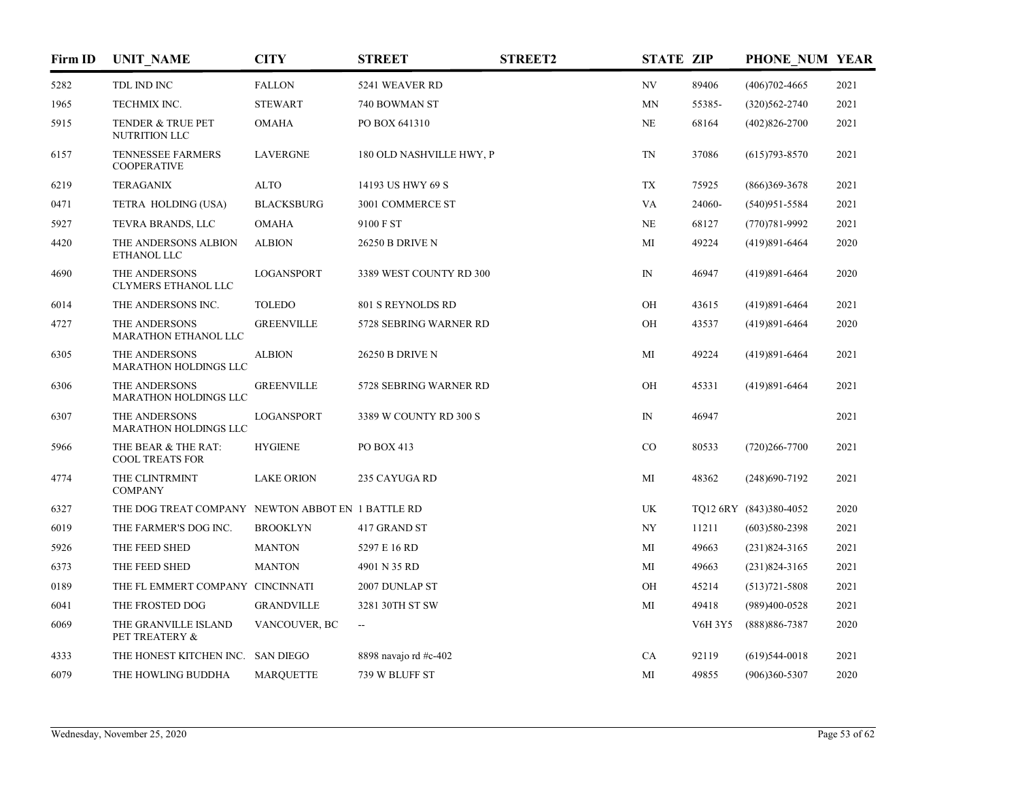| Firm ID | <b>UNIT_NAME</b>                                  | <b>CITY</b>       | <b>STREET</b>            | <b>STREET2</b> | <b>STATE ZIP</b> |         | PHONE NUM YEAR         |      |
|---------|---------------------------------------------------|-------------------|--------------------------|----------------|------------------|---------|------------------------|------|
| 5282    | TDL IND INC                                       | <b>FALLON</b>     | 5241 WEAVER RD           |                | NV               | 89406   | $(406)702 - 4665$      | 2021 |
| 1965    | TECHMIX INC.                                      | <b>STEWART</b>    | 740 BOWMAN ST            |                | MN               | 55385-  | $(320)562 - 2740$      | 2021 |
| 5915    | TENDER & TRUE PET<br>NUTRITION LLC                | <b>OMAHA</b>      | PO BOX 641310            |                | NE               | 68164   | $(402)826 - 2700$      | 2021 |
| 6157    | TENNESSEE FARMERS<br><b>COOPERATIVE</b>           | <b>LAVERGNE</b>   | 180 OLD NASHVILLE HWY, P |                | TN               | 37086   | $(615)793 - 8570$      | 2021 |
| 6219    | <b>TERAGANIX</b>                                  | <b>ALTO</b>       | 14193 US HWY 69 S        |                | TX               | 75925   | $(866)369-3678$        | 2021 |
| 0471    | TETRA HOLDING (USA)                               | <b>BLACKSBURG</b> | 3001 COMMERCE ST         |                | VA               | 24060-  | $(540)951 - 5584$      | 2021 |
| 5927    | TEVRA BRANDS, LLC                                 | <b>OMAHA</b>      | 9100 F ST                |                | NE               | 68127   | $(770)781 - 9992$      | 2021 |
| 4420    | THE ANDERSONS ALBION<br>ETHANOL LLC               | <b>ALBION</b>     | <b>26250 B DRIVE N</b>   |                | MI               | 49224   | $(419)891 - 6464$      | 2020 |
| 4690    | THE ANDERSONS<br>CLYMERS ETHANOL LLC              | <b>LOGANSPORT</b> | 3389 WEST COUNTY RD 300  |                | $\mathbb{N}$     | 46947   | $(419)891 - 6464$      | 2020 |
| 6014    | THE ANDERSONS INC.                                | <b>TOLEDO</b>     | 801 S REYNOLDS RD        |                | OH               | 43615   | $(419)891 - 6464$      | 2021 |
| 4727    | THE ANDERSONS<br>MARATHON ETHANOL LLC             | <b>GREENVILLE</b> | 5728 SEBRING WARNER RD   |                | OH               | 43537   | $(419)891 - 6464$      | 2020 |
| 6305    | THE ANDERSONS<br><b>MARATHON HOLDINGS LLC</b>     | <b>ALBION</b>     | <b>26250 B DRIVE N</b>   |                | МI               | 49224   | $(419)891 - 6464$      | 2021 |
| 6306    | THE ANDERSONS<br><b>MARATHON HOLDINGS LLC</b>     | <b>GREENVILLE</b> | 5728 SEBRING WARNER RD   |                | OH               | 45331   | $(419)891 - 6464$      | 2021 |
| 6307    | THE ANDERSONS<br><b>MARATHON HOLDINGS LLC</b>     | LOGANSPORT        | 3389 W COUNTY RD 300 S   |                | $_{\rm IN}$      | 46947   |                        | 2021 |
| 5966    | THE BEAR & THE RAT:<br><b>COOL TREATS FOR</b>     | <b>HYGIENE</b>    | PO BOX 413               |                | CO               | 80533   | $(720)266 - 7700$      | 2021 |
| 4774    | THE CLINTRMINT<br><b>COMPANY</b>                  | <b>LAKE ORION</b> | 235 CAYUGA RD            |                | MI               | 48362   | $(248)690 - 7192$      | 2021 |
| 6327    | THE DOG TREAT COMPANY NEWTON ABBOT EN 1 BATTLE RD |                   |                          |                | UK               |         | TQ12 6RY (843)380-4052 | 2020 |
| 6019    | THE FARMER'S DOG INC.                             | <b>BROOKLYN</b>   | 417 GRAND ST             |                | NY               | 11211   | $(603)580-2398$        | 2021 |
| 5926    | THE FEED SHED                                     | <b>MANTON</b>     | 5297 E 16 RD             |                | МI               | 49663   | $(231)824 - 3165$      | 2021 |
| 6373    | THE FEED SHED                                     | <b>MANTON</b>     | 4901 N 35 RD             |                | MI               | 49663   | $(231)824 - 3165$      | 2021 |
| 0189    | THE FL EMMERT COMPANY CINCINNATI                  |                   | 2007 DUNLAP ST           |                | OH               | 45214   | $(513)721 - 5808$      | 2021 |
| 6041    | THE FROSTED DOG                                   | <b>GRANDVILLE</b> | 3281 30TH ST SW          |                | MI               | 49418   | $(989)400-0528$        | 2021 |
| 6069    | THE GRANVILLE ISLAND<br>PET TREATERY &            | VANCOUVER, BC     | $\overline{\phantom{a}}$ |                |                  | V6H 3Y5 | $(888)886 - 7387$      | 2020 |
| 4333    | THE HONEST KITCHEN INC. SAN DIEGO                 |                   | 8898 navajo rd #c-402    |                | CA               | 92119   | $(619)$ 544-0018       | 2021 |
| 6079    | THE HOWLING BUDDHA                                | <b>MARQUETTE</b>  | 739 W BLUFF ST           |                | MI               | 49855   | $(906)360 - 5307$      | 2020 |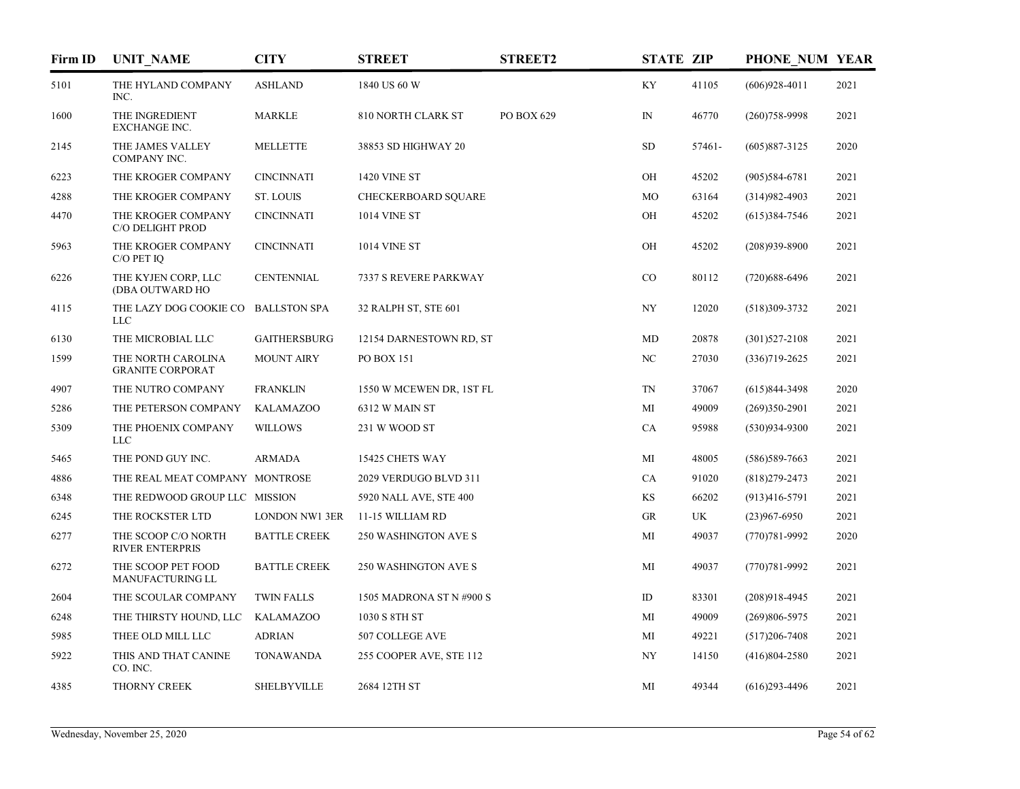| Firm ID | <b>UNIT_NAME</b>                              | <b>CITY</b>           | <b>STREET</b>               | <b>STREET2</b> | <b>STATE ZIP</b> |        | PHONE NUM YEAR    |      |
|---------|-----------------------------------------------|-----------------------|-----------------------------|----------------|------------------|--------|-------------------|------|
| 5101    | THE HYLAND COMPANY<br>INC.                    | <b>ASHLAND</b>        | 1840 US 60 W                |                | KY               | 41105  | $(606)928-4011$   | 2021 |
| 1600    | THE INGREDIENT<br><b>EXCHANGE INC.</b>        | MARKLE                | 810 NORTH CLARK ST          | PO BOX 629     | ${\rm IN}$       | 46770  | $(260)758-9998$   | 2021 |
| 2145    | THE JAMES VALLEY<br>COMPANY INC.              | <b>MELLETTE</b>       | 38853 SD HIGHWAY 20         |                | <b>SD</b>        | 57461- | $(605)887 - 3125$ | 2020 |
| 6223    | THE KROGER COMPANY                            | <b>CINCINNATI</b>     | <b>1420 VINE ST</b>         |                | OH               | 45202  | $(905)584-6781$   | 2021 |
| 4288    | THE KROGER COMPANY                            | <b>ST. LOUIS</b>      | <b>CHECKERBOARD SOUARE</b>  |                | MO               | 63164  | $(314)982 - 4903$ | 2021 |
| 4470    | THE KROGER COMPANY<br>C/O DELIGHT PROD        | <b>CINCINNATI</b>     | <b>1014 VINE ST</b>         |                | OH               | 45202  | $(615)384-7546$   | 2021 |
| 5963    | THE KROGER COMPANY<br>C/O PET IQ              | <b>CINCINNATI</b>     | <b>1014 VINE ST</b>         |                | OH               | 45202  | $(208)939 - 8900$ | 2021 |
| 6226    | THE KYJEN CORP, LLC<br>(DBA OUTWARD HO        | <b>CENTENNIAL</b>     | 7337 S REVERE PARKWAY       |                | $_{\rm CO}$      | 80112  | $(720)688 - 6496$ | 2021 |
| 4115    | THE LAZY DOG COOKIE CO<br><b>LLC</b>          | <b>BALLSTON SPA</b>   | 32 RALPH ST, STE 601        |                | NY               | 12020  | $(518)309-3732$   | 2021 |
| 6130    | THE MICROBIAL LLC                             | <b>GAITHERSBURG</b>   | 12154 DARNESTOWN RD, ST     |                | MD               | 20878  | $(301)527 - 2108$ | 2021 |
| 1599    | THE NORTH CAROLINA<br><b>GRANITE CORPORAT</b> | <b>MOUNT AIRY</b>     | PO BOX 151                  |                | NC               | 27030  | $(336)719 - 2625$ | 2021 |
| 4907    | THE NUTRO COMPANY                             | <b>FRANKLIN</b>       | 1550 W MCEWEN DR, 1ST FL    |                | TN               | 37067  | $(615)844-3498$   | 2020 |
| 5286    | THE PETERSON COMPANY                          | <b>KALAMAZOO</b>      | 6312 W MAIN ST              |                | MI               | 49009  | $(269)350-2901$   | 2021 |
| 5309    | THE PHOENIX COMPANY<br><b>LLC</b>             | <b>WILLOWS</b>        | 231 W WOOD ST               |                | CA               | 95988  | $(530)934-9300$   | 2021 |
| 5465    | THE POND GUY INC.                             | <b>ARMADA</b>         | 15425 CHETS WAY             |                | МI               | 48005  | $(586)589-7663$   | 2021 |
| 4886    | THE REAL MEAT COMPANY MONTROSE                |                       | 2029 VERDUGO BLVD 311       |                | CA               | 91020  | $(818)279 - 2473$ | 2021 |
| 6348    | THE REDWOOD GROUP LLC MISSION                 |                       | 5920 NALL AVE, STE 400      |                | KS               | 66202  | $(913)416-5791$   | 2021 |
| 6245    | THE ROCKSTER LTD                              | <b>LONDON NW1 3ER</b> | 11-15 WILLIAM RD            |                | GR               | UK     | $(23)967 - 6950$  | 2021 |
| 6277    | THE SCOOP C/O NORTH<br><b>RIVER ENTERPRIS</b> | <b>BATTLE CREEK</b>   | <b>250 WASHINGTON AVE S</b> |                | МI               | 49037  | $(770)781 - 9992$ | 2020 |
| 6272    | THE SCOOP PET FOOD<br><b>MANUFACTURING LL</b> | <b>BATTLE CREEK</b>   | <b>250 WASHINGTON AVE S</b> |                | МI               | 49037  | $(770)781 - 9992$ | 2021 |
| 2604    | THE SCOULAR COMPANY                           | <b>TWIN FALLS</b>     | 1505 MADRONA ST N #900 S    |                | ID               | 83301  | $(208)918-4945$   | 2021 |
| 6248    | THE THIRSTY HOUND, LLC                        | <b>KALAMAZOO</b>      | 1030 S 8TH ST               |                | MI               | 49009  | $(269)806 - 5975$ | 2021 |
| 5985    | THEE OLD MILL LLC                             | <b>ADRIAN</b>         | 507 COLLEGE AVE             |                | MI               | 49221  | $(517)206 - 7408$ | 2021 |
| 5922    | THIS AND THAT CANINE<br>CO. INC.              | <b>TONAWANDA</b>      | 255 COOPER AVE, STE 112     |                | NY               | 14150  | $(416)804 - 2580$ | 2021 |
| 4385    | THORNY CREEK                                  | <b>SHELBYVILLE</b>    | 2684 12TH ST                |                | МI               | 49344  | $(616)$ 293-4496  | 2021 |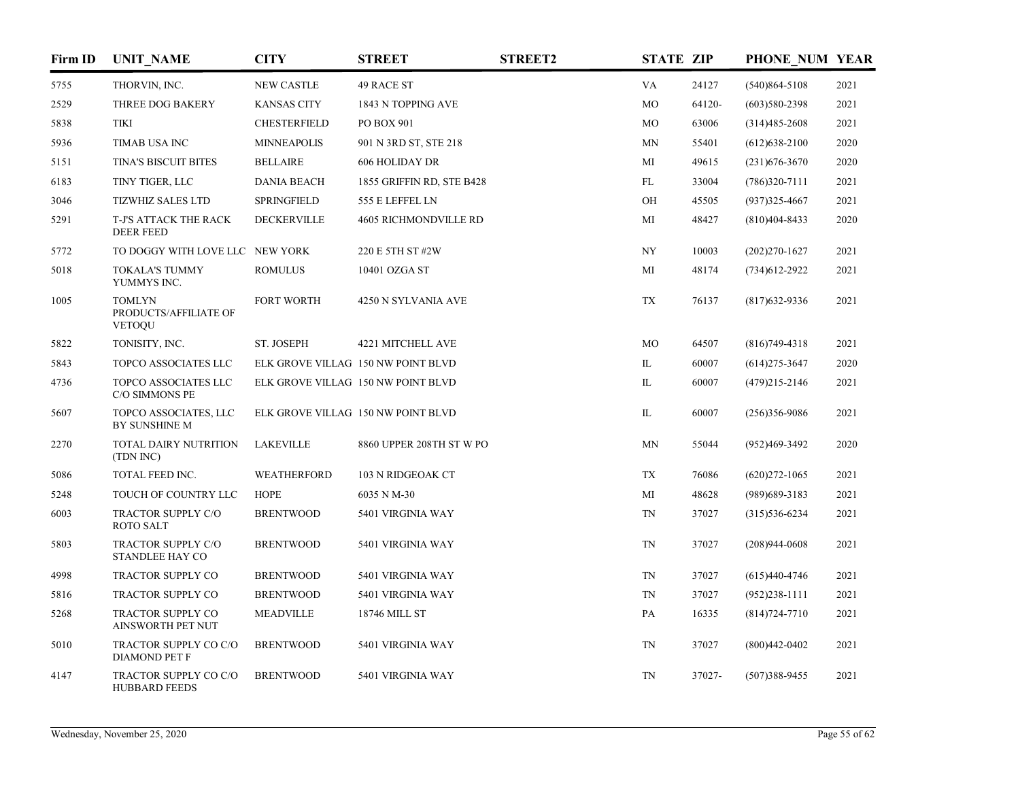| Firm ID | <b>UNIT_NAME</b>                                        | <b>CITY</b>         | <b>STREET</b>                      | <b>STREET2</b> | <b>STATE ZIP</b> |        | PHONE NUM YEAR    |      |
|---------|---------------------------------------------------------|---------------------|------------------------------------|----------------|------------------|--------|-------------------|------|
| 5755    | THORVIN, INC.                                           | NEW CASTLE          | <b>49 RACE ST</b>                  |                | VA               | 24127  | $(540)864 - 5108$ | 2021 |
| 2529    | THREE DOG BAKERY                                        | <b>KANSAS CITY</b>  | 1843 N TOPPING AVE                 |                | MO               | 64120- | $(603)580-2398$   | 2021 |
| 5838    | <b>TIKI</b>                                             | <b>CHESTERFIELD</b> | PO BOX 901                         |                | MO               | 63006  | $(314)485 - 2608$ | 2021 |
| 5936    | <b>TIMAB USA INC</b>                                    | <b>MINNEAPOLIS</b>  | 901 N 3RD ST, STE 218              |                | MN               | 55401  | $(612)$ 638-2100  | 2020 |
| 5151    | <b>TINA'S BISCUIT BITES</b>                             | <b>BELLAIRE</b>     | <b>606 HOLIDAY DR</b>              |                | MI               | 49615  | $(231)676 - 3670$ | 2020 |
| 6183    | TINY TIGER, LLC                                         | <b>DANIA BEACH</b>  | 1855 GRIFFIN RD, STE B428          |                | FL               | 33004  | $(786)320-7111$   | 2021 |
| 3046    | <b>TIZWHIZ SALES LTD</b>                                | <b>SPRINGFIELD</b>  | 555 E LEFFEL LN                    |                | OH               | 45505  | $(937)325 - 4667$ | 2021 |
| 5291    | T-J'S ATTACK THE RACK<br><b>DEER FEED</b>               | DECKERVILLE         | <b>4605 RICHMONDVILLE RD</b>       |                | MI               | 48427  | $(810)404 - 8433$ | 2020 |
| 5772    | TO DOGGY WITH LOVE LLC NEW YORK                         |                     | 220 E 5TH ST #2W                   |                | NY               | 10003  | $(202)270 - 1627$ | 2021 |
| 5018    | <b>TOKALA'S TUMMY</b><br>YUMMYS INC.                    | <b>ROMULUS</b>      | 10401 OZGA ST                      |                | MI               | 48174  | $(734)612-2922$   | 2021 |
| 1005    | <b>TOMLYN</b><br>PRODUCTS/AFFILIATE OF<br><b>VETOQU</b> | <b>FORT WORTH</b>   | 4250 N SYLVANIA AVE                |                | <b>TX</b>        | 76137  | $(817)632-9336$   | 2021 |
| 5822    | TONISITY, INC.                                          | ST. JOSEPH          | 4221 MITCHELL AVE                  |                | MO               | 64507  | $(816)749-4318$   | 2021 |
| 5843    | TOPCO ASSOCIATES LLC                                    |                     | ELK GROVE VILLAG 150 NW POINT BLVD |                | IL               | 60007  | $(614)275 - 3647$ | 2020 |
| 4736    | TOPCO ASSOCIATES LLC<br>C/O SIMMONS PE                  |                     | ELK GROVE VILLAG 150 NW POINT BLVD |                | IL               | 60007  | $(479)215 - 2146$ | 2021 |
| 5607    | TOPCO ASSOCIATES, LLC<br>BY SUNSHINE M                  |                     | ELK GROVE VILLAG 150 NW POINT BLVD |                | IL               | 60007  | $(256)356-9086$   | 2021 |
| 2270    | TOTAL DAIRY NUTRITION<br>(TDN INC)                      | <b>LAKEVILLE</b>    | 8860 UPPER 208TH ST W PO           |                | MN               | 55044  | (952)469-3492     | 2020 |
| 5086    | TOTAL FEED INC.                                         | WEATHERFORD         | 103 N RIDGEOAK CT                  |                | TX               | 76086  | $(620)272 - 1065$ | 2021 |
| 5248    | TOUCH OF COUNTRY LLC                                    | <b>HOPE</b>         | 6035 N M-30                        |                | MI               | 48628  | $(989)689 - 3183$ | 2021 |
| 6003    | TRACTOR SUPPLY C/O<br><b>ROTO SALT</b>                  | <b>BRENTWOOD</b>    | 5401 VIRGINIA WAY                  |                | <b>TN</b>        | 37027  | $(315)536-6234$   | 2021 |
| 5803    | TRACTOR SUPPLY C/O<br>STANDLEE HAY CO                   | <b>BRENTWOOD</b>    | 5401 VIRGINIA WAY                  |                | TN               | 37027  | $(208)944 - 0608$ | 2021 |
| 4998    | TRACTOR SUPPLY CO                                       | <b>BRENTWOOD</b>    | 5401 VIRGINIA WAY                  |                | <b>TN</b>        | 37027  | $(615)440-4746$   | 2021 |
| 5816    | <b>TRACTOR SUPPLY CO</b>                                | <b>BRENTWOOD</b>    | 5401 VIRGINIA WAY                  |                | <b>TN</b>        | 37027  | $(952)238-1111$   | 2021 |
| 5268    | TRACTOR SUPPLY CO<br>AINSWORTH PET NUT                  | <b>MEADVILLE</b>    | 18746 MILL ST                      |                | PA               | 16335  | $(814)724 - 7710$ | 2021 |
| 5010    | TRACTOR SUPPLY CO C/O<br><b>DIAMOND PET F</b>           | <b>BRENTWOOD</b>    | 5401 VIRGINIA WAY                  |                | TN               | 37027  | $(800)442 - 0402$ | 2021 |
| 4147    | TRACTOR SUPPLY CO C/O<br><b>HUBBARD FEEDS</b>           | <b>BRENTWOOD</b>    | 5401 VIRGINIA WAY                  |                | <b>TN</b>        | 37027- | $(507)388 - 9455$ | 2021 |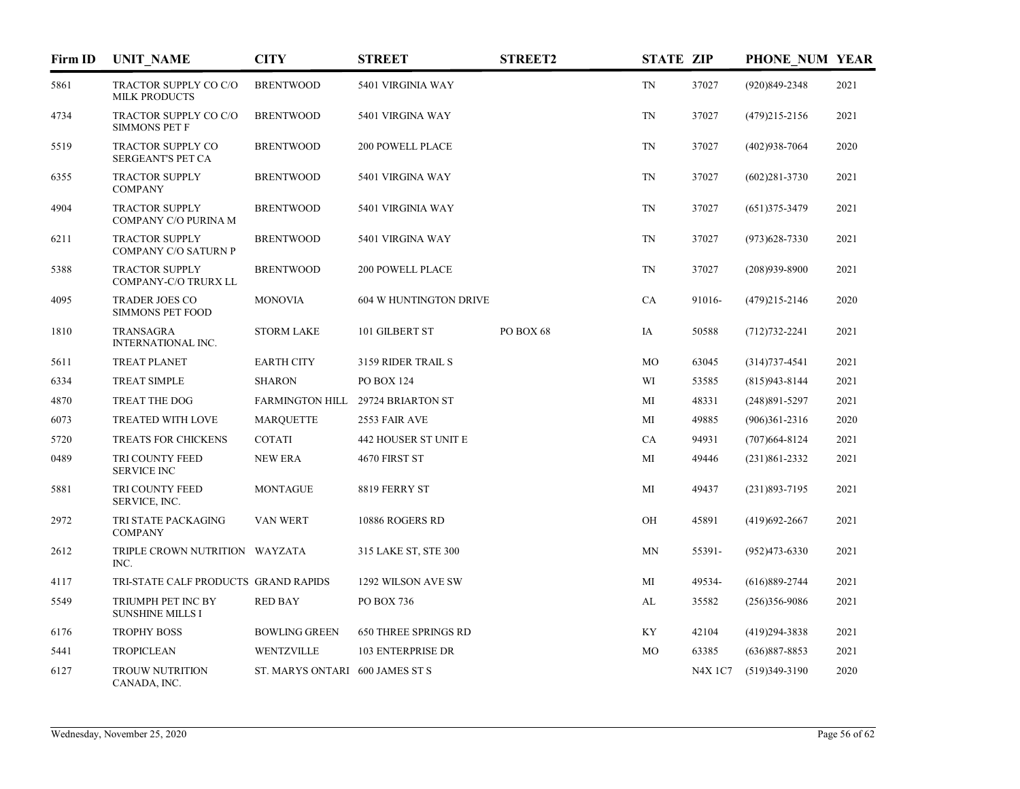| Firm ID | <b>UNIT NAME</b>                                 | <b>CITY</b>                     | <b>STREET</b>                     | <b>STREET2</b> | <b>STATE ZIP</b>         |                | PHONE NUM YEAR    |      |
|---------|--------------------------------------------------|---------------------------------|-----------------------------------|----------------|--------------------------|----------------|-------------------|------|
| 5861    | TRACTOR SUPPLY CO C/O<br><b>MILK PRODUCTS</b>    | <b>BRENTWOOD</b>                | 5401 VIRGINIA WAY                 |                | $\mathcal{T}\mathcal{N}$ | 37027          | (920)849-2348     | 2021 |
| 4734    | TRACTOR SUPPLY CO C/O<br><b>SIMMONS PET F</b>    | <b>BRENTWOOD</b>                | 5401 VIRGINA WAY                  |                | $\mathcal{T}\mathcal{N}$ | 37027          | $(479)215 - 2156$ | 2021 |
| 5519    | <b>TRACTOR SUPPLY CO</b><br>SERGEANT'S PET CA    | <b>BRENTWOOD</b>                | <b>200 POWELL PLACE</b>           |                | <b>TN</b>                | 37027          | $(402)938-7064$   | 2020 |
| 6355    | <b>TRACTOR SUPPLY</b><br><b>COMPANY</b>          | <b>BRENTWOOD</b>                | 5401 VIRGINA WAY                  |                | <b>TN</b>                | 37027          | $(602)281 - 3730$ | 2021 |
| 4904    | <b>TRACTOR SUPPLY</b><br>COMPANY C/O PURINA M    | <b>BRENTWOOD</b>                | 5401 VIRGINIA WAY                 |                | TN                       | 37027          | $(651)375 - 3479$ | 2021 |
| 6211    | <b>TRACTOR SUPPLY</b><br>COMPANY C/O SATURN P    | <b>BRENTWOOD</b>                | 5401 VIRGINA WAY                  |                | TN                       | 37027          | $(973)628 - 7330$ | 2021 |
| 5388    | <b>TRACTOR SUPPLY</b><br>COMPANY-C/O TRURX LL    | <b>BRENTWOOD</b>                | <b>200 POWELL PLACE</b>           |                | TN                       | 37027          | $(208)939 - 8900$ | 2021 |
| 4095    | <b>TRADER JOES CO</b><br><b>SIMMONS PET FOOD</b> | <b>MONOVIA</b>                  | 604 W HUNTINGTON DRIVE            |                | CA                       | 91016-         | $(479)215 - 2146$ | 2020 |
| 1810    | <b>TRANSAGRA</b><br><b>INTERNATIONAL INC.</b>    | <b>STORM LAKE</b>               | 101 GILBERT ST                    | PO BOX 68      | IA                       | 50588          | $(712)732 - 2241$ | 2021 |
| 5611    | <b>TREAT PLANET</b>                              | <b>EARTH CITY</b>               | 3159 RIDER TRAIL S                |                | MO                       | 63045          | $(314)737 - 4541$ | 2021 |
| 6334    | <b>TREAT SIMPLE</b>                              | <b>SHARON</b>                   | <b>PO BOX 124</b>                 |                | WI                       | 53585          | $(815)943 - 8144$ | 2021 |
| 4870    | TREAT THE DOG                                    |                                 | FARMINGTON HILL 29724 BRIARTON ST |                | МI                       | 48331          | $(248)891 - 5297$ | 2021 |
| 6073    | TREATED WITH LOVE                                | <b>MARQUETTE</b>                | 2553 FAIR AVE                     |                | MI                       | 49885          | $(906)361-2316$   | 2020 |
| 5720    | TREATS FOR CHICKENS                              | <b>COTATI</b>                   | 442 HOUSER ST UNIT E              |                | CA                       | 94931          | $(707)664 - 8124$ | 2021 |
| 0489    | TRI COUNTY FEED<br><b>SERVICE INC</b>            | <b>NEW ERA</b>                  | 4670 FIRST ST                     |                | MI                       | 49446          | $(231)861 - 2332$ | 2021 |
| 5881    | TRI COUNTY FEED<br>SERVICE, INC.                 | <b>MONTAGUE</b>                 | 8819 FERRY ST                     |                | MI                       | 49437          | $(231)893 - 7195$ | 2021 |
| 2972    | TRI STATE PACKAGING<br><b>COMPANY</b>            | VAN WERT                        | 10886 ROGERS RD                   |                | OН                       | 45891          | $(419)692 - 2667$ | 2021 |
| 2612    | TRIPLE CROWN NUTRITION WAYZATA<br>INC.           |                                 | 315 LAKE ST, STE 300              |                | MN                       | 55391-         | $(952)473 - 6330$ | 2021 |
| 4117    | TRI-STATE CALF PRODUCTS GRAND RAPIDS             |                                 | 1292 WILSON AVE SW                |                | MI                       | 49534-         | $(616)889-2744$   | 2021 |
| 5549    | TRIUMPH PET INC BY<br><b>SUNSHINE MILLS I</b>    | <b>RED BAY</b>                  | PO BOX 736                        |                | AL                       | 35582          | $(256)356-9086$   | 2021 |
| 6176    | <b>TROPHY BOSS</b>                               | <b>BOWLING GREEN</b>            | <b>650 THREE SPRINGS RD</b>       |                | KY                       | 42104          | $(419)294 - 3838$ | 2021 |
| 5441    | <b>TROPICLEAN</b>                                | WENTZVILLE                      | <b>103 ENTERPRISE DR</b>          |                | MO                       | 63385          | $(636)887 - 8853$ | 2021 |
| 6127    | <b>TROUW NUTRITION</b><br>CANADA, INC.           | ST. MARYS ONTARI 600 JAMES ST S |                                   |                |                          | <b>N4X 1C7</b> | $(519)349-3190$   | 2020 |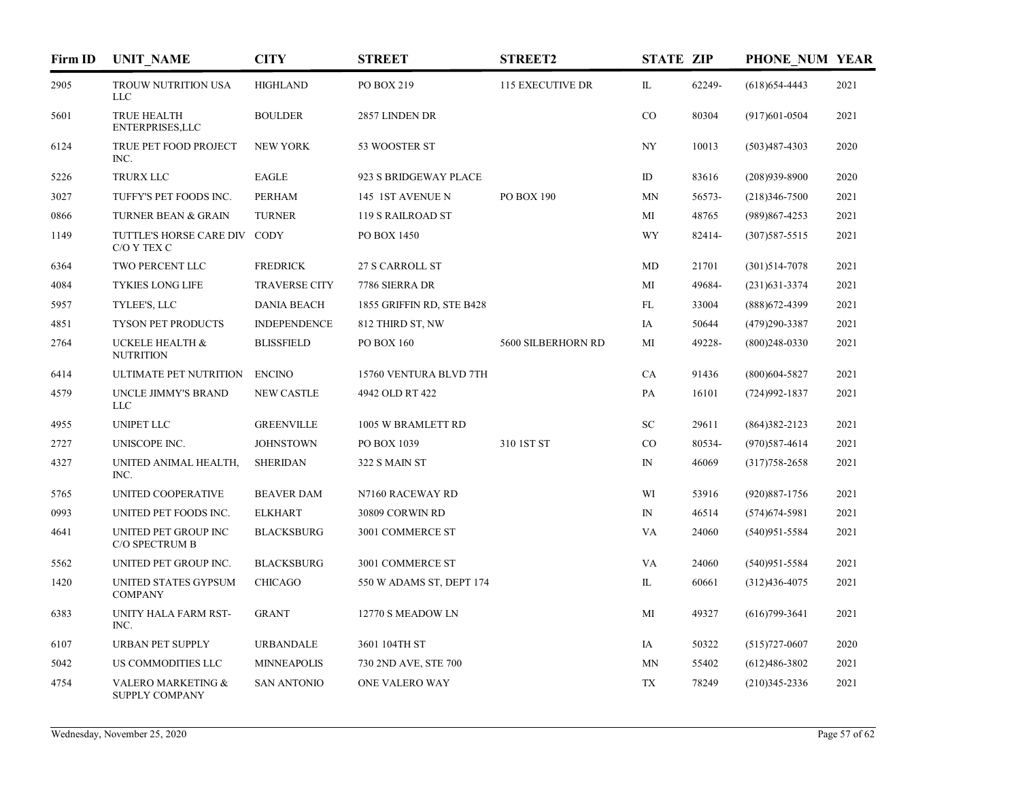| Firm ID | <b>UNIT_NAME</b>                                       | <b>CITY</b>          | <b>STREET</b>             | <b>STREET2</b>          | <b>STATE ZIP</b> |        | PHONE NUM YEAR    |      |
|---------|--------------------------------------------------------|----------------------|---------------------------|-------------------------|------------------|--------|-------------------|------|
| 2905    | TROUW NUTRITION USA<br><b>LLC</b>                      | <b>HIGHLAND</b>      | PO BOX 219                | <b>115 EXECUTIVE DR</b> | IL               | 62249- | $(618)$ 654-4443  | 2021 |
| 5601    | <b>TRUE HEALTH</b><br>ENTERPRISES, LLC                 | <b>BOULDER</b>       | 2857 LINDEN DR            |                         | CO               | 80304  | $(917)601 - 0504$ | 2021 |
| 6124    | TRUE PET FOOD PROJECT<br>INC.                          | <b>NEW YORK</b>      | 53 WOOSTER ST             |                         | NY               | 10013  | $(503)487 - 4303$ | 2020 |
| 5226    | TRURX LLC                                              | <b>EAGLE</b>         | 923 S BRIDGEWAY PLACE     |                         | ID               | 83616  | $(208)939-8900$   | 2020 |
| 3027    | TUFFY'S PET FOODS INC.                                 | <b>PERHAM</b>        | 145 1ST AVENUE N          | PO BOX 190              | <b>MN</b>        | 56573- | $(218)346 - 7500$ | 2021 |
| 0866    | <b>TURNER BEAN &amp; GRAIN</b>                         | <b>TURNER</b>        | <b>119 S RAILROAD ST</b>  |                         | МI               | 48765  | (989)867-4253     | 2021 |
| 1149    | TUTTLE'S HORSE CARE DIV CODY<br>C/O Y TEX C            |                      | PO BOX 1450               |                         | WY               | 82414- | $(307)587 - 5515$ | 2021 |
| 6364    | TWO PERCENT LLC                                        | <b>FREDRICK</b>      | 27 S CARROLL ST           |                         | MD               | 21701  | $(301)514 - 7078$ | 2021 |
| 4084    | <b>TYKIES LONG LIFE</b>                                | <b>TRAVERSE CITY</b> | 7786 SIERRA DR            |                         | MI               | 49684- | $(231)631-3374$   | 2021 |
| 5957    | TYLEE'S, LLC                                           | <b>DANIA BEACH</b>   | 1855 GRIFFIN RD, STE B428 |                         | FL               | 33004  | $(888)$ 672-4399  | 2021 |
| 4851    | TYSON PET PRODUCTS                                     | <b>INDEPENDENCE</b>  | 812 THIRD ST, NW          |                         | IA               | 50644  | $(479)290 - 3387$ | 2021 |
| 2764    | UCKELE HEALTH &<br><b>NUTRITION</b>                    | <b>BLISSFIELD</b>    | PO BOX 160                | 5600 SILBERHORN RD      | MI               | 49228- | $(800)248-0330$   | 2021 |
| 6414    | ULTIMATE PET NUTRITION                                 | <b>ENCINO</b>        | 15760 VENTURA BLVD 7TH    |                         | CA               | 91436  | $(800)$ 604-5827  | 2021 |
| 4579    | UNCLE JIMMY'S BRAND<br><b>LLC</b>                      | <b>NEW CASTLE</b>    | 4942 OLD RT 422           |                         | PA               | 16101  | $(724)992 - 1837$ | 2021 |
| 4955    | <b>UNIPET LLC</b>                                      | <b>GREENVILLE</b>    | 1005 W BRAMLETT RD        |                         | SC               | 29611  | $(864)382 - 2123$ | 2021 |
| 2727    | UNISCOPE INC.                                          | <b>JOHNSTOWN</b>     | PO BOX 1039               | 310 1ST ST              | CO               | 80534- | $(970)$ 587-4614  | 2021 |
| 4327    | UNITED ANIMAL HEALTH,<br>INC.                          | <b>SHERIDAN</b>      | 322 S MAIN ST             |                         | $_{\rm IN}$      | 46069  | $(317)758 - 2658$ | 2021 |
| 5765    | UNITED COOPERATIVE                                     | <b>BEAVER DAM</b>    | N7160 RACEWAY RD          |                         | WI               | 53916  | $(920)887 - 1756$ | 2021 |
| 0993    | UNITED PET FOODS INC.                                  | <b>ELKHART</b>       | 30809 CORWIN RD           |                         | $\mathbb{N}$     | 46514  | $(574)674 - 5981$ | 2021 |
| 4641    | UNITED PET GROUP INC<br>C/O SPECTRUM B                 | <b>BLACKSBURG</b>    | 3001 COMMERCE ST          |                         | VA               | 24060  | $(540)951 - 5584$ | 2021 |
| 5562    | UNITED PET GROUP INC.                                  | <b>BLACKSBURG</b>    | 3001 COMMERCE ST          |                         | VA               | 24060  | $(540)951 - 5584$ | 2021 |
| 1420    | UNITED STATES GYPSUM<br><b>COMPANY</b>                 | <b>CHICAGO</b>       | 550 W ADAMS ST, DEPT 174  |                         | IL               | 60661  | $(312)436-4075$   | 2021 |
| 6383    | UNITY HALA FARM RST-<br>INC.                           | <b>GRANT</b>         | 12770 S MEADOW LN         |                         | MI               | 49327  | $(616)799-3641$   | 2021 |
| 6107    | <b>URBAN PET SUPPLY</b>                                | <b>URBANDALE</b>     | 3601 104TH ST             |                         | IA               | 50322  | $(515)727-0607$   | 2020 |
| 5042    | US COMMODITIES LLC                                     | <b>MINNEAPOLIS</b>   | 730 2ND AVE, STE 700      |                         | MN               | 55402  | $(612)486 - 3802$ | 2021 |
| 4754    | <b>VALERO MARKETING &amp;</b><br><b>SUPPLY COMPANY</b> | <b>SAN ANTONIO</b>   | <b>ONE VALERO WAY</b>     |                         | <b>TX</b>        | 78249  | $(210)345 - 2336$ | 2021 |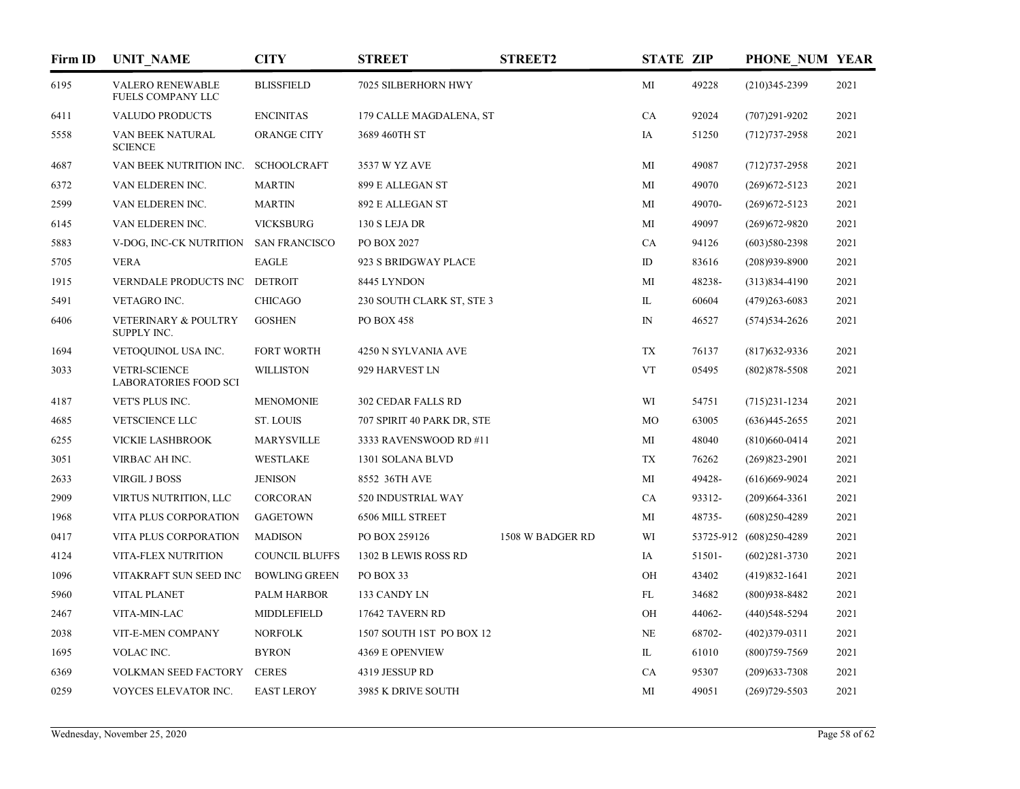| Firm ID | <b>UNIT_NAME</b>                                     | <b>CITY</b>           | <b>STREET</b>              | <b>STREET2</b>   | <b>STATE ZIP</b> |        | PHONE NUM YEAR          |      |
|---------|------------------------------------------------------|-----------------------|----------------------------|------------------|------------------|--------|-------------------------|------|
| 6195    | <b>VALERO RENEWABLE</b><br><b>FUELS COMPANY LLC</b>  | <b>BLISSFIELD</b>     | 7025 SILBERHORN HWY        |                  | MI               | 49228  | $(210)345 - 2399$       | 2021 |
| 6411    | <b>VALUDO PRODUCTS</b>                               | <b>ENCINITAS</b>      | 179 CALLE MAGDALENA, ST    |                  | CA               | 92024  | $(707)291 - 9202$       | 2021 |
| 5558    | VAN BEEK NATURAL<br><b>SCIENCE</b>                   | ORANGE CITY           | 3689 460TH ST              |                  | IA               | 51250  | $(712)737 - 2958$       | 2021 |
| 4687    | VAN BEEK NUTRITION INC. SCHOOLCRAFT                  |                       | 3537 W YZ AVE              |                  | MI               | 49087  | $(712)737 - 2958$       | 2021 |
| 6372    | VAN ELDEREN INC.                                     | <b>MARTIN</b>         | 899 E ALLEGAN ST           |                  | MI               | 49070  | $(269)672 - 5123$       | 2021 |
| 2599    | VAN ELDEREN INC.                                     | <b>MARTIN</b>         | 892 E ALLEGAN ST           |                  | MI               | 49070- | $(269)672 - 5123$       | 2021 |
| 6145    | VAN ELDEREN INC.                                     | <b>VICKSBURG</b>      | 130 S LEJA DR              |                  | MI               | 49097  | $(269)672 - 9820$       | 2021 |
| 5883    | V-DOG, INC-CK NUTRITION                              | <b>SAN FRANCISCO</b>  | PO BOX 2027                |                  | CA               | 94126  | $(603)580-2398$         | 2021 |
| 5705    | <b>VERA</b>                                          | <b>EAGLE</b>          | 923 S BRIDGWAY PLACE       |                  | ID               | 83616  | $(208)939 - 8900$       | 2021 |
| 1915    | VERNDALE PRODUCTS INC                                | <b>DETROIT</b>        | 8445 LYNDON                |                  | MI               | 48238- | $(313)834-4190$         | 2021 |
| 5491    | VETAGRO INC.                                         | <b>CHICAGO</b>        | 230 SOUTH CLARK ST, STE 3  |                  | IL               | 60604  | $(479)263 - 6083$       | 2021 |
| 6406    | VETERINARY & POULTRY<br>SUPPLY INC.                  | <b>GOSHEN</b>         | <b>PO BOX 458</b>          |                  | $\mathbb{N}$     | 46527  | $(574)$ 534-2626        | 2021 |
| 1694    | VETOQUINOL USA INC.                                  | <b>FORT WORTH</b>     | 4250 N SYLVANIA AVE        |                  | TX               | 76137  | $(817)632-9336$         | 2021 |
| 3033    | <b>VETRI-SCIENCE</b><br><b>LABORATORIES FOOD SCI</b> | <b>WILLISTON</b>      | 929 HARVEST LN             |                  | <b>VT</b>        | 05495  | $(802)878 - 5508$       | 2021 |
| 4187    | VET'S PLUS INC.                                      | <b>MENOMONIE</b>      | 302 CEDAR FALLS RD         |                  | WI               | 54751  | $(715)231-1234$         | 2021 |
| 4685    | VETSCIENCE LLC                                       | <b>ST. LOUIS</b>      | 707 SPIRIT 40 PARK DR, STE |                  | MO               | 63005  | $(636)445 - 2655$       | 2021 |
| 6255    | <b>VICKIE LASHBROOK</b>                              | <b>MARYSVILLE</b>     | 3333 RAVENSWOOD RD #11     |                  | MI               | 48040  | $(810)660 - 0414$       | 2021 |
| 3051    | VIRBAC AH INC.                                       | <b>WESTLAKE</b>       | 1301 SOLANA BLVD           |                  | <b>TX</b>        | 76262  | $(269)823 - 2901$       | 2021 |
| 2633    | <b>VIRGIL J BOSS</b>                                 | <b>JENISON</b>        | 8552 36TH AVE              |                  | МI               | 49428- | $(616)669-9024$         | 2021 |
| 2909    | VIRTUS NUTRITION, LLC                                | CORCORAN              | 520 INDUSTRIAL WAY         |                  | CA               | 93312- | $(209)664 - 3361$       | 2021 |
| 1968    | VITA PLUS CORPORATION                                | <b>GAGETOWN</b>       | <b>6506 MILL STREET</b>    |                  | MI               | 48735- | $(608)250-4289$         | 2021 |
| 0417    | VITA PLUS CORPORATION                                | <b>MADISON</b>        | PO BOX 259126              | 1508 W BADGER RD | WI               |        | 53725-912 (608)250-4289 | 2021 |
| 4124    | VITA-FLEX NUTRITION                                  | <b>COUNCIL BLUFFS</b> | 1302 B LEWIS ROSS RD       |                  | IA               | 51501- | $(602)281 - 3730$       | 2021 |
| 1096    | VITAKRAFT SUN SEED INC                               | <b>BOWLING GREEN</b>  | PO BOX 33                  |                  | OH               | 43402  | $(419)832 - 1641$       | 2021 |
| 5960    | <b>VITAL PLANET</b>                                  | <b>PALM HARBOR</b>    | 133 CANDY LN               |                  | FL               | 34682  | $(800)938 - 8482$       | 2021 |
| 2467    | VITA-MIN-LAC                                         | MIDDLEFIELD           | 17642 TAVERN RD            |                  | OH               | 44062- | $(440)548 - 5294$       | 2021 |
| 2038    | VIT-E-MEN COMPANY                                    | <b>NORFOLK</b>        | 1507 SOUTH 1ST PO BOX 12   |                  | NE               | 68702- | $(402)379-0311$         | 2021 |
| 1695    | VOLAC INC.                                           | <b>BYRON</b>          | 4369 E OPENVIEW            |                  | IL               | 61010  | $(800)759-7569$         | 2021 |
| 6369    | VOLKMAN SEED FACTORY                                 | <b>CERES</b>          | 4319 JESSUP RD             |                  | CA               | 95307  | $(209)$ 633-7308        | 2021 |
| 0259    | VOYCES ELEVATOR INC.                                 | <b>EAST LEROY</b>     | 3985 K DRIVE SOUTH         |                  | MI               | 49051  | $(269)729 - 5503$       | 2021 |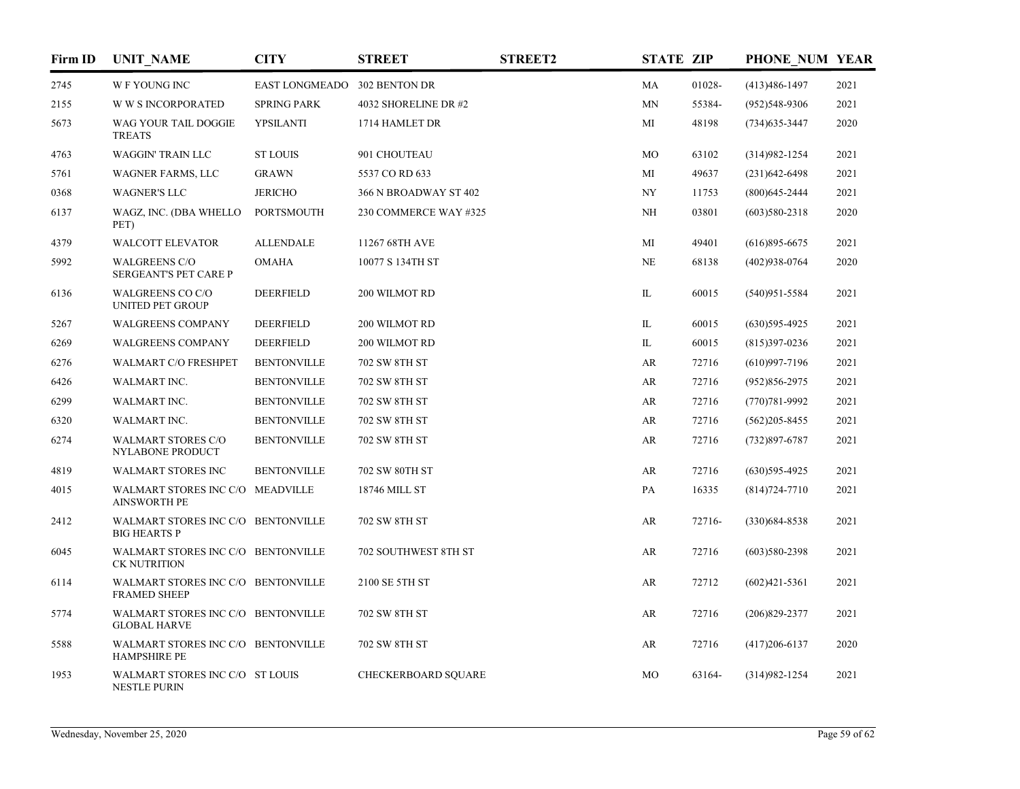| Firm ID | <b>UNIT NAME</b>                                          | <b>CITY</b>                  | <b>STREET</b>              | <b>STREET2</b> | <b>STATE ZIP</b> |        | PHONE NUM YEAR    |      |
|---------|-----------------------------------------------------------|------------------------------|----------------------------|----------------|------------------|--------|-------------------|------|
| 2745    | W F YOUNG INC                                             | EAST LONGMEADO 302 BENTON DR |                            |                | MA               | 01028- | $(413)486 - 1497$ | 2021 |
| 2155    | <b>WWS INCORPORATED</b>                                   | <b>SPRING PARK</b>           | 4032 SHORELINE DR #2       |                | <b>MN</b>        | 55384- | $(952)$ 548-9306  | 2021 |
| 5673    | WAG YOUR TAIL DOGGIE<br><b>TREATS</b>                     | YPSILANTI                    | 1714 HAMLET DR             |                | МI               | 48198  | $(734)$ 635-3447  | 2020 |
| 4763    | <b>WAGGIN' TRAIN LLC</b>                                  | <b>ST LOUIS</b>              | 901 CHOUTEAU               |                | MO               | 63102  | $(314)982 - 1254$ | 2021 |
| 5761    | WAGNER FARMS, LLC                                         | <b>GRAWN</b>                 | 5537 CO RD 633             |                | MI               | 49637  | $(231)642 - 6498$ | 2021 |
| 0368    | <b>WAGNER'S LLC</b>                                       | <b>JERICHO</b>               | 366 N BROADWAY ST 402      |                | NY               | 11753  | $(800)$ 645-2444  | 2021 |
| 6137    | WAGZ, INC. (DBA WHELLO<br>PET)                            | <b>PORTSMOUTH</b>            | 230 COMMERCE WAY #325      |                | NH               | 03801  | $(603)580-2318$   | 2020 |
| 4379    | <b>WALCOTT ELEVATOR</b>                                   | <b>ALLENDALE</b>             | 11267 68TH AVE             |                | MI               | 49401  | $(616)895-6675$   | 2021 |
| 5992    | <b>WALGREENS C/O</b><br>SERGEANT'S PET CARE P             | <b>OMAHA</b>                 | 10077 S 134TH ST           |                | NE               | 68138  | $(402)938-0764$   | 2020 |
| 6136    | WALGREENS CO C/O<br>UNITED PET GROUP                      | <b>DEERFIELD</b>             | 200 WILMOT RD              |                | IL               | 60015  | $(540)951 - 5584$ | 2021 |
| 5267    | <b>WALGREENS COMPANY</b>                                  | <b>DEERFIELD</b>             | 200 WILMOT RD              |                | IL               | 60015  | $(630)$ 595-4925  | 2021 |
| 6269    | <b>WALGREENS COMPANY</b>                                  | <b>DEERFIELD</b>             | 200 WILMOT RD              |                | IL               | 60015  | $(815)397 - 0236$ | 2021 |
| 6276    | <b>WALMART C/O FRESHPET</b>                               | <b>BENTONVILLE</b>           | 702 SW 8TH ST              |                | AR               | 72716  | $(610)997-7196$   | 2021 |
| 6426    | WALMART INC.                                              | <b>BENTONVILLE</b>           | 702 SW 8TH ST              |                | AR               | 72716  | $(952)856 - 2975$ | 2021 |
| 6299    | WALMART INC.                                              | <b>BENTONVILLE</b>           | 702 SW 8TH ST              |                | AR               | 72716  | $(770)781 - 9992$ | 2021 |
| 6320    | WALMART INC.                                              | <b>BENTONVILLE</b>           | 702 SW 8TH ST              |                | AR               | 72716  | $(562)205 - 8455$ | 2021 |
| 6274    | <b>WALMART STORES C/O</b><br>NYLABONE PRODUCT             | <b>BENTONVILLE</b>           | 702 SW 8TH ST              |                | AR               | 72716  | $(732)897 - 6787$ | 2021 |
| 4819    | <b>WALMART STORES INC</b>                                 | <b>BENTONVILLE</b>           | 702 SW 80TH ST             |                | AR               | 72716  | $(630)$ 595-4925  | 2021 |
| 4015    | WALMART STORES INC C/O MEADVILLE<br><b>AINSWORTH PE</b>   |                              | 18746 MILL ST              |                | PA               | 16335  | $(814)724 - 7710$ | 2021 |
| 2412    | WALMART STORES INC C/O BENTONVILLE<br><b>BIG HEARTS P</b> |                              | 702 SW 8TH ST              |                | AR               | 72716- | $(330)684 - 8538$ | 2021 |
| 6045    | WALMART STORES INC C/O BENTONVILLE<br><b>CK NUTRITION</b> |                              | 702 SOUTHWEST 8TH ST       |                | AR               | 72716  | $(603)580-2398$   | 2021 |
| 6114    | WALMART STORES INC C/O BENTONVILLE<br><b>FRAMED SHEEP</b> |                              | 2100 SE 5TH ST             |                | AR               | 72712  | $(602)421 - 5361$ | 2021 |
| 5774    | WALMART STORES INC C/O BENTONVILLE<br><b>GLOBAL HARVE</b> |                              | 702 SW 8TH ST              |                | AR               | 72716  | $(206)829 - 2377$ | 2021 |
| 5588    | WALMART STORES INC C/O BENTONVILLE<br><b>HAMPSHIRE PE</b> |                              | 702 SW 8TH ST              |                | AR               | 72716  | $(417)206-6137$   | 2020 |
| 1953    | WALMART STORES INC C/O ST LOUIS<br>NESTLE PURIN           |                              | <b>CHECKERBOARD SOUARE</b> |                | MO               | 63164- | $(314)982 - 1254$ | 2021 |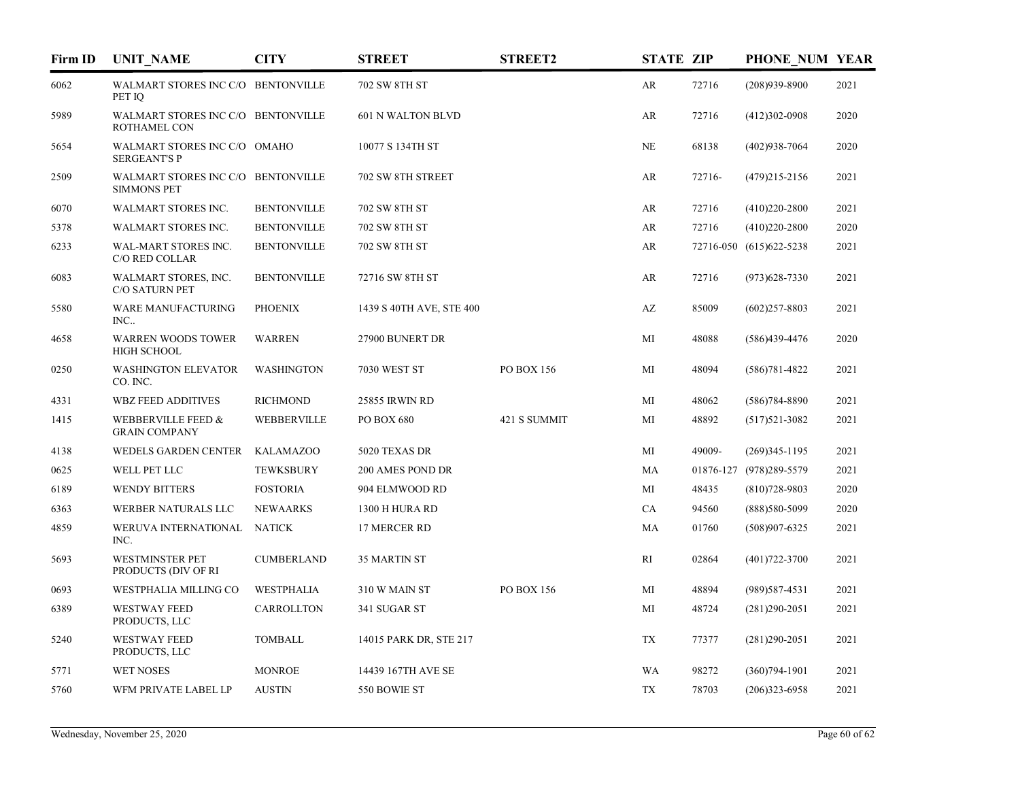| Firm ID | <b>UNIT NAME</b>                                         | <b>CITY</b>        | <b>STREET</b>            | <b>STREET2</b> | <b>STATE ZIP</b> |        | PHONE NUM YEAR          |      |
|---------|----------------------------------------------------------|--------------------|--------------------------|----------------|------------------|--------|-------------------------|------|
| 6062    | WALMART STORES INC C/O BENTONVILLE<br>PET IO             |                    | 702 SW 8TH ST            |                | AR               | 72716  | $(208)939-8900$         | 2021 |
| 5989    | WALMART STORES INC C/O BENTONVILLE<br>ROTHAMEL CON       |                    | 601 N WALTON BLVD        |                | AR               | 72716  | $(412)302-0908$         | 2020 |
| 5654    | WALMART STORES INC C/O OMAHO<br><b>SERGEANT'S P</b>      |                    | 10077 S 134TH ST         |                | NE               | 68138  | $(402)938 - 7064$       | 2020 |
| 2509    | WALMART STORES INC C/O BENTONVILLE<br><b>SIMMONS PET</b> |                    | 702 SW 8TH STREET        |                | AR               | 72716- | $(479)215 - 2156$       | 2021 |
| 6070    | WALMART STORES INC.                                      | <b>BENTONVILLE</b> | 702 SW 8TH ST            |                | AR               | 72716  | $(410)220 - 2800$       | 2021 |
| 5378    | WALMART STORES INC.                                      | <b>BENTONVILLE</b> | 702 SW 8TH ST            |                | AR               | 72716  | $(410)220 - 2800$       | 2020 |
| 6233    | WAL-MART STORES INC.<br>C/O RED COLLAR                   | <b>BENTONVILLE</b> | 702 SW 8TH ST            |                | AR               |        | 72716-050 (615)622-5238 | 2021 |
| 6083    | WALMART STORES, INC.<br>C/O SATURN PET                   | <b>BENTONVILLE</b> | 72716 SW 8TH ST          |                | AR               | 72716  | $(973)628 - 7330$       | 2021 |
| 5580    | WARE MANUFACTURING<br>INC                                | <b>PHOENIX</b>     | 1439 S 40TH AVE, STE 400 |                | AZ               | 85009  | $(602)257 - 8803$       | 2021 |
| 4658    | <b>WARREN WOODS TOWER</b><br><b>HIGH SCHOOL</b>          | <b>WARREN</b>      | 27900 BUNERT DR          |                | MI               | 48088  | $(586)439-4476$         | 2020 |
| 0250    | <b>WASHINGTON ELEVATOR</b><br>CO. INC.                   | <b>WASHINGTON</b>  | <b>7030 WEST ST</b>      | PO BOX 156     | MI               | 48094  | $(586)781 - 4822$       | 2021 |
| 4331    | <b>WBZ FEED ADDITIVES</b>                                | <b>RICHMOND</b>    | 25855 IRWIN RD           |                | MI               | 48062  | $(586)784 - 8890$       | 2021 |
| 1415    | WEBBERVILLE FEED &<br><b>GRAIN COMPANY</b>               | WEBBERVILLE        | PO BOX 680               | 421 S SUMMIT   | МI               | 48892  | $(517)521-3082$         | 2021 |
| 4138    | WEDELS GARDEN CENTER                                     | <b>KALAMAZOO</b>   | 5020 TEXAS DR            |                | МI               | 49009- | $(269)345-1195$         | 2021 |
| 0625    | WELL PET LLC                                             | <b>TEWKSBURY</b>   | 200 AMES POND DR         |                | MA               |        | 01876-127 (978)289-5579 | 2021 |
| 6189    | <b>WENDY BITTERS</b>                                     | <b>FOSTORIA</b>    | 904 ELMWOOD RD           |                | MI               | 48435  | $(810)728-9803$         | 2020 |
| 6363    | WERBER NATURALS LLC                                      | <b>NEWAARKS</b>    | 1300 H HURA RD           |                | CA               | 94560  | (888) 580-5099          | 2020 |
| 4859    | WERUVA INTERNATIONAL<br>INC.                             | <b>NATICK</b>      | 17 MERCER RD             |                | MA               | 01760  | $(508)907 - 6325$       | 2021 |
| 5693    | <b>WESTMINSTER PET</b><br>PRODUCTS (DIV OF RI            | <b>CUMBERLAND</b>  | <b>35 MARTIN ST</b>      |                | RI               | 02864  | $(401)722 - 3700$       | 2021 |
| 0693    | WESTPHALIA MILLING CO                                    | <b>WESTPHALIA</b>  | 310 W MAIN ST            | PO BOX 156     | MI               | 48894  | $(989)$ 587-4531        | 2021 |
| 6389    | <b>WESTWAY FEED</b><br>PRODUCTS, LLC                     | CARROLLTON         | 341 SUGAR ST             |                | MI               | 48724  | $(281)290-2051$         | 2021 |
| 5240    | WESTWAY FEED<br>PRODUCTS, LLC                            | <b>TOMBALL</b>     | 14015 PARK DR, STE 217   |                | TX               | 77377  | $(281)290-2051$         | 2021 |
| 5771    | <b>WET NOSES</b>                                         | <b>MONROE</b>      | 14439 167TH AVE SE       |                | WA               | 98272  | $(360)794-1901$         | 2021 |
| 5760    | WFM PRIVATE LABEL LP                                     | <b>AUSTIN</b>      | 550 BOWIE ST             |                | TX               | 78703  | $(206)323 - 6958$       | 2021 |
|         |                                                          |                    |                          |                |                  |        |                         |      |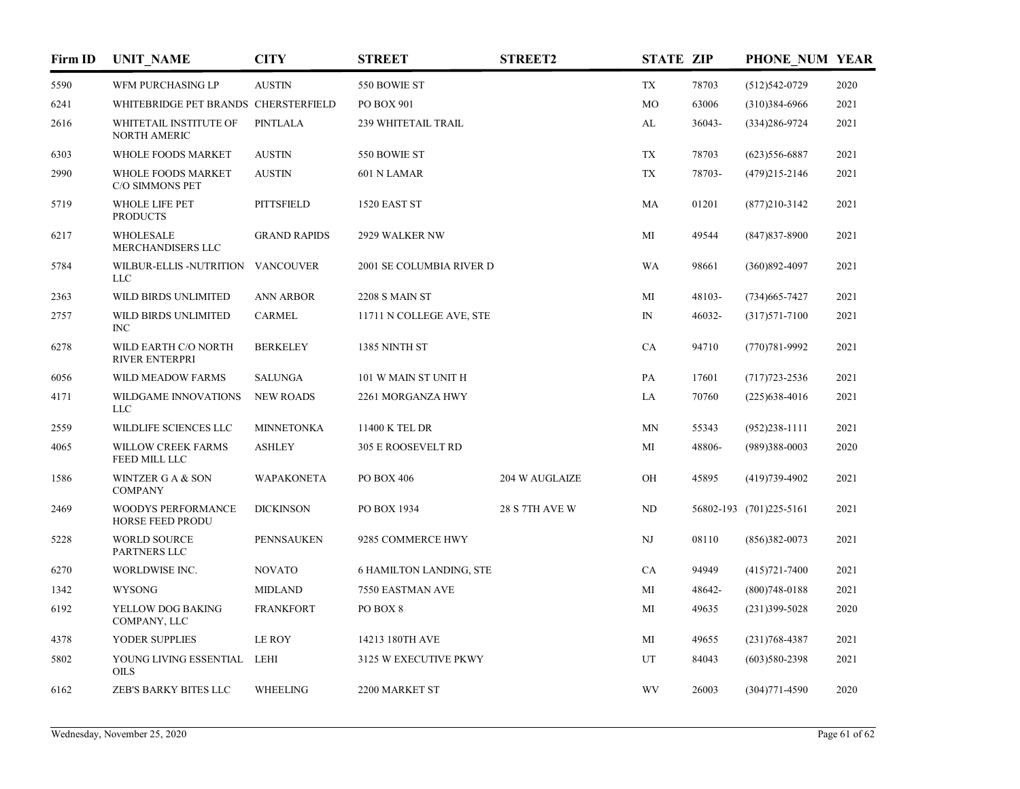| Firm ID | <b>UNIT_NAME</b>                                     | <b>CITY</b>         | <b>STREET</b>                  | <b>STREET2</b>        | <b>STATE ZIP</b> |        | PHONE NUM YEAR          |      |
|---------|------------------------------------------------------|---------------------|--------------------------------|-----------------------|------------------|--------|-------------------------|------|
| 5590    | WFM PURCHASING LP                                    | <b>AUSTIN</b>       | 550 BOWIE ST                   |                       | <b>TX</b>        | 78703  | $(512)542-0729$         | 2020 |
| 6241    | WHITEBRIDGE PET BRANDS CHERSTERFIELD                 |                     | <b>PO BOX 901</b>              |                       | M <sub>O</sub>   | 63006  | $(310)384-6966$         | 2021 |
| 2616    | WHITETAIL INSTITUTE OF<br>NORTH AMERIC               | PINTLALA            | 239 WHITETAIL TRAIL            |                       | AL               | 36043- | $(334)286 - 9724$       | 2021 |
| 6303    | WHOLE FOODS MARKET                                   | <b>AUSTIN</b>       | 550 BOWIE ST                   |                       | <b>TX</b>        | 78703  | $(623)$ 556-6887        | 2021 |
| 2990    | WHOLE FOODS MARKET<br>C/O SIMMONS PET                | <b>AUSTIN</b>       | 601 N LAMAR                    |                       | <b>TX</b>        | 78703- | $(479)215 - 2146$       | 2021 |
| 5719    | <b>WHOLE LIFE PET</b><br><b>PRODUCTS</b>             | <b>PITTSFIELD</b>   | 1520 EAST ST                   |                       | MA               | 01201  | $(877)210-3142$         | 2021 |
| 6217    | <b>WHOLESALE</b><br>MERCHANDISERS LLC                | <b>GRAND RAPIDS</b> | 2929 WALKER NW                 |                       | MI               | 49544  | $(847)837 - 8900$       | 2021 |
| 5784    | WILBUR-ELLIS -NUTRITION<br><b>LLC</b>                | <b>VANCOUVER</b>    | 2001 SE COLUMBIA RIVER D       |                       | WA               | 98661  | $(360)892 - 4097$       | 2021 |
| 2363    | WILD BIRDS UNLIMITED                                 | <b>ANN ARBOR</b>    | <b>2208 S MAIN ST</b>          |                       | MI               | 48103- | $(734)665 - 7427$       | 2021 |
| 2757    | WILD BIRDS UNLIMITED<br>INC                          | <b>CARMEL</b>       | 11711 N COLLEGE AVE, STE       |                       | IN               | 46032- | $(317)571 - 7100$       | 2021 |
| 6278    | WILD EARTH C/O NORTH<br><b>RIVER ENTERPRI</b>        | <b>BERKELEY</b>     | 1385 NINTH ST                  |                       | CA               | 94710  | $(770)781 - 9992$       | 2021 |
| 6056    | WILD MEADOW FARMS                                    | <b>SALUNGA</b>      | 101 W MAIN ST UNIT H           |                       | PA               | 17601  | $(717)723 - 2536$       | 2021 |
| 4171    | WILDGAME INNOVATIONS<br><b>LLC</b>                   | <b>NEW ROADS</b>    | 2261 MORGANZA HWY              |                       | LA               | 70760  | $(225)$ 638-4016        | 2021 |
| 2559    | WILDLIFE SCIENCES LLC                                | <b>MINNETONKA</b>   | 11400 K TEL DR                 |                       | MN               | 55343  | $(952)238-1111$         | 2021 |
| 4065    | WILLOW CREEK FARMS<br>FEED MILL LLC                  | <b>ASHLEY</b>       | 305 E ROOSEVELT RD             |                       | MI               | 48806- | $(989)388 - 0003$       | 2020 |
| 1586    | WINTZER G A & SON<br><b>COMPANY</b>                  | <b>WAPAKONETA</b>   | PO BOX 406                     | 204 W AUGLAIZE        | OН               | 45895  | $(419)739-4902$         | 2021 |
| 2469    | <b>WOODYS PERFORMANCE</b><br><b>HORSE FEED PRODU</b> | <b>DICKINSON</b>    | PO BOX 1934                    | <b>28 S 7TH AVE W</b> | ND               |        | 56802-193 (701)225-5161 | 2021 |
| 5228    | <b>WORLD SOURCE</b><br>PARTNERS LLC                  | <b>PENNSAUKEN</b>   | 9285 COMMERCE HWY              |                       | NJ               | 08110  | $(856)382-0073$         | 2021 |
| 6270    | WORLDWISE INC.                                       | <b>NOVATO</b>       | <b>6 HAMILTON LANDING, STE</b> |                       | CA               | 94949  | $(415)721 - 7400$       | 2021 |
| 1342    | <b>WYSONG</b>                                        | <b>MIDLAND</b>      | 7550 EASTMAN AVE               |                       | MI               | 48642- | $(800)748 - 0188$       | 2021 |
| 6192    | YELLOW DOG BAKING<br>COMPANY, LLC                    | <b>FRANKFORT</b>    | PO BOX 8                       |                       | MI               | 49635  | $(231)399 - 5028$       | 2020 |
| 4378    | YODER SUPPLIES                                       | LE ROY              | 14213 180TH AVE                |                       | MI               | 49655  | $(231)768 - 4387$       | 2021 |
| 5802    | YOUNG LIVING ESSENTIAL<br><b>OILS</b>                | LEHI                | 3125 W EXECUTIVE PKWY          |                       | UT               | 84043  | $(603)580-2398$         | 2021 |
| 6162    | ZEB'S BARKY BITES LLC                                | <b>WHEELING</b>     | 2200 MARKET ST                 |                       | <b>WV</b>        | 26003  | $(304)771 - 4590$       | 2020 |